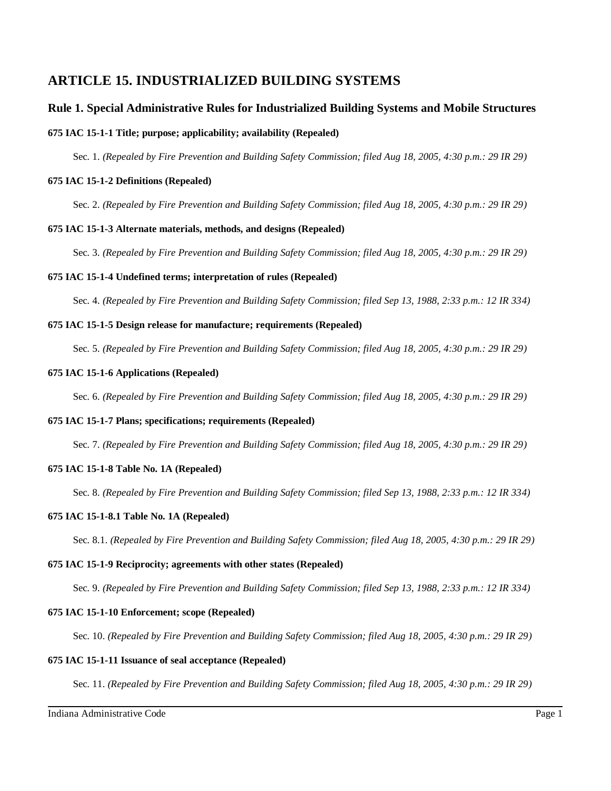# **ARTICLE 15. INDUSTRIALIZED BUILDING SYSTEMS**

## **Rule 1. Special Administrative Rules for Industrialized Building Systems and Mobile Structures**

## **675 IAC 15-1-1 Title; purpose; applicability; availability (Repealed)**

Sec. 1. *(Repealed by Fire Prevention and Building Safety Commission; filed Aug 18, 2005, 4:30 p.m.: 29 IR 29)*

### **675 IAC 15-1-2 Definitions (Repealed)**

Sec. 2. *(Repealed by Fire Prevention and Building Safety Commission; filed Aug 18, 2005, 4:30 p.m.: 29 IR 29)*

### **675 IAC 15-1-3 Alternate materials, methods, and designs (Repealed)**

Sec. 3. *(Repealed by Fire Prevention and Building Safety Commission; filed Aug 18, 2005, 4:30 p.m.: 29 IR 29)*

### **675 IAC 15-1-4 Undefined terms; interpretation of rules (Repealed)**

Sec. 4. *(Repealed by Fire Prevention and Building Safety Commission; filed Sep 13, 1988, 2:33 p.m.: 12 IR 334)*

## **675 IAC 15-1-5 Design release for manufacture; requirements (Repealed)**

Sec. 5. *(Repealed by Fire Prevention and Building Safety Commission; filed Aug 18, 2005, 4:30 p.m.: 29 IR 29)*

### **675 IAC 15-1-6 Applications (Repealed)**

Sec. 6. *(Repealed by Fire Prevention and Building Safety Commission; filed Aug 18, 2005, 4:30 p.m.: 29 IR 29)*

## **675 IAC 15-1-7 Plans; specifications; requirements (Repealed)**

Sec. 7. *(Repealed by Fire Prevention and Building Safety Commission; filed Aug 18, 2005, 4:30 p.m.: 29 IR 29)*

### **675 IAC 15-1-8 Table No. 1A (Repealed)**

Sec. 8. *(Repealed by Fire Prevention and Building Safety Commission; filed Sep 13, 1988, 2:33 p.m.: 12 IR 334)*

### **675 IAC 15-1-8.1 Table No. 1A (Repealed)**

Sec. 8.1. *(Repealed by Fire Prevention and Building Safety Commission; filed Aug 18, 2005, 4:30 p.m.: 29 IR 29)*

### **675 IAC 15-1-9 Reciprocity; agreements with other states (Repealed)**

Sec. 9. *(Repealed by Fire Prevention and Building Safety Commission; filed Sep 13, 1988, 2:33 p.m.: 12 IR 334)*

### **675 IAC 15-1-10 Enforcement; scope (Repealed)**

Sec. 10. *(Repealed by Fire Prevention and Building Safety Commission; filed Aug 18, 2005, 4:30 p.m.: 29 IR 29)*

### **675 IAC 15-1-11 Issuance of seal acceptance (Repealed)**

Sec. 11. *(Repealed by Fire Prevention and Building Safety Commission; filed Aug 18, 2005, 4:30 p.m.: 29 IR 29)*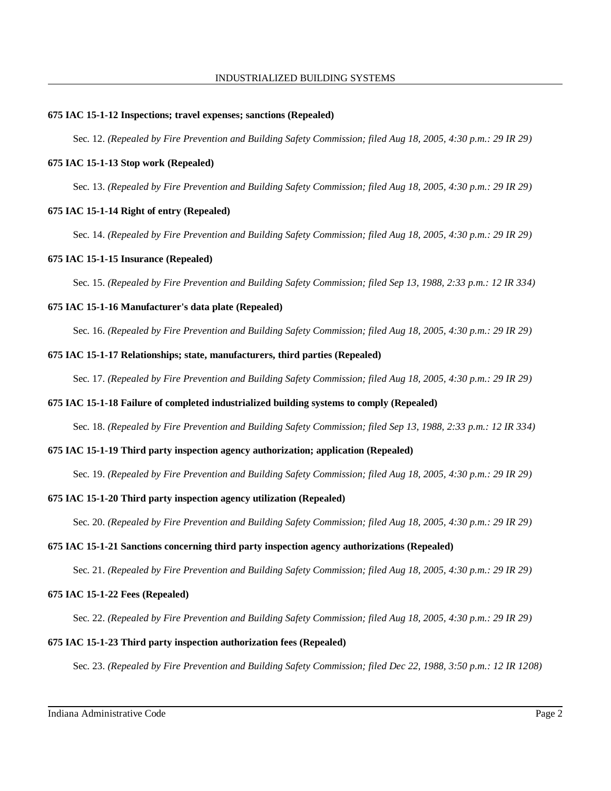### **675 IAC 15-1-12 Inspections; travel expenses; sanctions (Repealed)**

Sec. 12. *(Repealed by Fire Prevention and Building Safety Commission; filed Aug 18, 2005, 4:30 p.m.: 29 IR 29)*

### **675 IAC 15-1-13 Stop work (Repealed)**

Sec. 13. *(Repealed by Fire Prevention and Building Safety Commission; filed Aug 18, 2005, 4:30 p.m.: 29 IR 29)*

### **675 IAC 15-1-14 Right of entry (Repealed)**

Sec. 14. *(Repealed by Fire Prevention and Building Safety Commission; filed Aug 18, 2005, 4:30 p.m.: 29 IR 29)*

### **675 IAC 15-1-15 Insurance (Repealed)**

Sec. 15. *(Repealed by Fire Prevention and Building Safety Commission; filed Sep 13, 1988, 2:33 p.m.: 12 IR 334)*

### **675 IAC 15-1-16 Manufacturer's data plate (Repealed)**

Sec. 16. *(Repealed by Fire Prevention and Building Safety Commission; filed Aug 18, 2005, 4:30 p.m.: 29 IR 29)*

### **675 IAC 15-1-17 Relationships; state, manufacturers, third parties (Repealed)**

Sec. 17. *(Repealed by Fire Prevention and Building Safety Commission; filed Aug 18, 2005, 4:30 p.m.: 29 IR 29)*

### **675 IAC 15-1-18 Failure of completed industrialized building systems to comply (Repealed)**

Sec. 18. *(Repealed by Fire Prevention and Building Safety Commission; filed Sep 13, 1988, 2:33 p.m.: 12 IR 334)*

## **675 IAC 15-1-19 Third party inspection agency authorization; application (Repealed)**

Sec. 19. *(Repealed by Fire Prevention and Building Safety Commission; filed Aug 18, 2005, 4:30 p.m.: 29 IR 29)*

## **675 IAC 15-1-20 Third party inspection agency utilization (Repealed)**

Sec. 20. *(Repealed by Fire Prevention and Building Safety Commission; filed Aug 18, 2005, 4:30 p.m.: 29 IR 29)*

### **675 IAC 15-1-21 Sanctions concerning third party inspection agency authorizations (Repealed)**

Sec. 21. *(Repealed by Fire Prevention and Building Safety Commission; filed Aug 18, 2005, 4:30 p.m.: 29 IR 29)*

### **675 IAC 15-1-22 Fees (Repealed)**

Sec. 22. *(Repealed by Fire Prevention and Building Safety Commission; filed Aug 18, 2005, 4:30 p.m.: 29 IR 29)*

## **675 IAC 15-1-23 Third party inspection authorization fees (Repealed)**

Sec. 23. *(Repealed by Fire Prevention and Building Safety Commission; filed Dec 22, 1988, 3:50 p.m.: 12 IR 1208)*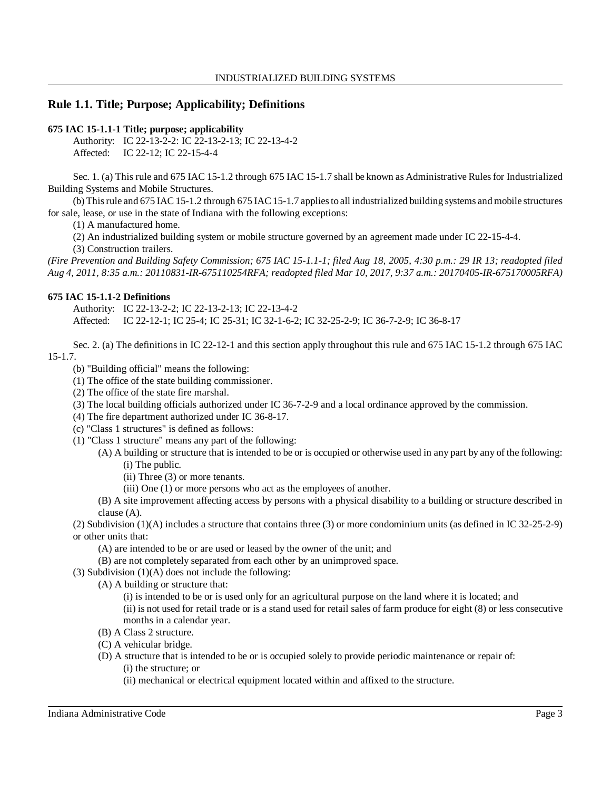## **Rule 1.1. Title; Purpose; Applicability; Definitions**

#### **675 IAC 15-1.1-1 Title; purpose; applicability**

Authority: IC 22-13-2-2: IC 22-13-2-13; IC 22-13-4-2 Affected: IC 22-12; IC 22-15-4-4

Sec. 1. (a) This rule and 675 IAC 15-1.2 through 675 IAC 15-1.7 shall be known as Administrative Rules for Industrialized Building Systems and Mobile Structures.

(b) Thisrule and 675 IAC 15-1.2 through 675 IAC 15-1.7 appliesto all industrialized building systems and mobile structures for sale, lease, or use in the state of Indiana with the following exceptions:

(1) A manufactured home.

(2) An industrialized building system or mobile structure governed by an agreement made under IC 22-15-4-4.

(3) Construction trailers.

*(Fire Prevention and Building Safety Commission; 675 IAC 15-1.1-1; filed Aug 18, 2005, 4:30 p.m.: 29 IR 13; readopted filed Aug 4, 2011, 8:35 a.m.: 20110831-IR-675110254RFA; readopted filed Mar 10, 2017, 9:37 a.m.: 20170405-IR-675170005RFA)*

### **675 IAC 15-1.1-2 Definitions**

Authority: IC 22-13-2-2; IC 22-13-2-13; IC 22-13-4-2 Affected: IC 22-12-1; IC 25-4; IC 25-31; IC 32-1-6-2; IC 32-25-2-9; IC 36-7-2-9; IC 36-8-17

Sec. 2. (a) The definitions in IC 22-12-1 and this section apply throughout this rule and 675 IAC 15-1.2 through 675 IAC 15-1.7.

- (b) "Building official" means the following:
- (1) The office of the state building commissioner.
- (2) The office of the state fire marshal.
- (3) The local building officials authorized under IC 36-7-2-9 and a local ordinance approved by the commission.
- (4) The fire department authorized under IC 36-8-17.
- (c) "Class 1 structures" is defined as follows:
- (1) "Class 1 structure" means any part of the following:
	- (A) A building or structure that is intended to be or is occupied or otherwise used in any part by any of the following: (i) The public.

(ii) Three (3) or more tenants.

- (iii) One (1) or more persons who act as the employees of another.
- (B) A site improvement affecting access by persons with a physical disability to a building or structure described in clause (A).

(2) Subdivision (1)(A) includes a structure that contains three (3) or more condominium units (as defined in IC 32-25-2-9) or other units that:

(A) are intended to be or are used or leased by the owner of the unit; and

(B) are not completely separated from each other by an unimproved space.

(3) Subdivision  $(1)(A)$  does not include the following:

(A) A building or structure that:

(i) is intended to be or is used only for an agricultural purpose on the land where it is located; and (ii) is not used for retail trade or is a stand used for retail sales of farm produce for eight (8) or less consecutive months in a calendar year.

- (B) A Class 2 structure.
- (C) A vehicular bridge.
- (D) A structure that is intended to be or is occupied solely to provide periodic maintenance or repair of: (i) the structure; or
	- (ii) mechanical or electrical equipment located within and affixed to the structure.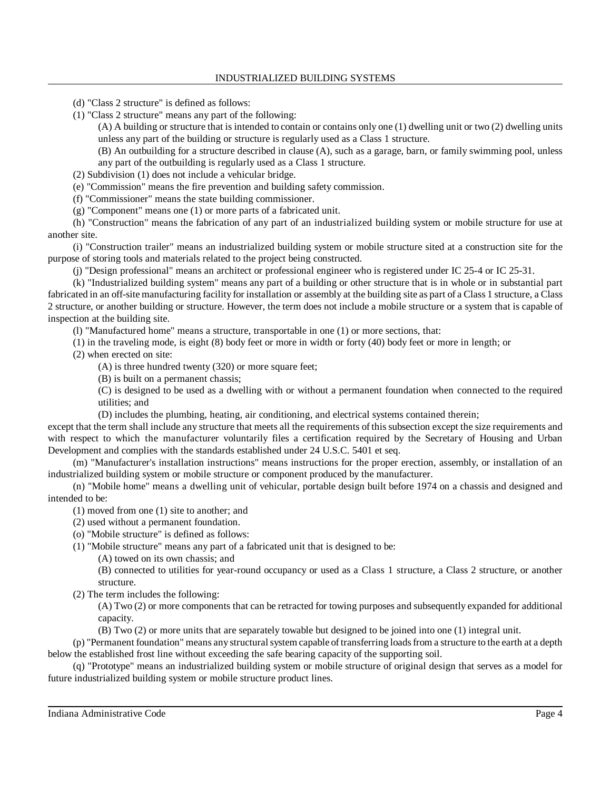- (d) "Class 2 structure" is defined as follows:
- (1) "Class 2 structure" means any part of the following:

(A) A building or structure that is intended to contain or contains only one (1) dwelling unit or two (2) dwelling units unless any part of the building or structure is regularly used as a Class 1 structure.

(B) An outbuilding for a structure described in clause (A), such as a garage, barn, or family swimming pool, unless any part of the outbuilding is regularly used as a Class 1 structure.

- (2) Subdivision (1) does not include a vehicular bridge.
- (e) "Commission" means the fire prevention and building safety commission.
- (f) "Commissioner" means the state building commissioner.
- (g) "Component" means one (1) or more parts of a fabricated unit.

(h) "Construction" means the fabrication of any part of an industrialized building system or mobile structure for use at another site.

(i) "Construction trailer" means an industrialized building system or mobile structure sited at a construction site for the purpose of storing tools and materials related to the project being constructed.

(j) "Design professional" means an architect or professional engineer who is registered under IC 25-4 or IC 25-31.

(k) "Industrialized building system" means any part of a building or other structure that is in whole or in substantial part fabricated in an off-site manufacturing facility for installation or assembly at the building site as part of a Class 1 structure, a Class 2 structure, or another building or structure. However, the term does not include a mobile structure or a system that is capable of inspection at the building site.

(l) "Manufactured home" means a structure, transportable in one (1) or more sections, that:

(1) in the traveling mode, is eight (8) body feet or more in width or forty (40) body feet or more in length; or

(2) when erected on site:

(A) is three hundred twenty (320) or more square feet;

(B) is built on a permanent chassis;

(C) is designed to be used as a dwelling with or without a permanent foundation when connected to the required utilities; and

(D) includes the plumbing, heating, air conditioning, and electrical systems contained therein;

except that the term shall include any structure that meets all the requirements of thissubsection except the size requirements and with respect to which the manufacturer voluntarily files a certification required by the Secretary of Housing and Urban Development and complies with the standards established under 24 U.S.C. 5401 et seq.

(m) "Manufacturer's installation instructions" means instructions for the proper erection, assembly, or installation of an industrialized building system or mobile structure or component produced by the manufacturer.

(n) "Mobile home" means a dwelling unit of vehicular, portable design built before 1974 on a chassis and designed and intended to be:

- (1) moved from one (1) site to another; and
- (2) used without a permanent foundation.
- (o) "Mobile structure" is defined as follows:
- (1) "Mobile structure" means any part of a fabricated unit that is designed to be:
	- (A) towed on its own chassis; and

(B) connected to utilities for year-round occupancy or used as a Class 1 structure, a Class 2 structure, or another structure.

(2) The term includes the following:

(A) Two (2) or more components that can be retracted for towing purposes and subsequently expanded for additional capacity.

(B) Two (2) or more units that are separately towable but designed to be joined into one (1) integral unit.

(p) "Permanent foundation" means any structural system capable of transferring loads from a structure to the earth at a depth below the established frost line without exceeding the safe bearing capacity of the supporting soil.

(q) "Prototype" means an industrialized building system or mobile structure of original design that serves as a model for future industrialized building system or mobile structure product lines.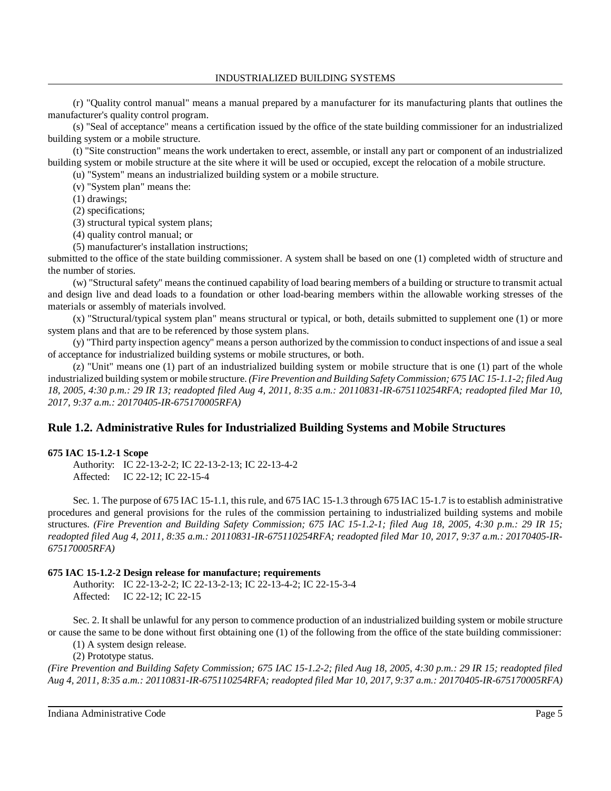(r) "Quality control manual" means a manual prepared by a manufacturer for its manufacturing plants that outlines the manufacturer's quality control program.

(s) "Seal of acceptance" means a certification issued by the office of the state building commissioner for an industrialized building system or a mobile structure.

(t) "Site construction" means the work undertaken to erect, assemble, or install any part or component of an industrialized building system or mobile structure at the site where it will be used or occupied, except the relocation of a mobile structure.

(u) "System" means an industrialized building system or a mobile structure.

(v) "System plan" means the:

(1) drawings;

(2) specifications;

(3) structural typical system plans;

(4) quality control manual; or

(5) manufacturer's installation instructions;

submitted to the office of the state building commissioner. A system shall be based on one (1) completed width of structure and the number of stories.

(w) "Structural safety" means the continued capability of load bearing members of a building or structure to transmit actual and design live and dead loads to a foundation or other load-bearing members within the allowable working stresses of the materials or assembly of materials involved.

(x) "Structural/typical system plan" means structural or typical, or both, details submitted to supplement one (1) or more system plans and that are to be referenced by those system plans.

(y) "Third party inspection agency" means a person authorized by the commission to conduct inspections of and issue a seal of acceptance for industrialized building systems or mobile structures, or both.

(z) "Unit" means one (1) part of an industrialized building system or mobile structure that is one (1) part of the whole industrialized building system or mobile structure. *(Fire Prevention and Building Safety Commission; 675 IAC 15-1.1-2; filed Aug 18, 2005, 4:30 p.m.: 29 IR 13; readopted filed Aug 4, 2011, 8:35 a.m.: 20110831-IR-675110254RFA; readopted filed Mar 10, 2017, 9:37 a.m.: 20170405-IR-675170005RFA)*

## **Rule 1.2. Administrative Rules for Industrialized Building Systems and Mobile Structures**

## **675 IAC 15-1.2-1 Scope**

Authority: IC 22-13-2-2; IC 22-13-2-13; IC 22-13-4-2 Affected: IC 22-12; IC 22-15-4

Sec. 1. The purpose of 675 IAC 15-1.1, this rule, and 675 IAC 15-1.3 through 675 IAC 15-1.7 is to establish administrative procedures and general provisions for the rules of the commission pertaining to industrialized building systems and mobile structures. (Fire Prevention and Building Safety Commission; 675 IAC 15-1.2-1; filed Aug 18, 2005, 4:30 p.m.: 29 IR 15; *readopted filed Aug 4, 2011, 8:35 a.m.: 20110831-IR-675110254RFA; readopted filed Mar 10, 2017, 9:37 a.m.: 20170405-IR-675170005RFA)*

## **675 IAC 15-1.2-2 Design release for manufacture; requirements**

Authority: IC 22-13-2-2; IC 22-13-2-13; IC 22-13-4-2; IC 22-15-3-4 Affected: IC 22-12; IC 22-15

Sec. 2. It shall be unlawful for any person to commence production of an industrialized building system or mobile structure or cause the same to be done without first obtaining one (1) of the following from the office of the state building commissioner:

(1) A system design release.

(2) Prototype status.

*(Fire Prevention and Building Safety Commission; 675 IAC 15-1.2-2; filed Aug 18, 2005, 4:30 p.m.: 29 IR 15; readopted filed Aug 4, 2011, 8:35 a.m.: 20110831-IR-675110254RFA; readopted filed Mar 10, 2017, 9:37 a.m.: 20170405-IR-675170005RFA)*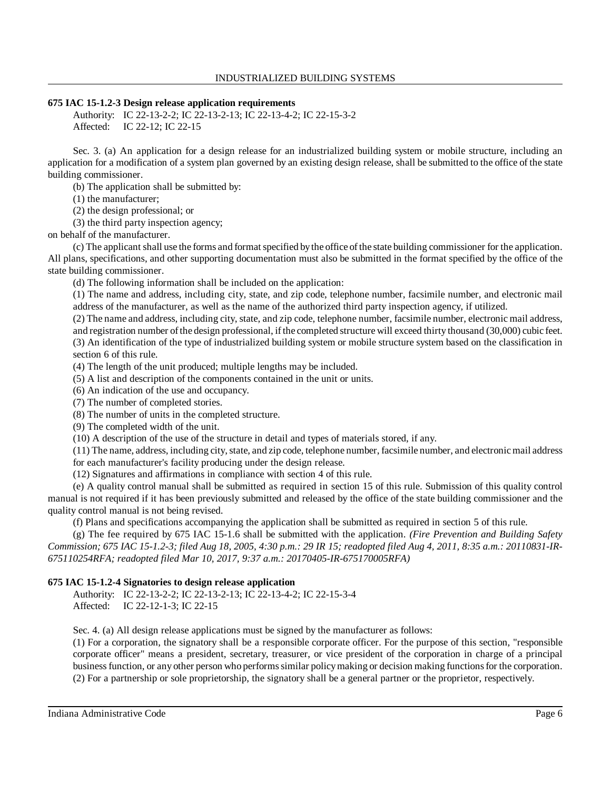## **675 IAC 15-1.2-3 Design release application requirements**

Authority: IC 22-13-2-2; IC 22-13-2-13; IC 22-13-4-2; IC 22-15-3-2 Affected: IC 22-12; IC 22-15

Sec. 3. (a) An application for a design release for an industrialized building system or mobile structure, including an application for a modification of a system plan governed by an existing design release, shall be submitted to the office of the state building commissioner.

(b) The application shall be submitted by:

(1) the manufacturer;

(2) the design professional; or

(3) the third party inspection agency;

on behalf of the manufacturer.

(c) The applicant shall use the forms and formatspecified bythe office ofthe state building commissioner for the application. All plans, specifications, and other supporting documentation must also be submitted in the format specified by the office of the state building commissioner.

(d) The following information shall be included on the application:

(1) The name and address, including city, state, and zip code, telephone number, facsimile number, and electronic mail address of the manufacturer, as well as the name of the authorized third party inspection agency, if utilized.

(2) The name and address, including city, state, and zip code, telephone number, facsimile number, electronic mail address,

and registration number ofthe design professional, ifthe completed structure will exceed thirty thousand (30,000) cubic feet. (3) An identification of the type of industrialized building system or mobile structure system based on the classification in section 6 of this rule.

(4) The length of the unit produced; multiple lengths may be included.

(5) A list and description of the components contained in the unit or units.

(6) An indication of the use and occupancy.

(7) The number of completed stories.

(8) The number of units in the completed structure.

(9) The completed width of the unit.

(10) A description of the use of the structure in detail and types of materials stored, if any.

 $(11)$  The name, address, including city, state, and zip code, telephone number, facsimile number, and electronic mail address

for each manufacturer's facility producing under the design release.

(12) Signatures and affirmations in compliance with section 4 of this rule.

(e) A quality control manual shall be submitted as required in section 15 of this rule. Submission of this quality control manual is not required if it has been previously submitted and released by the office of the state building commissioner and the quality control manual is not being revised.

(f) Plans and specifications accompanying the application shall be submitted as required in section 5 of this rule.

(g) The fee required by 675 IAC 15-1.6 shall be submitted with the application. *(Fire Prevention and Building Safety* Commission; 675 IAC 15-1.2-3; filed Aug 18, 2005, 4:30 p.m.: 29 IR 15; readopted filed Aug 4, 2011, 8:35 a.m.: 20110831-IR-*675110254RFA; readopted filed Mar 10, 2017, 9:37 a.m.: 20170405-IR-675170005RFA)*

## **675 IAC 15-1.2-4 Signatories to design release application**

Authority: IC 22-13-2-2; IC 22-13-2-13; IC 22-13-4-2; IC 22-15-3-4 Affected: IC 22-12-1-3; IC 22-15

Sec. 4. (a) All design release applications must be signed by the manufacturer as follows:

(1) For a corporation, the signatory shall be a responsible corporate officer. For the purpose of this section, "responsible corporate officer" means a president, secretary, treasurer, or vice president of the corporation in charge of a principal business function, or any other person who performs similar policy making or decision making functions for the corporation. (2) For a partnership or sole proprietorship, the signatory shall be a general partner or the proprietor, respectively.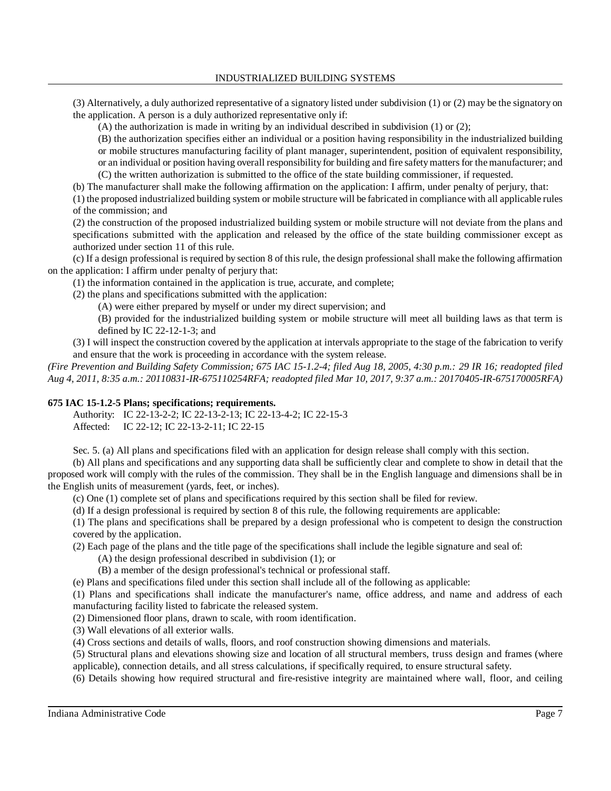(3) Alternatively, a duly authorized representative of a signatory listed under subdivision (1) or (2) may be the signatory on the application. A person is a duly authorized representative only if:

(A) the authorization is made in writing by an individual described in subdivision (1) or (2);

(B) the authorization specifies either an individual or a position having responsibility in the industrialized building or mobile structures manufacturing facility of plant manager, superintendent, position of equivalent responsibility, or an individual or position having overall responsibility for building and fire safetymattersfor themanufacturer; and

(C) the written authorization is submitted to the office of the state building commissioner, if requested.

(b) The manufacturer shall make the following affirmation on the application: I affirm, under penalty of perjury, that:

(1) the proposed industrialized building system or mobile structure will be fabricated in compliance with all applicable rules of the commission; and

(2) the construction of the proposed industrialized building system or mobile structure will not deviate from the plans and specifications submitted with the application and released by the office of the state building commissioner except as authorized under section 11 of this rule.

(c) If a design professional is required by section 8 of this rule, the design professional shall make the following affirmation on the application: I affirm under penalty of perjury that:

(1) the information contained in the application is true, accurate, and complete;

(2) the plans and specifications submitted with the application:

(A) were either prepared by myself or under my direct supervision; and

(B) provided for the industrialized building system or mobile structure will meet all building laws as that term is defined by IC 22-12-1-3; and

(3) I will inspect the construction covered by the application at intervals appropriate to the stage of the fabrication to verify and ensure that the work is proceeding in accordance with the system release.

*(Fire Prevention and Building Safety Commission; 675 IAC 15-1.2-4; filed Aug 18, 2005, 4:30 p.m.: 29 IR 16; readopted filed Aug 4, 2011, 8:35 a.m.: 20110831-IR-675110254RFA; readopted filed Mar 10, 2017, 9:37 a.m.: 20170405-IR-675170005RFA)*

## **675 IAC 15-1.2-5 Plans; specifications; requirements.**

Authority: IC 22-13-2-2; IC 22-13-2-13; IC 22-13-4-2; IC 22-15-3 Affected: IC 22-12; IC 22-13-2-11; IC 22-15

Sec. 5. (a) All plans and specifications filed with an application for design release shall comply with this section.

(b) All plans and specifications and any supporting data shall be sufficiently clear and complete to show in detail that the proposed work will comply with the rules of the commission. They shall be in the English language and dimensions shall be in the English units of measurement (yards, feet, or inches).

(c) One (1) complete set of plans and specifications required by this section shall be filed for review.

(d) If a design professional is required by section 8 of this rule, the following requirements are applicable:

(1) The plans and specifications shall be prepared by a design professional who is competent to design the construction covered by the application.

(2) Each page of the plans and the title page of the specifications shall include the legible signature and seal of:

(A) the design professional described in subdivision (1); or

(B) a member of the design professional's technical or professional staff.

(e) Plans and specifications filed under this section shall include all of the following as applicable:

(1) Plans and specifications shall indicate the manufacturer's name, office address, and name and address of each manufacturing facility listed to fabricate the released system.

(2) Dimensioned floor plans, drawn to scale, with room identification.

(3) Wall elevations of all exterior walls.

(4) Cross sections and details of walls, floors, and roof construction showing dimensions and materials.

(5) Structural plans and elevations showing size and location of all structural members, truss design and frames (where applicable), connection details, and all stress calculations, if specifically required, to ensure structural safety.

(6) Details showing how required structural and fire-resistive integrity are maintained where wall, floor, and ceiling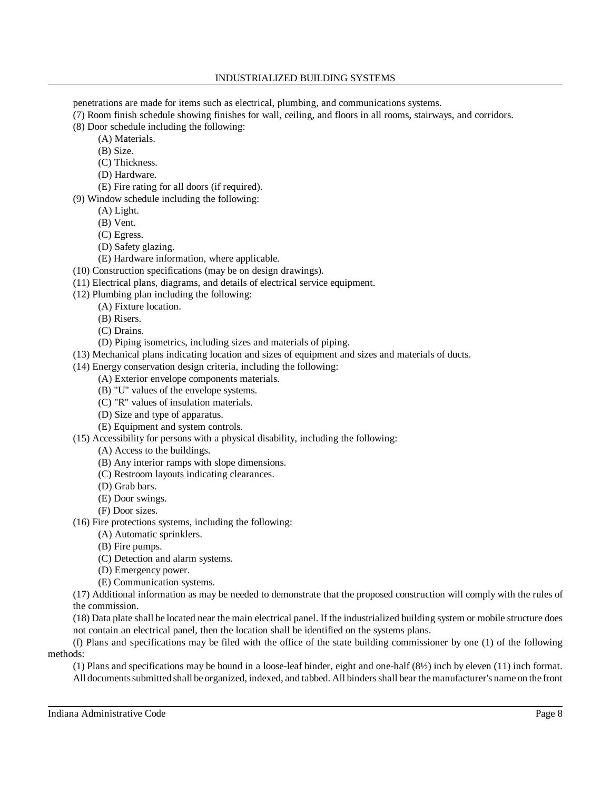penetrations are made for items such as electrical, plumbing, and communications systems.

(7) Room finish schedule showing finishes for wall, ceiling, and floors in all rooms, stairways, and corridors.

- (8) Door schedule including the following:
	- (A) Materials.
		- (B) Size.
		- (C) Thickness.
		- (D) Hardware.
		- (E) Fire rating for all doors (if required).
- (9) Window schedule including the following:
	- (A) Light.
	- (B) Vent.
	- (C) Egress.
	- (D) Safety glazing.
	- (E) Hardware information, where applicable.
- (10) Construction specifications (may be on design drawings).
- (11) Electrical plans, diagrams, and details of electrical service equipment.
- (12) Plumbing plan including the following:
	- (A) Fixture location.
		- (B) Risers.
		- (C) Drains.
		- (D) Piping isometrics, including sizes and materials of piping.
- (13) Mechanical plans indicating location and sizes of equipment and sizes and materials of ducts.
- (14) Energy conservation design criteria, including the following:
	- (A) Exterior envelope components materials.
	- (B) "U" values of the envelope systems.
	- (C) "R" values of insulation materials.
	- (D) Size and type of apparatus.
	- (E) Equipment and system controls.
- (15) Accessibility for persons with a physical disability, including the following:
	- (A) Access to the buildings.
	- (B) Any interior ramps with slope dimensions.
	- (C) Restroom layouts indicating clearances.
	- (D) Grab bars.
	- (E) Door swings.
	- (F) Door sizes.
- (16) Fire protections systems, including the following:
	- (A) Automatic sprinklers.
	- (B) Fire pumps.
	- (C) Detection and alarm systems.
	- (D) Emergency power.
	- (E) Communication systems.

(17) Additional information as may be needed to demonstrate that the proposed construction will comply with the rules of the commission.

(18) Data plate shall be located near the main electrical panel. If the industrialized building system or mobile structure does not contain an electrical panel, then the location shall be identified on the systems plans.

(f) Plans and specifications may be filed with the office of the state building commissioner by one (1) of the following methods:

(1) Plans and specifications may be bound in a loose-leaf binder, eight and one-half (8½) inch by eleven (11) inch format. All documentssubmitted shall be organized, indexed, and tabbed. All bindersshall bear themanufacturer's name on the front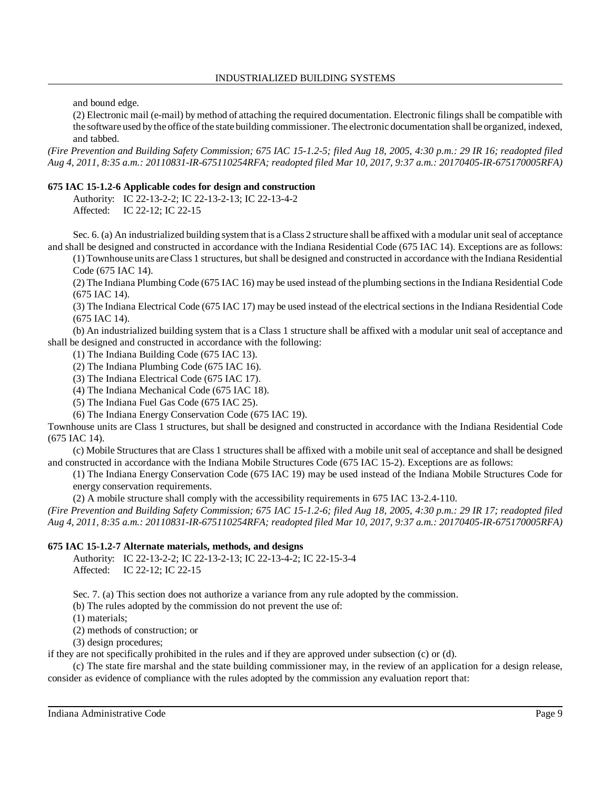and bound edge.

(2) Electronic mail (e-mail) by method of attaching the required documentation. Electronic filings shall be compatible with the software used bythe office ofthe state building commissioner. The electronic documentation shall be organized, indexed, and tabbed.

*(Fire Prevention and Building Safety Commission; 675 IAC 15-1.2-5; filed Aug 18, 2005, 4:30 p.m.: 29 IR 16; readopted filed Aug 4, 2011, 8:35 a.m.: 20110831-IR-675110254RFA; readopted filed Mar 10, 2017, 9:37 a.m.: 20170405-IR-675170005RFA)*

## **675 IAC 15-1.2-6 Applicable codes for design and construction**

Authority: IC 22-13-2-2; IC 22-13-2-13; IC 22-13-4-2 Affected: IC 22-12; IC 22-15

Sec. 6. (a) An industrialized building system that is a Class 2 structure shall be affixed with a modular unit seal of acceptance and shall be designed and constructed in accordance with the Indiana Residential Code (675 IAC 14). Exceptions are as follows:

(1) Townhouse units areClass 1 structures, but shall be designed and constructed in accordance with the Indiana Residential Code (675 IAC 14).

(2) The Indiana Plumbing Code (675 IAC 16) may be used instead of the plumbing sectionsin the Indiana Residential Code (675 IAC 14).

(3) The Indiana Electrical Code (675 IAC 17) may be used instead of the electrical sections in the Indiana Residential Code (675 IAC 14).

(b) An industrialized building system that is a Class 1 structure shall be affixed with a modular unit seal of acceptance and shall be designed and constructed in accordance with the following:

(1) The Indiana Building Code (675 IAC 13).

(2) The Indiana Plumbing Code (675 IAC 16).

(3) The Indiana Electrical Code (675 IAC 17).

(4) The Indiana Mechanical Code (675 IAC 18).

(5) The Indiana Fuel Gas Code (675 IAC 25).

(6) The Indiana Energy Conservation Code (675 IAC 19).

Townhouse units are Class 1 structures, but shall be designed and constructed in accordance with the Indiana Residential Code (675 IAC 14).

(c) Mobile Structures that are Class 1 structures shall be affixed with a mobile unit seal of acceptance and shall be designed and constructed in accordance with the Indiana Mobile Structures Code (675 IAC 15-2). Exceptions are as follows:

(1) The Indiana Energy Conservation Code (675 IAC 19) may be used instead of the Indiana Mobile Structures Code for energy conservation requirements.

(2) A mobile structure shall comply with the accessibility requirements in 675 IAC 13-2.4-110.

*(Fire Prevention and Building Safety Commission; 675 IAC 15-1.2-6; filed Aug 18, 2005, 4:30 p.m.: 29 IR 17; readopted filed Aug 4, 2011, 8:35 a.m.: 20110831-IR-675110254RFA; readopted filed Mar 10, 2017, 9:37 a.m.: 20170405-IR-675170005RFA)*

## **675 IAC 15-1.2-7 Alternate materials, methods, and designs**

Authority: IC 22-13-2-2; IC 22-13-2-13; IC 22-13-4-2; IC 22-15-3-4 Affected: IC 22-12; IC 22-15

Sec. 7. (a) This section does not authorize a variance from any rule adopted by the commission.

(b) The rules adopted by the commission do not prevent the use of:

(1) materials;

(2) methods of construction; or

(3) design procedures;

if they are not specifically prohibited in the rules and if they are approved under subsection (c) or (d).

(c) The state fire marshal and the state building commissioner may, in the review of an application for a design release, consider as evidence of compliance with the rules adopted by the commission any evaluation report that: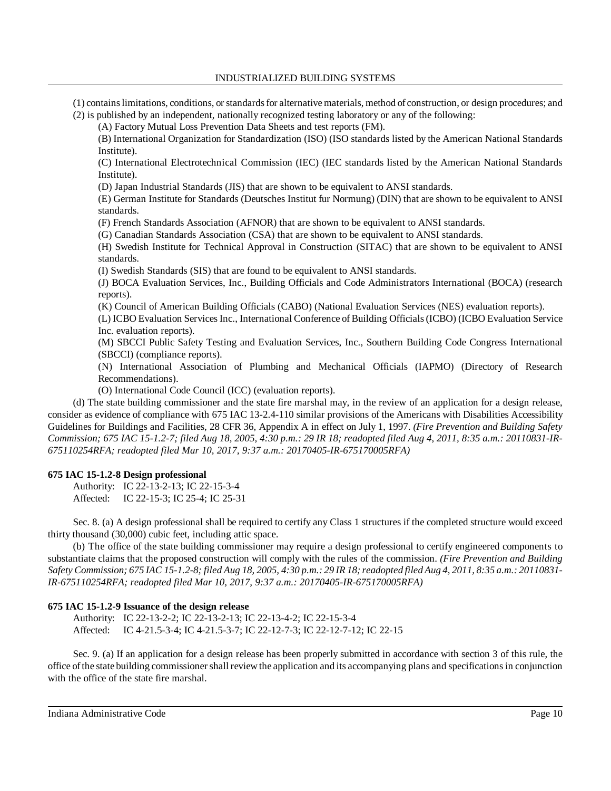(1) containslimitations, conditions, orstandardsfor alternativematerials, method of construction, or design procedures; and

(2) is published by an independent, nationally recognized testing laboratory or any of the following:

(A) Factory Mutual Loss Prevention Data Sheets and test reports (FM).

(B) International Organization for Standardization (ISO) (ISO standards listed by the American National Standards Institute).

(C) International Electrotechnical Commission (IEC) (IEC standards listed by the American National Standards Institute).

(D) Japan Industrial Standards (JIS) that are shown to be equivalent to ANSI standards.

(E) German Institute for Standards (Deutsches Institut fur Normung) (DIN) that are shown to be equivalent to ANSI standards.

(F) French Standards Association (AFNOR) that are shown to be equivalent to ANSI standards.

(G) Canadian Standards Association (CSA) that are shown to be equivalent to ANSI standards.

(H) Swedish Institute for Technical Approval in Construction (SITAC) that are shown to be equivalent to ANSI standards.

(I) Swedish Standards (SIS) that are found to be equivalent to ANSI standards.

(J) BOCA Evaluation Services, Inc., Building Officials and Code Administrators International (BOCA) (research reports).

(K) Council of American Building Officials (CABO) (National Evaluation Services (NES) evaluation reports).

(L) ICBO Evaluation Services Inc., International Conference of Building Officials (ICBO) (ICBO Evaluation Service Inc. evaluation reports).

(M) SBCCI Public Safety Testing and Evaluation Services, Inc., Southern Building Code Congress International (SBCCI) (compliance reports).

(N) International Association of Plumbing and Mechanical Officials (IAPMO) (Directory of Research Recommendations).

(O) International Code Council (ICC) (evaluation reports).

(d) The state building commissioner and the state fire marshal may, in the review of an application for a design release, consider as evidence of compliance with 675 IAC 13-2.4-110 similar provisions of the Americans with Disabilities Accessibility Guidelines for Buildings and Facilities, 28 CFR 36, Appendix A in effect on July 1, 1997. *(Fire Prevention and Building Safety* Commission; 675 IAC 15-1.2-7; filed Aug 18, 2005, 4:30 p.m.: 29 IR 18; readopted filed Aug 4, 2011, 8:35 a.m.: 20110831-IR-*675110254RFA; readopted filed Mar 10, 2017, 9:37 a.m.: 20170405-IR-675170005RFA)*

## **675 IAC 15-1.2-8 Design professional**

Authority: IC 22-13-2-13; IC 22-15-3-4 Affected: IC 22-15-3; IC 25-4; IC 25-31

Sec. 8. (a) A design professional shall be required to certify any Class 1 structures if the completed structure would exceed thirty thousand (30,000) cubic feet, including attic space.

(b) The office of the state building commissioner may require a design professional to certify engineered components to substantiate claims that the proposed construction will comply with the rules of the commission. *(Fire Prevention and Building* Safety Commission; 675 IAC 15-1.2-8; filed Aug 18, 2005, 4:30 p.m.: 29 IR 18; readopted filed Aug 4, 2011, 8:35 a.m.: 20110831-*IR-675110254RFA; readopted filed Mar 10, 2017, 9:37 a.m.: 20170405-IR-675170005RFA)*

## **675 IAC 15-1.2-9 Issuance of the design release**

Authority: IC 22-13-2-2; IC 22-13-2-13; IC 22-13-4-2; IC 22-15-3-4 Affected: IC 4-21.5-3-4; IC 4-21.5-3-7; IC 22-12-7-3; IC 22-12-7-12; IC 22-15

Sec. 9. (a) If an application for a design release has been properly submitted in accordance with section 3 of this rule, the office ofthe state building commissionershall reviewthe application and its accompanying plans and specificationsin conjunction with the office of the state fire marshal.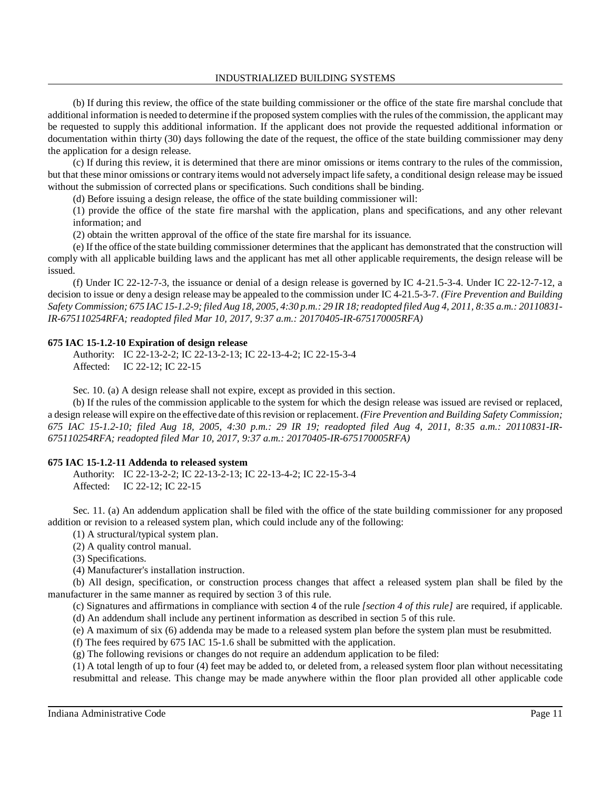INDUSTRIALIZED BUILDING SYSTEMS

(b) If during this review, the office of the state building commissioner or the office of the state fire marshal conclude that additional information is needed to determine if the proposed system complies with the rules of the commission, the applicant may be requested to supply this additional information. If the applicant does not provide the requested additional information or documentation within thirty (30) days following the date of the request, the office of the state building commissioner may deny the application for a design release.

(c) If during this review, it is determined that there are minor omissions or items contrary to the rules of the commission, but that these minor omissions or contrary items would not adversely impact life safety, a conditional design release may be issued without the submission of corrected plans or specifications. Such conditions shall be binding.

(d) Before issuing a design release, the office of the state building commissioner will:

(1) provide the office of the state fire marshal with the application, plans and specifications, and any other relevant information; and

(2) obtain the written approval of the office of the state fire marshal for its issuance.

(e) If the office of the state building commissioner determines that the applicant has demonstrated that the construction will comply with all applicable building laws and the applicant has met all other applicable requirements, the design release will be issued.

(f) Under IC 22-12-7-3, the issuance or denial of a design release is governed by IC 4-21.5-3-4. Under IC 22-12-7-12, a decision to issue or deny a design release may be appealed to the commission under IC 4-21.5-3-7. *(Fire Prevention and Building* Safety Commission; 675 IAC 15-1.2-9; filed Aug 18, 2005, 4:30 p.m.: 29 IR 18; readopted filed Aug 4, 2011, 8:35 a.m.: 20110831-*IR-675110254RFA; readopted filed Mar 10, 2017, 9:37 a.m.: 20170405-IR-675170005RFA)*

## **675 IAC 15-1.2-10 Expiration of design release**

Authority: IC 22-13-2-2; IC 22-13-2-13; IC 22-13-4-2; IC 22-15-3-4 Affected: IC 22-12; IC 22-15

Sec. 10. (a) A design release shall not expire, except as provided in this section.

(b) If the rules of the commission applicable to the system for which the design release was issued are revised or replaced, a design release will expire on the effective date ofthisrevision or replacement. *(Fire Prevention and Building Safety Commission;* 675 IAC 15-1.2-10; filed Aug 18, 2005, 4:30 p.m.: 29 IR 19; readopted filed Aug 4, 2011, 8:35 a.m.: 20110831-IR-*675110254RFA; readopted filed Mar 10, 2017, 9:37 a.m.: 20170405-IR-675170005RFA)*

### **675 IAC 15-1.2-11 Addenda to released system**

Authority: IC 22-13-2-2; IC 22-13-2-13; IC 22-13-4-2; IC 22-15-3-4 Affected: IC 22-12; IC 22-15

Sec. 11. (a) An addendum application shall be filed with the office of the state building commissioner for any proposed addition or revision to a released system plan, which could include any of the following:

(1) A structural/typical system plan.

(2) A quality control manual.

(3) Specifications.

(4) Manufacturer's installation instruction.

(b) All design, specification, or construction process changes that affect a released system plan shall be filed by the manufacturer in the same manner as required by section 3 of this rule.

(c) Signatures and affirmations in compliance with section 4 of the rule *[section 4 of this rule]* are required, if applicable. (d) An addendum shall include any pertinent information as described in section 5 of this rule.

(e) A maximum of six (6) addenda may be made to a released system plan before the system plan must be resubmitted.

(f) The fees required by 675 IAC 15-1.6 shall be submitted with the application.

(g) The following revisions or changes do not require an addendum application to be filed:

(1) A total length of up to four (4) feet may be added to, or deleted from, a released system floor plan without necessitating resubmittal and release. This change may be made anywhere within the floor plan provided all other applicable code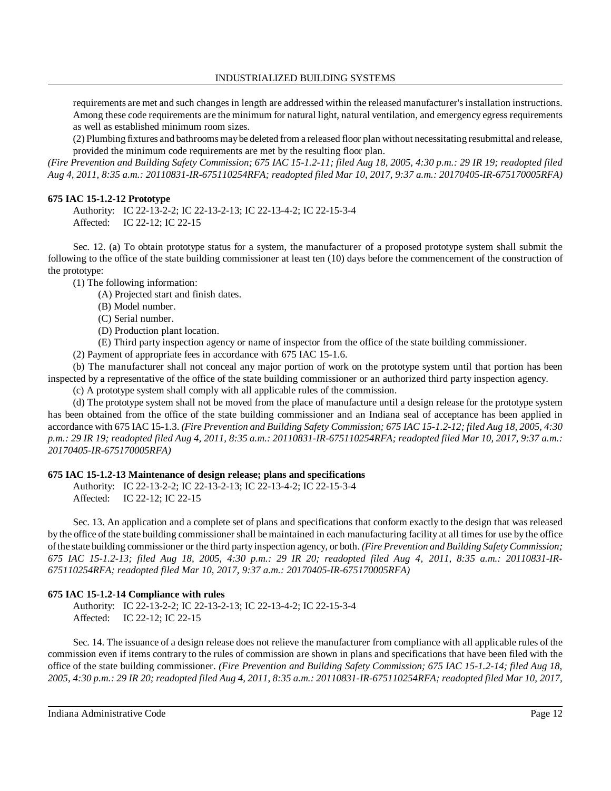requirements are met and such changes in length are addressed within the released manufacturer'sinstallation instructions. Among these code requirements are the minimum for natural light, natural ventilation, and emergency egress requirements as well as established minimum room sizes.

(2) Plumbing fixtures and bathrooms maybe deleted from a released floor plan without necessitating resubmittal and release, provided the minimum code requirements are met by the resulting floor plan.

(Fire Prevention and Building Safety Commission; 675 IAC 15-1.2-11; filed Aug 18, 2005, 4:30 p.m.: 29 IR 19; readopted filed *Aug 4, 2011, 8:35 a.m.: 20110831-IR-675110254RFA; readopted filed Mar 10, 2017, 9:37 a.m.: 20170405-IR-675170005RFA)*

### **675 IAC 15-1.2-12 Prototype**

Authority: IC 22-13-2-2; IC 22-13-2-13; IC 22-13-4-2; IC 22-15-3-4 Affected: IC 22-12; IC 22-15

Sec. 12. (a) To obtain prototype status for a system, the manufacturer of a proposed prototype system shall submit the following to the office of the state building commissioner at least ten (10) days before the commencement of the construction of the prototype:

(1) The following information:

- (A) Projected start and finish dates.
- (B) Model number.
- (C) Serial number.
- (D) Production plant location.
- (E) Third party inspection agency or name of inspector from the office of the state building commissioner.

(2) Payment of appropriate fees in accordance with 675 IAC 15-1.6.

(b) The manufacturer shall not conceal any major portion of work on the prototype system until that portion has been inspected by a representative of the office of the state building commissioner or an authorized third party inspection agency.

(c) A prototype system shall comply with all applicable rules of the commission.

(d) The prototype system shall not be moved from the place of manufacture until a design release for the prototype system has been obtained from the office of the state building commissioner and an Indiana seal of acceptance has been applied in accordance with 675 IAC 15-1.3. *(Fire Prevention and Building Safety Commission; 675 IAC 15-1.2-12; filed Aug 18, 2005, 4:30* p.m.: 29 IR 19; readopted filed Aug 4, 2011, 8:35 a.m.: 20110831-IR-675110254RFA; readopted filed Mar 10, 2017, 9:37 a.m.: *20170405-IR-675170005RFA)*

### **675 IAC 15-1.2-13 Maintenance of design release; plans and specifications**

Authority: IC 22-13-2-2; IC 22-13-2-13; IC 22-13-4-2; IC 22-15-3-4 Affected: IC 22-12; IC 22-15

Sec. 13. An application and a complete set of plans and specifications that conform exactly to the design that was released by the office of the state building commissioner shall be maintained in each manufacturing facility at all times for use by the office ofthe state building commissioner or the third party inspection agency, or both. *(Fire Prevention and Building Safety Commission; 675 IAC 15-1.2-13; filed Aug 18, 2005, 4:30 p.m.: 29 IR 20; readopted filed Aug 4, 2011, 8:35 a.m.: 20110831-IR-675110254RFA; readopted filed Mar 10, 2017, 9:37 a.m.: 20170405-IR-675170005RFA)*

### **675 IAC 15-1.2-14 Compliance with rules**

Authority: IC 22-13-2-2; IC 22-13-2-13; IC 22-13-4-2; IC 22-15-3-4 Affected: IC 22-12; IC 22-15

Sec. 14. The issuance of a design release does not relieve the manufacturer from compliance with all applicable rules of the commission even if items contrary to the rules of commission are shown in plans and specifications that have been filed with the office of the state building commissioner. *(Fire Prevention and Building Safety Commission; 675 IAC 15-1.2-14; filed Aug 18,* 2005, 4:30 p.m.: 29 IR 20; readopted filed Aug 4, 2011, 8:35 a.m.: 20110831-IR-675110254RFA; readopted filed Mar 10, 2017,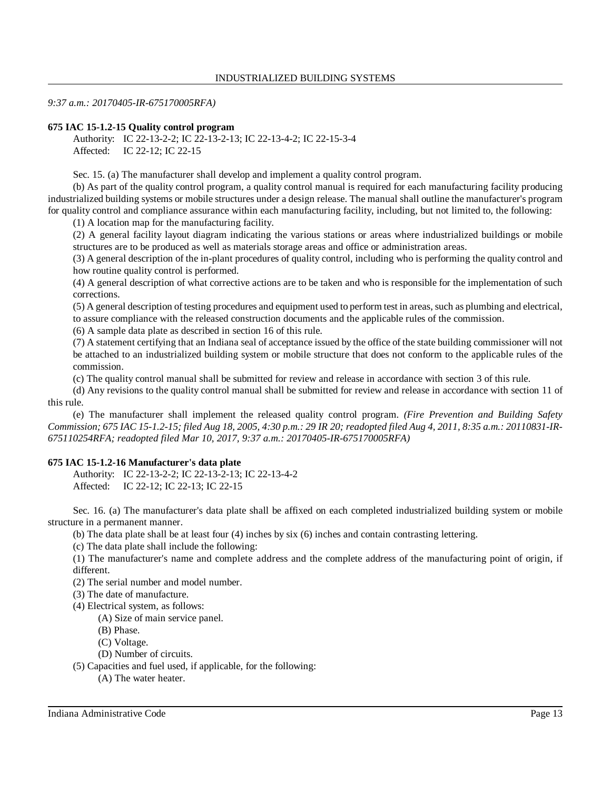#### *9:37 a.m.: 20170405-IR-675170005RFA)*

#### **675 IAC 15-1.2-15 Quality control program**

Authority: IC 22-13-2-2; IC 22-13-2-13; IC 22-13-4-2; IC 22-15-3-4 Affected: IC 22-12; IC 22-15

Sec. 15. (a) The manufacturer shall develop and implement a quality control program.

(b) As part of the quality control program, a quality control manual is required for each manufacturing facility producing industrialized building systems or mobile structures under a design release. The manual shall outline the manufacturer's program for quality control and compliance assurance within each manufacturing facility, including, but not limited to, the following:

(1) A location map for the manufacturing facility.

(2) A general facility layout diagram indicating the various stations or areas where industrialized buildings or mobile structures are to be produced as well as materials storage areas and office or administration areas.

(3) A general description of the in-plant procedures of quality control, including who is performing the quality control and how routine quality control is performed.

(4) A general description of what corrective actions are to be taken and who is responsible for the implementation of such corrections.

(5) A general description of testing procedures and equipment used to perform test in areas, such as plumbing and electrical, to assure compliance with the released construction documents and the applicable rules of the commission.

(6) A sample data plate as described in section 16 of this rule.

(7) A statement certifying that an Indiana seal of acceptance issued by the office of the state building commissioner will not be attached to an industrialized building system or mobile structure that does not conform to the applicable rules of the commission.

(c) The quality control manual shall be submitted for review and release in accordance with section 3 of this rule.

(d) Any revisions to the quality control manual shall be submitted for review and release in accordance with section 11 of this rule.

(e) The manufacturer shall implement the released quality control program. *(Fire Prevention and Building Safety* Commission; 675 IAC 15-1.2-15; filed Aug 18, 2005, 4:30 p.m.: 29 IR 20; readopted filed Aug 4, 2011, 8:35 a.m.: 20110831-IR-*675110254RFA; readopted filed Mar 10, 2017, 9:37 a.m.: 20170405-IR-675170005RFA)*

### **675 IAC 15-1.2-16 Manufacturer's data plate**

Authority: IC 22-13-2-2; IC 22-13-2-13; IC 22-13-4-2 Affected: IC 22-12; IC 22-13; IC 22-15

Sec. 16. (a) The manufacturer's data plate shall be affixed on each completed industrialized building system or mobile structure in a permanent manner.

(b) The data plate shall be at least four (4) inches by six (6) inches and contain contrasting lettering.

(c) The data plate shall include the following:

(1) The manufacturer's name and complete address and the complete address of the manufacturing point of origin, if different.

(2) The serial number and model number.

(3) The date of manufacture.

(4) Electrical system, as follows:

(A) Size of main service panel.

(B) Phase.

(C) Voltage.

(D) Number of circuits.

(5) Capacities and fuel used, if applicable, for the following:

(A) The water heater.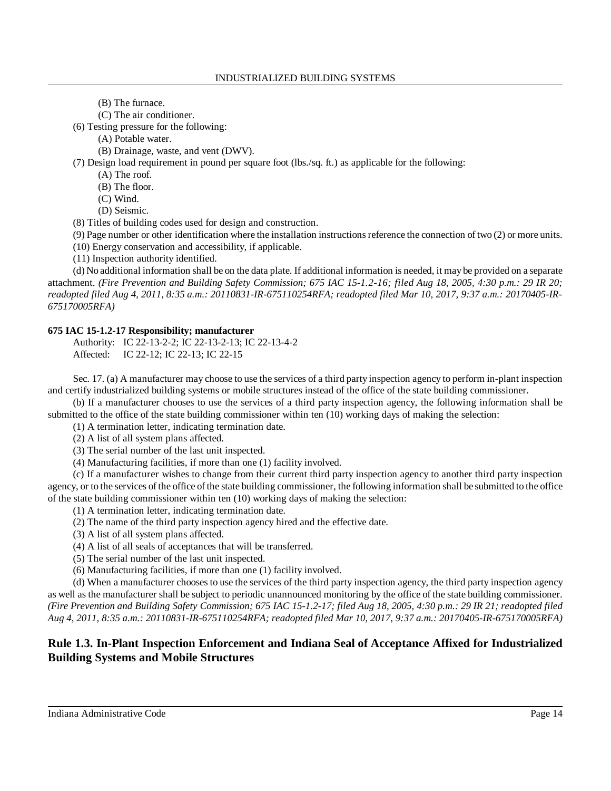- (B) The furnace.
- (C) The air conditioner.

(6) Testing pressure for the following:

(A) Potable water.

(B) Drainage, waste, and vent (DWV).

(7) Design load requirement in pound per square foot (lbs./sq. ft.) as applicable for the following:

- (A) The roof.
	- (B) The floor.
	- (C) Wind.
	- (D) Seismic.

(8) Titles of building codes used for design and construction.

(9) Page number or other identification where the installation instructions reference the connection of two  $(2)$  or more units.

(10) Energy conservation and accessibility, if applicable.

(11) Inspection authority identified.

(d) No additional information shall be on the data plate. If additional information is needed, it may be provided on a separate attachment. *(Fire Prevention and Building Safety Commission; 675 IAC 15-1.2-16; filed Aug 18, 2005, 4:30 p.m.: 29 IR 20; readopted filed Aug 4, 2011, 8:35 a.m.: 20110831-IR-675110254RFA; readopted filed Mar 10, 2017, 9:37 a.m.: 20170405-IR-675170005RFA)*

## **675 IAC 15-1.2-17 Responsibility; manufacturer**

Authority: IC 22-13-2-2; IC 22-13-2-13; IC 22-13-4-2 Affected: IC 22-12; IC 22-13; IC 22-15

Sec. 17. (a) A manufacturer may choose to use the services of a third party inspection agency to perform in-plant inspection and certify industrialized building systems or mobile structures instead of the office of the state building commissioner.

(b) If a manufacturer chooses to use the services of a third party inspection agency, the following information shall be submitted to the office of the state building commissioner within ten (10) working days of making the selection:

(1) A termination letter, indicating termination date.

(2) A list of all system plans affected.

(3) The serial number of the last unit inspected.

(4) Manufacturing facilities, if more than one (1) facility involved.

(c) If a manufacturer wishes to change from their current third party inspection agency to another third party inspection agency, or to the services of the office of the state building commissioner, the following information shall be submitted to the office of the state building commissioner within ten (10) working days of making the selection:

(1) A termination letter, indicating termination date.

(2) The name of the third party inspection agency hired and the effective date.

(3) A list of all system plans affected.

(4) A list of all seals of acceptances that will be transferred.

(5) The serial number of the last unit inspected.

(6) Manufacturing facilities, if more than one (1) facility involved.

(d) When a manufacturer chooses to use the services of the third party inspection agency, the third party inspection agency as well as the manufacturer shall be subject to periodic unannounced monitoring by the office of the state building commissioner. (Fire Prevention and Building Safety Commission; 675 IAC 15-1.2-17; filed Aug 18, 2005, 4:30 p.m.: 29 IR 21; readopted filed *Aug 4, 2011, 8:35 a.m.: 20110831-IR-675110254RFA; readopted filed Mar 10, 2017, 9:37 a.m.: 20170405-IR-675170005RFA)*

# **Rule 1.3. In-Plant Inspection Enforcement and Indiana Seal of Acceptance Affixed for Industrialized Building Systems and Mobile Structures**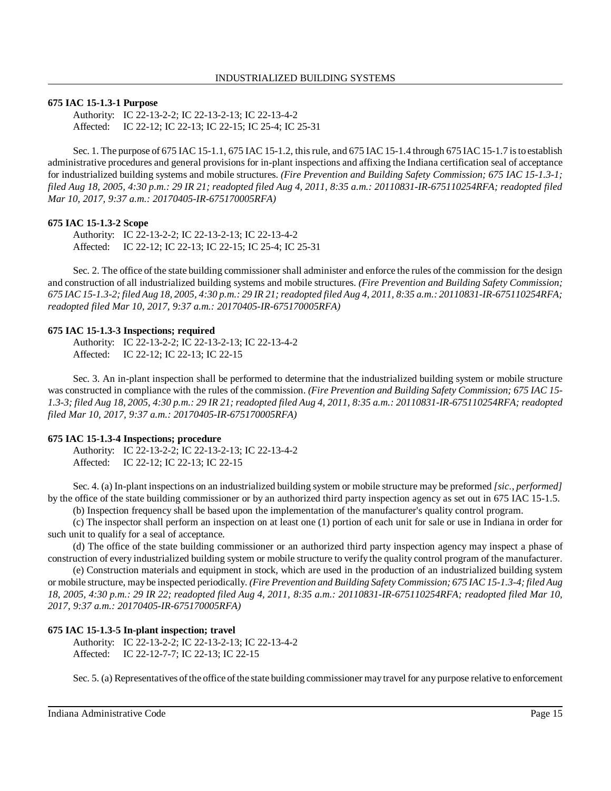### **675 IAC 15-1.3-1 Purpose**

Authority: IC 22-13-2-2; IC 22-13-2-13; IC 22-13-4-2 Affected: IC 22-12; IC 22-13; IC 22-15; IC 25-4; IC 25-31

Sec. 1. The purpose of 675 IAC 15-1.1, 675 IAC 15-1.2, thisrule, and 675 IAC 15-1.4 through 675 IAC 15-1.7 isto establish administrative procedures and general provisions for in-plant inspections and affixing the Indiana certification seal of acceptance for industrialized building systems and mobile structures. *(Fire Prevention and Building Safety Commission; 675 IAC 15-1.3-1; filed Aug 18, 2005, 4:30 p.m.: 29 IR 21; readopted filed Aug 4, 2011, 8:35 a.m.: 20110831-IR-675110254RFA; readopted filed Mar 10, 2017, 9:37 a.m.: 20170405-IR-675170005RFA)*

#### **675 IAC 15-1.3-2 Scope**

Authority: IC 22-13-2-2; IC 22-13-2-13; IC 22-13-4-2 Affected: IC 22-12; IC 22-13; IC 22-15; IC 25-4; IC 25-31

Sec. 2. The office of the state building commissioner shall administer and enforce the rules of the commission for the design and construction of all industrialized building systems and mobile structures. *(Fire Prevention and Building Safety Commission;* 675 IAC 15-1.3-2; filed Aug 18, 2005, 4:30 p.m.: 29 IR 21; readopted filed Aug 4, 2011, 8:35 a.m.: 20110831-IR-675110254RFA; *readopted filed Mar 10, 2017, 9:37 a.m.: 20170405-IR-675170005RFA)*

#### **675 IAC 15-1.3-3 Inspections; required**

Authority: IC 22-13-2-2; IC 22-13-2-13; IC 22-13-4-2 Affected: IC 22-12; IC 22-13; IC 22-15

Sec. 3. An in-plant inspection shall be performed to determine that the industrialized building system or mobile structure was constructed in compliance with the rules of the commission. *(Fire Prevention and Building Safety Commission; 675 IAC 15-* 1.3-3; filed Aug 18, 2005, 4:30 p.m.: 29 IR 21; readopted filed Aug 4, 2011, 8:35 a.m.: 20110831-IR-675110254RFA; readopted *filed Mar 10, 2017, 9:37 a.m.: 20170405-IR-675170005RFA)*

### **675 IAC 15-1.3-4 Inspections; procedure**

Authority: IC 22-13-2-2; IC 22-13-2-13; IC 22-13-4-2 Affected: IC 22-12; IC 22-13; IC 22-15

Sec. 4. (a) In-plant inspections on an industrialized building system or mobile structure may be preformed *[sic., performed]* by the office of the state building commissioner or by an authorized third party inspection agency as set out in 675 IAC 15-1.5.

(b) Inspection frequency shall be based upon the implementation of the manufacturer's quality control program.

(c) The inspector shall perform an inspection on at least one (1) portion of each unit for sale or use in Indiana in order for such unit to qualify for a seal of acceptance.

(d) The office of the state building commissioner or an authorized third party inspection agency may inspect a phase of construction of every industrialized building system or mobile structure to verify the quality control program of the manufacturer.

(e) Construction materials and equipment in stock, which are used in the production of an industrialized building system or mobile structure, may be inspected periodically. *(Fire Prevention and Building Safety Commission; 675 IAC 15-1.3-4; filed Aug 18, 2005, 4:30 p.m.: 29 IR 22; readopted filed Aug 4, 2011, 8:35 a.m.: 20110831-IR-675110254RFA; readopted filed Mar 10, 2017, 9:37 a.m.: 20170405-IR-675170005RFA)*

#### **675 IAC 15-1.3-5 In-plant inspection; travel**

Authority: IC 22-13-2-2; IC 22-13-2-13; IC 22-13-4-2 Affected: IC 22-12-7-7; IC 22-13; IC 22-15

Sec. 5. (a) Representatives ofthe office ofthe state building commissioner maytravel for any purpose relative to enforcement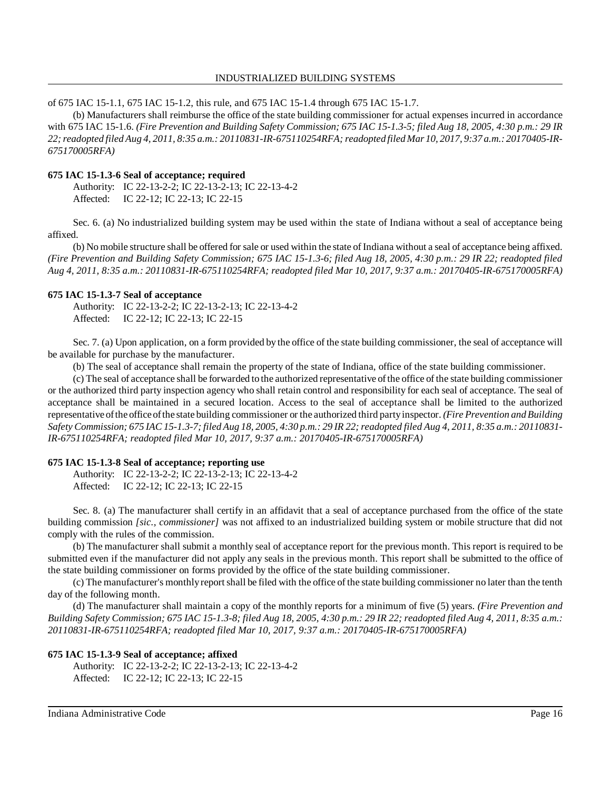#### INDUSTRIALIZED BUILDING SYSTEMS

of 675 IAC 15-1.1, 675 IAC 15-1.2, this rule, and 675 IAC 15-1.4 through 675 IAC 15-1.7.

(b) Manufacturers shall reimburse the office of the state building commissioner for actual expenses incurred in accordance with 675 IAC 15-1.6. (Fire Prevention and Building Safety Commission; 675 IAC 15-1.3-5; filed Aug 18, 2005, 4:30 p.m.: 29 IR 22; readopted filed Aug 4, 2011, 8:35 a.m.: 20110831-IR-675110254RFA; readopted filed Mar 10, 2017, 9:37 a.m.: 20170405-IR-*675170005RFA)*

### **675 IAC 15-1.3-6 Seal of acceptance; required**

Authority: IC 22-13-2-2; IC 22-13-2-13; IC 22-13-4-2 Affected: IC 22-12; IC 22-13; IC 22-15

Sec. 6. (a) No industrialized building system may be used within the state of Indiana without a seal of acceptance being affixed.

(b) No mobile structure shall be offered for sale or used within the state of Indiana without a seal of acceptance being affixed. *(Fire Prevention and Building Safety Commission; 675 IAC 15-1.3-6; filed Aug 18, 2005, 4:30 p.m.: 29 IR 22; readopted filed Aug 4, 2011, 8:35 a.m.: 20110831-IR-675110254RFA; readopted filed Mar 10, 2017, 9:37 a.m.: 20170405-IR-675170005RFA)*

### **675 IAC 15-1.3-7 Seal of acceptance**

Authority: IC 22-13-2-2; IC 22-13-2-13; IC 22-13-4-2 Affected: IC 22-12; IC 22-13; IC 22-15

Sec. 7. (a) Upon application, on a form provided by the office of the state building commissioner, the seal of acceptance will be available for purchase by the manufacturer.

(b) The seal of acceptance shall remain the property of the state of Indiana, office of the state building commissioner.

(c) The seal of acceptance shall be forwarded to the authorized representative ofthe office of the state building commissioner or the authorized third party inspection agency who shall retain control and responsibility for each seal of acceptance. The seal of acceptance shall be maintained in a secured location. Access to the seal of acceptance shall be limited to the authorized representative ofthe office ofthe state building commissioner or the authorized third partyinspector. *(Fire Prevention andBuilding* Safety Commission; 675 IAC 15-1.3-7; filed Aug 18, 2005, 4:30 p.m.: 29 IR 22; readopted filed Aug 4, 2011, 8:35 a.m.: 20110831-*IR-675110254RFA; readopted filed Mar 10, 2017, 9:37 a.m.: 20170405-IR-675170005RFA)*

## **675 IAC 15-1.3-8 Seal of acceptance; reporting use**

Authority: IC 22-13-2-2; IC 22-13-2-13; IC 22-13-4-2 Affected: IC 22-12; IC 22-13; IC 22-15

Sec. 8. (a) The manufacturer shall certify in an affidavit that a seal of acceptance purchased from the office of the state building commission *[sic., commissioner]* was not affixed to an industrialized building system or mobile structure that did not comply with the rules of the commission.

(b) The manufacturer shall submit a monthly seal of acceptance report for the previous month. This report is required to be submitted even if the manufacturer did not apply any seals in the previous month. This report shall be submitted to the office of the state building commissioner on forms provided by the office of the state building commissioner.

(c) The manufacturer's monthlyreportshall be filed with the office of the state building commissioner no later than the tenth day of the following month.

(d) The manufacturer shall maintain a copy of the monthly reports for a minimum of five (5) years. *(Fire Prevention and* Building Safety Commission; 675 IAC 15-1.3-8; filed Aug 18, 2005, 4:30 p.m.: 29 IR 22; readopted filed Aug 4, 2011, 8:35 a.m.: *20110831-IR-675110254RFA; readopted filed Mar 10, 2017, 9:37 a.m.: 20170405-IR-675170005RFA)*

## **675 IAC 15-1.3-9 Seal of acceptance; affixed**

Authority: IC 22-13-2-2; IC 22-13-2-13; IC 22-13-4-2 Affected: IC 22-12; IC 22-13; IC 22-15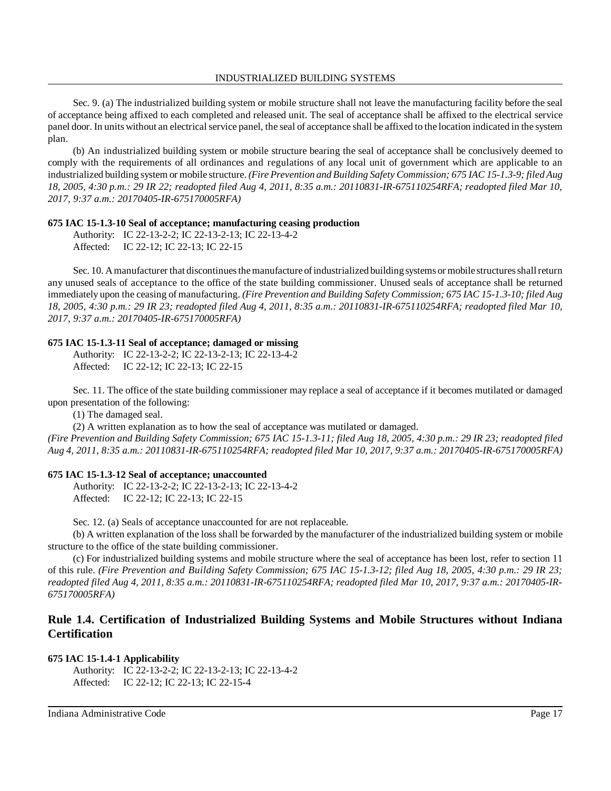Sec. 9. (a) The industrialized building system or mobile structure shall not leave the manufacturing facility before the seal of acceptance being affixed to each completed and released unit. The seal of acceptance shall be affixed to the electrical service panel door. In units without an electrical service panel, the seal of acceptance shall be affixed to the location indicated in the system plan.

(b) An industrialized building system or mobile structure bearing the seal of acceptance shall be conclusively deemed to comply with the requirements of all ordinances and regulations of any local unit of government which are applicable to an industrialized building system or mobile structure. *(Fire Prevention and Building Safety Commission; 675 IAC 15-1.3-9; filed Aug 18, 2005, 4:30 p.m.: 29 IR 22; readopted filed Aug 4, 2011, 8:35 a.m.: 20110831-IR-675110254RFA; readopted filed Mar 10, 2017, 9:37 a.m.: 20170405-IR-675170005RFA)*

### **675 IAC 15-1.3-10 Seal of acceptance; manufacturing ceasing production**

Authority: IC 22-13-2-2; IC 22-13-2-13; IC 22-13-4-2 Affected: IC 22-12; IC 22-13; IC 22-15

Sec. 10. A manufacturer that discontinues the manufacture of industrialized building systems or mobile structures shall return any unused seals of acceptance to the office of the state building commissioner. Unused seals of acceptance shall be returned immediately upon the ceasing of manufacturing. *(Fire Prevention and Building Safety Commission; 675 IAC 15-1.3-10; filed Aug 18, 2005, 4:30 p.m.: 29 IR 23; readopted filed Aug 4, 2011, 8:35 a.m.: 20110831-IR-675110254RFA; readopted filed Mar 10, 2017, 9:37 a.m.: 20170405-IR-675170005RFA)*

### **675 IAC 15-1.3-11 Seal of acceptance; damaged or missing**

Authority: IC 22-13-2-2; IC 22-13-2-13; IC 22-13-4-2 Affected: IC 22-12; IC 22-13; IC 22-15

Sec. 11. The office of the state building commissioner may replace a seal of acceptance if it becomes mutilated or damaged upon presentation of the following:

(1) The damaged seal.

(2) A written explanation as to how the seal of acceptance was mutilated or damaged.

(Fire Prevention and Building Safety Commission; 675 IAC 15-1.3-11; filed Aug 18, 2005, 4:30 p.m.: 29 IR 23; readopted filed *Aug 4, 2011, 8:35 a.m.: 20110831-IR-675110254RFA; readopted filed Mar 10, 2017, 9:37 a.m.: 20170405-IR-675170005RFA)*

### **675 IAC 15-1.3-12 Seal of acceptance; unaccounted**

Authority: IC 22-13-2-2; IC 22-13-2-13; IC 22-13-4-2 Affected: IC 22-12; IC 22-13; IC 22-15

Sec. 12. (a) Seals of acceptance unaccounted for are not replaceable.

(b) A written explanation of the loss shall be forwarded by the manufacturer of the industrialized building system or mobile structure to the office of the state building commissioner.

(c) For industrialized building systems and mobile structure where the seal of acceptance has been lost, refer to section 11 of this rule. *(Fire Prevention and Building Safety Commission; 675 IAC 15-1.3-12; filed Aug 18, 2005, 4:30 p.m.: 29 IR 23; readopted filed Aug 4, 2011, 8:35 a.m.: 20110831-IR-675110254RFA; readopted filed Mar 10, 2017, 9:37 a.m.: 20170405-IR-675170005RFA)*

# **Rule 1.4. Certification of Industrialized Building Systems and Mobile Structures without Indiana Certification**

### **675 IAC 15-1.4-1 Applicability**

```
Authority: IC 22-13-2-2; IC 22-13-2-13; IC 22-13-4-2
Affected: IC 22-12; IC 22-13; IC 22-15-4
```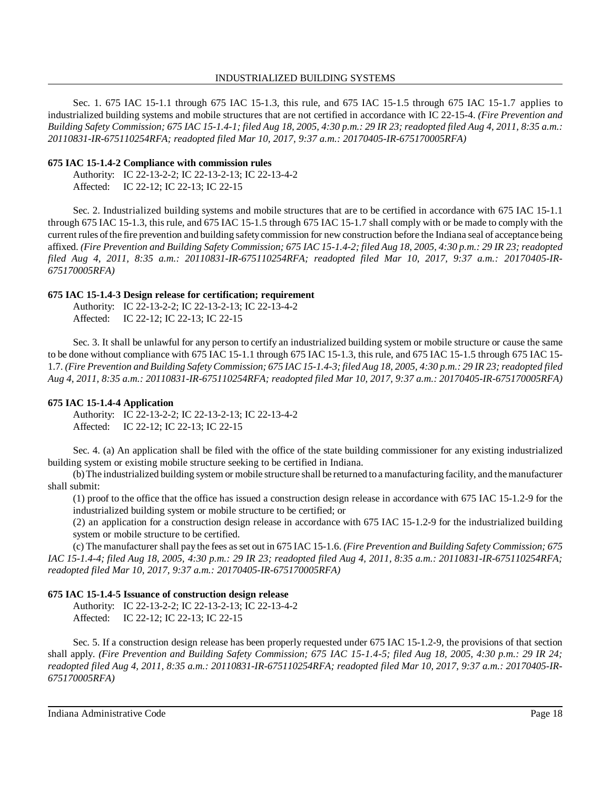Sec. 1. 675 IAC 15-1.1 through 675 IAC 15-1.3, this rule, and 675 IAC 15-1.5 through 675 IAC 15-1.7 applies to industrialized building systems and mobile structures that are not certified in accordance with IC 22-15-4. *(Fire Prevention and* Building Safety Commission; 675 IAC 15-1.4-1; filed Aug 18, 2005, 4:30 p.m.: 29 IR 23; readopted filed Aug 4, 2011, 8:35 a.m.: *20110831-IR-675110254RFA; readopted filed Mar 10, 2017, 9:37 a.m.: 20170405-IR-675170005RFA)*

### **675 IAC 15-1.4-2 Compliance with commission rules**

Authority: IC 22-13-2-2; IC 22-13-2-13; IC 22-13-4-2 Affected: IC 22-12; IC 22-13; IC 22-15

Sec. 2. Industrialized building systems and mobile structures that are to be certified in accordance with 675 IAC 15-1.1 through 675 IAC 15-1.3, this rule, and 675 IAC 15-1.5 through 675 IAC 15-1.7 shall comply with or be made to comply with the current rules ofthe fire prevention and building safetycommission for new construction before the Indiana seal of acceptance being affixed. (Fire Prevention and Building Safety Commission; 675 IAC 15-1.4-2; filed Aug 18, 2005, 4:30 p.m.: 29 IR 23; readopted *filed Aug 4, 2011, 8:35 a.m.: 20110831-IR-675110254RFA; readopted filed Mar 10, 2017, 9:37 a.m.: 20170405-IR-675170005RFA)*

### **675 IAC 15-1.4-3 Design release for certification; requirement**

Authority: IC 22-13-2-2; IC 22-13-2-13; IC 22-13-4-2 Affected: IC 22-12; IC 22-13; IC 22-15

Sec. 3. It shall be unlawful for any person to certify an industrialized building system or mobile structure or cause the same to be done without compliance with 675 IAC 15-1.1 through 675 IAC 15-1.3, this rule, and 675 IAC 15-1.5 through 675 IAC 15- 1.7. (Fire Prevention and Building Safety Commission; 675 IAC 15-1.4-3; filed Aug 18, 2005, 4:30 p.m.: 29 IR 23; readopted filed *Aug 4, 2011, 8:35 a.m.: 20110831-IR-675110254RFA; readopted filed Mar 10, 2017, 9:37 a.m.: 20170405-IR-675170005RFA)*

## **675 IAC 15-1.4-4 Application**

Authority: IC 22-13-2-2; IC 22-13-2-13; IC 22-13-4-2 Affected: IC 22-12; IC 22-13; IC 22-15

Sec. 4. (a) An application shall be filed with the office of the state building commissioner for any existing industrialized building system or existing mobile structure seeking to be certified in Indiana.

(b)The industrialized building system or mobile structure shall be returned to a manufacturing facility, and themanufacturer shall submit:

(1) proof to the office that the office has issued a construction design release in accordance with 675 IAC 15-1.2-9 for the industrialized building system or mobile structure to be certified; or

(2) an application for a construction design release in accordance with 675 IAC 15-1.2-9 for the industrialized building system or mobile structure to be certified.

(c) The manufacturer shall pay the fees asset out in 675 IAC 15-1.6. *(Fire Prevention and Building Safety Commission; 675 IAC 15-1.4-4; filed Aug 18, 2005, 4:30 p.m.: 29 IR 23; readopted filed Aug 4, 2011, 8:35 a.m.: 20110831-IR-675110254RFA; readopted filed Mar 10, 2017, 9:37 a.m.: 20170405-IR-675170005RFA)*

## **675 IAC 15-1.4-5 Issuance of construction design release**

Authority: IC 22-13-2-2; IC 22-13-2-13; IC 22-13-4-2 Affected: IC 22-12; IC 22-13; IC 22-15

Sec. 5. If a construction design release has been properly requested under 675 IAC 15-1.2-9, the provisions of that section shall apply. *(Fire Prevention and Building Safety Commission; 675 IAC 15-1.4-5; filed Aug 18, 2005, 4:30 p.m.: 29 IR 24; readopted filed Aug 4, 2011, 8:35 a.m.: 20110831-IR-675110254RFA; readopted filed Mar 10, 2017, 9:37 a.m.: 20170405-IR-675170005RFA)*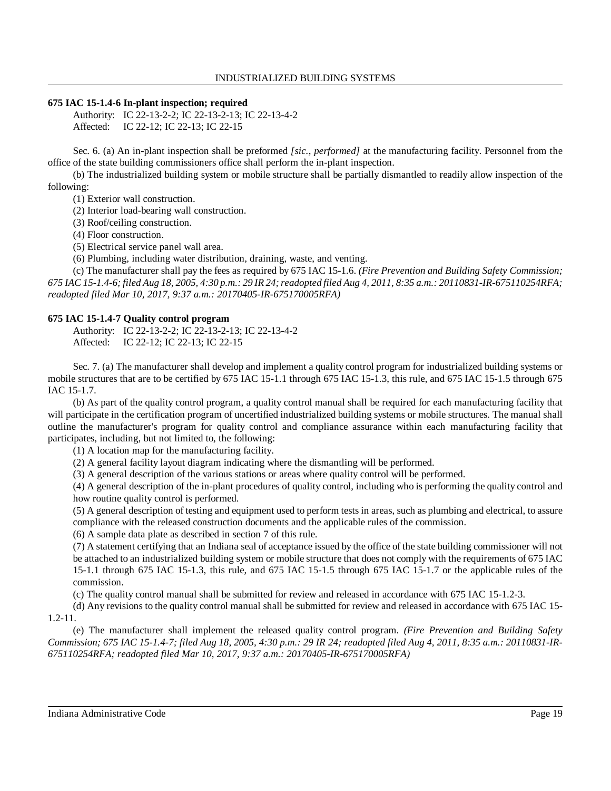## **675 IAC 15-1.4-6 In-plant inspection; required**

Authority: IC 22-13-2-2; IC 22-13-2-13; IC 22-13-4-2 Affected: IC 22-12; IC 22-13; IC 22-15

Sec. 6. (a) An in-plant inspection shall be preformed *[sic., performed]* at the manufacturing facility. Personnel from the office of the state building commissioners office shall perform the in-plant inspection.

(b) The industrialized building system or mobile structure shall be partially dismantled to readily allow inspection of the following:

(1) Exterior wall construction.

(2) Interior load-bearing wall construction.

(3) Roof/ceiling construction.

(4) Floor construction.

(5) Electrical service panel wall area.

(6) Plumbing, including water distribution, draining, waste, and venting.

(c) The manufacturer shall pay the fees as required by 675 IAC 15-1.6. *(Fire Prevention and Building Safety Commission;* 675 IAC 15-1.4-6; filed Aug 18, 2005, 4:30 p.m.: 29 IR 24; readopted filed Aug 4, 2011, 8:35 a.m.: 20110831-IR-675110254RFA; *readopted filed Mar 10, 2017, 9:37 a.m.: 20170405-IR-675170005RFA)*

## **675 IAC 15-1.4-7 Quality control program**

Authority: IC 22-13-2-2; IC 22-13-2-13; IC 22-13-4-2 Affected: IC 22-12; IC 22-13; IC 22-15

Sec. 7. (a) The manufacturer shall develop and implement a quality control program for industrialized building systems or mobile structures that are to be certified by 675 IAC 15-1.1 through 675 IAC 15-1.3, this rule, and 675 IAC 15-1.5 through 675 IAC 15-1.7.

(b) As part of the quality control program, a quality control manual shall be required for each manufacturing facility that will participate in the certification program of uncertified industrialized building systems or mobile structures. The manual shall outline the manufacturer's program for quality control and compliance assurance within each manufacturing facility that participates, including, but not limited to, the following:

(1) A location map for the manufacturing facility.

(2) A general facility layout diagram indicating where the dismantling will be performed.

(3) A general description of the various stations or areas where quality control will be performed.

(4) A general description of the in-plant procedures of quality control, including who is performing the quality control and how routine quality control is performed.

(5) A general description of testing and equipment used to perform tests in areas, such as plumbing and electrical, to assure compliance with the released construction documents and the applicable rules of the commission.

(6) A sample data plate as described in section 7 of this rule.

(7) A statement certifying that an Indiana seal of acceptance issued by the office of the state building commissioner will not be attached to an industrialized building system or mobile structure that does not comply with the requirements of 675 IAC 15-1.1 through 675 IAC 15-1.3, this rule, and 675 IAC 15-1.5 through 675 IAC 15-1.7 or the applicable rules of the commission.

(c) The quality control manual shall be submitted for review and released in accordance with 675 IAC 15-1.2-3.

(d) Any revisions to the quality control manual shall be submitted for review and released in accordance with 675 IAC 15- 1.2-11.

(e) The manufacturer shall implement the released quality control program. *(Fire Prevention and Building Safety* Commission; 675 IAC 15-1.4-7; filed Aug 18, 2005, 4:30 p.m.: 29 IR 24; readopted filed Aug 4, 2011, 8:35 a.m.: 20110831-IR-*675110254RFA; readopted filed Mar 10, 2017, 9:37 a.m.: 20170405-IR-675170005RFA)*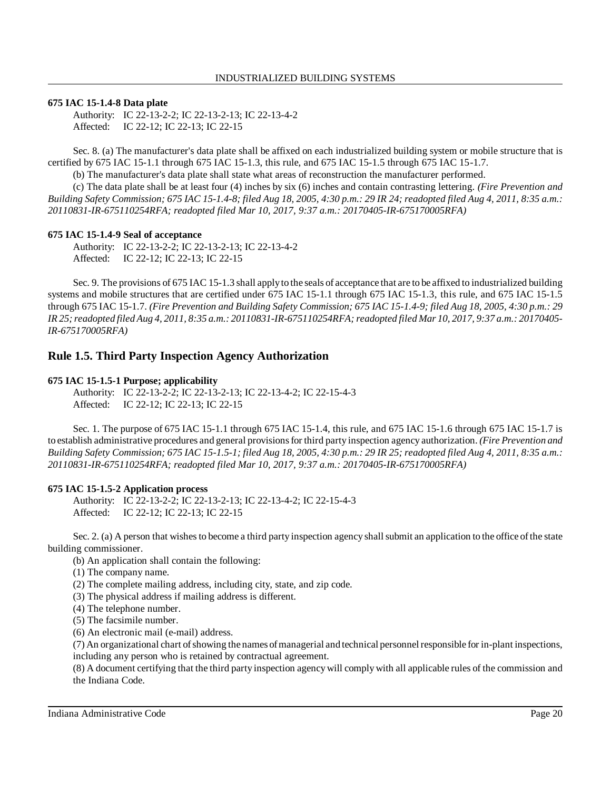### **675 IAC 15-1.4-8 Data plate**

Authority: IC 22-13-2-2; IC 22-13-2-13; IC 22-13-4-2 Affected: IC 22-12; IC 22-13; IC 22-15

Sec. 8. (a) The manufacturer's data plate shall be affixed on each industrialized building system or mobile structure that is certified by 675 IAC 15-1.1 through 675 IAC 15-1.3, this rule, and 675 IAC 15-1.5 through 675 IAC 15-1.7.

(b) The manufacturer's data plate shall state what areas of reconstruction the manufacturer performed.

(c) The data plate shall be at least four (4) inches by six (6) inches and contain contrasting lettering. *(Fire Prevention and* Building Safety Commission; 675 IAC 15-1.4-8; filed Aug 18, 2005, 4:30 p.m.: 29 IR 24; readopted filed Aug 4, 2011, 8:35 a.m.: *20110831-IR-675110254RFA; readopted filed Mar 10, 2017, 9:37 a.m.: 20170405-IR-675170005RFA)*

## **675 IAC 15-1.4-9 Seal of acceptance**

Authority: IC 22-13-2-2; IC 22-13-2-13; IC 22-13-4-2 Affected: IC 22-12; IC 22-13; IC 22-15

Sec. 9. The provisions of 675 IAC 15-1.3 shall applyto the seals of acceptance that are to be affixed to industrialized building systems and mobile structures that are certified under 675 IAC 15-1.1 through 675 IAC 15-1.3, this rule, and 675 IAC 15-1.5 through 675 IAC 15-1.7. (Fire Prevention and Building Safety Commission; 675 IAC 15-1.4-9; filed Aug 18, 2005, 4:30 p.m.: 29 IR 25; readopted filed Aug 4, 2011, 8:35 a.m.: 20110831-IR-675110254RFA; readopted filed Mar 10, 2017, 9:37 a.m.: 20170405-*IR-675170005RFA)*

## **Rule 1.5. Third Party Inspection Agency Authorization**

### **675 IAC 15-1.5-1 Purpose; applicability**

Authority: IC 22-13-2-2; IC 22-13-2-13; IC 22-13-4-2; IC 22-15-4-3 Affected: IC 22-12; IC 22-13; IC 22-15

Sec. 1. The purpose of 675 IAC 15-1.1 through 675 IAC 15-1.4, this rule, and 675 IAC 15-1.6 through 675 IAC 15-1.7 is to establish administrative procedures and general provisionsfor third party inspection agency authorization. *(Fire Prevention and* Building Safety Commission; 675 IAC 15-1.5-1; filed Aug 18, 2005, 4:30 p.m.: 29 IR 25; readopted filed Aug 4, 2011, 8:35 a.m.: *20110831-IR-675110254RFA; readopted filed Mar 10, 2017, 9:37 a.m.: 20170405-IR-675170005RFA)*

## **675 IAC 15-1.5-2 Application process**

Authority: IC 22-13-2-2; IC 22-13-2-13; IC 22-13-4-2; IC 22-15-4-3 Affected: IC 22-12; IC 22-13; IC 22-15

Sec. 2. (a) A person that wishes to become a third party inspection agency shall submit an application to the office of the state building commissioner.

(b) An application shall contain the following:

(1) The company name.

(2) The complete mailing address, including city, state, and zip code.

(3) The physical address if mailing address is different.

(4) The telephone number.

(5) The facsimile number.

(6) An electronic mail (e-mail) address.

(7) An organizational chart of showing the names of managerial and technical personnel responsible for in-plant inspections, including any person who is retained by contractual agreement.

(8) A document certifying that the third party inspection agency will complywith all applicable rules of the commission and the Indiana Code.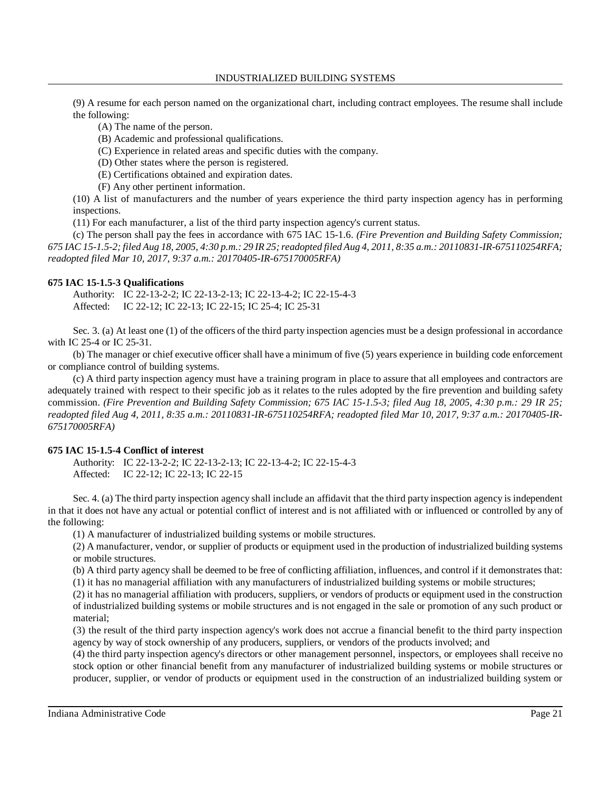(9) A resume for each person named on the organizational chart, including contract employees. The resume shall include the following:

(A) The name of the person.

(B) Academic and professional qualifications.

(C) Experience in related areas and specific duties with the company.

(D) Other states where the person is registered.

(E) Certifications obtained and expiration dates.

(F) Any other pertinent information.

(10) A list of manufacturers and the number of years experience the third party inspection agency has in performing inspections.

(11) For each manufacturer, a list of the third party inspection agency's current status.

(c) The person shall pay the fees in accordance with 675 IAC 15-1.6. *(Fire Prevention and Building Safety Commission;* 675 IAC 15-1.5-2; filed Aug 18, 2005, 4:30 p.m.: 29 IR 25; readopted filed Aug 4, 2011, 8:35 a.m.: 20110831-IR-675110254RFA; *readopted filed Mar 10, 2017, 9:37 a.m.: 20170405-IR-675170005RFA)*

### **675 IAC 15-1.5-3 Qualifications**

Authority: IC 22-13-2-2; IC 22-13-2-13; IC 22-13-4-2; IC 22-15-4-3 Affected: IC 22-12; IC 22-13; IC 22-15; IC 25-4; IC 25-31

Sec. 3. (a) At least one (1) of the officers of the third party inspection agencies must be a design professional in accordance with IC 25-4 or IC 25-31.

(b) The manager or chief executive officer shall have a minimum of five (5) years experience in building code enforcement or compliance control of building systems.

(c) A third party inspection agency must have a training program in place to assure that all employees and contractors are adequately trained with respect to their specific job as it relates to the rules adopted by the fire prevention and building safety commission. *(Fire Prevention and Building Safety Commission; 675 IAC 15-1.5-3; filed Aug 18, 2005, 4:30 p.m.: 29 IR 25; readopted filed Aug 4, 2011, 8:35 a.m.: 20110831-IR-675110254RFA; readopted filed Mar 10, 2017, 9:37 a.m.: 20170405-IR-675170005RFA)*

## **675 IAC 15-1.5-4 Conflict of interest**

Authority: IC 22-13-2-2; IC 22-13-2-13; IC 22-13-4-2; IC 22-15-4-3 Affected: IC 22-12; IC 22-13; IC 22-15

Sec. 4. (a) The third party inspection agency shall include an affidavit that the third party inspection agency is independent in that it does not have any actual or potential conflict of interest and is not affiliated with or influenced or controlled by any of the following:

(1) A manufacturer of industrialized building systems or mobile structures.

(2) A manufacturer, vendor, or supplier of products or equipment used in the production of industrialized building systems or mobile structures.

(b) A third party agency shall be deemed to be free of conflicting affiliation, influences, and control if it demonstrates that: (1) it has no managerial affiliation with any manufacturers of industrialized building systems or mobile structures;

(2) it has no managerial affiliation with producers, suppliers, or vendors of products or equipment used in the construction of industrialized building systems or mobile structures and is not engaged in the sale or promotion of any such product or material;

(3) the result of the third party inspection agency's work does not accrue a financial benefit to the third party inspection agency by way of stock ownership of any producers, suppliers, or vendors of the products involved; and

(4) the third party inspection agency's directors or other management personnel, inspectors, or employees shall receive no stock option or other financial benefit from any manufacturer of industrialized building systems or mobile structures or producer, supplier, or vendor of products or equipment used in the construction of an industrialized building system or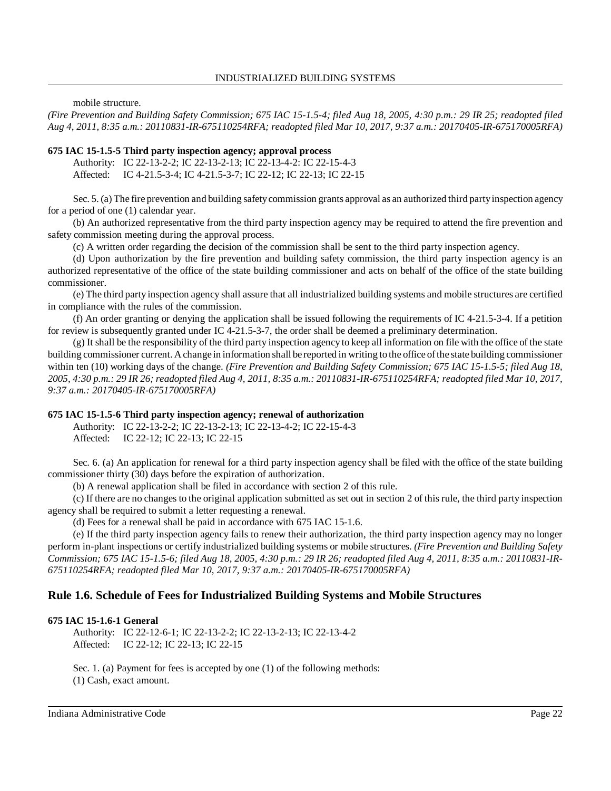mobile structure.

*(Fire Prevention and Building Safety Commission; 675 IAC 15-1.5-4; filed Aug 18, 2005, 4:30 p.m.: 29 IR 25; readopted filed Aug 4, 2011, 8:35 a.m.: 20110831-IR-675110254RFA; readopted filed Mar 10, 2017, 9:37 a.m.: 20170405-IR-675170005RFA)*

### **675 IAC 15-1.5-5 Third party inspection agency; approval process**

Authority: IC 22-13-2-2; IC 22-13-2-13; IC 22-13-4-2: IC 22-15-4-3 Affected: IC 4-21.5-3-4; IC 4-21.5-3-7; IC 22-12; IC 22-13; IC 22-15

Sec. 5. (a) The fire prevention and building safetycommission grants approval as an authorized third partyinspection agency for a period of one (1) calendar year.

(b) An authorized representative from the third party inspection agency may be required to attend the fire prevention and safety commission meeting during the approval process.

(c) A written order regarding the decision of the commission shall be sent to the third party inspection agency.

(d) Upon authorization by the fire prevention and building safety commission, the third party inspection agency is an authorized representative of the office of the state building commissioner and acts on behalf of the office of the state building commissioner.

(e) The third party inspection agency shall assure that all industrialized building systems and mobile structures are certified in compliance with the rules of the commission.

(f) An order granting or denying the application shall be issued following the requirements of IC 4-21.5-3-4. If a petition for review is subsequently granted under IC 4-21.5-3-7, the order shall be deemed a preliminary determination.

 $(g)$  It shall be the responsibility of the third party inspection agency to keep all information on file with the office of the state building commissioner current. Achange in information shall be reported in writing to the office ofthe state building commissioner within ten (10) working days of the change. *(Fire Prevention and Building Safety Commission; 675 IAC 15-1.5-5; filed Aug 18,* 2005, 4:30 p.m.: 29 IR 26; readopted filed Aug 4, 2011, 8:35 a.m.: 20110831-IR-675110254RFA; readopted filed Mar 10, 2017, *9:37 a.m.: 20170405-IR-675170005RFA)*

### **675 IAC 15-1.5-6 Third party inspection agency; renewal of authorization**

Authority: IC 22-13-2-2; IC 22-13-2-13; IC 22-13-4-2; IC 22-15-4-3 Affected: IC 22-12; IC 22-13; IC 22-15

Sec. 6. (a) An application for renewal for a third party inspection agency shall be filed with the office of the state building commissioner thirty (30) days before the expiration of authorization.

(b) A renewal application shall be filed in accordance with section 2 of this rule.

(c) If there are no changes to the original application submitted as set out in section 2 of this rule, the third party inspection agency shall be required to submit a letter requesting a renewal.

(d) Fees for a renewal shall be paid in accordance with 675 IAC 15-1.6.

(e) If the third party inspection agency fails to renew their authorization, the third party inspection agency may no longer perform in-plant inspections or certify industrialized building systems or mobile structures. *(Fire Prevention and Building Safety* Commission; 675 IAC 15-1.5-6; filed Aug 18, 2005, 4:30 p.m.: 29 IR 26; readopted filed Aug 4, 2011, 8:35 a.m.: 20110831-IR-*675110254RFA; readopted filed Mar 10, 2017, 9:37 a.m.: 20170405-IR-675170005RFA)*

## **Rule 1.6. Schedule of Fees for Industrialized Building Systems and Mobile Structures**

### **675 IAC 15-1.6-1 General**

Authority: IC 22-12-6-1; IC 22-13-2-2; IC 22-13-2-13; IC 22-13-4-2 Affected: IC 22-12; IC 22-13; IC 22-15

Sec. 1. (a) Payment for fees is accepted by one (1) of the following methods: (1) Cash, exact amount.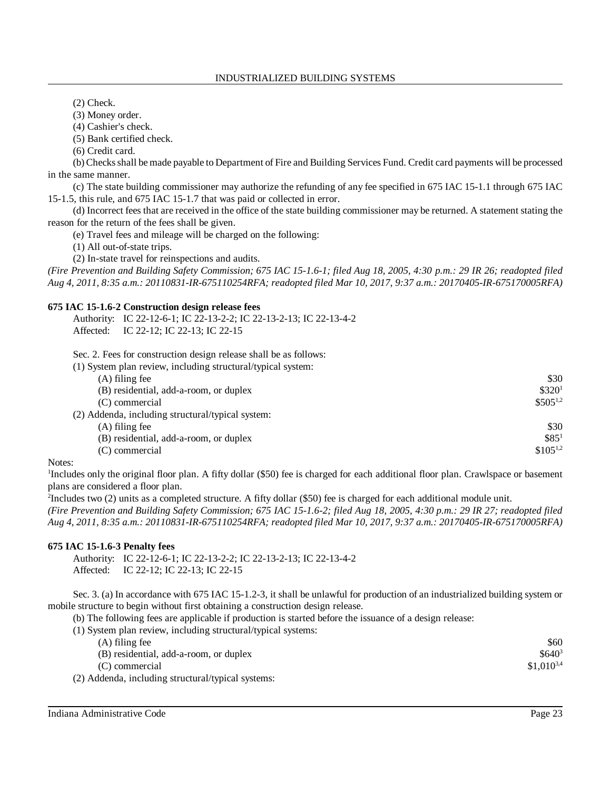(2) Check.

(3) Money order.

(4) Cashier's check.

(5) Bank certified check.

(6) Credit card.

(b) Checksshall be made payable to Department of Fire and Building Services Fund. Credit card payments will be processed in the same manner.

(c) The state building commissioner may authorize the refunding of any fee specified in 675 IAC 15-1.1 through 675 IAC 15-1.5, this rule, and 675 IAC 15-1.7 that was paid or collected in error.

(d) Incorrect fees that are received in the office of the state building commissioner may be returned. A statement stating the reason for the return of the fees shall be given.

(e) Travel fees and mileage will be charged on the following:

(1) All out-of-state trips.

(2) In-state travel for reinspections and audits.

*(Fire Prevention and Building Safety Commission; 675 IAC 15-1.6-1; filed Aug 18, 2005, 4:30 p.m.: 29 IR 26; readopted filed Aug 4, 2011, 8:35 a.m.: 20110831-IR-675110254RFA; readopted filed Mar 10, 2017, 9:37 a.m.: 20170405-IR-675170005RFA)*

## **675 IAC 15-1.6-2 Construction design release fees**

| Authority: IC 22-12-6-1; IC 22-13-2-2; IC 22-13-2-13; IC 22-13-4-2 |
|--------------------------------------------------------------------|
| Affected: IC 22-12; IC 22-13; IC 22-15                             |

Sec. 2. Fees for construction design release shall be as follows:

| (1) System plan review, including structural/typical system: |                    |
|--------------------------------------------------------------|--------------------|
| (A) filing fee                                               | \$30               |
| (B) residential, add-a-room, or duplex                       | \$320 <sup>1</sup> |
| (C) commercial                                               | $$505^{1,2}$       |
| (2) Addenda, including structural/typical system:            |                    |
| (A) filing fee                                               | \$30               |
| (B) residential, add-a-room, or duplex                       | \$85 <sup>1</sup>  |
| (C) commercial                                               | $$105^{1,2}$       |

## Notes:

<sup>1</sup>Includes only the original floor plan. A fifty dollar (\$50) fee is charged for each additional floor plan. Crawlspace or basement plans are considered a floor plan.

<sup>2</sup>Includes two (2) units as a completed structure. A fifty dollar (\$50) fee is charged for each additional module unit.

*(Fire Prevention and Building Safety Commission; 675 IAC 15-1.6-2; filed Aug 18, 2005, 4:30 p.m.: 29 IR 27; readopted filed Aug 4, 2011, 8:35 a.m.: 20110831-IR-675110254RFA; readopted filed Mar 10, 2017, 9:37 a.m.: 20170405-IR-675170005RFA)*

## **675 IAC 15-1.6-3 Penalty fees**

Authority: IC 22-12-6-1; IC 22-13-2-2; IC 22-13-2-13; IC 22-13-4-2 Affected: IC 22-12; IC 22-13; IC 22-15

Sec. 3. (a) In accordance with 675 IAC 15-1.2-3, it shall be unlawful for production of an industrialized building system or mobile structure to begin without first obtaining a construction design release.

(b) The following fees are applicable if production is started before the issuance of a design release:

(1) System plan review, including structural/typical systems:

| $(A)$ filing fee                                   | \$60           |
|----------------------------------------------------|----------------|
| (B) residential, add-a-room, or duplex             | $$640^3$       |
| (C) commercial                                     | $$1.010^{3,4}$ |
| (2) Addenda, including structural/typical systems: |                |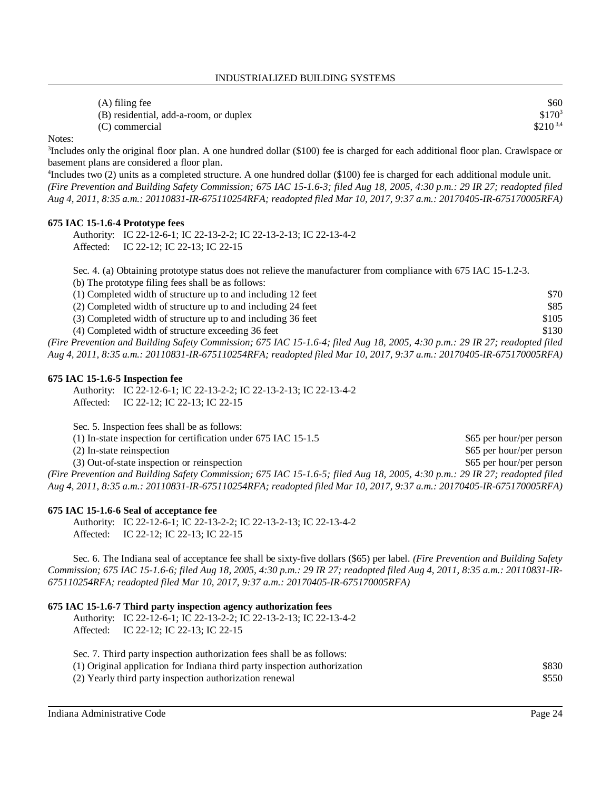| $(A)$ filing fee                       | \$60         |
|----------------------------------------|--------------|
| (B) residential, add-a-room, or duplex | $$170^3$     |
| (C) commercial                         | $$210^{3,4}$ |

Notes:

<sup>3</sup>Includes only the original floor plan. A one hundred dollar (\$100) fee is charged for each additional floor plan. Crawlspace or basement plans are considered a floor plan.

4 Includes two (2) units as a completed structure. A one hundred dollar (\$100) fee is charged for each additional module unit. *(Fire Prevention and Building Safety Commission; 675 IAC 15-1.6-3; filed Aug 18, 2005, 4:30 p.m.: 29 IR 27; readopted filed Aug 4, 2011, 8:35 a.m.: 20110831-IR-675110254RFA; readopted filed Mar 10, 2017, 9:37 a.m.: 20170405-IR-675170005RFA)*

### **675 IAC 15-1.6-4 Prototype fees**

Authority: IC 22-12-6-1; IC 22-13-2-2; IC 22-13-2-13; IC 22-13-4-2 Affected: IC 22-12; IC 22-13; IC 22-15

Sec. 4. (a) Obtaining prototype status does not relieve the manufacturer from compliance with 675 IAC 15-1.2-3.

(b) The prototype filing fees shall be as follows:

| (1) Completed width of structure up to and including 12 feet                                                                | \$70  |
|-----------------------------------------------------------------------------------------------------------------------------|-------|
| (2) Completed width of structure up to and including 24 feet                                                                | \$85  |
| (3) Completed width of structure up to and including 36 feet                                                                | \$105 |
| (4) Completed width of structure exceeding 36 feet                                                                          | \$130 |
| (Fire Prevention and Building Safety Commission; 675 IAC 15-1.6-4; filed Aug 18, 2005, 4:30 p.m.: 29 IR 27; readopted filed |       |

*Aug 4, 2011, 8:35 a.m.: 20110831-IR-675110254RFA; readopted filed Mar 10, 2017, 9:37 a.m.: 20170405-IR-675170005RFA)*

#### **675 IAC 15-1.6-5 Inspection fee**

Authority: IC 22-12-6-1; IC 22-13-2-2; IC 22-13-2-13; IC 22-13-4-2 Affected: IC 22-12; IC 22-13; IC 22-15

Sec. 5. Inspection fees shall be as follows: (1) In-state inspection for certification under 675 IAC 15-1.5 \$65 per hour/per person (2) In-state reinspection  $\$65$  per hour/per person (3) Out-of-state inspection or reinspection  $$65$  per hour/per person *(Fire Prevention and Building Safety Commission; 675 IAC 15-1.6-5; filed Aug 18, 2005, 4:30 p.m.: 29 IR 27; readopted filed Aug 4, 2011, 8:35 a.m.: 20110831-IR-675110254RFA; readopted filed Mar 10, 2017, 9:37 a.m.: 20170405-IR-675170005RFA)*

#### **675 IAC 15-1.6-6 Seal of acceptance fee**

Authority: IC 22-12-6-1; IC 22-13-2-2; IC 22-13-2-13; IC 22-13-4-2 Affected: IC 22-12; IC 22-13; IC 22-15

Sec. 6. The Indiana seal of acceptance fee shall be sixty-five dollars (\$65) per label. *(Fire Prevention and Building Safety* Commission; 675 IAC 15-1.6-6; filed Aug 18, 2005, 4:30 p.m.: 29 IR 27; readopted filed Aug 4, 2011, 8:35 a.m.: 20110831-IR-*675110254RFA; readopted filed Mar 10, 2017, 9:37 a.m.: 20170405-IR-675170005RFA)*

### **675 IAC 15-1.6-7 Third party inspection agency authorization fees**

Authority: IC 22-12-6-1; IC 22-13-2-2; IC 22-13-2-13; IC 22-13-4-2 Affected: IC 22-12; IC 22-13; IC 22-15

| Sec. 7. Third party inspection authorization fees shall be as follows:    |       |
|---------------------------------------------------------------------------|-------|
| (1) Original application for Indiana third party inspection authorization | \$830 |
| (2) Yearly third party inspection authorization renewal                   | \$550 |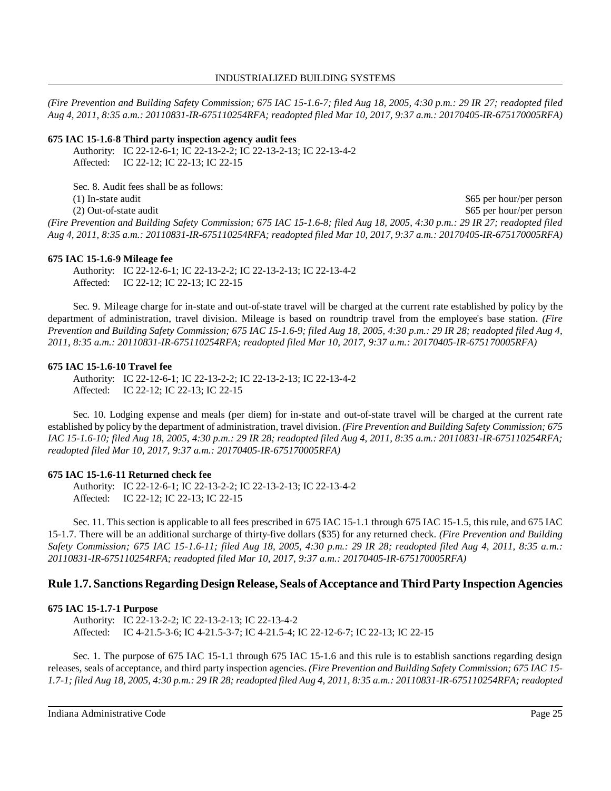*(Fire Prevention and Building Safety Commission; 675 IAC 15-1.6-7; filed Aug 18, 2005, 4:30 p.m.: 29 IR 27; readopted filed Aug 4, 2011, 8:35 a.m.: 20110831-IR-675110254RFA; readopted filed Mar 10, 2017, 9:37 a.m.: 20170405-IR-675170005RFA)*

### **675 IAC 15-1.6-8 Third party inspection agency audit fees**

Authority: IC 22-12-6-1; IC 22-13-2-2; IC 22-13-2-13; IC 22-13-4-2 Affected: IC 22-12; IC 22-13; IC 22-15

Sec. 8. Audit fees shall be as follows:

(1) In-state audit  $$65 \text{ per hour/per person}$ (2) Out-of-state audit  $$65$  per hour/per person *(Fire Prevention and Building Safety Commission; 675 IAC 15-1.6-8; filed Aug 18, 2005, 4:30 p.m.: 29 IR 27; readopted filed Aug 4, 2011, 8:35 a.m.: 20110831-IR-675110254RFA; readopted filed Mar 10, 2017, 9:37 a.m.: 20170405-IR-675170005RFA)*

### **675 IAC 15-1.6-9 Mileage fee**

Authority: IC 22-12-6-1; IC 22-13-2-2; IC 22-13-2-13; IC 22-13-4-2 Affected: IC 22-12; IC 22-13; IC 22-15

Sec. 9. Mileage charge for in-state and out-of-state travel will be charged at the current rate established by policy by the department of administration, travel division. Mileage is based on roundtrip travel from the employee's base station. *(Fire* Prevention and Building Safety Commission; 675 IAC 15-1.6-9; filed Aug 18, 2005, 4:30 p.m.: 29 IR 28; readopted filed Aug 4, *2011, 8:35 a.m.: 20110831-IR-675110254RFA; readopted filed Mar 10, 2017, 9:37 a.m.: 20170405-IR-675170005RFA)*

### **675 IAC 15-1.6-10 Travel fee**

Authority: IC 22-12-6-1; IC 22-13-2-2; IC 22-13-2-13; IC 22-13-4-2 Affected: IC 22-12; IC 22-13; IC 22-15

Sec. 10. Lodging expense and meals (per diem) for in-state and out-of-state travel will be charged at the current rate established by policy by the department of administration, travel division. *(Fire Prevention and Building Safety Commission; 675 IAC 15-1.6-10; filed Aug 18, 2005, 4:30 p.m.: 29 IR 28; readopted filed Aug 4, 2011, 8:35 a.m.: 20110831-IR-675110254RFA; readopted filed Mar 10, 2017, 9:37 a.m.: 20170405-IR-675170005RFA)*

## **675 IAC 15-1.6-11 Returned check fee**

Authority: IC 22-12-6-1; IC 22-13-2-2; IC 22-13-2-13; IC 22-13-4-2 Affected: IC 22-12; IC 22-13; IC 22-15

Sec. 11. This section is applicable to all fees prescribed in 675 IAC 15-1.1 through 675 IAC 15-1.5, this rule, and 675 IAC 15-1.7. There will be an additional surcharge of thirty-five dollars (\$35) for any returned check. *(Fire Prevention and Building Safety Commission; 675 IAC 15-1.6-11; filed Aug 18, 2005, 4:30 p.m.: 29 IR 28; readopted filed Aug 4, 2011, 8:35 a.m.: 20110831-IR-675110254RFA; readopted filed Mar 10, 2017, 9:37 a.m.: 20170405-IR-675170005RFA)*

## **Rule 1.7. Sanctions Regarding Design Release, Seals of Acceptance andThird Party Inspection Agencies**

## **675 IAC 15-1.7-1 Purpose**

Authority: IC 22-13-2-2; IC 22-13-2-13; IC 22-13-4-2 Affected: IC 4-21.5-3-6; IC 4-21.5-3-7; IC 4-21.5-4; IC 22-12-6-7; IC 22-13; IC 22-15

Sec. 1. The purpose of 675 IAC 15-1.1 through 675 IAC 15-1.6 and this rule is to establish sanctions regarding design releases, seals of acceptance, and third party inspection agencies. *(Fire Prevention and Building Safety Commission; 675 IAC 15-* 1.7-1; filed Aug 18, 2005, 4:30 p.m.: 29 IR 28; readopted filed Aug 4, 2011, 8:35 a.m.: 20110831-IR-675110254RFA; readopted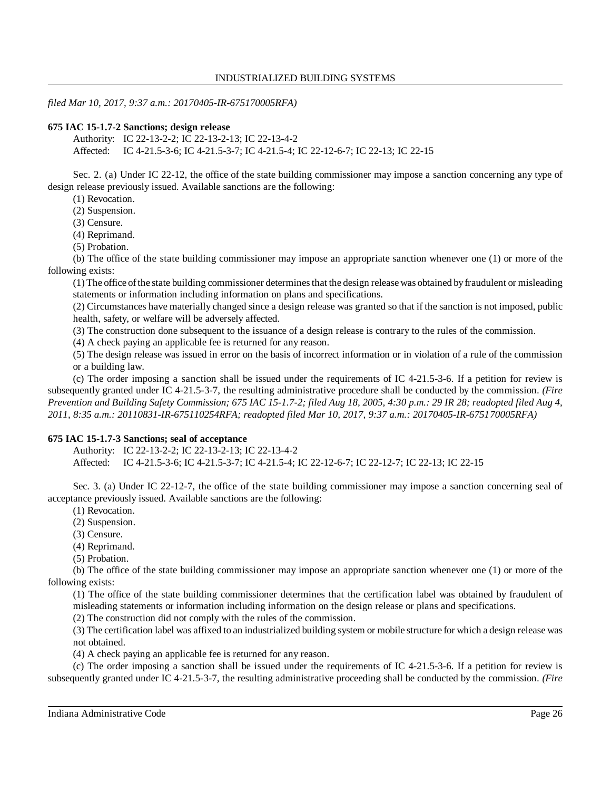*filed Mar 10, 2017, 9:37 a.m.: 20170405-IR-675170005RFA)*

### **675 IAC 15-1.7-2 Sanctions; design release**

Authority: IC 22-13-2-2; IC 22-13-2-13; IC 22-13-4-2

Affected: IC 4-21.5-3-6; IC 4-21.5-3-7; IC 4-21.5-4; IC 22-12-6-7; IC 22-13; IC 22-15

Sec. 2. (a) Under IC 22-12, the office of the state building commissioner may impose a sanction concerning any type of design release previously issued. Available sanctions are the following:

(1) Revocation.

(2) Suspension.

(3) Censure.

(4) Reprimand.

(5) Probation.

(b) The office of the state building commissioner may impose an appropriate sanction whenever one (1) or more of the following exists:

(1) The office ofthe state building commissioner determinesthat the design release was obtained byfraudulent or misleading statements or information including information on plans and specifications.

(2) Circumstances have materially changed since a design release was granted so that if the sanction is not imposed, public health, safety, or welfare will be adversely affected.

(3) The construction done subsequent to the issuance of a design release is contrary to the rules of the commission.

(4) A check paying an applicable fee is returned for any reason.

(5) The design release was issued in error on the basis of incorrect information or in violation of a rule of the commission or a building law.

(c) The order imposing a sanction shall be issued under the requirements of IC 4-21.5-3-6. If a petition for review is subsequently granted under IC 4-21.5-3-7, the resulting administrative procedure shall be conducted by the commission. *(Fire* Prevention and Building Safety Commission; 675 IAC 15-1.7-2; filed Aug 18, 2005, 4:30 p.m.: 29 IR 28; readopted filed Aug 4, *2011, 8:35 a.m.: 20110831-IR-675110254RFA; readopted filed Mar 10, 2017, 9:37 a.m.: 20170405-IR-675170005RFA)*

## **675 IAC 15-1.7-3 Sanctions; seal of acceptance**

Authority: IC 22-13-2-2; IC 22-13-2-13; IC 22-13-4-2

Affected: IC 4-21.5-3-6; IC 4-21.5-3-7; IC 4-21.5-4; IC 22-12-6-7; IC 22-12-7; IC 22-13; IC 22-15

Sec. 3. (a) Under IC 22-12-7, the office of the state building commissioner may impose a sanction concerning seal of acceptance previously issued. Available sanctions are the following:

(1) Revocation.

(2) Suspension.

(3) Censure.

(4) Reprimand.

(5) Probation.

(b) The office of the state building commissioner may impose an appropriate sanction whenever one (1) or more of the following exists:

(1) The office of the state building commissioner determines that the certification label was obtained by fraudulent of misleading statements or information including information on the design release or plans and specifications.

(2) The construction did not comply with the rules of the commission.

(3) The certification label was affixed to an industrialized building system or mobile structure for which a design release was not obtained.

(4) A check paying an applicable fee is returned for any reason.

(c) The order imposing a sanction shall be issued under the requirements of IC 4-21.5-3-6. If a petition for review is subsequently granted under IC 4-21.5-3-7, the resulting administrative proceeding shall be conducted by the commission. *(Fire*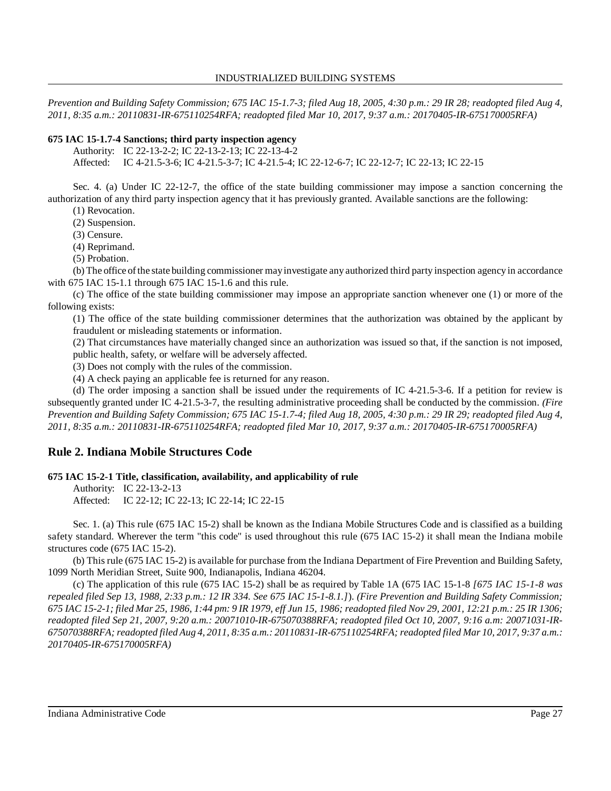Prevention and Building Safety Commission; 675 IAC 15-1.7-3; filed Aug 18, 2005, 4:30 p.m.: 29 IR 28; readopted filed Aug 4, *2011, 8:35 a.m.: 20110831-IR-675110254RFA; readopted filed Mar 10, 2017, 9:37 a.m.: 20170405-IR-675170005RFA)*

## **675 IAC 15-1.7-4 Sanctions; third party inspection agency**

Authority: IC 22-13-2-2; IC 22-13-2-13; IC 22-13-4-2

Affected: IC 4-21.5-3-6; IC 4-21.5-3-7; IC 4-21.5-4; IC 22-12-6-7; IC 22-12-7; IC 22-13; IC 22-15

Sec. 4. (a) Under IC 22-12-7, the office of the state building commissioner may impose a sanction concerning the authorization of any third party inspection agency that it has previously granted. Available sanctions are the following:

(1) Revocation.

(2) Suspension.

(3) Censure.

(4) Reprimand.

(5) Probation.

(b) The office ofthe state building commissioner mayinvestigate any authorized third party inspection agency in accordance with 675 IAC 15-1.1 through 675 IAC 15-1.6 and this rule.

(c) The office of the state building commissioner may impose an appropriate sanction whenever one (1) or more of the following exists:

(1) The office of the state building commissioner determines that the authorization was obtained by the applicant by fraudulent or misleading statements or information.

(2) That circumstances have materially changed since an authorization was issued so that, if the sanction is not imposed, public health, safety, or welfare will be adversely affected.

(3) Does not comply with the rules of the commission.

(4) A check paying an applicable fee is returned for any reason.

(d) The order imposing a sanction shall be issued under the requirements of IC 4-21.5-3-6. If a petition for review is subsequently granted under IC 4-21.5-3-7, the resulting administrative proceeding shall be conducted by the commission. *(Fire* Prevention and Building Safety Commission; 675 IAC 15-1.7-4; filed Aug 18, 2005, 4:30 p.m.: 29 IR 29; readopted filed Aug 4, *2011, 8:35 a.m.: 20110831-IR-675110254RFA; readopted filed Mar 10, 2017, 9:37 a.m.: 20170405-IR-675170005RFA)*

# **Rule 2. Indiana Mobile Structures Code**

## **675 IAC 15-2-1 Title, classification, availability, and applicability of rule**

Authority: IC 22-13-2-13

Affected: IC 22-12; IC 22-13; IC 22-14; IC 22-15

Sec. 1. (a) This rule (675 IAC 15-2) shall be known as the Indiana Mobile Structures Code and is classified as a building safety standard. Wherever the term "this code" is used throughout this rule (675 IAC 15-2) it shall mean the Indiana mobile structures code (675 IAC 15-2).

(b) This rule (675 IAC 15-2) is available for purchase from the Indiana Department of Fire Prevention and Building Safety, 1099 North Meridian Street, Suite 900, Indianapolis, Indiana 46204.

(c) The application of this rule (675 IAC 15-2) shall be as required by Table 1A (675 IAC 15-1-8 *[675 IAC 15-1-8 was repealed filed Sep 13, 1988, 2:33 p.m.: 12 IR 334. See 675 IAC 15-1-8.1.]*). *(Fire Prevention and Building Safety Commission;* 675 IAC 15-2-1; filed Mar 25, 1986, 1:44 pm: 9 IR 1979, eff Jun 15, 1986; readopted filed Nov 29, 2001, 12:21 p.m.: 25 IR 1306; *readopted filed Sep 21, 2007, 9:20 a.m.: 20071010-IR-675070388RFA; readopted filed Oct 10, 2007, 9:16 a.m: 20071031-IR-*675070388RFA; readopted filed Aug 4, 2011, 8:35 a.m.: 20110831-IR-675110254RFA; readopted filed Mar 10, 2017, 9:37 a.m.: *20170405-IR-675170005RFA)*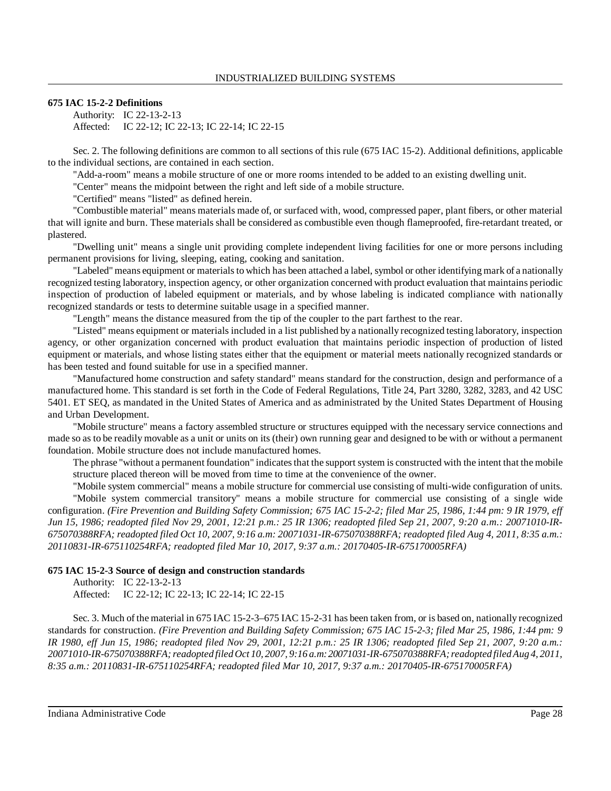### **675 IAC 15-2-2 Definitions**

Authority: IC 22-13-2-13 Affected: IC 22-12; IC 22-13; IC 22-14; IC 22-15

Sec. 2. The following definitions are common to all sections of this rule (675 IAC 15-2). Additional definitions, applicable to the individual sections, are contained in each section.

"Add-a-room" means a mobile structure of one or more rooms intended to be added to an existing dwelling unit.

"Center" means the midpoint between the right and left side of a mobile structure.

"Certified" means "listed" as defined herein.

"Combustible material" means materials made of, or surfaced with, wood, compressed paper, plant fibers, or other material that will ignite and burn. These materials shall be considered as combustible even though flameproofed, fire-retardant treated, or plastered.

"Dwelling unit" means a single unit providing complete independent living facilities for one or more persons including permanent provisions for living, sleeping, eating, cooking and sanitation.

"Labeled" means equipment or materialsto which has been attached a label, symbol or other identifying mark of a nationally recognized testing laboratory, inspection agency, or other organization concerned with product evaluation that maintains periodic inspection of production of labeled equipment or materials, and by whose labeling is indicated compliance with nationally recognized standards or tests to determine suitable usage in a specified manner.

"Length" means the distance measured from the tip of the coupler to the part farthest to the rear.

"Listed" means equipment or materials included in a list published by a nationally recognized testing laboratory, inspection agency, or other organization concerned with product evaluation that maintains periodic inspection of production of listed equipment or materials, and whose listing states either that the equipment or material meets nationally recognized standards or has been tested and found suitable for use in a specified manner.

"Manufactured home construction and safety standard" means standard for the construction, design and performance of a manufactured home. This standard is set forth in the Code of Federal Regulations, Title 24, Part 3280, 3282, 3283, and 42 USC 5401. ET SEQ, as mandated in the United States of America and as administrated by the United States Department of Housing and Urban Development.

"Mobile structure" means a factory assembled structure or structures equipped with the necessary service connections and made so as to be readily movable as a unit or units on its (their) own running gear and designed to be with or without a permanent foundation. Mobile structure does not include manufactured homes.

The phrase "without a permanent foundation" indicates that the support system is constructed with the intent that the mobile structure placed thereon will be moved from time to time at the convenience of the owner.

"Mobile system commercial" means a mobile structure for commercial use consisting of multi-wide configuration of units. "Mobile system commercial transitory" means a mobile structure for commercial use consisting of a single wide configuration. *(Fire Prevention and Building Safety Commission; 675 IAC 15-2-2; filed Mar 25, 1986, 1:44 pm: 9 IR 1979, eff* Jun 15, 1986; readopted filed Nov 29, 2001, 12:21 p.m.: 25 IR 1306; readopted filed Sep 21, 2007, 9:20 a.m.: 20071010-IR-675070388RFA; readopted filed Oct 10, 2007, 9:16 a.m: 20071031-IR-675070388RFA; readopted filed Aug 4, 2011, 8:35 a.m.: *20110831-IR-675110254RFA; readopted filed Mar 10, 2017, 9:37 a.m.: 20170405-IR-675170005RFA)*

### **675 IAC 15-2-3 Source of design and construction standards**

Authority: IC 22-13-2-13 Affected: IC 22-12; IC 22-13; IC 22-14; IC 22-15

Sec. 3. Much of the material in 675 IAC 15-2-3–675 IAC 15-2-31 has been taken from, or is based on, nationally recognized standards for construction. *(Fire Prevention and Building Safety Commission; 675 IAC 15-2-3; filed Mar 25, 1986, 1:44 pm: 9* IR 1980, eff Jun 15, 1986; readopted filed Nov 29, 2001, 12:21 p.m.: 25 IR 1306; readopted filed Sep 21, 2007, 9:20 a.m.: *20071010-IR-675070388RFA;readopted filed Oct 10, 2007, 9:16 a.m: 20071031-IR-675070388RFA; readopted filed Aug 4, 2011, 8:35 a.m.: 20110831-IR-675110254RFA; readopted filed Mar 10, 2017, 9:37 a.m.: 20170405-IR-675170005RFA)*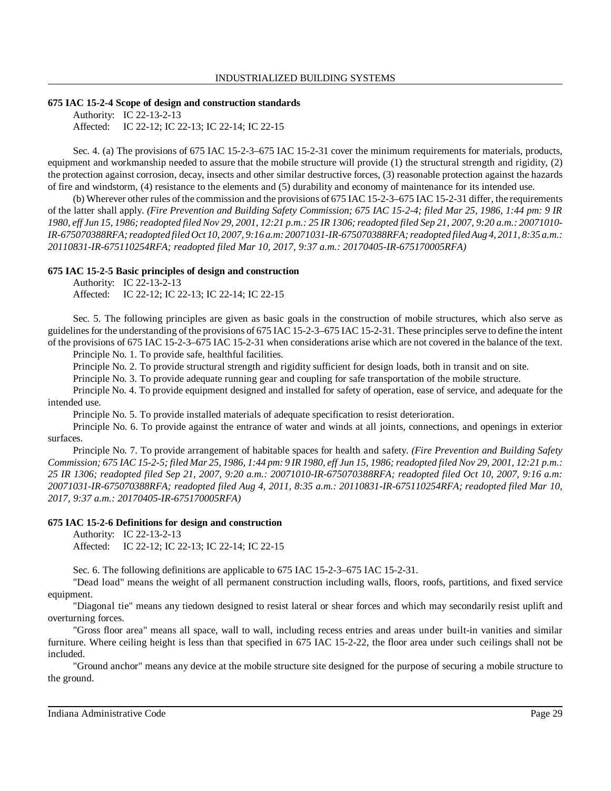#### **675 IAC 15-2-4 Scope of design and construction standards**

Authority: IC 22-13-2-13 Affected: IC 22-12; IC 22-13; IC 22-14; IC 22-15

Sec. 4. (a) The provisions of 675 IAC 15-2-3–675 IAC 15-2-31 cover the minimum requirements for materials, products, equipment and workmanship needed to assure that the mobile structure will provide (1) the structural strength and rigidity, (2) the protection against corrosion, decay, insects and other similar destructive forces, (3) reasonable protection against the hazards of fire and windstorm, (4) resistance to the elements and (5) durability and economy of maintenance for its intended use.

(b) Wherever other rules of the commission and the provisions of 675 IAC 15-2-3–675 IAC 15-2-31 differ, the requirements of the latter shall apply. *(Fire Prevention and Building Safety Commission; 675 IAC 15-2-4; filed Mar 25, 1986, 1:44 pm: 9 IR* 1980, eff Jun 15, 1986; readopted filed Nov 29, 2001, 12:21 p.m.: 25 IR 1306; readopted filed Sep 21, 2007, 9:20 a.m.: 20071010-*IR-675070388RFA;readopted filed Oct 10, 2007, 9:16 a.m: 20071031-IR-675070388RFA;readopted filed Aug 4, 2011, 8:35 a.m.: 20110831-IR-675110254RFA; readopted filed Mar 10, 2017, 9:37 a.m.: 20170405-IR-675170005RFA)*

### **675 IAC 15-2-5 Basic principles of design and construction**

Authority: IC 22-13-2-13

Affected: IC 22-12; IC 22-13; IC 22-14; IC 22-15

Sec. 5. The following principles are given as basic goals in the construction of mobile structures, which also serve as guidelinesfor the understanding of the provisions of 675 IAC 15-2-3–675 IAC 15-2-31. These principles serve to define the intent of the provisions of 675 IAC 15-2-3–675 IAC 15-2-31 when considerations arise which are not covered in the balance of the text.

Principle No. 1. To provide safe, healthful facilities.

Principle No. 2. To provide structural strength and rigidity sufficient for design loads, both in transit and on site.

Principle No. 3. To provide adequate running gear and coupling for safe transportation of the mobile structure.

Principle No. 4. To provide equipment designed and installed for safety of operation, ease of service, and adequate for the intended use.

Principle No. 5. To provide installed materials of adequate specification to resist deterioration.

Principle No. 6. To provide against the entrance of water and winds at all joints, connections, and openings in exterior surfaces.

Principle No. 7. To provide arrangement of habitable spaces for health and safety. *(Fire Prevention and Building Safety* Commission; 675 IAC 15-2-5; filed Mar 25, 1986, 1:44 pm: 9 IR 1980, eff Jun 15, 1986; readopted filed Nov 29, 2001, 12:21 p.m.: *25 IR 1306; readopted filed Sep 21, 2007, 9:20 a.m.: 20071010-IR-675070388RFA; readopted filed Oct 10, 2007, 9:16 a.m: 20071031-IR-675070388RFA; readopted filed Aug 4, 2011, 8:35 a.m.: 20110831-IR-675110254RFA; readopted filed Mar 10, 2017, 9:37 a.m.: 20170405-IR-675170005RFA)*

### **675 IAC 15-2-6 Definitions for design and construction**

Authority: IC 22-13-2-13

Affected: IC 22-12; IC 22-13; IC 22-14; IC 22-15

Sec. 6. The following definitions are applicable to 675 IAC 15-2-3–675 IAC 15-2-31.

"Dead load" means the weight of all permanent construction including walls, floors, roofs, partitions, and fixed service equipment.

"Diagonal tie" means any tiedown designed to resist lateral or shear forces and which may secondarily resist uplift and overturning forces.

"Gross floor area" means all space, wall to wall, including recess entries and areas under built-in vanities and similar furniture. Where ceiling height is less than that specified in 675 IAC 15-2-22, the floor area under such ceilings shall not be included.

"Ground anchor" means any device at the mobile structure site designed for the purpose of securing a mobile structure to the ground.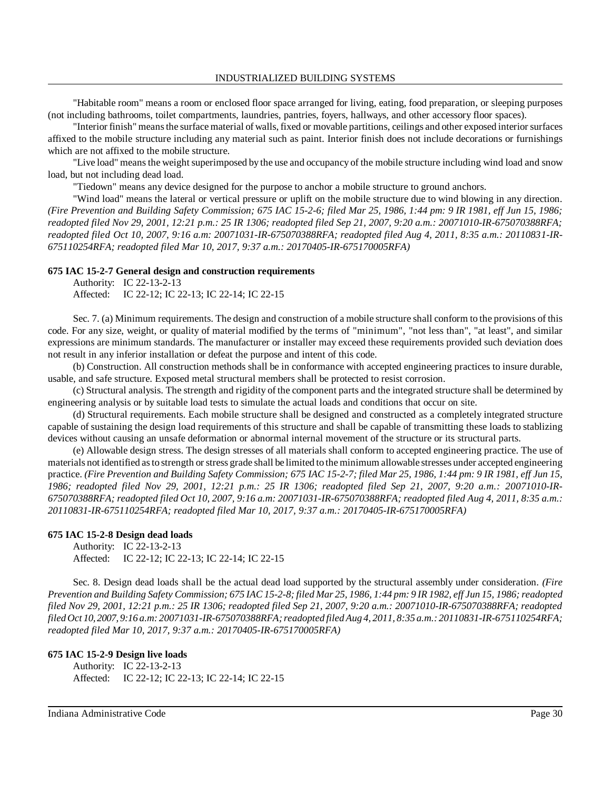INDUSTRIALIZED BUILDING SYSTEMS

"Habitable room" means a room or enclosed floor space arranged for living, eating, food preparation, or sleeping purposes (not including bathrooms, toilet compartments, laundries, pantries, foyers, hallways, and other accessory floor spaces).

"Interior finish" means the surface material of walls, fixed or movable partitions, ceilings and other exposed interior surfaces affixed to the mobile structure including any material such as paint. Interior finish does not include decorations or furnishings which are not affixed to the mobile structure.

"Live load" meansthe weight superimposed by the use and occupancy of the mobile structure including wind load and snow load, but not including dead load.

"Tiedown" means any device designed for the purpose to anchor a mobile structure to ground anchors.

"Wind load" means the lateral or vertical pressure or uplift on the mobile structure due to wind blowing in any direction. *(Fire Prevention and Building Safety Commission; 675 IAC 15-2-6; filed Mar 25, 1986, 1:44 pm: 9 IR 1981, eff Jun 15, 1986; readopted filed Nov 29, 2001, 12:21 p.m.: 25 IR 1306; readopted filed Sep 21, 2007, 9:20 a.m.: 20071010-IR-675070388RFA; readopted filed Oct 10, 2007, 9:16 a.m: 20071031-IR-675070388RFA; readopted filed Aug 4, 2011, 8:35 a.m.: 20110831-IR-675110254RFA; readopted filed Mar 10, 2017, 9:37 a.m.: 20170405-IR-675170005RFA)*

### **675 IAC 15-2-7 General design and construction requirements**

Authority: IC 22-13-2-13 Affected: IC 22-12; IC 22-13; IC 22-14; IC 22-15

Sec. 7. (a) Minimum requirements. The design and construction of a mobile structure shall conform to the provisions of this code. For any size, weight, or quality of material modified by the terms of "minimum", "not less than", "at least", and similar expressions are minimum standards. The manufacturer or installer may exceed these requirements provided such deviation does not result in any inferior installation or defeat the purpose and intent of this code.

(b) Construction. All construction methods shall be in conformance with accepted engineering practices to insure durable, usable, and safe structure. Exposed metal structural members shall be protected to resist corrosion.

(c) Structural analysis. The strength and rigidity of the component parts and the integrated structure shall be determined by engineering analysis or by suitable load tests to simulate the actual loads and conditions that occur on site.

(d) Structural requirements. Each mobile structure shall be designed and constructed as a completely integrated structure capable of sustaining the design load requirements of this structure and shall be capable of transmitting these loads to stablizing devices without causing an unsafe deformation or abnormal internal movement of the structure or its structural parts.

(e) Allowable design stress. The design stresses of all materials shall conform to accepted engineering practice. The use of materials not identified as to strength or stress grade shall be limited to the minimum allowable stresses under accepted engineering practice. (Fire Prevention and Building Safety Commission; 675 IAC 15-2-7; filed Mar 25, 1986, 1:44 pm: 9 IR 1981, eff Jun 15, 1986; readopted filed Nov 29, 2001, 12:21 p.m.: 25 IR 1306; readopted filed Sep 21, 2007, 9:20 a.m.: 20071010-IR-675070388RFA; readopted filed Oct 10, 2007, 9:16 a.m: 20071031-IR-675070388RFA; readopted filed Aug 4, 2011, 8:35 a.m.: *20110831-IR-675110254RFA; readopted filed Mar 10, 2017, 9:37 a.m.: 20170405-IR-675170005RFA)*

### **675 IAC 15-2-8 Design dead loads**

Authority: IC 22-13-2-13 Affected: IC 22-12; IC 22-13; IC 22-14; IC 22-15

Sec. 8. Design dead loads shall be the actual dead load supported by the structural assembly under consideration. *(Fire* Prevention and Building Safety Commission; 675 IAC 15-2-8; filed Mar 25, 1986, 1:44 pm: 9 IR 1982, eff Jun 15, 1986; readopted *filed Nov 29, 2001, 12:21 p.m.: 25 IR 1306; readopted filed Sep 21, 2007, 9:20 a.m.: 20071010-IR-675070388RFA; readopted filed Oct 10, 2007, 9:16 a.m: 20071031-IR-675070388RFA; readopted filed Aug 4, 2011, 8:35 a.m.: 20110831-IR-675110254RFA; readopted filed Mar 10, 2017, 9:37 a.m.: 20170405-IR-675170005RFA)*

### **675 IAC 15-2-9 Design live loads**

Authority: IC 22-13-2-13 Affected: IC 22-12; IC 22-13; IC 22-14; IC 22-15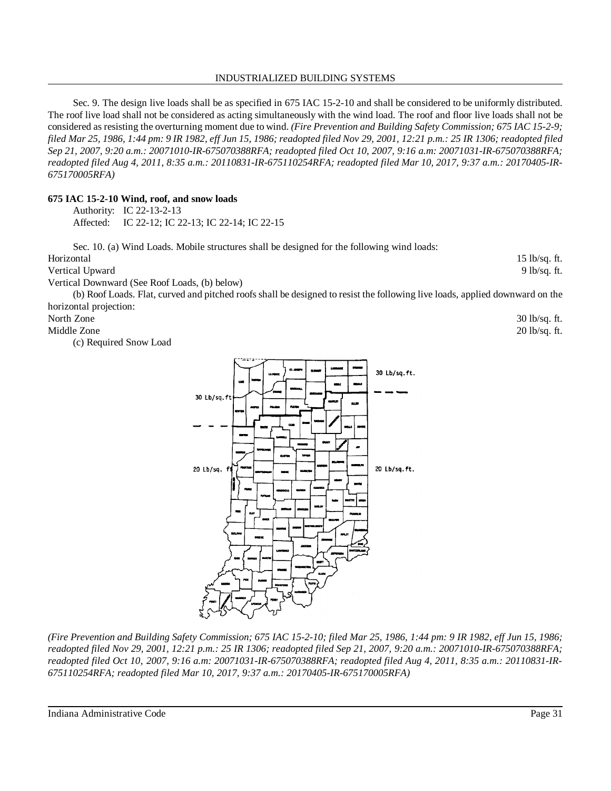### INDUSTRIALIZED BUILDING SYSTEMS

Sec. 9. The design live loads shall be as specified in 675 IAC 15-2-10 and shall be considered to be uniformly distributed. The roof live load shall not be considered as acting simultaneously with the wind load. The roof and floor live loads shall not be considered as resisting the overturning moment due to wind. *(Fire Prevention and Building Safety Commission; 675 IAC 15-2-9;* filed Mar 25, 1986, 1:44 pm: 9 IR 1982, eff Jun 15, 1986; readopted filed Nov 29, 2001, 12:21 p.m.: 25 IR 1306; readopted filed *Sep 21, 2007, 9:20 a.m.: 20071010-IR-675070388RFA; readopted filed Oct 10, 2007, 9:16 a.m: 20071031-IR-675070388RFA; readopted filed Aug 4, 2011, 8:35 a.m.: 20110831-IR-675110254RFA; readopted filed Mar 10, 2017, 9:37 a.m.: 20170405-IR-675170005RFA)*

Horizontal 15 lb/sq. ft. Vertical Upward 9 lb/sq. ft.

Sec. 10. (a) Wind Loads. Mobile structures shall be designed for the following wind loads:

## **675 IAC 15-2-10 Wind, roof, and snow loads**

| Authority: IC 22-13-2-13                         |
|--------------------------------------------------|
| Affected: IC 22-12; IC 22-13; IC 22-14; IC 22-15 |

| Vertical Downward (See Roof Loads, (b) below) |                                                                                                                                                                                                                                                                                                                                                                                                                                                                                                               |               |
|-----------------------------------------------|---------------------------------------------------------------------------------------------------------------------------------------------------------------------------------------------------------------------------------------------------------------------------------------------------------------------------------------------------------------------------------------------------------------------------------------------------------------------------------------------------------------|---------------|
|                                               | (b) Roof Loads. Flat, curved and pitched roofs shall be designed to resist the following live loads, applied downward on the                                                                                                                                                                                                                                                                                                                                                                                  |               |
| horizontal projection:                        |                                                                                                                                                                                                                                                                                                                                                                                                                                                                                                               |               |
| North Zone                                    |                                                                                                                                                                                                                                                                                                                                                                                                                                                                                                               | 30 lb/sq. ft. |
| Middle Zone                                   |                                                                                                                                                                                                                                                                                                                                                                                                                                                                                                               | 20 lb/sq. ft. |
| (c) Required Snow Load                        |                                                                                                                                                                                                                                                                                                                                                                                                                                                                                                               |               |
|                                               | 87.49<br>1,000<br>30 Lb/sq.ft.<br>14,000<br>an a<br><b>HEALS</b><br>30 Lb/sq.ft<br><b>WATRUT</b><br><b>ALC</b><br>سهدهم<br><b>Now</b><br>-65<br><b>CONTRA</b><br><b>WYSCARD</b><br><b>CLATTER</b><br><b>Target</b><br><b>BELINDER</b><br>ama r<br>20 Lb/sq. ft<br>20 Lb/sq.ft.<br><b>Northern</b><br>10221704<br><b>SIMPLE</b><br><b>MADROL</b><br>œ<br>Perform<br>mm<br>wax<br><b>aut</b><br>PRAISEUM<br><b>BALMAY</b><br><b>GRACINE</b><br><b>PHYSICAL</b><br>юm<br><b>D.M</b><br><b>Rums</b><br>Chancerons |               |

*(Fire Prevention and Building Safety Commission; 675 IAC 15-2-10; filed Mar 25, 1986, 1:44 pm: 9 IR 1982, eff Jun 15, 1986; readopted filed Nov 29, 2001, 12:21 p.m.: 25 IR 1306; readopted filed Sep 21, 2007, 9:20 a.m.: 20071010-IR-675070388RFA; readopted filed Oct 10, 2007, 9:16 a.m: 20071031-IR-675070388RFA; readopted filed Aug 4, 2011, 8:35 a.m.: 20110831-IR-675110254RFA; readopted filed Mar 10, 2017, 9:37 a.m.: 20170405-IR-675170005RFA)*

Indiana Administrative Code Page 31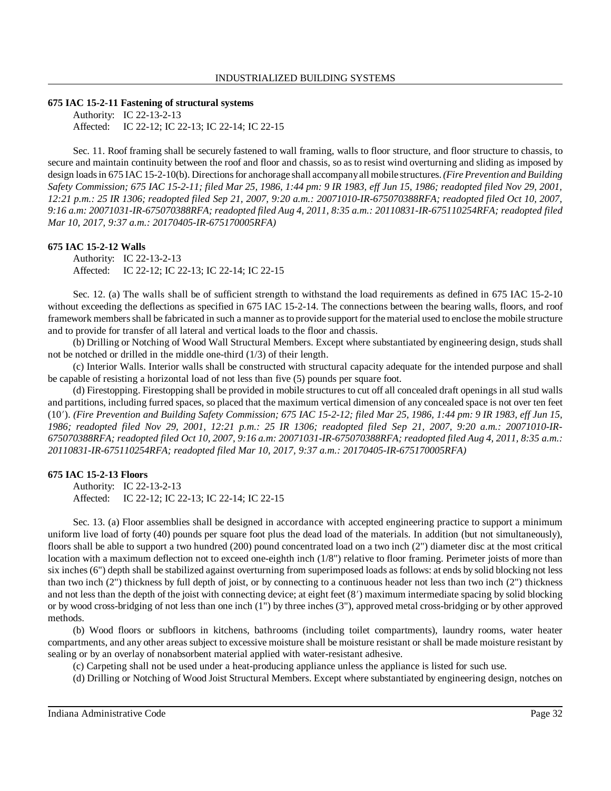#### **675 IAC 15-2-11 Fastening of structural systems**

Authority: IC 22-13-2-13 Affected: IC 22-12; IC 22-13; IC 22-14; IC 22-15

Sec. 11. Roof framing shall be securely fastened to wall framing, walls to floor structure, and floor structure to chassis, to secure and maintain continuity between the roof and floor and chassis, so as to resist wind overturning and sliding as imposed by design loads in 675 IAC 15-2-10(b). Directions for anchorage shall accompany all mobile structures. (Fire Prevention and Building *Safety Commission; 675 IAC 15-2-11; filed Mar 25, 1986, 1:44 pm: 9 IR 1983, eff Jun 15, 1986; readopted filed Nov 29, 2001, 12:21 p.m.: 25 IR 1306; readopted filed Sep 21, 2007, 9:20 a.m.: 20071010-IR-675070388RFA; readopted filed Oct 10, 2007, 9:16 a.m: 20071031-IR-675070388RFA; readopted filed Aug 4, 2011, 8:35 a.m.: 20110831-IR-675110254RFA; readopted filed Mar 10, 2017, 9:37 a.m.: 20170405-IR-675170005RFA)*

#### **675 IAC 15-2-12 Walls**

Authority: IC 22-13-2-13 Affected: IC 22-12; IC 22-13; IC 22-14; IC 22-15

Sec. 12. (a) The walls shall be of sufficient strength to withstand the load requirements as defined in 675 IAC 15-2-10 without exceeding the deflections as specified in 675 IAC 15-2-14. The connections between the bearing walls, floors, and roof framework membersshall be fabricated in such a manner asto provide support for thematerial used to enclose the mobile structure and to provide for transfer of all lateral and vertical loads to the floor and chassis.

(b) Drilling or Notching of Wood Wall Structural Members. Except where substantiated by engineering design, studs shall not be notched or drilled in the middle one-third (1/3) of their length.

(c) Interior Walls. Interior walls shall be constructed with structural capacity adequate for the intended purpose and shall be capable of resisting a horizontal load of not less than five (5) pounds per square foot.

(d) Firestopping. Firestopping shall be provided in mobile structures to cut off all concealed draft openings in all stud walls and partitions, including furred spaces, so placed that the maximum vertical dimension of any concealed space is not over ten feet (10). *(Fire Prevention and Building Safety Commission; 675 IAC 15-2-12; filed Mar 25, 1986, 1:44 pm: 9 IR 1983, eff Jun 15, 1986; readopted filed Nov 29, 2001, 12:21 p.m.: 25 IR 1306; readopted filed Sep 21, 2007, 9:20 a.m.: 20071010-IR-*675070388RFA; readopted filed Oct 10, 2007, 9:16 a.m: 20071031-IR-675070388RFA; readopted filed Aug 4, 2011, 8:35 a.m.: *20110831-IR-675110254RFA; readopted filed Mar 10, 2017, 9:37 a.m.: 20170405-IR-675170005RFA)*

#### **675 IAC 15-2-13 Floors**

Authority: IC 22-13-2-13 Affected: IC 22-12; IC 22-13; IC 22-14; IC 22-15

Sec. 13. (a) Floor assemblies shall be designed in accordance with accepted engineering practice to support a minimum uniform live load of forty (40) pounds per square foot plus the dead load of the materials. In addition (but not simultaneously), floors shall be able to support a two hundred (200) pound concentrated load on a two inch (2") diameter disc at the most critical location with a maximum deflection not to exceed one-eighth inch (1/8") relative to floor framing. Perimeter joists of more than six inches (6") depth shall be stabilized against overturning from superimposed loads as follows: at ends by solid blocking not less than two inch (2") thickness by full depth of joist, or by connecting to a continuous header not less than two inch (2") thickness and not less than the depth of the joist with connecting device; at eight feet  $(8')$  maximum intermediate spacing by solid blocking or by wood cross-bridging of not less than one inch (1") by three inches (3"), approved metal cross-bridging or by other approved methods.

(b) Wood floors or subfloors in kitchens, bathrooms (including toilet compartments), laundry rooms, water heater compartments, and any other areas subject to excessive moisture shall be moisture resistant or shall be made moisture resistant by sealing or by an overlay of nonabsorbent material applied with water-resistant adhesive.

(c) Carpeting shall not be used under a heat-producing appliance unless the appliance is listed for such use.

(d) Drilling or Notching of Wood Joist Structural Members. Except where substantiated by engineering design, notches on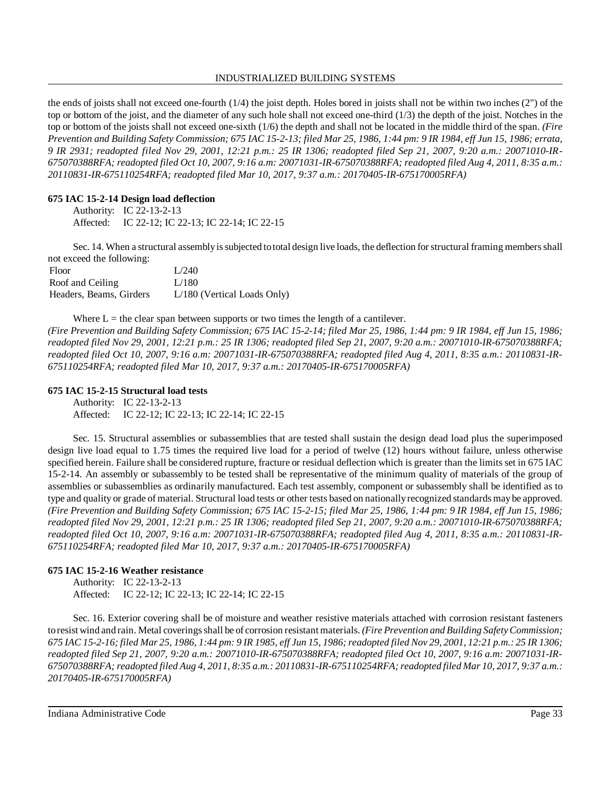### INDUSTRIALIZED BUILDING SYSTEMS

the ends of joists shall not exceed one-fourth (1/4) the joist depth. Holes bored in joists shall not be within two inches (2") of the top or bottom of the joist, and the diameter of any such hole shall not exceed one-third (1/3) the depth of the joist. Notches in the top or bottom of the joists shall not exceed one-sixth (1/6) the depth and shall not be located in the middle third of the span. *(Fire* Prevention and Building Safety Commission; 675 IAC 15-2-13; filed Mar 25, 1986, 1:44 pm: 9 IR 1984, eff Jun 15, 1986; errata, *9 IR 2931; readopted filed Nov 29, 2001, 12:21 p.m.: 25 IR 1306; readopted filed Sep 21, 2007, 9:20 a.m.: 20071010-IR-*675070388RFA; readopted filed Oct 10, 2007, 9:16 a.m: 20071031-IR-675070388RFA; readopted filed Aug 4, 2011, 8:35 a.m.: *20110831-IR-675110254RFA; readopted filed Mar 10, 2017, 9:37 a.m.: 20170405-IR-675170005RFA)*

## **675 IAC 15-2-14 Design load deflection**

Authority: IC 22-13-2-13 Affected: IC 22-12; IC 22-13; IC 22-14; IC 22-15

Sec. 14. When a structural assembly is subjected to total design live loads, the deflection for structural framing members shall not exceed the following:

| Floor                   | L/240                         |
|-------------------------|-------------------------------|
| Roof and Ceiling        | L/180                         |
| Headers, Beams, Girders | $L/180$ (Vertical Loads Only) |

Where  $L =$  the clear span between supports or two times the length of a cantilever. *(Fire Prevention and Building Safety Commission; 675 IAC 15-2-14; filed Mar 25, 1986, 1:44 pm: 9 IR 1984, eff Jun 15, 1986; readopted filed Nov 29, 2001, 12:21 p.m.: 25 IR 1306; readopted filed Sep 21, 2007, 9:20 a.m.: 20071010-IR-675070388RFA; readopted filed Oct 10, 2007, 9:16 a.m: 20071031-IR-675070388RFA; readopted filed Aug 4, 2011, 8:35 a.m.: 20110831-IR-675110254RFA; readopted filed Mar 10, 2017, 9:37 a.m.: 20170405-IR-675170005RFA)*

## **675 IAC 15-2-15 Structural load tests**

Authority: IC 22-13-2-13 Affected: IC 22-12; IC 22-13; IC 22-14; IC 22-15

Sec. 15. Structural assemblies or subassemblies that are tested shall sustain the design dead load plus the superimposed design live load equal to 1.75 times the required live load for a period of twelve (12) hours without failure, unless otherwise specified herein. Failure shall be considered rupture, fracture or residual deflection which is greater than the limits set in 675 IAC 15-2-14. An assembly or subassembly to be tested shall be representative of the minimum quality of materials of the group of assemblies or subassemblies as ordinarily manufactured. Each test assembly, component or subassembly shall be identified as to type and quality or grade of material. Structural load tests or other tests based on nationallyrecognized standards maybe approved. *(Fire Prevention and Building Safety Commission; 675 IAC 15-2-15; filed Mar 25, 1986, 1:44 pm: 9 IR 1984, eff Jun 15, 1986; readopted filed Nov 29, 2001, 12:21 p.m.: 25 IR 1306; readopted filed Sep 21, 2007, 9:20 a.m.: 20071010-IR-675070388RFA; readopted filed Oct 10, 2007, 9:16 a.m: 20071031-IR-675070388RFA; readopted filed Aug 4, 2011, 8:35 a.m.: 20110831-IR-675110254RFA; readopted filed Mar 10, 2017, 9:37 a.m.: 20170405-IR-675170005RFA)*

## **675 IAC 15-2-16 Weather resistance**

Authority: IC 22-13-2-13 Affected: IC 22-12; IC 22-13; IC 22-14; IC 22-15

Sec. 16. Exterior covering shall be of moisture and weather resistive materials attached with corrosion resistant fasteners toresist wind and rain. Metal coveringsshall be of corrosion resistant materials. *(Fire Prevention and Building SafetyCommission;* 675 IAC 15-2-16; filed Mar 25, 1986, 1:44 pm: 9 IR 1985, eff Jun 15, 1986; readopted filed Nov 29, 2001, 12:21 p.m.: 25 IR 1306; *readopted filed Sep 21, 2007, 9:20 a.m.: 20071010-IR-675070388RFA; readopted filed Oct 10, 2007, 9:16 a.m: 20071031-IR-675070388RFA; readopted filed Aug 4, 2011, 8:35 a.m.: 20110831-IR-675110254RFA;readopted filed Mar 10, 2017, 9:37 a.m.: 20170405-IR-675170005RFA)*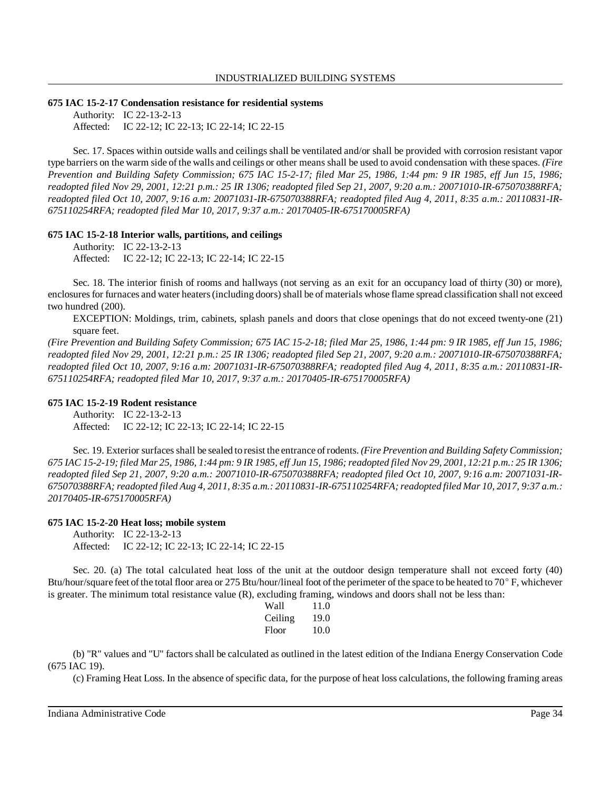#### **675 IAC 15-2-17 Condensation resistance for residential systems**

Authority: IC 22-13-2-13 Affected: IC 22-12; IC 22-13; IC 22-14; IC 22-15

Sec. 17. Spaces within outside walls and ceilings shall be ventilated and/or shall be provided with corrosion resistant vapor type barriers on the warm side of the walls and ceilings or other means shall be used to avoid condensation with these spaces. *(Fire Prevention and Building Safety Commission; 675 IAC 15-2-17; filed Mar 25, 1986, 1:44 pm: 9 IR 1985, eff Jun 15, 1986; readopted filed Nov 29, 2001, 12:21 p.m.: 25 IR 1306; readopted filed Sep 21, 2007, 9:20 a.m.: 20071010-IR-675070388RFA; readopted filed Oct 10, 2007, 9:16 a.m: 20071031-IR-675070388RFA; readopted filed Aug 4, 2011, 8:35 a.m.: 20110831-IR-675110254RFA; readopted filed Mar 10, 2017, 9:37 a.m.: 20170405-IR-675170005RFA)*

#### **675 IAC 15-2-18 Interior walls, partitions, and ceilings**

Authority: IC 22-13-2-13 Affected: IC 22-12; IC 22-13; IC 22-14; IC 22-15

Sec. 18. The interior finish of rooms and hallways (not serving as an exit for an occupancy load of thirty (30) or more), enclosures for furnaces and water heaters (including doors) shall be of materials whose flame spread classification shall not exceed two hundred (200).

EXCEPTION: Moldings, trim, cabinets, splash panels and doors that close openings that do not exceed twenty-one (21) square feet.

*(Fire Prevention and Building Safety Commission; 675 IAC 15-2-18; filed Mar 25, 1986, 1:44 pm: 9 IR 1985, eff Jun 15, 1986; readopted filed Nov 29, 2001, 12:21 p.m.: 25 IR 1306; readopted filed Sep 21, 2007, 9:20 a.m.: 20071010-IR-675070388RFA; readopted filed Oct 10, 2007, 9:16 a.m: 20071031-IR-675070388RFA; readopted filed Aug 4, 2011, 8:35 a.m.: 20110831-IR-675110254RFA; readopted filed Mar 10, 2017, 9:37 a.m.: 20170405-IR-675170005RFA)*

#### **675 IAC 15-2-19 Rodent resistance**

Authority: IC 22-13-2-13 Affected: IC 22-12; IC 22-13; IC 22-14; IC 22-15

Sec. 19. Exterior surfacesshall be sealed to resist the entrance ofrodents. *(Fire Prevention and Building Safety Commission;* 675 IAC 15-2-19; filed Mar 25, 1986, 1:44 pm: 9 IR 1985, eff Jun 15, 1986; readopted filed Nov 29, 2001, 12:21 p.m.: 25 IR 1306; *readopted filed Sep 21, 2007, 9:20 a.m.: 20071010-IR-675070388RFA; readopted filed Oct 10, 2007, 9:16 a.m: 20071031-IR-675070388RFA; readopted filed Aug 4, 2011, 8:35 a.m.: 20110831-IR-675110254RFA;readopted filed Mar 10, 2017, 9:37 a.m.: 20170405-IR-675170005RFA)*

#### **675 IAC 15-2-20 Heat loss; mobile system**

Authority: IC 22-13-2-13 Affected: IC 22-12; IC 22-13; IC 22-14; IC 22-15

Sec. 20. (a) The total calculated heat loss of the unit at the outdoor design temperature shall not exceed forty (40) Btu/hour/square feet of the total floor area or 275 Btu/hour/lineal foot of the perimeter of the space to be heated to 70° F, whichever is greater. The minimum total resistance value (R), excluding framing, windows and doors shall not be less than:

| Wall    | 11.0 |
|---------|------|
| Ceiling | 19.0 |
| Floor   | 10.0 |

(b) "R" values and "U" factors shall be calculated as outlined in the latest edition of the Indiana Energy Conservation Code (675 IAC 19).

(c) Framing Heat Loss. In the absence ofspecific data, for the purpose of heat loss calculations, the following framing areas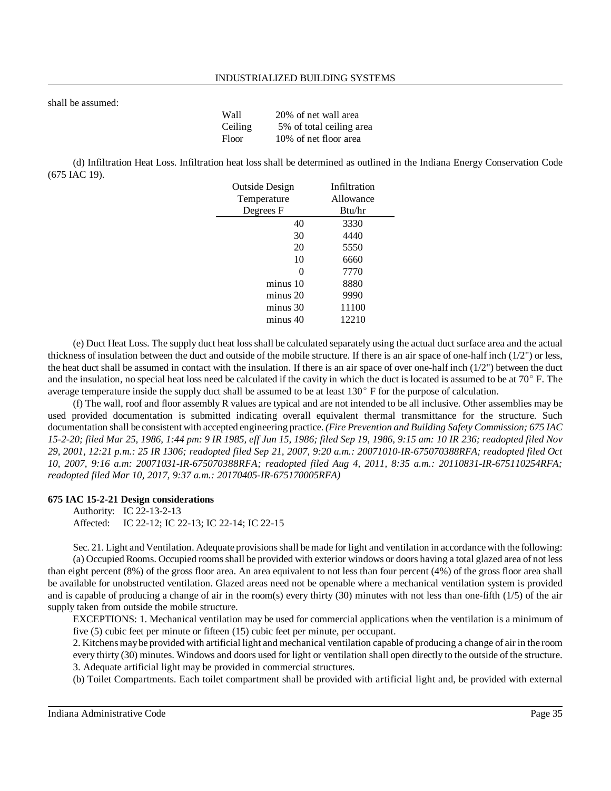shall be assumed:

| Wall    | 20% of net wall area     |
|---------|--------------------------|
| Ceiling | 5% of total ceiling area |
| Floor   | 10% of net floor area    |

(d) Infiltration Heat Loss. Infiltration heat loss shall be determined as outlined in the Indiana Energy Conservation Code (675 IAC 19).

| <b>Outside Design</b> | Infiltration |
|-----------------------|--------------|
| Temperature           | Allowance    |
| Degrees F             | Btu/hr       |
| 40                    | 3330         |
| 30                    | 4440         |
| 20                    | 5550         |
| 10                    | 6660         |
| 0                     | 7770         |
| minus 10              | 8880         |
| minus 20              | 9990         |
| minus 30              | 11100        |
| minus 40              | 12210        |

(e) Duct Heat Loss. The supply duct heat loss shall be calculated separately using the actual duct surface area and the actual thickness of insulation between the duct and outside of the mobile structure. If there is an air space of one-half inch (1/2") or less, the heat duct shall be assumed in contact with the insulation. If there is an air space of over one-half inch  $(1/2")$  between the duct and the insulation, no special heat loss need be calculated if the cavity in which the duct is located is assumed to be at  $70^{\circ}$  F. The average temperature inside the supply duct shall be assumed to be at least 130° F for the purpose of calculation.

(f) The wall, roof and floor assembly R values are typical and are not intended to be all inclusive. Other assemblies may be used provided documentation is submitted indicating overall equivalent thermal transmittance for the structure. Such documentation shall be consistent with accepted engineering practice. *(Fire Prevention and Building Safety Commission; 675 IAC* 15-2-20; filed Mar 25, 1986, 1:44 pm: 9 IR 1985, eff Jun 15, 1986; filed Sep 19, 1986, 9:15 am: 10 IR 236; readopted filed Nov *29, 2001, 12:21 p.m.: 25 IR 1306; readopted filed Sep 21, 2007, 9:20 a.m.: 20071010-IR-675070388RFA; readopted filed Oct 10, 2007, 9:16 a.m: 20071031-IR-675070388RFA; readopted filed Aug 4, 2011, 8:35 a.m.: 20110831-IR-675110254RFA; readopted filed Mar 10, 2017, 9:37 a.m.: 20170405-IR-675170005RFA)*

### **675 IAC 15-2-21 Design considerations**

Authority: IC 22-13-2-13 Affected: IC 22-12; IC 22-13; IC 22-14; IC 22-15

Sec. 21. Light and Ventilation. Adequate provisionsshall bemade for light and ventilation in accordance with the following: (a) Occupied Rooms. Occupied roomsshall be provided with exterior windows or doors having a total glazed area of not less than eight percent (8%) of the gross floor area. An area equivalent to not less than four percent (4%) of the gross floor area shall be available for unobstructed ventilation. Glazed areas need not be openable where a mechanical ventilation system is provided and is capable of producing a change of air in the room(s) every thirty (30) minutes with not less than one-fifth (1/5) of the air supply taken from outside the mobile structure.

EXCEPTIONS: 1. Mechanical ventilation may be used for commercial applications when the ventilation is a minimum of five (5) cubic feet per minute or fifteen (15) cubic feet per minute, per occupant.

2. Kitchens maybe provided with artificial light and mechanical ventilation capable of producing a change of air in the room every thirty (30) minutes. Windows and doors used for light or ventilation shall open directly to the outside of the structure. 3. Adequate artificial light may be provided in commercial structures.

(b) Toilet Compartments. Each toilet compartment shall be provided with artificial light and, be provided with external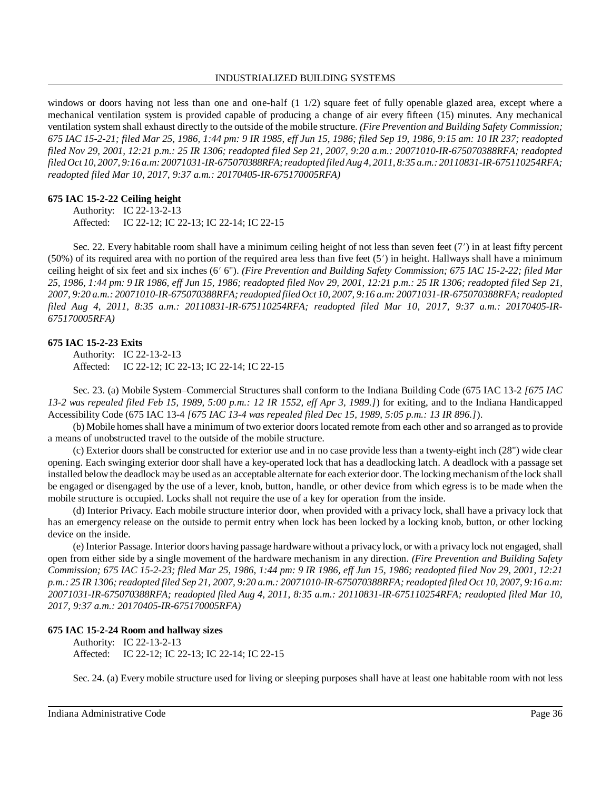#### INDUSTRIALIZED BUILDING SYSTEMS

windows or doors having not less than one and one-half (1 1/2) square feet of fully openable glazed area, except where a mechanical ventilation system is provided capable of producing a change of air every fifteen (15) minutes. Any mechanical ventilation system shall exhaust directly to the outside of the mobile structure. *(Fire Prevention and Building Safety Commission; 675 IAC 15-2-21; filed Mar 25, 1986, 1:44 pm: 9 IR 1985, eff Jun 15, 1986; filed Sep 19, 1986, 9:15 am: 10 IR 237; readopted filed Nov 29, 2001, 12:21 p.m.: 25 IR 1306; readopted filed Sep 21, 2007, 9:20 a.m.: 20071010-IR-675070388RFA; readopted filed Oct 10, 2007, 9:16 a.m: 20071031-IR-675070388RFA; readopted filed Aug 4, 2011, 8:35 a.m.: 20110831-IR-675110254RFA; readopted filed Mar 10, 2017, 9:37 a.m.: 20170405-IR-675170005RFA)*

#### **675 IAC 15-2-22 Ceiling height**

Authority: IC 22-13-2-13 Affected: IC 22-12; IC 22-13; IC 22-14; IC 22-15

Sec. 22. Every habitable room shall have a minimum ceiling height of not less than seven feet (7') in at least fifty percent  $(50%)$  of its required area with no portion of the required area less than five feet  $(5')$  in height. Hallways shall have a minimum ceiling height of six feet and six inches (6 6"). *(Fire Prevention and Building Safety Commission; 675 IAC 15-2-22; filed Mar 25, 1986, 1:44 pm: 9 IR 1986, eff Jun 15, 1986; readopted filed Nov 29, 2001, 12:21 p.m.: 25 IR 1306; readopted filed Sep 21, 2007, 9:20 a.m.: 20071010-IR-675070388RFA;readopted filed Oct 10, 2007, 9:16 a.m: 20071031-IR-675070388RFA;readopted filed Aug 4, 2011, 8:35 a.m.: 20110831-IR-675110254RFA; readopted filed Mar 10, 2017, 9:37 a.m.: 20170405-IR-675170005RFA)*

#### **675 IAC 15-2-23 Exits**

Authority: IC 22-13-2-13 Affected: IC 22-12; IC 22-13; IC 22-14; IC 22-15

Sec. 23. (a) Mobile System–Commercial Structures shall conform to the Indiana Building Code (675 IAC 13-2 *[675 IAC 13-2 was repealed filed Feb 15, 1989, 5:00 p.m.: 12 IR 1552, eff Apr 3, 1989.]*) for exiting, and to the Indiana Handicapped Accessibility Code (675 IAC 13-4 *[675 IAC 13-4 was repealed filed Dec 15, 1989, 5:05 p.m.: 13 IR 896.]*).

(b) Mobile homesshall have a minimum of two exterior doors located remote from each other and so arranged asto provide a means of unobstructed travel to the outside of the mobile structure.

(c) Exterior doors shall be constructed for exterior use and in no case provide less than a twenty-eight inch (28") wide clear opening. Each swinging exterior door shall have a key-operated lock that has a deadlocking latch. A deadlock with a passage set installed below the deadlock may be used as an acceptable alternate for each exterior door. The locking mechanism ofthe lock shall be engaged or disengaged by the use of a lever, knob, button, handle, or other device from which egress is to be made when the mobile structure is occupied. Locks shall not require the use of a key for operation from the inside.

(d) Interior Privacy. Each mobile structure interior door, when provided with a privacy lock, shall have a privacy lock that has an emergency release on the outside to permit entry when lock has been locked by a locking knob, button, or other locking device on the inside.

(e) Interior Passage. Interior doors having passage hardware without a privacylock, or with a privacy lock not engaged, shall open from either side by a single movement of the hardware mechanism in any direction. *(Fire Prevention and Building Safety Commission; 675 IAC 15-2-23; filed Mar 25, 1986, 1:44 pm: 9 IR 1986, eff Jun 15, 1986; readopted filed Nov 29, 2001, 12:21* p.m.: 25 IR 1306; readopted filed Sep 21, 2007, 9:20 a.m.: 20071010-IR-675070388RFA; readopted filed Oct 10, 2007, 9:16 a.m: *20071031-IR-675070388RFA; readopted filed Aug 4, 2011, 8:35 a.m.: 20110831-IR-675110254RFA; readopted filed Mar 10, 2017, 9:37 a.m.: 20170405-IR-675170005RFA)*

## **675 IAC 15-2-24 Room and hallway sizes**

```
Authority: IC 22-13-2-13
Affected: IC 22-12; IC 22-13; IC 22-14; IC 22-15
```
Sec. 24. (a) Every mobile structure used for living or sleeping purposes shall have at least one habitable room with not less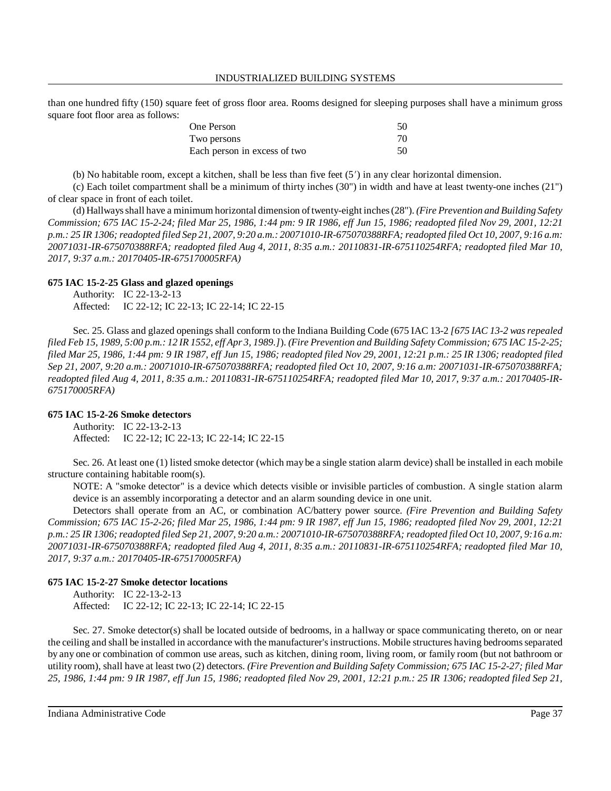than one hundred fifty (150) square feet of gross floor area. Rooms designed for sleeping purposes shall have a minimum gross square foot floor area as follows:

| One Person                   | 50 |
|------------------------------|----|
| Two persons                  | 70 |
| Each person in excess of two | 50 |

(b) No habitable room, except a kitchen, shall be less than five feet (5') in any clear horizontal dimension.

(c) Each toilet compartment shall be a minimum of thirty inches (30") in width and have at least twenty-one inches (21") of clear space in front of each toilet.

(d) Hallwaysshall have a minimum horizontal dimension oftwenty-eight inches(28"). *(Fire Prevention and Building Safety Commission; 675 IAC 15-2-24; filed Mar 25, 1986, 1:44 pm: 9 IR 1986, eff Jun 15, 1986; readopted filed Nov 29, 2001, 12:21* p.m.: 25 IR 1306; readopted filed Sep 21, 2007, 9:20 a.m.: 20071010-IR-675070388RFA; readopted filed Oct 10, 2007, 9:16 a.m: *20071031-IR-675070388RFA; readopted filed Aug 4, 2011, 8:35 a.m.: 20110831-IR-675110254RFA; readopted filed Mar 10, 2017, 9:37 a.m.: 20170405-IR-675170005RFA)*

#### **675 IAC 15-2-25 Glass and glazed openings**

Authority: IC 22-13-2-13 Affected: IC 22-12; IC 22-13; IC 22-14; IC 22-15

Sec. 25. Glass and glazed openings shall conform to the Indiana Building Code (675 IAC 13-2 *[675 IAC 13-2 wasrepealed* filed Feb 15, 1989, 5:00 p.m.: 12 IR 1552, eff Apr 3, 1989.]). (Fire Prevention and Building Safety Commission; 675 IAC 15-2-25; filed Mar 25, 1986, 1:44 pm: 9 IR 1987, eff Jun 15, 1986; readopted filed Nov 29, 2001, 12:21 p.m.: 25 IR 1306; readopted filed *Sep 21, 2007, 9:20 a.m.: 20071010-IR-675070388RFA; readopted filed Oct 10, 2007, 9:16 a.m: 20071031-IR-675070388RFA; readopted filed Aug 4, 2011, 8:35 a.m.: 20110831-IR-675110254RFA; readopted filed Mar 10, 2017, 9:37 a.m.: 20170405-IR-675170005RFA)*

#### **675 IAC 15-2-26 Smoke detectors**

Authority: IC 22-13-2-13 Affected: IC 22-12; IC 22-13; IC 22-14; IC 22-15

Sec. 26. At least one (1) listed smoke detector (which may be a single station alarm device) shall be installed in each mobile structure containing habitable room(s).

NOTE: A "smoke detector" is a device which detects visible or invisible particles of combustion. A single station alarm device is an assembly incorporating a detector and an alarm sounding device in one unit.

Detectors shall operate from an AC, or combination AC/battery power source. *(Fire Prevention and Building Safety Commission; 675 IAC 15-2-26; filed Mar 25, 1986, 1:44 pm: 9 IR 1987, eff Jun 15, 1986; readopted filed Nov 29, 2001, 12:21* p.m.: 25 IR 1306; readopted filed Sep 21, 2007, 9:20 a.m.: 20071010-IR-675070388RFA; readopted filed Oct 10, 2007, 9:16 a.m. *20071031-IR-675070388RFA; readopted filed Aug 4, 2011, 8:35 a.m.: 20110831-IR-675110254RFA; readopted filed Mar 10, 2017, 9:37 a.m.: 20170405-IR-675170005RFA)*

### **675 IAC 15-2-27 Smoke detector locations**

Authority: IC 22-13-2-13 Affected: IC 22-12; IC 22-13; IC 22-14; IC 22-15

Sec. 27. Smoke detector(s) shall be located outside of bedrooms, in a hallway or space communicating thereto, on or near the ceiling and shall be installed in accordance with the manufacturer's instructions. Mobile structures having bedrooms separated by any one or combination of common use areas, such as kitchen, dining room, living room, or family room (but not bathroom or utility room), shall have at least two (2) detectors. *(Fire Prevention and Building Safety Commission; 675 IAC 15-2-27; filed Mar 25, 1986, 1:44 pm: 9 IR 1987, eff Jun 15, 1986; readopted filed Nov 29, 2001, 12:21 p.m.: 25 IR 1306; readopted filed Sep 21,*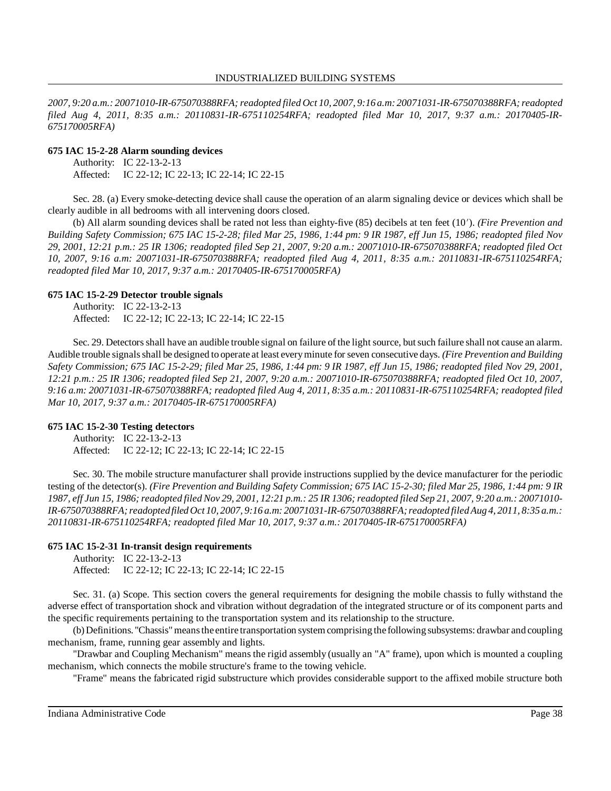*2007, 9:20 a.m.: 20071010-IR-675070388RFA;readopted filed Oct 10, 2007, 9:16 a.m: 20071031-IR-675070388RFA;readopted filed Aug 4, 2011, 8:35 a.m.: 20110831-IR-675110254RFA; readopted filed Mar 10, 2017, 9:37 a.m.: 20170405-IR-675170005RFA)*

#### **675 IAC 15-2-28 Alarm sounding devices**

Authority: IC 22-13-2-13 Affected: IC 22-12; IC 22-13; IC 22-14; IC 22-15

Sec. 28. (a) Every smoke-detecting device shall cause the operation of an alarm signaling device or devices which shall be clearly audible in all bedrooms with all intervening doors closed.

(b) All alarm sounding devices shall be rated not less than eighty-five (85) decibels at ten feet (10). *(Fire Prevention and Building Safety Commission; 675 IAC 15-2-28; filed Mar 25, 1986, 1:44 pm: 9 IR 1987, eff Jun 15, 1986; readopted filed Nov 29, 2001, 12:21 p.m.: 25 IR 1306; readopted filed Sep 21, 2007, 9:20 a.m.: 20071010-IR-675070388RFA; readopted filed Oct 10, 2007, 9:16 a.m: 20071031-IR-675070388RFA; readopted filed Aug 4, 2011, 8:35 a.m.: 20110831-IR-675110254RFA; readopted filed Mar 10, 2017, 9:37 a.m.: 20170405-IR-675170005RFA)*

### **675 IAC 15-2-29 Detector trouble signals**

Authority: IC 22-13-2-13 Affected: IC 22-12; IC 22-13; IC 22-14; IC 22-15

Sec. 29. Detectors shall have an audible trouble signal on failure of the light source, but such failure shall not cause an alarm. Audible trouble signalsshall be designed to operate at least everyminute forseven consecutive days. *(Fire Prevention and Building Safety Commission; 675 IAC 15-2-29; filed Mar 25, 1986, 1:44 pm: 9 IR 1987, eff Jun 15, 1986; readopted filed Nov 29, 2001, 12:21 p.m.: 25 IR 1306; readopted filed Sep 21, 2007, 9:20 a.m.: 20071010-IR-675070388RFA; readopted filed Oct 10, 2007, 9:16 a.m: 20071031-IR-675070388RFA; readopted filed Aug 4, 2011, 8:35 a.m.: 20110831-IR-675110254RFA; readopted filed Mar 10, 2017, 9:37 a.m.: 20170405-IR-675170005RFA)*

#### **675 IAC 15-2-30 Testing detectors**

Authority: IC 22-13-2-13 Affected: IC 22-12; IC 22-13; IC 22-14; IC 22-15

Sec. 30. The mobile structure manufacturer shall provide instructions supplied by the device manufacturer for the periodic testing of the detector(s). (Fire Prevention and Building Safety Commission; 675 IAC 15-2-30; filed Mar 25, 1986, 1:44 pm: 9 IR 1987, eff Jun 15, 1986; readopted filed Nov 29, 2001, 12:21 p.m.: 25 IR 1306; readopted filed Sep 21, 2007, 9:20 a.m.: 20071010-*IR-675070388RFA;readopted filed Oct 10, 2007, 9:16 a.m: 20071031-IR-675070388RFA; readopted filed Aug 4, 2011, 8:35 a.m.: 20110831-IR-675110254RFA; readopted filed Mar 10, 2017, 9:37 a.m.: 20170405-IR-675170005RFA)*

### **675 IAC 15-2-31 In-transit design requirements**

Authority: IC 22-13-2-13 Affected: IC 22-12; IC 22-13; IC 22-14; IC 22-15

Sec. 31. (a) Scope. This section covers the general requirements for designing the mobile chassis to fully withstand the adverse effect of transportation shock and vibration without degradation of the integrated structure or of its component parts and the specific requirements pertaining to the transportation system and its relationship to the structure.

(b)Definitions. "Chassis" means the entire transportation system comprising the following subsystems: drawbar and coupling mechanism, frame, running gear assembly and lights.

"Drawbar and Coupling Mechanism" means the rigid assembly (usually an "A" frame), upon which is mounted a coupling mechanism, which connects the mobile structure's frame to the towing vehicle.

"Frame" means the fabricated rigid substructure which provides considerable support to the affixed mobile structure both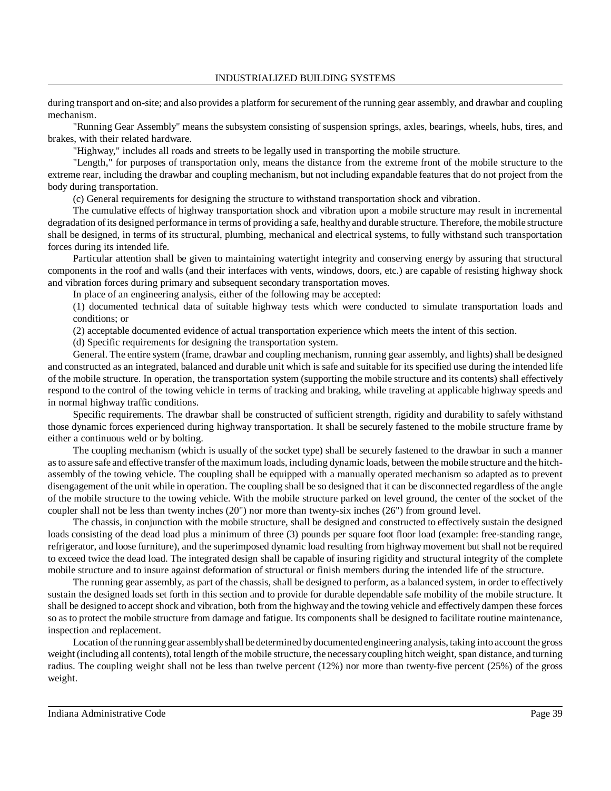during transport and on-site; and also provides a platform for securement of the running gear assembly, and drawbar and coupling mechanism.

"Running Gear Assembly" means the subsystem consisting of suspension springs, axles, bearings, wheels, hubs, tires, and brakes, with their related hardware.

"Highway," includes all roads and streets to be legally used in transporting the mobile structure.

"Length," for purposes of transportation only, means the distance from the extreme front of the mobile structure to the extreme rear, including the drawbar and coupling mechanism, but not including expandable features that do not project from the body during transportation.

(c) General requirements for designing the structure to withstand transportation shock and vibration.

The cumulative effects of highway transportation shock and vibration upon a mobile structure may result in incremental degradation of its designed performance in terms of providing a safe, healthy and durable structure. Therefore, the mobile structure shall be designed, in terms of its structural, plumbing, mechanical and electrical systems, to fully withstand such transportation forces during its intended life.

Particular attention shall be given to maintaining watertight integrity and conserving energy by assuring that structural components in the roof and walls (and their interfaces with vents, windows, doors, etc.) are capable of resisting highway shock and vibration forces during primary and subsequent secondary transportation moves.

In place of an engineering analysis, either of the following may be accepted:

(1) documented technical data of suitable highway tests which were conducted to simulate transportation loads and conditions; or

(2) acceptable documented evidence of actual transportation experience which meets the intent of this section.

(d) Specific requirements for designing the transportation system.

General. The entire system (frame, drawbar and coupling mechanism, running gear assembly, and lights) shall be designed and constructed as an integrated, balanced and durable unit which is safe and suitable for its specified use during the intended life of the mobile structure. In operation, the transportation system (supporting the mobile structure and its contents) shall effectively respond to the control of the towing vehicle in terms of tracking and braking, while traveling at applicable highway speeds and in normal highway traffic conditions.

Specific requirements. The drawbar shall be constructed of sufficient strength, rigidity and durability to safely withstand those dynamic forces experienced during highway transportation. It shall be securely fastened to the mobile structure frame by either a continuous weld or by bolting.

The coupling mechanism (which is usually of the socket type) shall be securely fastened to the drawbar in such a manner asto assure safe and effective transfer ofthemaximum loads, including dynamic loads, between the mobile structure and the hitchassembly of the towing vehicle. The coupling shall be equipped with a manually operated mechanism so adapted as to prevent disengagement of the unit while in operation. The coupling shall be so designed that it can be disconnected regardless of the angle of the mobile structure to the towing vehicle. With the mobile structure parked on level ground, the center of the socket of the coupler shall not be less than twenty inches (20") nor more than twenty-six inches (26") from ground level.

The chassis, in conjunction with the mobile structure, shall be designed and constructed to effectively sustain the designed loads consisting of the dead load plus a minimum of three (3) pounds per square foot floor load (example: free-standing range, refrigerator, and loose furniture), and the superimposed dynamic load resulting from highwaymovement but shall not be required to exceed twice the dead load. The integrated design shall be capable of insuring rigidity and structural integrity of the complete mobile structure and to insure against deformation of structural or finish members during the intended life of the structure.

The running gear assembly, as part of the chassis, shall be designed to perform, as a balanced system, in order to effectively sustain the designed loads set forth in this section and to provide for durable dependable safe mobility of the mobile structure. It shall be designed to accept shock and vibration, both from the highway and the towing vehicle and effectively dampen these forces so as to protect the mobile structure from damage and fatigue. Its components shall be designed to facilitate routine maintenance, inspection and replacement.

Location ofthe running gear assemblyshall be determined bydocumented engineering analysis, taking into account the gross weight (including all contents), total length of the mobile structure, the necessary coupling hitch weight, span distance, and turning radius. The coupling weight shall not be less than twelve percent (12%) nor more than twenty-five percent (25%) of the gross weight.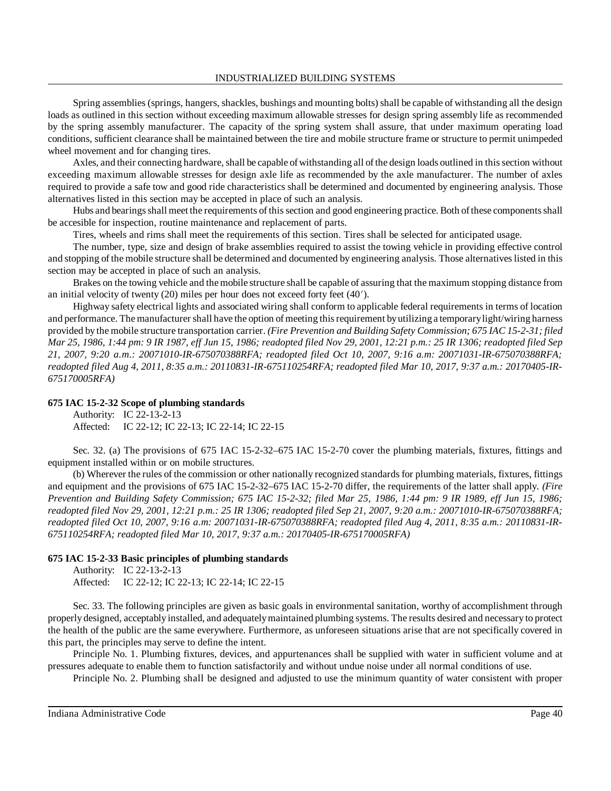Spring assemblies (springs, hangers, shackles, bushings and mounting bolts) shall be capable of withstanding all the design loads as outlined in this section without exceeding maximum allowable stresses for design spring assembly life as recommended by the spring assembly manufacturer. The capacity of the spring system shall assure, that under maximum operating load conditions, sufficient clearance shall be maintained between the tire and mobile structure frame or structure to permit unimpeded wheel movement and for changing tires.

Axles, and their connecting hardware, shall be capable of withstanding all of the design loads outlined in this section without exceeding maximum allowable stresses for design axle life as recommended by the axle manufacturer. The number of axles required to provide a safe tow and good ride characteristics shall be determined and documented by engineering analysis. Those alternatives listed in this section may be accepted in place of such an analysis.

Hubs and bearings shall meet the requirements of this section and good engineering practice. Both of these components shall be accesible for inspection, routine maintenance and replacement of parts.

Tires, wheels and rims shall meet the requirements of this section. Tires shall be selected for anticipated usage.

The number, type, size and design of brake assemblies required to assist the towing vehicle in providing effective control and stopping of the mobile structure shall be determined and documented by engineering analysis. Those alternatives listed in this section may be accepted in place of such an analysis.

Brakes on the towing vehicle and themobile structure shall be capable of assuring that the maximum stopping distance from an initial velocity of twenty  $(20)$  miles per hour does not exceed forty feet  $(40')$ .

Highway safety electrical lights and associated wiring shall conform to applicable federal requirements in terms of location and performance. The manufacturer shall have the option of meeting this requirement by utilizing a temporary light/wiring harness provided by the mobile structure transportation carrier. *(Fire Prevention and Building Safety Commission; 675 IAC 15-2-31; filed* Mar 25, 1986, 1:44 pm: 9 IR 1987, eff Jun 15, 1986; readopted filed Nov 29, 2001, 12:21 p.m.: 25 IR 1306; readopted filed Sep *21, 2007, 9:20 a.m.: 20071010-IR-675070388RFA; readopted filed Oct 10, 2007, 9:16 a.m: 20071031-IR-675070388RFA; readopted filed Aug 4, 2011, 8:35 a.m.: 20110831-IR-675110254RFA; readopted filed Mar 10, 2017, 9:37 a.m.: 20170405-IR-675170005RFA)*

#### **675 IAC 15-2-32 Scope of plumbing standards**

Authority: IC 22-13-2-13 Affected: IC 22-12; IC 22-13; IC 22-14; IC 22-15

Sec. 32. (a) The provisions of 675 IAC 15-2-32–675 IAC 15-2-70 cover the plumbing materials, fixtures, fittings and equipment installed within or on mobile structures.

(b) Wherever the rules of the commission or other nationally recognized standards for plumbing materials, fixtures, fittings and equipment and the provisions of 675 IAC 15-2-32–675 IAC 15-2-70 differ, the requirements of the latter shall apply. *(Fire Prevention and Building Safety Commission; 675 IAC 15-2-32; filed Mar 25, 1986, 1:44 pm: 9 IR 1989, eff Jun 15, 1986; readopted filed Nov 29, 2001, 12:21 p.m.: 25 IR 1306; readopted filed Sep 21, 2007, 9:20 a.m.: 20071010-IR-675070388RFA; readopted filed Oct 10, 2007, 9:16 a.m: 20071031-IR-675070388RFA; readopted filed Aug 4, 2011, 8:35 a.m.: 20110831-IR-675110254RFA; readopted filed Mar 10, 2017, 9:37 a.m.: 20170405-IR-675170005RFA)*

#### **675 IAC 15-2-33 Basic principles of plumbing standards**

Authority: IC 22-13-2-13 Affected: IC 22-12; IC 22-13; IC 22-14; IC 22-15

Sec. 33. The following principles are given as basic goals in environmental sanitation, worthy of accomplishment through properly designed, acceptably installed, and adequatelymaintained plumbing systems. The results desired and necessary to protect the health of the public are the same everywhere. Furthermore, as unforeseen situations arise that are not specifically covered in this part, the principles may serve to define the intent.

Principle No. 1. Plumbing fixtures, devices, and appurtenances shall be supplied with water in sufficient volume and at pressures adequate to enable them to function satisfactorily and without undue noise under all normal conditions of use.

Principle No. 2. Plumbing shall be designed and adjusted to use the minimum quantity of water consistent with proper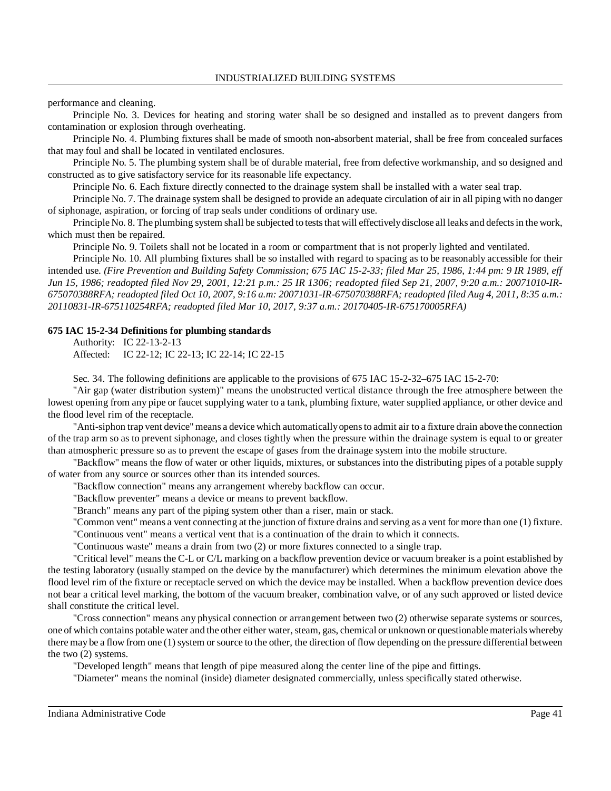performance and cleaning.

Principle No. 3. Devices for heating and storing water shall be so designed and installed as to prevent dangers from contamination or explosion through overheating.

Principle No. 4. Plumbing fixtures shall be made of smooth non-absorbent material, shall be free from concealed surfaces that may foul and shall be located in ventilated enclosures.

Principle No. 5. The plumbing system shall be of durable material, free from defective workmanship, and so designed and constructed as to give satisfactory service for its reasonable life expectancy.

Principle No. 6. Each fixture directly connected to the drainage system shall be installed with a water seal trap.

Principle No. 7. The drainage system shall be designed to provide an adequate circulation of air in all piping with no danger of siphonage, aspiration, or forcing of trap seals under conditions of ordinary use.

Principle No. 8. The plumbing system shall be subjected to tests that will effectively disclose all leaks and defects in the work, which must then be repaired.

Principle No. 9. Toilets shall not be located in a room or compartment that is not properly lighted and ventilated.

Principle No. 10. All plumbing fixtures shall be so installed with regard to spacing as to be reasonably accessible for their intended use. *(Fire Prevention and Building Safety Commission; 675 IAC 15-2-33; filed Mar 25, 1986, 1:44 pm: 9 IR 1989, eff Jun 15, 1986; readopted filed Nov 29, 2001, 12:21 p.m.: 25 IR 1306; readopted filed Sep 21, 2007, 9:20 a.m.: 20071010-IR-*675070388RFA; readopted filed Oct 10, 2007, 9:16 a.m: 20071031-IR-675070388RFA; readopted filed Aug 4, 2011, 8:35 a.m.: *20110831-IR-675110254RFA; readopted filed Mar 10, 2017, 9:37 a.m.: 20170405-IR-675170005RFA)*

#### **675 IAC 15-2-34 Definitions for plumbing standards**

Authority: IC 22-13-2-13 Affected: IC 22-12; IC 22-13; IC 22-14; IC 22-15

Sec. 34. The following definitions are applicable to the provisions of 675 IAC 15-2-32–675 IAC 15-2-70:

"Air gap (water distribution system)" means the unobstructed vertical distance through the free atmosphere between the lowest opening from any pipe or faucet supplying water to a tank, plumbing fixture, water supplied appliance, or other device and the flood level rim of the receptacle.

"Anti-siphon trap vent device" means a device which automaticallyopensto admit air to a fixture drain above the connection of the trap arm so as to prevent siphonage, and closes tightly when the pressure within the drainage system is equal to or greater than atmospheric pressure so as to prevent the escape of gases from the drainage system into the mobile structure.

"Backflow" means the flow of water or other liquids, mixtures, or substances into the distributing pipes of a potable supply of water from any source or sources other than its intended sources.

"Backflow connection" means any arrangement whereby backflow can occur.

"Backflow preventer" means a device or means to prevent backflow.

"Branch" means any part of the piping system other than a riser, main or stack.

"Common vent" means a vent connecting at the junction of fixture drains and serving as a vent for more than one (1) fixture.

"Continuous vent" means a vertical vent that is a continuation of the drain to which it connects.

"Continuous waste" means a drain from two (2) or more fixtures connected to a single trap.

"Critical level" means the C-L or C/L marking on a backflow prevention device or vacuum breaker is a point established by the testing laboratory (usually stamped on the device by the manufacturer) which determines the minimum elevation above the flood level rim of the fixture or receptacle served on which the device may be installed. When a backflow prevention device does not bear a critical level marking, the bottom of the vacuum breaker, combination valve, or of any such approved or listed device shall constitute the critical level.

"Cross connection" means any physical connection or arrangement between two (2) otherwise separate systems or sources, one of which contains potable water and the other either water, steam, gas, chemical or unknown or questionable materials whereby there may be a flow from one (1) system or source to the other, the direction of flow depending on the pressure differential between the two (2) systems.

"Developed length" means that length of pipe measured along the center line of the pipe and fittings.

"Diameter" means the nominal (inside) diameter designated commercially, unless specifically stated otherwise.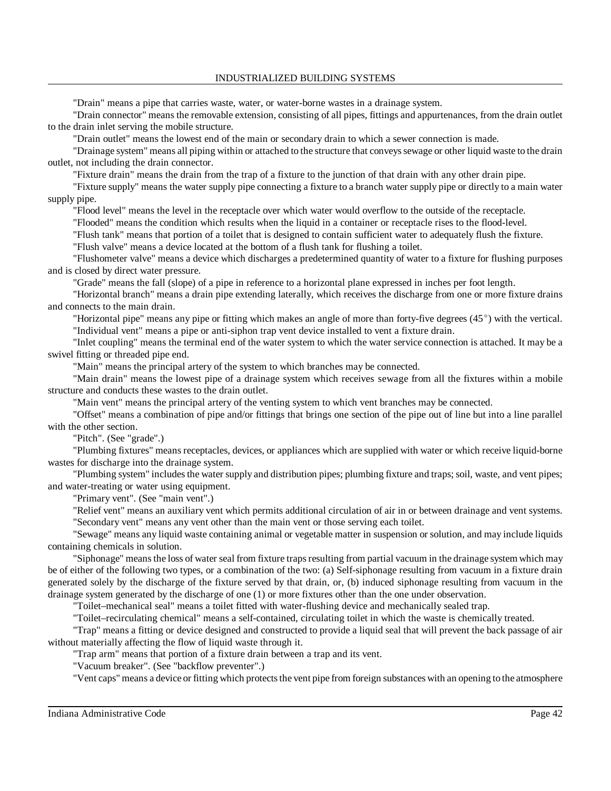#### INDUSTRIALIZED BUILDING SYSTEMS

"Drain" means a pipe that carries waste, water, or water-borne wastes in a drainage system.

"Drain connector" means the removable extension, consisting of all pipes, fittings and appurtenances, from the drain outlet to the drain inlet serving the mobile structure.

"Drain outlet" means the lowest end of the main or secondary drain to which a sewer connection is made.

"Drainage system" means all piping within or attached to the structure that conveyssewage or other liquid waste to the drain outlet, not including the drain connector.

"Fixture drain" means the drain from the trap of a fixture to the junction of that drain with any other drain pipe.

"Fixture supply" means the water supply pipe connecting a fixture to a branch water supply pipe or directly to a main water supply pipe.

"Flood level" means the level in the receptacle over which water would overflow to the outside of the receptacle.

"Flooded" means the condition which results when the liquid in a container or receptacle rises to the flood-level.

"Flush tank" means that portion of a toilet that is designed to contain sufficient water to adequately flush the fixture.

"Flush valve" means a device located at the bottom of a flush tank for flushing a toilet.

"Flushometer valve" means a device which discharges a predetermined quantity of water to a fixture for flushing purposes and is closed by direct water pressure.

"Grade" means the fall (slope) of a pipe in reference to a horizontal plane expressed in inches per foot length.

"Horizontal branch" means a drain pipe extending laterally, which receives the discharge from one or more fixture drains and connects to the main drain.

"Horizontal pipe" means any pipe or fitting which makes an angle of more than forty-five degrees  $(45^{\circ})$  with the vertical. "Individual vent" means a pipe or anti-siphon trap vent device installed to vent a fixture drain.

"Inlet coupling" means the terminal end of the water system to which the water service connection is attached. It may be a swivel fitting or threaded pipe end.

"Main" means the principal artery of the system to which branches may be connected.

"Main drain" means the lowest pipe of a drainage system which receives sewage from all the fixtures within a mobile structure and conducts these wastes to the drain outlet.

"Main vent" means the principal artery of the venting system to which vent branches may be connected.

"Offset" means a combination of pipe and/or fittings that brings one section of the pipe out of line but into a line parallel with the other section.

"Pitch". (See "grade".)

"Plumbing fixtures" means receptacles, devices, or appliances which are supplied with water or which receive liquid-borne wastes for discharge into the drainage system.

"Plumbing system" includesthe water supply and distribution pipes; plumbing fixture and traps; soil, waste, and vent pipes; and water-treating or water using equipment.

"Primary vent". (See "main vent".)

"Relief vent" means an auxiliary vent which permits additional circulation of air in or between drainage and vent systems. "Secondary vent" means any vent other than the main vent or those serving each toilet.

"Sewage" means any liquid waste containing animal or vegetable matter in suspension or solution, and may include liquids containing chemicals in solution.

"Siphonage" meansthe loss of water seal from fixture trapsresulting from partial vacuum in the drainage system which may be of either of the following two types, or a combination of the two: (a) Self-siphonage resulting from vacuum in a fixture drain generated solely by the discharge of the fixture served by that drain, or, (b) induced siphonage resulting from vacuum in the drainage system generated by the discharge of one (1) or more fixtures other than the one under observation.

"Toilet–mechanical seal" means a toilet fitted with water-flushing device and mechanically sealed trap.

"Toilet–recirculating chemical" means a self-contained, circulating toilet in which the waste is chemically treated.

"Trap" means a fitting or device designed and constructed to provide a liquid seal that will prevent the back passage of air without materially affecting the flow of liquid waste through it.

"Trap arm" means that portion of a fixture drain between a trap and its vent.

"Vacuum breaker". (See "backflow preventer".)

"Vent caps" means a device or fitting which protects the vent pipe from foreign substances with an opening to the atmosphere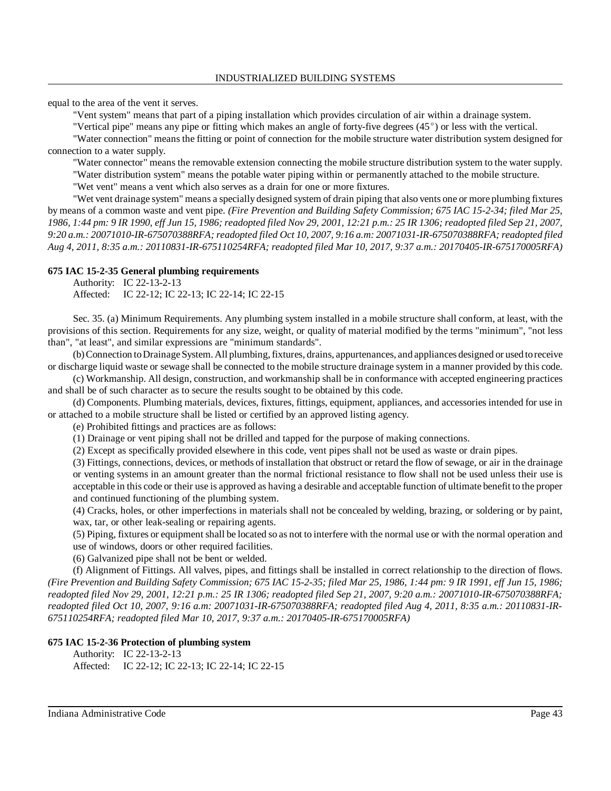equal to the area of the vent it serves.

"Vent system" means that part of a piping installation which provides circulation of air within a drainage system.

"Vertical pipe" means any pipe or fitting which makes an angle of forty-five degrees (45°) or less with the vertical.

"Water connection" means the fitting or point of connection for the mobile structure water distribution system designed for connection to a water supply.

"Water connector" means the removable extension connecting the mobile structure distribution system to the water supply.

"Water distribution system" means the potable water piping within or permanently attached to the mobile structure.

"Wet vent" means a vent which also serves as a drain for one or more fixtures.

"Wet vent drainage system" means a specially designed system of drain piping that also vents one or more plumbing fixtures by means of a common waste and vent pipe. *(Fire Prevention and Building Safety Commission; 675 IAC 15-2-34; filed Mar 25,* 1986, 1:44 pm: 9 IR 1990, eff Jun 15, 1986; readopted filed Nov 29, 2001, 12:21 p.m.: 25 IR 1306; readopted filed Sep 21, 2007, *9:20 a.m.: 20071010-IR-675070388RFA; readopted filed Oct 10, 2007, 9:16 a.m: 20071031-IR-675070388RFA; readopted filed Aug 4, 2011, 8:35 a.m.: 20110831-IR-675110254RFA; readopted filed Mar 10, 2017, 9:37 a.m.: 20170405-IR-675170005RFA)*

#### **675 IAC 15-2-35 General plumbing requirements**

Authority: IC 22-13-2-13 Affected: IC 22-12; IC 22-13; IC 22-14; IC 22-15

Sec. 35. (a) Minimum Requirements. Any plumbing system installed in a mobile structure shall conform, at least, with the provisions of this section. Requirements for any size, weight, or quality of material modified by the terms "minimum", "not less than", "at least", and similar expressions are "minimum standards".

(b)Connection toDrainageSystem. All plumbing,fixtures, drains, appurtenances, and appliances designed or used toreceive or discharge liquid waste or sewage shall be connected to the mobile structure drainage system in a manner provided by this code.

(c) Workmanship. All design, construction, and workmanship shall be in conformance with accepted engineering practices and shall be of such character as to secure the results sought to be obtained by this code.

(d) Components. Plumbing materials, devices, fixtures, fittings, equipment, appliances, and accessories intended for use in or attached to a mobile structure shall be listed or certified by an approved listing agency.

(e) Prohibited fittings and practices are as follows:

(1) Drainage or vent piping shall not be drilled and tapped for the purpose of making connections.

(2) Except as specifically provided elsewhere in this code, vent pipes shall not be used as waste or drain pipes.

(3) Fittings, connections, devices, or methods of installation that obstruct or retard the flow ofsewage, or air in the drainage or venting systems in an amount greater than the normal frictional resistance to flow shall not be used unless their use is acceptable in this code or their use is approved as having a desirable and acceptable function of ultimate benefit to the proper and continued functioning of the plumbing system.

(4) Cracks, holes, or other imperfections in materials shall not be concealed by welding, brazing, or soldering or by paint, wax, tar, or other leak-sealing or repairing agents.

(5) Piping, fixtures or equipment shall be located so as not to interfere with the normal use or with the normal operation and use of windows, doors or other required facilities.

(6) Galvanized pipe shall not be bent or welded.

(f) Alignment of Fittings. All valves, pipes, and fittings shall be installed in correct relationship to the direction of flows. *(Fire Prevention and Building Safety Commission; 675 IAC 15-2-35; filed Mar 25, 1986, 1:44 pm: 9 IR 1991, eff Jun 15, 1986; readopted filed Nov 29, 2001, 12:21 p.m.: 25 IR 1306; readopted filed Sep 21, 2007, 9:20 a.m.: 20071010-IR-675070388RFA; readopted filed Oct 10, 2007, 9:16 a.m: 20071031-IR-675070388RFA; readopted filed Aug 4, 2011, 8:35 a.m.: 20110831-IR-675110254RFA; readopted filed Mar 10, 2017, 9:37 a.m.: 20170405-IR-675170005RFA)*

#### **675 IAC 15-2-36 Protection of plumbing system**

Authority: IC 22-13-2-13 Affected: IC 22-12; IC 22-13; IC 22-14; IC 22-15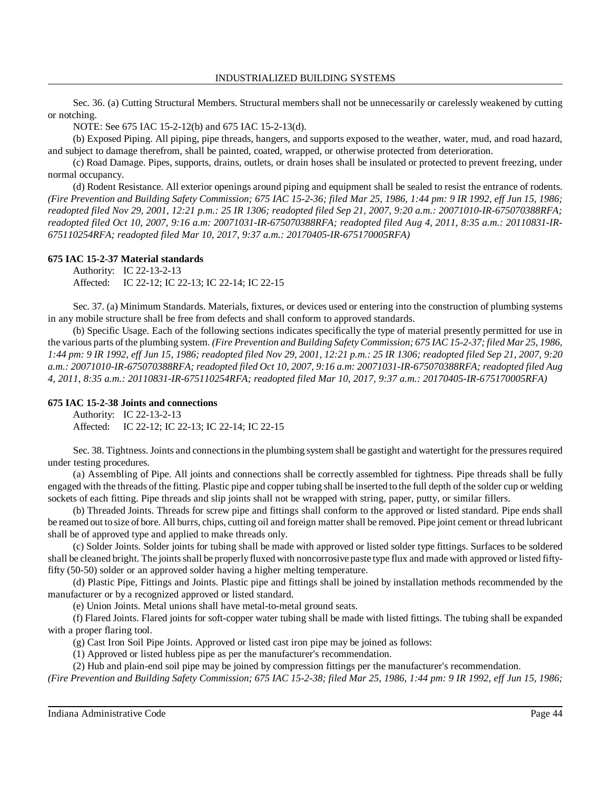Sec. 36. (a) Cutting Structural Members. Structural members shall not be unnecessarily or carelessly weakened by cutting or notching.

NOTE: See 675 IAC 15-2-12(b) and 675 IAC 15-2-13(d).

(b) Exposed Piping. All piping, pipe threads, hangers, and supports exposed to the weather, water, mud, and road hazard, and subject to damage therefrom, shall be painted, coated, wrapped, or otherwise protected from deterioration.

(c) Road Damage. Pipes, supports, drains, outlets, or drain hoses shall be insulated or protected to prevent freezing, under normal occupancy.

(d) Rodent Resistance. All exterior openings around piping and equipment shall be sealed to resist the entrance of rodents. *(Fire Prevention and Building Safety Commission; 675 IAC 15-2-36; filed Mar 25, 1986, 1:44 pm: 9 IR 1992, eff Jun 15, 1986; readopted filed Nov 29, 2001, 12:21 p.m.: 25 IR 1306; readopted filed Sep 21, 2007, 9:20 a.m.: 20071010-IR-675070388RFA; readopted filed Oct 10, 2007, 9:16 a.m: 20071031-IR-675070388RFA; readopted filed Aug 4, 2011, 8:35 a.m.: 20110831-IR-675110254RFA; readopted filed Mar 10, 2017, 9:37 a.m.: 20170405-IR-675170005RFA)*

### **675 IAC 15-2-37 Material standards**

Authority: IC 22-13-2-13 Affected: IC 22-12; IC 22-13; IC 22-14; IC 22-15

Sec. 37. (a) Minimum Standards. Materials, fixtures, or devices used or entering into the construction of plumbing systems in any mobile structure shall be free from defects and shall conform to approved standards.

(b) Specific Usage. Each of the following sections indicates specifically the type of material presently permitted for use in the various parts of the plumbing system. *(Fire Prevention and Building Safety Commission; 675 IAC 15-2-37; filed Mar 25, 1986,* 1:44 pm: 9 IR 1992, eff Jun 15, 1986; readopted filed Nov 29, 2001, 12:21 p.m.: 25 IR 1306; readopted filed Sep 21, 2007, 9:20 *a.m.: 20071010-IR-675070388RFA; readopted filed Oct 10, 2007, 9:16 a.m: 20071031-IR-675070388RFA; readopted filed Aug 4, 2011, 8:35 a.m.: 20110831-IR-675110254RFA; readopted filed Mar 10, 2017, 9:37 a.m.: 20170405-IR-675170005RFA)*

### **675 IAC 15-2-38 Joints and connections**

Authority: IC 22-13-2-13 Affected: IC 22-12; IC 22-13; IC 22-14; IC 22-15

Sec. 38. Tightness. Joints and connections in the plumbing system shall be gastight and watertight for the pressures required under testing procedures.

(a) Assembling of Pipe. All joints and connections shall be correctly assembled for tightness. Pipe threads shall be fully engaged with the threads of the fitting. Plastic pipe and copper tubing shall be inserted to the full depth of the solder cup or welding sockets of each fitting. Pipe threads and slip joints shall not be wrapped with string, paper, putty, or similar fillers.

(b) Threaded Joints. Threads for screw pipe and fittings shall conform to the approved or listed standard. Pipe ends shall be reamed out to size of bore. All burrs, chips, cutting oil and foreign matter shall be removed. Pipe joint cement or thread lubricant shall be of approved type and applied to make threads only.

(c) Solder Joints. Solder joints for tubing shall be made with approved or listed solder type fittings. Surfaces to be soldered shall be cleaned bright. The jointsshall be properlyfluxed with noncorrosive paste type flux and made with approved or listed fiftyfifty (50-50) solder or an approved solder having a higher melting temperature.

(d) Plastic Pipe, Fittings and Joints. Plastic pipe and fittings shall be joined by installation methods recommended by the manufacturer or by a recognized approved or listed standard.

(e) Union Joints. Metal unions shall have metal-to-metal ground seats.

(f) Flared Joints. Flared joints for soft-copper water tubing shall be made with listed fittings. The tubing shall be expanded with a proper flaring tool.

(g) Cast Iron Soil Pipe Joints. Approved or listed cast iron pipe may be joined as follows:

(1) Approved or listed hubless pipe as per the manufacturer's recommendation.

(2) Hub and plain-end soil pipe may be joined by compression fittings per the manufacturer's recommendation.

*(Fire Prevention and Building Safety Commission; 675 IAC 15-2-38; filed Mar 25, 1986, 1:44 pm: 9 IR 1992, eff Jun 15, 1986;*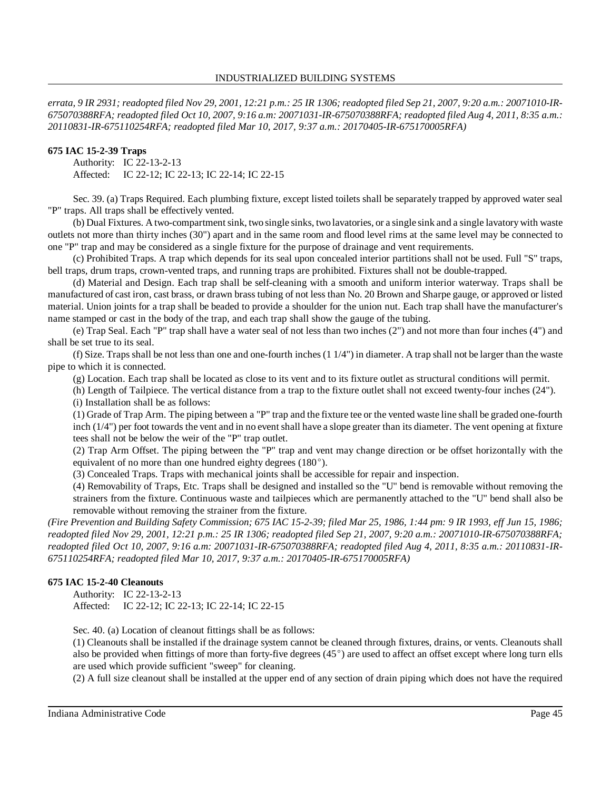errata, 9 IR 2931; readopted filed Nov 29, 2001, 12:21 p.m.: 25 IR 1306; readopted filed Sep 21, 2007, 9:20 a.m.: 20071010-IR-675070388RFA; readopted filed Oct 10, 2007, 9:16 a.m: 20071031-IR-675070388RFA; readopted filed Aug 4, 2011, 8:35 a.m.: *20110831-IR-675110254RFA; readopted filed Mar 10, 2017, 9:37 a.m.: 20170405-IR-675170005RFA)*

### **675 IAC 15-2-39 Traps**

Authority: IC 22-13-2-13 Affected: IC 22-12; IC 22-13; IC 22-14; IC 22-15

Sec. 39. (a) Traps Required. Each plumbing fixture, except listed toilets shall be separately trapped by approved water seal "P" traps. All traps shall be effectively vented.

(b) Dual Fixtures. A two-compartment sink, two single sinks, two lavatories, or a single sink and a single lavatory with waste outlets not more than thirty inches (30") apart and in the same room and flood level rims at the same level may be connected to one "P" trap and may be considered as a single fixture for the purpose of drainage and vent requirements.

(c) Prohibited Traps. A trap which depends for its seal upon concealed interior partitions shall not be used. Full "S" traps, bell traps, drum traps, crown-vented traps, and running traps are prohibited. Fixtures shall not be double-trapped.

(d) Material and Design. Each trap shall be self-cleaning with a smooth and uniform interior waterway. Traps shall be manufactured of cast iron, cast brass, or drawn brass tubing of not less than No. 20 Brown and Sharpe gauge, or approved or listed material. Union joints for a trap shall be beaded to provide a shoulder for the union nut. Each trap shall have the manufacturer's name stamped or cast in the body of the trap, and each trap shall show the gauge of the tubing.

(e) Trap Seal. Each "P" trap shall have a water seal of not less than two inches (2") and not more than four inches (4") and shall be set true to its seal.

(f) Size. Traps shall be not less than one and one-fourth inches (1 1/4") in diameter. A trap shall not be larger than the waste pipe to which it is connected.

(g) Location. Each trap shall be located as close to its vent and to its fixture outlet as structural conditions will permit.

(h) Length of Tailpiece. The vertical distance from a trap to the fixture outlet shall not exceed twenty-four inches (24").

(i) Installation shall be as follows:

(1) Grade of Trap Arm. The piping between a "P" trap and the fixture tee or the vented waste line shall be graded one-fourth inch (1/4") per foot towards the vent and in no event shall have a slope greater than its diameter. The vent opening at fixture tees shall not be below the weir of the "P" trap outlet.

(2) Trap Arm Offset. The piping between the "P" trap and vent may change direction or be offset horizontally with the equivalent of no more than one hundred eighty degrees (180°).

(3) Concealed Traps. Traps with mechanical joints shall be accessible for repair and inspection.

(4) Removability of Traps, Etc. Traps shall be designed and installed so the "U" bend is removable without removing the strainers from the fixture. Continuous waste and tailpieces which are permanently attached to the "U" bend shall also be removable without removing the strainer from the fixture.

*(Fire Prevention and Building Safety Commission; 675 IAC 15-2-39; filed Mar 25, 1986, 1:44 pm: 9 IR 1993, eff Jun 15, 1986; readopted filed Nov 29, 2001, 12:21 p.m.: 25 IR 1306; readopted filed Sep 21, 2007, 9:20 a.m.: 20071010-IR-675070388RFA; readopted filed Oct 10, 2007, 9:16 a.m: 20071031-IR-675070388RFA; readopted filed Aug 4, 2011, 8:35 a.m.: 20110831-IR-675110254RFA; readopted filed Mar 10, 2017, 9:37 a.m.: 20170405-IR-675170005RFA)*

### **675 IAC 15-2-40 Cleanouts**

Authority: IC 22-13-2-13 Affected: IC 22-12; IC 22-13; IC 22-14; IC 22-15

Sec. 40. (a) Location of cleanout fittings shall be as follows:

(1) Cleanouts shall be installed if the drainage system cannot be cleaned through fixtures, drains, or vents. Cleanouts shall also be provided when fittings of more than forty-five degrees  $(45^{\circ})$  are used to affect an offset except where long turn ells are used which provide sufficient "sweep" for cleaning.

(2) A full size cleanout shall be installed at the upper end of any section of drain piping which does not have the required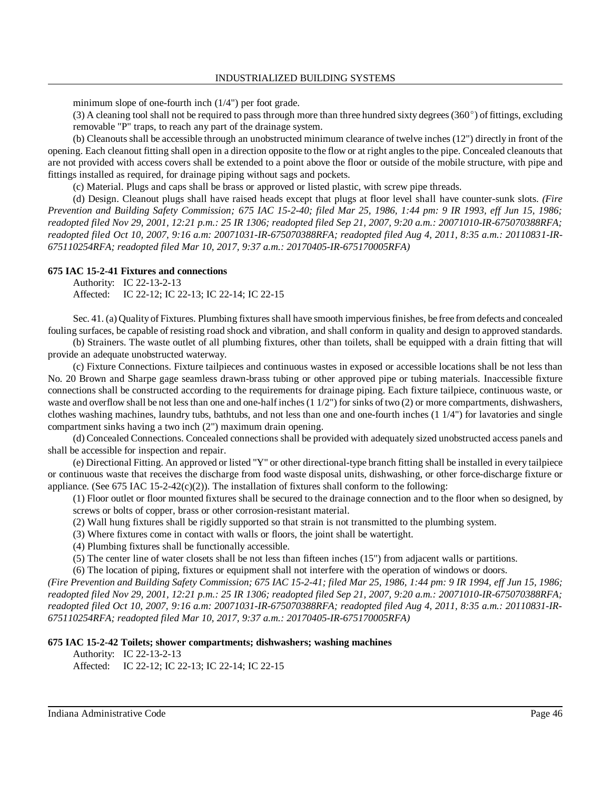minimum slope of one-fourth inch (1/4") per foot grade.

(3) A cleaning tool shall not be required to pass through more than three hundred sixty degrees (360 $^{\circ}$ ) of fittings, excluding removable "P" traps, to reach any part of the drainage system.

(b) Cleanouts shall be accessible through an unobstructed minimum clearance of twelve inches (12") directly in front of the opening. Each cleanout fitting shall open in a direction opposite to the flow or at right anglesto the pipe. Concealed cleanouts that are not provided with access covers shall be extended to a point above the floor or outside of the mobile structure, with pipe and fittings installed as required, for drainage piping without sags and pockets.

(c) Material. Plugs and caps shall be brass or approved or listed plastic, with screw pipe threads.

(d) Design. Cleanout plugs shall have raised heads except that plugs at floor level shall have counter-sunk slots. *(Fire Prevention and Building Safety Commission; 675 IAC 15-2-40; filed Mar 25, 1986, 1:44 pm: 9 IR 1993, eff Jun 15, 1986; readopted filed Nov 29, 2001, 12:21 p.m.: 25 IR 1306; readopted filed Sep 21, 2007, 9:20 a.m.: 20071010-IR-675070388RFA; readopted filed Oct 10, 2007, 9:16 a.m: 20071031-IR-675070388RFA; readopted filed Aug 4, 2011, 8:35 a.m.: 20110831-IR-675110254RFA; readopted filed Mar 10, 2017, 9:37 a.m.: 20170405-IR-675170005RFA)*

#### **675 IAC 15-2-41 Fixtures and connections**

Authority: IC 22-13-2-13 Affected: IC 22-12; IC 22-13; IC 22-14; IC 22-15

Sec. 41. (a) Quality of Fixtures. Plumbing fixtures shall have smooth impervious finishes, be free from defects and concealed fouling surfaces, be capable of resisting road shock and vibration, and shall conform in quality and design to approved standards.

(b) Strainers. The waste outlet of all plumbing fixtures, other than toilets, shall be equipped with a drain fitting that will provide an adequate unobstructed waterway.

(c) Fixture Connections. Fixture tailpieces and continuous wastes in exposed or accessible locations shall be not less than No. 20 Brown and Sharpe gage seamless drawn-brass tubing or other approved pipe or tubing materials. Inaccessible fixture connections shall be constructed according to the requirements for drainage piping. Each fixture tailpiece, continuous waste, or waste and overflow shall be not less than one and one-half inches  $(1 1/2" )$  for sinks of two  $(2)$  or more compartments, dishwashers, clothes washing machines, laundry tubs, bathtubs, and not less than one and one-fourth inches (1 1/4") for lavatories and single compartment sinks having a two inch (2") maximum drain opening.

(d) Concealed Connections. Concealed connections shall be provided with adequately sized unobstructed access panels and shall be accessible for inspection and repair.

(e) Directional Fitting. An approved or listed "Y" or other directional-type branch fitting shall be installed in every tailpiece or continuous waste that receives the discharge from food waste disposal units, dishwashing, or other force-discharge fixture or appliance. (See 675 IAC 15-2-42(c)(2)). The installation of fixtures shall conform to the following:

(1) Floor outlet or floor mounted fixtures shall be secured to the drainage connection and to the floor when so designed, by screws or bolts of copper, brass or other corrosion-resistant material.

(2) Wall hung fixtures shall be rigidly supported so that strain is not transmitted to the plumbing system.

(3) Where fixtures come in contact with walls or floors, the joint shall be watertight.

(4) Plumbing fixtures shall be functionally accessible.

(5) The center line of water closets shall be not less than fifteen inches (15") from adjacent walls or partitions.

(6) The location of piping, fixtures or equipment shall not interfere with the operation of windows or doors.

*(Fire Prevention and Building Safety Commission; 675 IAC 15-2-41; filed Mar 25, 1986, 1:44 pm: 9 IR 1994, eff Jun 15, 1986; readopted filed Nov 29, 2001, 12:21 p.m.: 25 IR 1306; readopted filed Sep 21, 2007, 9:20 a.m.: 20071010-IR-675070388RFA; readopted filed Oct 10, 2007, 9:16 a.m: 20071031-IR-675070388RFA; readopted filed Aug 4, 2011, 8:35 a.m.: 20110831-IR-675110254RFA; readopted filed Mar 10, 2017, 9:37 a.m.: 20170405-IR-675170005RFA)*

#### **675 IAC 15-2-42 Toilets; shower compartments; dishwashers; washing machines**

Authority: IC 22-13-2-13

Affected: IC 22-12; IC 22-13; IC 22-14; IC 22-15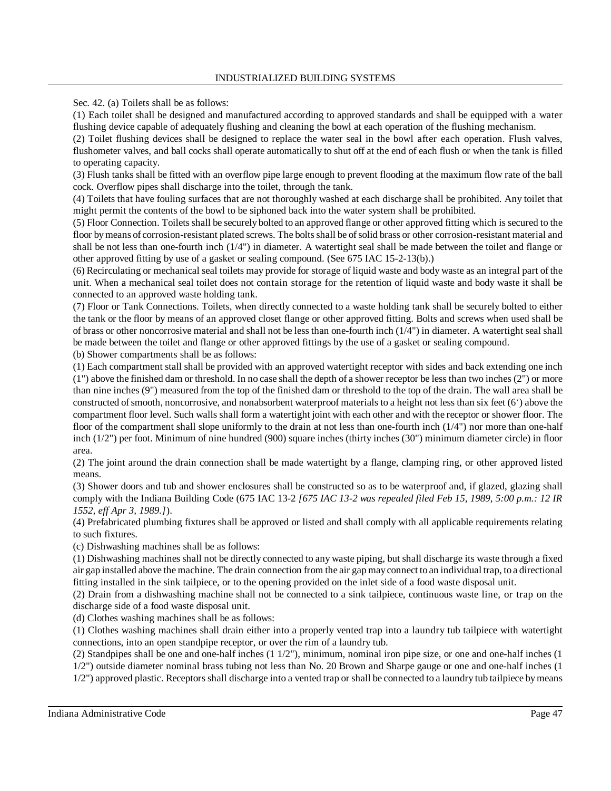Sec. 42. (a) Toilets shall be as follows:

(1) Each toilet shall be designed and manufactured according to approved standards and shall be equipped with a water flushing device capable of adequately flushing and cleaning the bowl at each operation of the flushing mechanism.

(2) Toilet flushing devices shall be designed to replace the water seal in the bowl after each operation. Flush valves, flushometer valves, and ball cocks shall operate automatically to shut off at the end of each flush or when the tank is filled to operating capacity.

(3) Flush tanks shall be fitted with an overflow pipe large enough to prevent flooding at the maximum flow rate of the ball cock. Overflow pipes shall discharge into the toilet, through the tank.

(4) Toilets that have fouling surfaces that are not thoroughly washed at each discharge shall be prohibited. Any toilet that might permit the contents of the bowl to be siphoned back into the water system shall be prohibited.

(5) Floor Connection. Toiletsshall be securely bolted to an approved flange or other approved fitting which is secured to the floor by means of corrosion-resistant plated screws. The bolts shall be of solid brass or other corrosion-resistant material and shall be not less than one-fourth inch (1/4") in diameter. A watertight seal shall be made between the toilet and flange or other approved fitting by use of a gasket or sealing compound. (See 675 IAC 15-2-13(b).)

(6) Recirculating or mechanical seal toilets may provide for storage of liquid waste and body waste as an integral part of the unit. When a mechanical seal toilet does not contain storage for the retention of liquid waste and body waste it shall be connected to an approved waste holding tank.

(7) Floor or Tank Connections. Toilets, when directly connected to a waste holding tank shall be securely bolted to either the tank or the floor by means of an approved closet flange or other approved fitting. Bolts and screws when used shall be of brass or other noncorrosive material and shall not be less than one-fourth inch (1/4") in diameter. A watertight seal shall be made between the toilet and flange or other approved fittings by the use of a gasket or sealing compound. (b) Shower compartments shall be as follows:

(1) Each compartment stall shall be provided with an approved watertight receptor with sides and back extending one inch (1") above the finished dam or threshold. In no case shall the depth of a shower receptor be less than two inches (2") or more than nine inches (9") measured from the top of the finished dam or threshold to the top of the drain. The wall area shall be constructed of smooth, noncorrosive, and nonabsorbent waterproof materials to a height not less than six feet (6') above the compartment floor level. Such walls shall form a watertight joint with each other and with the receptor or shower floor. The floor of the compartment shall slope uniformly to the drain at not less than one-fourth inch (1/4") nor more than one-half inch (1/2") per foot. Minimum of nine hundred (900) square inches (thirty inches (30") minimum diameter circle) in floor area.

(2) The joint around the drain connection shall be made watertight by a flange, clamping ring, or other approved listed means.

(3) Shower doors and tub and shower enclosures shall be constructed so as to be waterproof and, if glazed, glazing shall comply with the Indiana Building Code (675 IAC 13-2 *[675 IAC 13-2 was repealed filed Feb 15, 1989, 5:00 p.m.: 12 IR 1552, eff Apr 3, 1989.]*).

(4) Prefabricated plumbing fixtures shall be approved or listed and shall comply with all applicable requirements relating to such fixtures.

(c) Dishwashing machines shall be as follows:

(1) Dishwashing machines shall not be directly connected to any waste piping, but shall discharge its waste through a fixed air gap installed above the machine. The drain connection from the air gap mayconnect to an individual trap, to a directional fitting installed in the sink tailpiece, or to the opening provided on the inlet side of a food waste disposal unit.

(2) Drain from a dishwashing machine shall not be connected to a sink tailpiece, continuous waste line, or trap on the discharge side of a food waste disposal unit.

(d) Clothes washing machines shall be as follows:

(1) Clothes washing machines shall drain either into a properly vented trap into a laundry tub tailpiece with watertight connections, into an open standpipe receptor, or over the rim of a laundry tub.

(2) Standpipes shall be one and one-half inches (1 1/2"), minimum, nominal iron pipe size, or one and one-half inches (1 1/2") outside diameter nominal brass tubing not less than No. 20 Brown and Sharpe gauge or one and one-half inches (1

1/2") approved plastic. Receptors shall discharge into a vented trap or shall be connected to a laundry tub tailpiece bymeans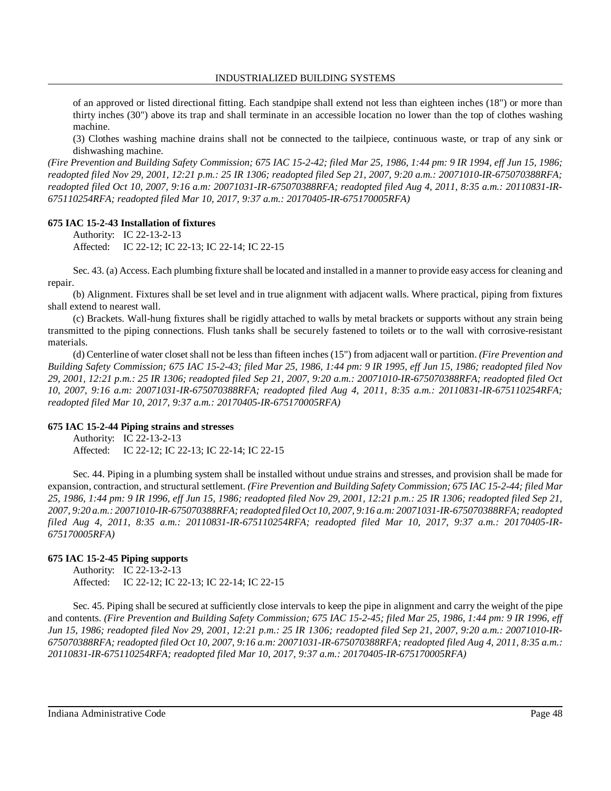of an approved or listed directional fitting. Each standpipe shall extend not less than eighteen inches (18") or more than thirty inches (30") above its trap and shall terminate in an accessible location no lower than the top of clothes washing machine.

(3) Clothes washing machine drains shall not be connected to the tailpiece, continuous waste, or trap of any sink or dishwashing machine.

*(Fire Prevention and Building Safety Commission; 675 IAC 15-2-42; filed Mar 25, 1986, 1:44 pm: 9 IR 1994, eff Jun 15, 1986; readopted filed Nov 29, 2001, 12:21 p.m.: 25 IR 1306; readopted filed Sep 21, 2007, 9:20 a.m.: 20071010-IR-675070388RFA; readopted filed Oct 10, 2007, 9:16 a.m: 20071031-IR-675070388RFA; readopted filed Aug 4, 2011, 8:35 a.m.: 20110831-IR-675110254RFA; readopted filed Mar 10, 2017, 9:37 a.m.: 20170405-IR-675170005RFA)*

### **675 IAC 15-2-43 Installation of fixtures**

Authority: IC 22-13-2-13 Affected: IC 22-12; IC 22-13; IC 22-14; IC 22-15

Sec. 43. (a) Access. Each plumbing fixture shall be located and installed in a manner to provide easy access for cleaning and repair.

(b) Alignment. Fixtures shall be set level and in true alignment with adjacent walls. Where practical, piping from fixtures shall extend to nearest wall.

(c) Brackets. Wall-hung fixtures shall be rigidly attached to walls by metal brackets or supports without any strain being transmitted to the piping connections. Flush tanks shall be securely fastened to toilets or to the wall with corrosive-resistant materials.

(d) Centerline of water closet shall not be less than fifteen inches (15") from adjacent wall or partition. *(Fire Prevention and Building Safety Commission; 675 IAC 15-2-43; filed Mar 25, 1986, 1:44 pm: 9 IR 1995, eff Jun 15, 1986; readopted filed Nov 29, 2001, 12:21 p.m.: 25 IR 1306; readopted filed Sep 21, 2007, 9:20 a.m.: 20071010-IR-675070388RFA; readopted filed Oct 10, 2007, 9:16 a.m: 20071031-IR-675070388RFA; readopted filed Aug 4, 2011, 8:35 a.m.: 20110831-IR-675110254RFA; readopted filed Mar 10, 2017, 9:37 a.m.: 20170405-IR-675170005RFA)*

#### **675 IAC 15-2-44 Piping strains and stresses**

Authority: IC 22-13-2-13 Affected: IC 22-12; IC 22-13; IC 22-14; IC 22-15

Sec. 44. Piping in a plumbing system shall be installed without undue strains and stresses, and provision shall be made for expansion, contraction, and structural settlement. *(Fire Prevention and Building Safety Commission; 675 IAC 15-2-44; filed Mar 25, 1986, 1:44 pm: 9 IR 1996, eff Jun 15, 1986; readopted filed Nov 29, 2001, 12:21 p.m.: 25 IR 1306; readopted filed Sep 21, 2007, 9:20 a.m.: 20071010-IR-675070388RFA;readopted filed Oct 10, 2007, 9:16 a.m: 20071031-IR-675070388RFA;readopted filed Aug 4, 2011, 8:35 a.m.: 20110831-IR-675110254RFA; readopted filed Mar 10, 2017, 9:37 a.m.: 20170405-IR-675170005RFA)*

#### **675 IAC 15-2-45 Piping supports**

Authority: IC 22-13-2-13 Affected: IC 22-12; IC 22-13; IC 22-14; IC 22-15

Sec. 45. Piping shall be secured at sufficiently close intervals to keep the pipe in alignment and carry the weight of the pipe and contents. *(Fire Prevention and Building Safety Commission; 675 IAC 15-2-45; filed Mar 25, 1986, 1:44 pm: 9 IR 1996, eff Jun 15, 1986; readopted filed Nov 29, 2001, 12:21 p.m.: 25 IR 1306; readopted filed Sep 21, 2007, 9:20 a.m.: 20071010-IR-*675070388RFA; readopted filed Oct 10, 2007, 9:16 a.m: 20071031-IR-675070388RFA; readopted filed Aug 4, 2011, 8:35 a.m.: *20110831-IR-675110254RFA; readopted filed Mar 10, 2017, 9:37 a.m.: 20170405-IR-675170005RFA)*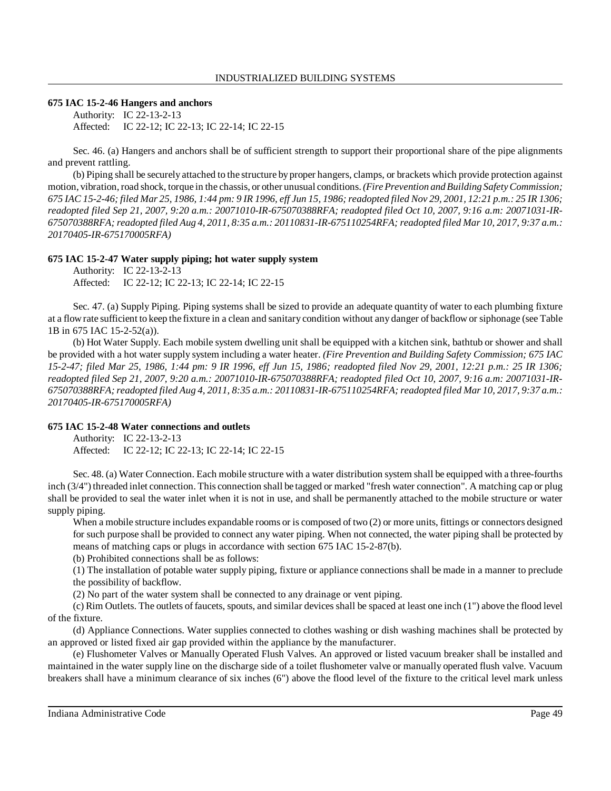### **675 IAC 15-2-46 Hangers and anchors**

Authority: IC 22-13-2-13 Affected: IC 22-12; IC 22-13; IC 22-14; IC 22-15

Sec. 46. (a) Hangers and anchors shall be of sufficient strength to support their proportional share of the pipe alignments and prevent rattling.

(b) Piping shall be securely attached to the structure byproper hangers, clamps, or brackets which provide protection against motion, vibration, road shock, torque in the chassis, or other unusual conditions. (Fire Prevention and Building Safety Commission; 675 IAC 15-2-46; filed Mar 25, 1986, 1:44 pm: 9 IR 1996, eff Jun 15, 1986; readopted filed Nov 29, 2001, 12:21 p.m.: 25 IR 1306; *readopted filed Sep 21, 2007, 9:20 a.m.: 20071010-IR-675070388RFA; readopted filed Oct 10, 2007, 9:16 a.m: 20071031-IR-*675070388RFA; readopted filed Aug 4, 2011, 8:35 a.m.: 20110831-IR-675110254RFA; readopted filed Mar 10, 2017, 9:37 a.m.: *20170405-IR-675170005RFA)*

### **675 IAC 15-2-47 Water supply piping; hot water supply system**

Authority: IC 22-13-2-13 Affected: IC 22-12; IC 22-13; IC 22-14; IC 22-15

Sec. 47. (a) Supply Piping. Piping systems shall be sized to provide an adequate quantity of water to each plumbing fixture at a flowrate sufficient to keep the fixture in a clean and sanitary condition without any danger of backflow or siphonage (see Table 1B in 675 IAC 15-2-52(a)).

(b) Hot Water Supply. Each mobile system dwelling unit shall be equipped with a kitchen sink, bathtub or shower and shall be provided with a hot water supply system including a water heater. *(Fire Prevention and Building Safety Commission; 675 IAC 15-2-47; filed Mar 25, 1986, 1:44 pm: 9 IR 1996, eff Jun 15, 1986; readopted filed Nov 29, 2001, 12:21 p.m.: 25 IR 1306; readopted filed Sep 21, 2007, 9:20 a.m.: 20071010-IR-675070388RFA; readopted filed Oct 10, 2007, 9:16 a.m: 20071031-IR-675070388RFA;readopted filed Aug 4, 2011, 8:35 a.m.: 20110831-IR-675110254RFA; readopted filed Mar 10, 2017, 9:37 a.m.: 20170405-IR-675170005RFA)*

#### **675 IAC 15-2-48 Water connections and outlets**

Authority: IC 22-13-2-13 Affected: IC 22-12; IC 22-13; IC 22-14; IC 22-15

Sec. 48. (a) Water Connection. Each mobile structure with a water distribution system shall be equipped with a three-fourths inch (3/4") threaded inlet connection. This connection shall be tagged or marked "fresh water connection". A matching cap or plug shall be provided to seal the water inlet when it is not in use, and shall be permanently attached to the mobile structure or water supply piping.

When a mobile structure includes expandable rooms or is composed of two (2) or more units, fittings or connectors designed for such purpose shall be provided to connect any water piping. When not connected, the water piping shall be protected by means of matching caps or plugs in accordance with section 675 IAC 15-2-87(b).

(b) Prohibited connections shall be as follows:

(1) The installation of potable water supply piping, fixture or appliance connections shall be made in a manner to preclude the possibility of backflow.

(2) No part of the water system shall be connected to any drainage or vent piping.

(c) Rim Outlets. The outlets of faucets, spouts, and similar devices shall be spaced at least one inch (1") above the flood level of the fixture.

(d) Appliance Connections. Water supplies connected to clothes washing or dish washing machines shall be protected by an approved or listed fixed air gap provided within the appliance by the manufacturer.

(e) Flushometer Valves or Manually Operated Flush Valves. An approved or listed vacuum breaker shall be installed and maintained in the water supply line on the discharge side of a toilet flushometer valve or manually operated flush valve. Vacuum breakers shall have a minimum clearance of six inches (6") above the flood level of the fixture to the critical level mark unless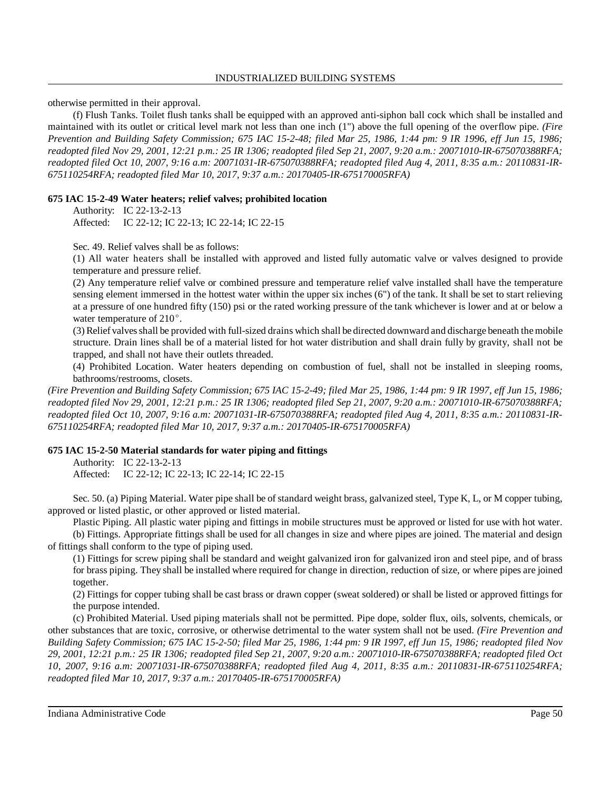otherwise permitted in their approval.

(f) Flush Tanks. Toilet flush tanks shall be equipped with an approved anti-siphon ball cock which shall be installed and maintained with its outlet or critical level mark not less than one inch (1") above the full opening of the overflow pipe. *(Fire Prevention and Building Safety Commission; 675 IAC 15-2-48; filed Mar 25, 1986, 1:44 pm: 9 IR 1996, eff Jun 15, 1986; readopted filed Nov 29, 2001, 12:21 p.m.: 25 IR 1306; readopted filed Sep 21, 2007, 9:20 a.m.: 20071010-IR-675070388RFA; readopted filed Oct 10, 2007, 9:16 a.m: 20071031-IR-675070388RFA; readopted filed Aug 4, 2011, 8:35 a.m.: 20110831-IR-675110254RFA; readopted filed Mar 10, 2017, 9:37 a.m.: 20170405-IR-675170005RFA)*

### **675 IAC 15-2-49 Water heaters; relief valves; prohibited location**

Authority: IC 22-13-2-13 Affected: IC 22-12; IC 22-13; IC 22-14; IC 22-15

Sec. 49. Relief valves shall be as follows:

(1) All water heaters shall be installed with approved and listed fully automatic valve or valves designed to provide temperature and pressure relief.

(2) Any temperature relief valve or combined pressure and temperature relief valve installed shall have the temperature sensing element immersed in the hottest water within the upper six inches (6") of the tank. It shall be set to start relieving at a pressure of one hundred fifty (150) psi or the rated working pressure of the tank whichever is lower and at or below a water temperature of  $210^{\circ}$ .

(3) Relief valvesshall be provided with full-sized drains which shall be directed downward and discharge beneath themobile structure. Drain lines shall be of a material listed for hot water distribution and shall drain fully by gravity, shall not be trapped, and shall not have their outlets threaded.

(4) Prohibited Location. Water heaters depending on combustion of fuel, shall not be installed in sleeping rooms, bathrooms/restrooms, closets.

*(Fire Prevention and Building Safety Commission; 675 IAC 15-2-49; filed Mar 25, 1986, 1:44 pm: 9 IR 1997, eff Jun 15, 1986; readopted filed Nov 29, 2001, 12:21 p.m.: 25 IR 1306; readopted filed Sep 21, 2007, 9:20 a.m.: 20071010-IR-675070388RFA; readopted filed Oct 10, 2007, 9:16 a.m: 20071031-IR-675070388RFA; readopted filed Aug 4, 2011, 8:35 a.m.: 20110831-IR-675110254RFA; readopted filed Mar 10, 2017, 9:37 a.m.: 20170405-IR-675170005RFA)*

# **675 IAC 15-2-50 Material standards for water piping and fittings**

Authority: IC 22-13-2-13 Affected: IC 22-12; IC 22-13; IC 22-14; IC 22-15

Sec. 50. (a) Piping Material. Water pipe shall be of standard weight brass, galvanized steel, Type K, L, or M copper tubing, approved or listed plastic, or other approved or listed material.

Plastic Piping. All plastic water piping and fittings in mobile structures must be approved or listed for use with hot water. (b) Fittings. Appropriate fittings shall be used for all changes in size and where pipes are joined. The material and design of fittings shall conform to the type of piping used.

(1) Fittings for screw piping shall be standard and weight galvanized iron for galvanized iron and steel pipe, and of brass for brass piping. They shall be installed where required for change in direction, reduction of size, or where pipes are joined together.

(2) Fittings for copper tubing shall be cast brass or drawn copper (sweat soldered) or shall be listed or approved fittings for the purpose intended.

(c) Prohibited Material. Used piping materials shall not be permitted. Pipe dope, solder flux, oils, solvents, chemicals, or other substances that are toxic, corrosive, or otherwise detrimental to the water system shall not be used. *(Fire Prevention and Building Safety Commission; 675 IAC 15-2-50; filed Mar 25, 1986, 1:44 pm: 9 IR 1997, eff Jun 15, 1986; readopted filed Nov 29, 2001, 12:21 p.m.: 25 IR 1306; readopted filed Sep 21, 2007, 9:20 a.m.: 20071010-IR-675070388RFA; readopted filed Oct 10, 2007, 9:16 a.m: 20071031-IR-675070388RFA; readopted filed Aug 4, 2011, 8:35 a.m.: 20110831-IR-675110254RFA; readopted filed Mar 10, 2017, 9:37 a.m.: 20170405-IR-675170005RFA)*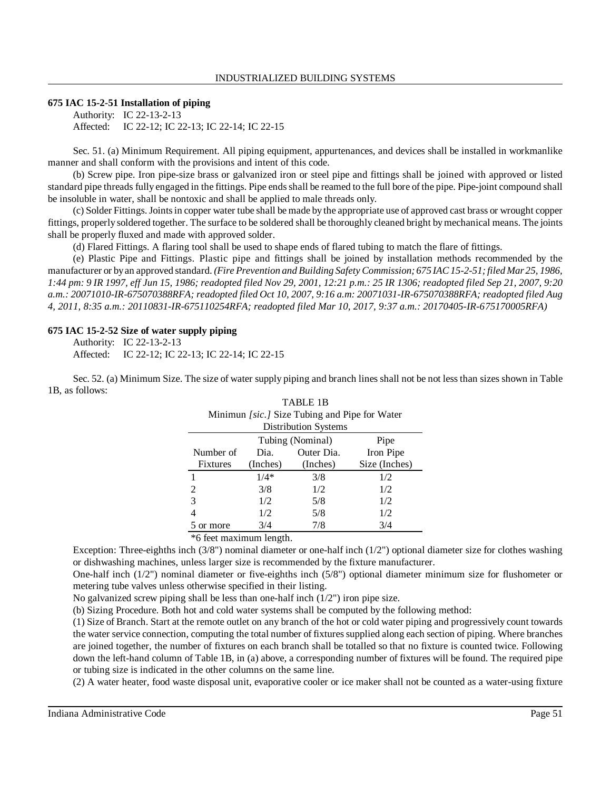### **675 IAC 15-2-51 Installation of piping**

Authority: IC 22-13-2-13 Affected: IC 22-12; IC 22-13; IC 22-14; IC 22-15

Sec. 51. (a) Minimum Requirement. All piping equipment, appurtenances, and devices shall be installed in workmanlike manner and shall conform with the provisions and intent of this code.

(b) Screw pipe. Iron pipe-size brass or galvanized iron or steel pipe and fittings shall be joined with approved or listed standard pipe threads fully engaged in the fittings. Pipe endsshall be reamed to the full bore of the pipe. Pipe-joint compound shall be insoluble in water, shall be nontoxic and shall be applied to male threads only.

(c) Solder Fittings.Jointsin copper water tube shall be made by the appropriate use of approved cast brass or wrought copper fittings, properly soldered together. The surface to be soldered shall be thoroughly cleaned bright bymechanical means. The joints shall be properly fluxed and made with approved solder.

(d) Flared Fittings. A flaring tool shall be used to shape ends of flared tubing to match the flare of fittings.

(e) Plastic Pipe and Fittings. Plastic pipe and fittings shall be joined by installation methods recommended by the manufacturer or byan approved standard. *(Fire Prevention and Building Safety Commission; 675 IAC15-2-51;filed Mar 25, 1986,* 1:44 pm: 9 IR 1997, eff Jun 15, 1986; readopted filed Nov 29, 2001, 12:21 p.m.: 25 IR 1306; readopted filed Sep 21, 2007, 9:20 *a.m.: 20071010-IR-675070388RFA; readopted filed Oct 10, 2007, 9:16 a.m: 20071031-IR-675070388RFA; readopted filed Aug 4, 2011, 8:35 a.m.: 20110831-IR-675110254RFA; readopted filed Mar 10, 2017, 9:37 a.m.: 20170405-IR-675170005RFA)*

#### **675 IAC 15-2-52 Size of water supply piping**

Authority: IC 22-13-2-13 Affected: IC 22-12; IC 22-13; IC 22-14; IC 22-15

Sec. 52. (a) Minimum Size. The size of water supply piping and branch lines shall not be not less than sizes shown in Table 1B, as follows: TABLE 1B

| Minimun [sic.] Size Tubing and Pipe for Water |          |            |               |  |  |  |  |  |  |
|-----------------------------------------------|----------|------------|---------------|--|--|--|--|--|--|
| <b>Distribution Systems</b>                   |          |            |               |  |  |  |  |  |  |
| Tubing (Nominal)<br>Pipe                      |          |            |               |  |  |  |  |  |  |
| Number of                                     | Dia.     | Outer Dia. | Iron Pipe     |  |  |  |  |  |  |
| <b>Fixtures</b>                               | (Inches) | (Inches)   | Size (Inches) |  |  |  |  |  |  |
|                                               | $1/4*$   | 3/8        | 1/2           |  |  |  |  |  |  |
| $\mathcal{D}_{\mathcal{L}}$                   | 3/8      | 1/2        | 1/2           |  |  |  |  |  |  |
| 3                                             | 1/2      | 5/8        | 1/2           |  |  |  |  |  |  |
| 4                                             | 1/2      | 5/8        | 1/2           |  |  |  |  |  |  |
| 5 or more                                     | 3/4      | 7/8        | 3/4           |  |  |  |  |  |  |

\*6 feet maximum length.

Exception: Three-eighths inch (3/8") nominal diameter or one-half inch (1/2") optional diameter size for clothes washing or dishwashing machines, unless larger size is recommended by the fixture manufacturer.

One-half inch (1/2") nominal diameter or five-eighths inch (5/8") optional diameter minimum size for flushometer or metering tube valves unless otherwise specified in their listing.

No galvanized screw piping shall be less than one-half inch (1/2") iron pipe size.

(b) Sizing Procedure. Both hot and cold water systems shall be computed by the following method:

(1) Size of Branch. Start at the remote outlet on any branch of the hot or cold water piping and progressively count towards the water service connection, computing the total number of fixtures supplied along each section of piping. Where branches are joined together, the number of fixtures on each branch shall be totalled so that no fixture is counted twice. Following down the left-hand column of Table 1B, in (a) above, a corresponding number of fixtures will be found. The required pipe or tubing size is indicated in the other columns on the same line.

(2) A water heater, food waste disposal unit, evaporative cooler or ice maker shall not be counted as a water-using fixture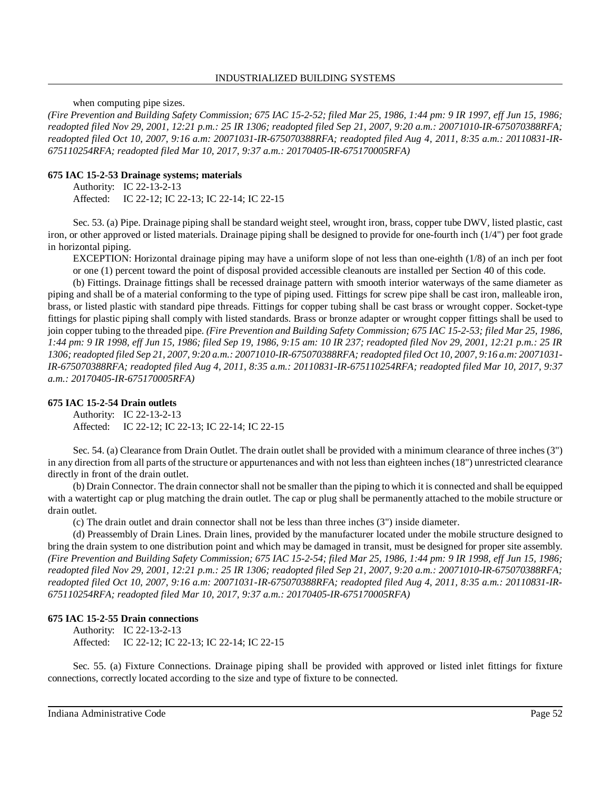when computing pipe sizes.

*(Fire Prevention and Building Safety Commission; 675 IAC 15-2-52; filed Mar 25, 1986, 1:44 pm: 9 IR 1997, eff Jun 15, 1986; readopted filed Nov 29, 2001, 12:21 p.m.: 25 IR 1306; readopted filed Sep 21, 2007, 9:20 a.m.: 20071010-IR-675070388RFA; readopted filed Oct 10, 2007, 9:16 a.m: 20071031-IR-675070388RFA; readopted filed Aug 4, 2011, 8:35 a.m.: 20110831-IR-675110254RFA; readopted filed Mar 10, 2017, 9:37 a.m.: 20170405-IR-675170005RFA)*

### **675 IAC 15-2-53 Drainage systems; materials**

Authority: IC 22-13-2-13 Affected: IC 22-12; IC 22-13; IC 22-14; IC 22-15

Sec. 53. (a) Pipe. Drainage piping shall be standard weight steel, wrought iron, brass, copper tube DWV, listed plastic, cast iron, or other approved or listed materials. Drainage piping shall be designed to provide for one-fourth inch (1/4") per foot grade in horizontal piping.

EXCEPTION: Horizontal drainage piping may have a uniform slope of not less than one-eighth (1/8) of an inch per foot or one (1) percent toward the point of disposal provided accessible cleanouts are installed per Section 40 of this code.

(b) Fittings. Drainage fittings shall be recessed drainage pattern with smooth interior waterways of the same diameter as piping and shall be of a material conforming to the type of piping used. Fittings for screw pipe shall be cast iron, malleable iron, brass, or listed plastic with standard pipe threads. Fittings for copper tubing shall be cast brass or wrought copper. Socket-type fittings for plastic piping shall comply with listed standards. Brass or bronze adapter or wrought copper fittings shall be used to join copper tubing to the threaded pipe. *(Fire Prevention and Building Safety Commission; 675 IAC 15-2-53; filed Mar 25, 1986, 1:44 pm: 9 IR 1998, eff Jun 15, 1986; filed Sep 19, 1986, 9:15 am: 10 IR 237; readopted filed Nov 29, 2001, 12:21 p.m.: 25 IR* 1306; readopted filed Sep 21, 2007, 9:20 a.m.: 20071010-IR-675070388RFA; readopted filed Oct 10, 2007, 9:16 a.m: 20071031-*IR-675070388RFA; readopted filed Aug 4, 2011, 8:35 a.m.: 20110831-IR-675110254RFA; readopted filed Mar 10, 2017, 9:37 a.m.: 20170405-IR-675170005RFA)*

### **675 IAC 15-2-54 Drain outlets**

Authority: IC 22-13-2-13 Affected: IC 22-12; IC 22-13; IC 22-14; IC 22-15

Sec. 54. (a) Clearance from Drain Outlet. The drain outlet shall be provided with a minimum clearance of three inches (3") in any direction from all parts of the structure or appurtenances and with not less than eighteen inches (18") unrestricted clearance directly in front of the drain outlet.

(b) Drain Connector. The drain connector shall not be smaller than the piping to which it is connected and shall be equipped with a watertight cap or plug matching the drain outlet. The cap or plug shall be permanently attached to the mobile structure or drain outlet.

(c) The drain outlet and drain connector shall not be less than three inches (3") inside diameter.

(d) Preassembly of Drain Lines. Drain lines, provided by the manufacturer located under the mobile structure designed to bring the drain system to one distribution point and which may be damaged in transit, must be designed for proper site assembly. *(Fire Prevention and Building Safety Commission; 675 IAC 15-2-54; filed Mar 25, 1986, 1:44 pm: 9 IR 1998, eff Jun 15, 1986; readopted filed Nov 29, 2001, 12:21 p.m.: 25 IR 1306; readopted filed Sep 21, 2007, 9:20 a.m.: 20071010-IR-675070388RFA; readopted filed Oct 10, 2007, 9:16 a.m: 20071031-IR-675070388RFA; readopted filed Aug 4, 2011, 8:35 a.m.: 20110831-IR-675110254RFA; readopted filed Mar 10, 2017, 9:37 a.m.: 20170405-IR-675170005RFA)*

### **675 IAC 15-2-55 Drain connections**

Authority: IC 22-13-2-13 Affected: IC 22-12; IC 22-13; IC 22-14; IC 22-15

Sec. 55. (a) Fixture Connections. Drainage piping shall be provided with approved or listed inlet fittings for fixture connections, correctly located according to the size and type of fixture to be connected.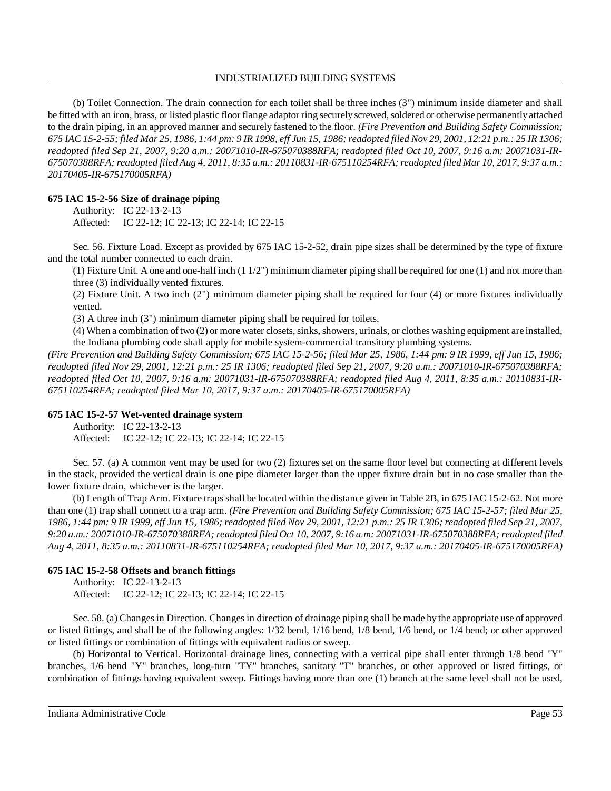#### INDUSTRIALIZED BUILDING SYSTEMS

(b) Toilet Connection. The drain connection for each toilet shall be three inches (3") minimum inside diameter and shall be fitted with an iron, brass, or listed plastic floor flange adaptor ring securely screwed, soldered or otherwise permanently attached to the drain piping, in an approved manner and securely fastened to the floor. *(Fire Prevention and Building Safety Commission;* 675 IAC 15-2-55; filed Mar 25, 1986, 1:44 pm: 9 IR 1998, eff Jun 15, 1986; readopted filed Nov 29, 2001, 12:21 p.m.: 25 IR 1306; *readopted filed Sep 21, 2007, 9:20 a.m.: 20071010-IR-675070388RFA; readopted filed Oct 10, 2007, 9:16 a.m: 20071031-IR-675070388RFA; readopted filed Aug 4, 2011, 8:35 a.m.: 20110831-IR-675110254RFA;readopted filed Mar 10, 2017, 9:37 a.m.: 20170405-IR-675170005RFA)*

### **675 IAC 15-2-56 Size of drainage piping**

Authority: IC 22-13-2-13 Affected: IC 22-12; IC 22-13; IC 22-14; IC 22-15

Sec. 56. Fixture Load. Except as provided by 675 IAC 15-2-52, drain pipe sizes shall be determined by the type of fixture and the total number connected to each drain.

(1) Fixture Unit. A one and one-half inch  $(11/2)$ " minimum diameter piping shall be required for one  $(1)$  and not more than three (3) individually vented fixtures.

(2) Fixture Unit. A two inch (2") minimum diameter piping shall be required for four (4) or more fixtures individually vented.

(3) A three inch (3") minimum diameter piping shall be required for toilets.

 $(4)$  When a combination of two  $(2)$  or more water closets, sinks, showers, urinals, or clothes washing equipment are installed, the Indiana plumbing code shall apply for mobile system-commercial transitory plumbing systems.

*(Fire Prevention and Building Safety Commission; 675 IAC 15-2-56; filed Mar 25, 1986, 1:44 pm: 9 IR 1999, eff Jun 15, 1986; readopted filed Nov 29, 2001, 12:21 p.m.: 25 IR 1306; readopted filed Sep 21, 2007, 9:20 a.m.: 20071010-IR-675070388RFA; readopted filed Oct 10, 2007, 9:16 a.m: 20071031-IR-675070388RFA; readopted filed Aug 4, 2011, 8:35 a.m.: 20110831-IR-675110254RFA; readopted filed Mar 10, 2017, 9:37 a.m.: 20170405-IR-675170005RFA)*

### **675 IAC 15-2-57 Wet-vented drainage system**

Authority: IC 22-13-2-13

Affected: IC 22-12; IC 22-13; IC 22-14; IC 22-15

Sec. 57. (a) A common vent may be used for two (2) fixtures set on the same floor level but connecting at different levels in the stack, provided the vertical drain is one pipe diameter larger than the upper fixture drain but in no case smaller than the lower fixture drain, whichever is the larger.

(b) Length of Trap Arm. Fixture traps shall be located within the distance given in Table 2B, in 675 IAC 15-2-62. Not more than one (1) trap shall connect to a trap arm. *(Fire Prevention and Building Safety Commission; 675 IAC 15-2-57; filed Mar 25,* 1986, 1:44 pm: 9 IR 1999, eff Jun 15, 1986; readopted filed Nov 29, 2001, 12:21 p.m.: 25 IR 1306; readopted filed Sep 21, 2007, *9:20 a.m.: 20071010-IR-675070388RFA; readopted filed Oct 10, 2007, 9:16 a.m: 20071031-IR-675070388RFA; readopted filed Aug 4, 2011, 8:35 a.m.: 20110831-IR-675110254RFA; readopted filed Mar 10, 2017, 9:37 a.m.: 20170405-IR-675170005RFA)*

### **675 IAC 15-2-58 Offsets and branch fittings**

Authority: IC 22-13-2-13 Affected: IC 22-12; IC 22-13; IC 22-14; IC 22-15

Sec. 58. (a) Changesin Direction. Changes in direction of drainage piping shall be made by the appropriate use of approved or listed fittings, and shall be of the following angles: 1/32 bend, 1/16 bend, 1/8 bend, 1/6 bend, or 1/4 bend; or other approved or listed fittings or combination of fittings with equivalent radius or sweep.

(b) Horizontal to Vertical. Horizontal drainage lines, connecting with a vertical pipe shall enter through 1/8 bend "Y" branches, 1/6 bend "Y" branches, long-turn "TY" branches, sanitary "T" branches, or other approved or listed fittings, or combination of fittings having equivalent sweep. Fittings having more than one (1) branch at the same level shall not be used,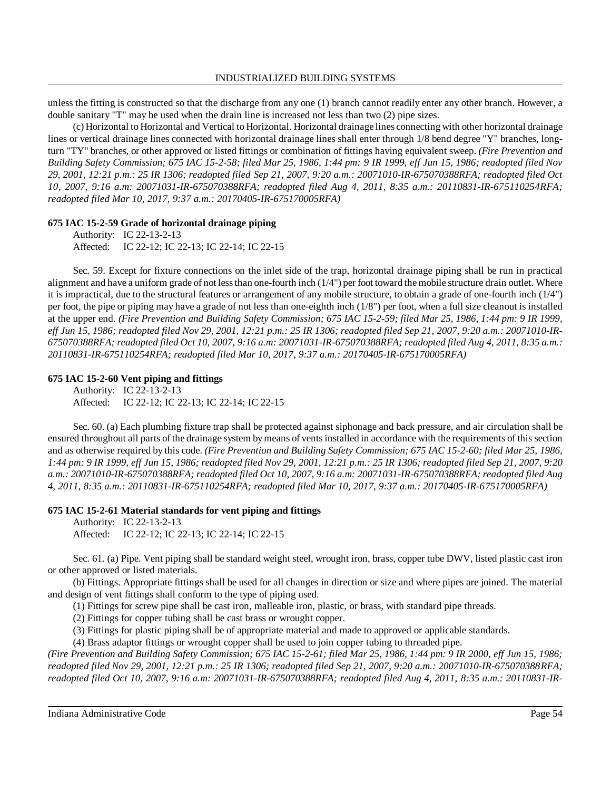unless the fitting is constructed so that the discharge from any one (1) branch cannot readily enter any other branch. However, a double sanitary "T" may be used when the drain line is increased not less than two (2) pipe sizes.

(c) Horizontal to Horizontal and Vertical to Horizontal. Horizontal drainage lines connecting with other horizontal drainage lines or vertical drainage lines connected with horizontal drainage lines shall enter through 1/8 bend degree "Y" branches, longturn "TY" branches, or other approved or listed fittings or combination of fittings having equivalent sweep. *(Fire Prevention and Building Safety Commission; 675 IAC 15-2-58; filed Mar 25, 1986, 1:44 pm: 9 IR 1999, eff Jun 15, 1986; readopted filed Nov 29, 2001, 12:21 p.m.: 25 IR 1306; readopted filed Sep 21, 2007, 9:20 a.m.: 20071010-IR-675070388RFA; readopted filed Oct 10, 2007, 9:16 a.m: 20071031-IR-675070388RFA; readopted filed Aug 4, 2011, 8:35 a.m.: 20110831-IR-675110254RFA; readopted filed Mar 10, 2017, 9:37 a.m.: 20170405-IR-675170005RFA)*

### **675 IAC 15-2-59 Grade of horizontal drainage piping**

Authority: IC 22-13-2-13 Affected: IC 22-12; IC 22-13; IC 22-14; IC 22-15

Sec. 59. Except for fixture connections on the inlet side of the trap, horizontal drainage piping shall be run in practical alignment and have a uniform grade of not lessthan one-fourth inch (1/4") per foot toward themobile structure drain outlet. Where it is impractical, due to the structural features or arrangement of any mobile structure, to obtain a grade of one-fourth inch (1/4") per foot, the pipe or piping may have a grade of not less than one-eighth inch (1/8") per foot, when a full size cleanout is installed at the upper end. *(Fire Prevention and Building Safety Commission; 675 IAC 15-2-59; filed Mar 25, 1986, 1:44 pm: 9 IR 1999,* eff Jun 15, 1986; readopted filed Nov 29, 2001, 12:21 p.m.: 25 IR 1306; readopted filed Sep 21, 2007, 9:20 a.m.: 20071010-IR-675070388RFA; readopted filed Oct 10, 2007, 9:16 a.m: 20071031-IR-675070388RFA; readopted filed Aug 4, 2011, 8:35 a.m.: *20110831-IR-675110254RFA; readopted filed Mar 10, 2017, 9:37 a.m.: 20170405-IR-675170005RFA)*

### **675 IAC 15-2-60 Vent piping and fittings**

Authority: IC 22-13-2-13 Affected: IC 22-12; IC 22-13; IC 22-14; IC 22-15

Sec. 60. (a) Each plumbing fixture trap shall be protected against siphonage and back pressure, and air circulation shall be ensured throughout all parts of the drainage system bymeans of ventsinstalled in accordance with the requirements of this section and as otherwise required by this code. *(Fire Prevention and Building Safety Commission; 675 IAC 15-2-60; filed Mar 25, 1986,* 1:44 pm: 9 IR 1999, eff Jun 15, 1986; readopted filed Nov 29, 2001, 12:21 p.m.: 25 IR 1306; readopted filed Sep 21, 2007, 9:20 *a.m.: 20071010-IR-675070388RFA; readopted filed Oct 10, 2007, 9:16 a.m: 20071031-IR-675070388RFA; readopted filed Aug 4, 2011, 8:35 a.m.: 20110831-IR-675110254RFA; readopted filed Mar 10, 2017, 9:37 a.m.: 20170405-IR-675170005RFA)*

#### **675 IAC 15-2-61 Material standards for vent piping and fittings**

Authority: IC 22-13-2-13 Affected: IC 22-12; IC 22-13; IC 22-14; IC 22-15

Sec. 61. (a) Pipe. Vent piping shall be standard weight steel, wrought iron, brass, copper tube DWV, listed plastic cast iron or other approved or listed materials.

(b) Fittings. Appropriate fittings shall be used for all changes in direction or size and where pipes are joined. The material and design of vent fittings shall conform to the type of piping used.

(1) Fittings for screw pipe shall be cast iron, malleable iron, plastic, or brass, with standard pipe threads.

(2) Fittings for copper tubing shall be cast brass or wrought copper.

(3) Fittings for plastic piping shall be of appropriate material and made to approved or applicable standards.

(4) Brass adaptor fittings or wrought copper shall be used to join copper tubing to threaded pipe.

*(Fire Prevention and Building Safety Commission; 675 IAC 15-2-61; filed Mar 25, 1986, 1:44 pm: 9 IR 2000, eff Jun 15, 1986; readopted filed Nov 29, 2001, 12:21 p.m.: 25 IR 1306; readopted filed Sep 21, 2007, 9:20 a.m.: 20071010-IR-675070388RFA; readopted filed Oct 10, 2007, 9:16 a.m: 20071031-IR-675070388RFA; readopted filed Aug 4, 2011, 8:35 a.m.: 20110831-IR-*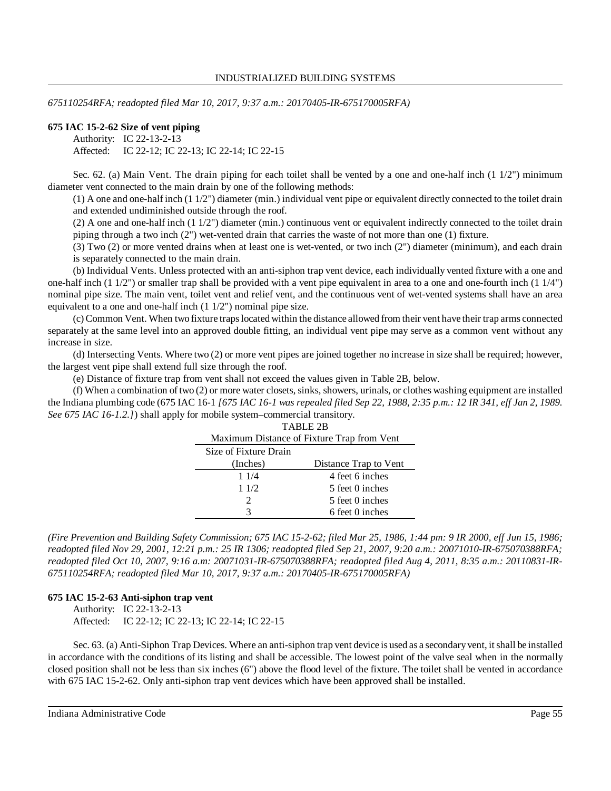*675110254RFA; readopted filed Mar 10, 2017, 9:37 a.m.: 20170405-IR-675170005RFA)*

#### **675 IAC 15-2-62 Size of vent piping**

Authority: IC 22-13-2-13 Affected: IC 22-12; IC 22-13; IC 22-14; IC 22-15

Sec. 62. (a) Main Vent. The drain piping for each toilet shall be vented by a one and one-half inch (1 1/2") minimum diameter vent connected to the main drain by one of the following methods:

(1) A one and one-half inch (1 1/2") diameter (min.) individual vent pipe or equivalent directly connected to the toilet drain and extended undiminished outside through the roof.

(2) A one and one-half inch (1 1/2") diameter (min.) continuous vent or equivalent indirectly connected to the toilet drain piping through a two inch (2") wet-vented drain that carries the waste of not more than one (1) fixture.

(3) Two (2) or more vented drains when at least one is wet-vented, or two inch (2") diameter (minimum), and each drain is separately connected to the main drain.

(b) Individual Vents. Unless protected with an anti-siphon trap vent device, each individually vented fixture with a one and one-half inch (1 1/2") or smaller trap shall be provided with a vent pipe equivalent in area to a one and one-fourth inch (1 1/4") nominal pipe size. The main vent, toilet vent and relief vent, and the continuous vent of wet-vented systems shall have an area equivalent to a one and one-half inch (1 1/2") nominal pipe size.

(c) Common Vent. When two fixture trapslocated within the distance allowed from their vent have their trap arms connected separately at the same level into an approved double fitting, an individual vent pipe may serve as a common vent without any increase in size.

(d) Intersecting Vents. Where two (2) or more vent pipes are joined together no increase in size shall be required; however, the largest vent pipe shall extend full size through the roof.

(e) Distance of fixture trap from vent shall not exceed the values given in Table 2B, below.

(f) When a combination of two (2) or more water closets, sinks, showers, urinals, or clothes washing equipment are installed the Indiana plumbing code (675 IAC 16-1 [675 IAC 16-1 was repealed filed Sep 22, 1988, 2:35 p.m.: 12 IR 341, eff Jan 2, 1989. *See 675 IAC 16-1.2.]*) shall apply for mobile system–commercial transitory.

| TABLE 2B                                   |                       |  |  |  |  |  |  |
|--------------------------------------------|-----------------------|--|--|--|--|--|--|
| Maximum Distance of Fixture Trap from Vent |                       |  |  |  |  |  |  |
| Size of Fixture Drain                      |                       |  |  |  |  |  |  |
| (Inches)                                   | Distance Trap to Vent |  |  |  |  |  |  |
| 11/4                                       | 4 feet 6 inches       |  |  |  |  |  |  |
| 11/2                                       | 5 feet 0 inches       |  |  |  |  |  |  |
| $\mathcal{D}_{\mathcal{L}}$                | 5 feet 0 inches       |  |  |  |  |  |  |
|                                            | 6 feet 0 inches       |  |  |  |  |  |  |

*(Fire Prevention and Building Safety Commission; 675 IAC 15-2-62; filed Mar 25, 1986, 1:44 pm: 9 IR 2000, eff Jun 15, 1986; readopted filed Nov 29, 2001, 12:21 p.m.: 25 IR 1306; readopted filed Sep 21, 2007, 9:20 a.m.: 20071010-IR-675070388RFA; readopted filed Oct 10, 2007, 9:16 a.m: 20071031-IR-675070388RFA; readopted filed Aug 4, 2011, 8:35 a.m.: 20110831-IR-675110254RFA; readopted filed Mar 10, 2017, 9:37 a.m.: 20170405-IR-675170005RFA)*

#### **675 IAC 15-2-63 Anti-siphon trap vent**

Authority: IC 22-13-2-13

Affected: IC 22-12; IC 22-13; IC 22-14; IC 22-15

Sec. 63. (a) Anti-Siphon Trap Devices. Where an anti-siphon trap vent device is used as a secondary vent, it shall be installed in accordance with the conditions of its listing and shall be accessible. The lowest point of the valve seal when in the normally closed position shall not be less than six inches (6") above the flood level of the fixture. The toilet shall be vented in accordance with 675 IAC 15-2-62. Only anti-siphon trap vent devices which have been approved shall be installed.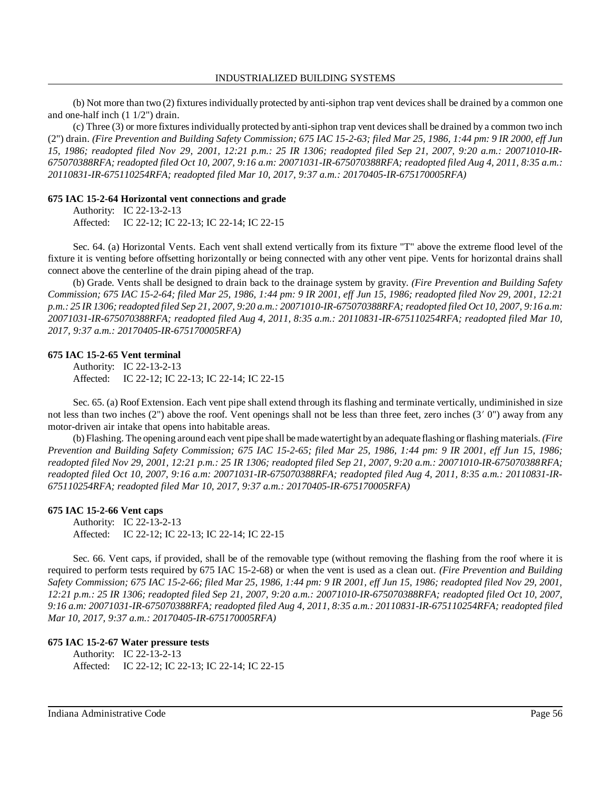(b) Not more than two (2) fixturesindividually protected by anti-siphon trap vent devices shall be drained by a common one and one-half inch (1 1/2") drain.

(c) Three (3) or more fixturesindividually protected by anti-siphon trap vent devicesshall be drained by a common two inch (2") drain. (Fire Prevention and Building Safety Commission; 675 IAC 15-2-63; filed Mar 25, 1986, 1:44 pm: 9 IR 2000, eff Jun *15, 1986; readopted filed Nov 29, 2001, 12:21 p.m.: 25 IR 1306; readopted filed Sep 21, 2007, 9:20 a.m.: 20071010-IR-*675070388RFA; readopted filed Oct 10, 2007, 9:16 a.m: 20071031-IR-675070388RFA; readopted filed Aug 4, 2011, 8:35 a.m.: *20110831-IR-675110254RFA; readopted filed Mar 10, 2017, 9:37 a.m.: 20170405-IR-675170005RFA)*

#### **675 IAC 15-2-64 Horizontal vent connections and grade**

Authority: IC 22-13-2-13 Affected: IC 22-12; IC 22-13; IC 22-14; IC 22-15

Sec. 64. (a) Horizontal Vents. Each vent shall extend vertically from its fixture "T" above the extreme flood level of the fixture it is venting before offsetting horizontally or being connected with any other vent pipe. Vents for horizontal drains shall connect above the centerline of the drain piping ahead of the trap.

(b) Grade. Vents shall be designed to drain back to the drainage system by gravity. *(Fire Prevention and Building Safety Commission; 675 IAC 15-2-64; filed Mar 25, 1986, 1:44 pm: 9 IR 2001, eff Jun 15, 1986; readopted filed Nov 29, 2001, 12:21* p.m.: 25 IR 1306; readopted filed Sep 21, 2007, 9:20 a.m.: 20071010-IR-675070388RFA; readopted filed Oct 10, 2007, 9:16 a.m: *20071031-IR-675070388RFA; readopted filed Aug 4, 2011, 8:35 a.m.: 20110831-IR-675110254RFA; readopted filed Mar 10, 2017, 9:37 a.m.: 20170405-IR-675170005RFA)*

#### **675 IAC 15-2-65 Vent terminal**

Authority: IC 22-13-2-13 Affected: IC 22-12; IC 22-13; IC 22-14; IC 22-15

Sec. 65. (a) Roof Extension. Each vent pipe shall extend through its flashing and terminate vertically, undiminished in size not less than two inches (2") above the roof. Vent openings shall not be less than three feet, zero inches (3' 0") away from any motor-driven air intake that opens into habitable areas.

(b) Flashing. The opening around each vent pipe shall bemadewatertight byan adequate flashing or flashing materials. *(Fire* Prevention and Building Safety Commission; 675 IAC 15-2-65; filed Mar 25, 1986, 1:44 pm: 9 IR 2001, eff Jun 15, 1986; *readopted filed Nov 29, 2001, 12:21 p.m.: 25 IR 1306; readopted filed Sep 21, 2007, 9:20 a.m.: 20071010-IR-675070388RFA; readopted filed Oct 10, 2007, 9:16 a.m: 20071031-IR-675070388RFA; readopted filed Aug 4, 2011, 8:35 a.m.: 20110831-IR-675110254RFA; readopted filed Mar 10, 2017, 9:37 a.m.: 20170405-IR-675170005RFA)*

#### **675 IAC 15-2-66 Vent caps**

Authority: IC 22-13-2-13 Affected: IC 22-12; IC 22-13; IC 22-14; IC 22-15

Sec. 66. Vent caps, if provided, shall be of the removable type (without removing the flashing from the roof where it is required to perform tests required by 675 IAC 15-2-68) or when the vent is used as a clean out. *(Fire Prevention and Building Safety Commission; 675 IAC 15-2-66; filed Mar 25, 1986, 1:44 pm: 9 IR 2001, eff Jun 15, 1986; readopted filed Nov 29, 2001, 12:21 p.m.: 25 IR 1306; readopted filed Sep 21, 2007, 9:20 a.m.: 20071010-IR-675070388RFA; readopted filed Oct 10, 2007, 9:16 a.m: 20071031-IR-675070388RFA; readopted filed Aug 4, 2011, 8:35 a.m.: 20110831-IR-675110254RFA; readopted filed Mar 10, 2017, 9:37 a.m.: 20170405-IR-675170005RFA)*

#### **675 IAC 15-2-67 Water pressure tests** Authority: IC 22-13-2-13 Affected: IC 22-12; IC 22-13; IC 22-14; IC 22-15

Indiana Administrative Code Page 56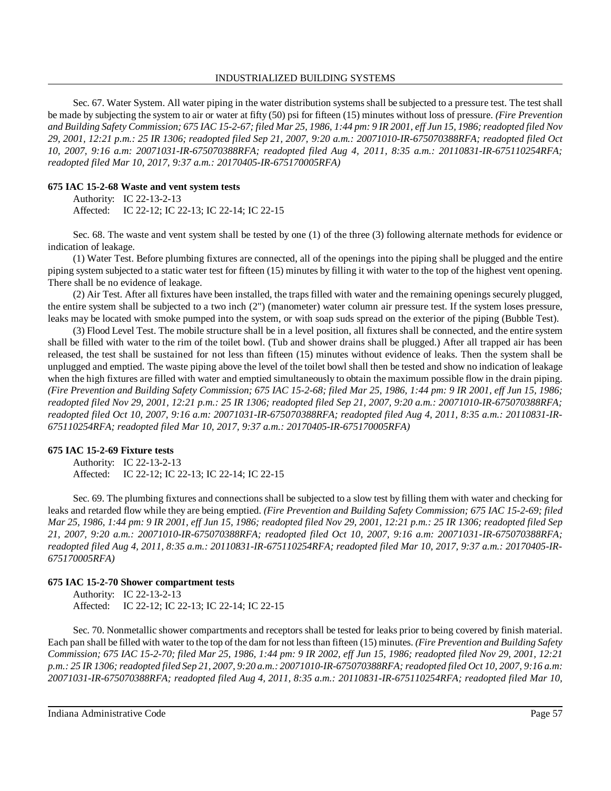#### INDUSTRIALIZED BUILDING SYSTEMS

Sec. 67. Water System. All water piping in the water distribution systems shall be subjected to a pressure test. The test shall be made by subjecting the system to air or water at fifty (50) psi for fifteen (15) minutes without loss of pressure. *(Fire Prevention* and Building Safety Commission; 675 IAC 15-2-67; filed Mar 25, 1986, 1:44 pm: 9 IR 2001, eff Jun 15, 1986; readopted filed Nov *29, 2001, 12:21 p.m.: 25 IR 1306; readopted filed Sep 21, 2007, 9:20 a.m.: 20071010-IR-675070388RFA; readopted filed Oct 10, 2007, 9:16 a.m: 20071031-IR-675070388RFA; readopted filed Aug 4, 2011, 8:35 a.m.: 20110831-IR-675110254RFA; readopted filed Mar 10, 2017, 9:37 a.m.: 20170405-IR-675170005RFA)*

### **675 IAC 15-2-68 Waste and vent system tests**

Authority: IC 22-13-2-13 Affected: IC 22-12; IC 22-13; IC 22-14; IC 22-15

Sec. 68. The waste and vent system shall be tested by one (1) of the three (3) following alternate methods for evidence or indication of leakage.

(1) Water Test. Before plumbing fixtures are connected, all of the openings into the piping shall be plugged and the entire piping system subjected to a static water test for fifteen (15) minutes by filling it with water to the top of the highest vent opening. There shall be no evidence of leakage.

(2) Air Test. After all fixtures have been installed, the traps filled with water and the remaining openings securely plugged, the entire system shall be subjected to a two inch (2") (manometer) water column air pressure test. If the system loses pressure, leaks may be located with smoke pumped into the system, or with soap suds spread on the exterior of the piping (Bubble Test).

(3) Flood Level Test. The mobile structure shall be in a level position, all fixtures shall be connected, and the entire system shall be filled with water to the rim of the toilet bowl. (Tub and shower drains shall be plugged.) After all trapped air has been released, the test shall be sustained for not less than fifteen (15) minutes without evidence of leaks. Then the system shall be unplugged and emptied. The waste piping above the level of the toilet bowl shall then be tested and show no indication of leakage when the high fixtures are filled with water and emptied simultaneously to obtain the maximum possible flow in the drain piping. *(Fire Prevention and Building Safety Commission; 675 IAC 15-2-68; filed Mar 25, 1986, 1:44 pm: 9 IR 2001, eff Jun 15, 1986; readopted filed Nov 29, 2001, 12:21 p.m.: 25 IR 1306; readopted filed Sep 21, 2007, 9:20 a.m.: 20071010-IR-675070388RFA; readopted filed Oct 10, 2007, 9:16 a.m: 20071031-IR-675070388RFA; readopted filed Aug 4, 2011, 8:35 a.m.: 20110831-IR-675110254RFA; readopted filed Mar 10, 2017, 9:37 a.m.: 20170405-IR-675170005RFA)*

### **675 IAC 15-2-69 Fixture tests**

Authority: IC 22-13-2-13 Affected: IC 22-12; IC 22-13; IC 22-14; IC 22-15

Sec. 69. The plumbing fixtures and connections shall be subjected to a slow test by filling them with water and checking for leaks and retarded flow while they are being emptied. *(Fire Prevention and Building Safety Commission; 675 IAC 15-2-69; filed* Mar 25, 1986, 1:44 pm: 9 IR 2001, eff Jun 15, 1986; readopted filed Nov 29, 2001, 12:21 p.m.: 25 IR 1306; readopted filed Sep *21, 2007, 9:20 a.m.: 20071010-IR-675070388RFA; readopted filed Oct 10, 2007, 9:16 a.m: 20071031-IR-675070388RFA; readopted filed Aug 4, 2011, 8:35 a.m.: 20110831-IR-675110254RFA; readopted filed Mar 10, 2017, 9:37 a.m.: 20170405-IR-675170005RFA)*

#### **675 IAC 15-2-70 Shower compartment tests**

Authority: IC 22-13-2-13 Affected: IC 22-12; IC 22-13; IC 22-14; IC 22-15

Sec. 70. Nonmetallic shower compartments and receptors shall be tested for leaks prior to being covered by finish material. Each pan shall be filled with water to the top of the dam for not lessthan fifteen (15) minutes. *(Fire Prevention and Building Safety Commission; 675 IAC 15-2-70; filed Mar 25, 1986, 1:44 pm: 9 IR 2002, eff Jun 15, 1986; readopted filed Nov 29, 2001, 12:21* p.m.: 25 IR 1306; readopted filed Sep 21, 2007, 9:20 a.m.: 20071010-IR-675070388RFA; readopted filed Oct 10, 2007, 9:16 a.m: *20071031-IR-675070388RFA; readopted filed Aug 4, 2011, 8:35 a.m.: 20110831-IR-675110254RFA; readopted filed Mar 10,*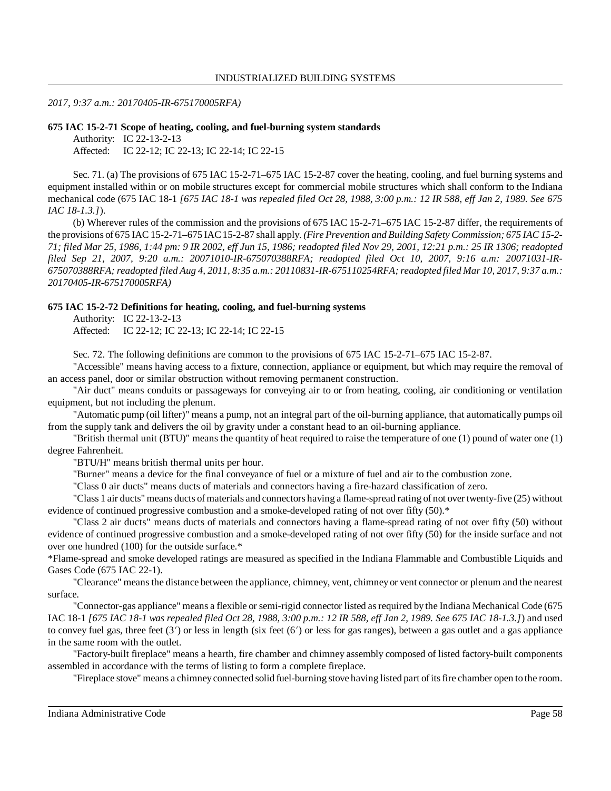#### *2017, 9:37 a.m.: 20170405-IR-675170005RFA)*

#### **675 IAC 15-2-71 Scope of heating, cooling, and fuel-burning system standards**

Authority: IC 22-13-2-13 Affected: IC 22-12; IC 22-13; IC 22-14; IC 22-15

Sec. 71. (a) The provisions of 675 IAC 15-2-71–675 IAC 15-2-87 cover the heating, cooling, and fuel burning systems and equipment installed within or on mobile structures except for commercial mobile structures which shall conform to the Indiana mechanical code (675 IAC 18-1 *[675 IAC 18-1 was repealed filed Oct 28, 1988, 3:00 p.m.: 12 IR 588, eff Jan 2, 1989. See 675 IAC 18-1.3.]*).

(b) Wherever rules of the commission and the provisions of 675 IAC 15-2-71–675 IAC 15-2-87 differ, the requirements of the provisions of 675 IAC 15-2-71–675 IAC15-2-87 shall apply. *(Fire Prevention and Building Safety Commission; 675 IAC 15-2-* 71; filed Mar 25, 1986, 1:44 pm: 9 IR 2002, eff Jun 15, 1986; readopted filed Nov 29, 2001, 12:21 p.m.: 25 IR 1306; readopted *filed Sep 21, 2007, 9:20 a.m.: 20071010-IR-675070388RFA; readopted filed Oct 10, 2007, 9:16 a.m: 20071031-IR-675070388RFA; readopted filed Aug 4, 2011, 8:35 a.m.: 20110831-IR-675110254RFA;readopted filed Mar 10, 2017, 9:37 a.m.: 20170405-IR-675170005RFA)*

#### **675 IAC 15-2-72 Definitions for heating, cooling, and fuel-burning systems**

Authority: IC 22-13-2-13 Affected: IC 22-12; IC 22-13; IC 22-14; IC 22-15

Sec. 72. The following definitions are common to the provisions of 675 IAC 15-2-71–675 IAC 15-2-87.

"Accessible" means having access to a fixture, connection, appliance or equipment, but which may require the removal of an access panel, door or similar obstruction without removing permanent construction.

"Air duct" means conduits or passageways for conveying air to or from heating, cooling, air conditioning or ventilation equipment, but not including the plenum.

"Automatic pump (oil lifter)" means a pump, not an integral part of the oil-burning appliance, that automatically pumps oil from the supply tank and delivers the oil by gravity under a constant head to an oil-burning appliance.

"British thermal unit (BTU)" means the quantity of heat required to raise the temperature of one (1) pound of water one (1) degree Fahrenheit.

"BTU/H" means british thermal units per hour.

"Burner" means a device for the final conveyance of fuel or a mixture of fuel and air to the combustion zone.

"Class 0 air ducts" means ducts of materials and connectors having a fire-hazard classification of zero.

"Class 1 air ducts" means ducts ofmaterials and connectors having a flame-spread rating of not over twenty-five (25) without evidence of continued progressive combustion and a smoke-developed rating of not over fifty (50).\*

"Class 2 air ducts" means ducts of materials and connectors having a flame-spread rating of not over fifty (50) without evidence of continued progressive combustion and a smoke-developed rating of not over fifty (50) for the inside surface and not over one hundred (100) for the outside surface.\*

\*Flame-spread and smoke developed ratings are measured as specified in the Indiana Flammable and Combustible Liquids and Gases Code (675 IAC 22-1).

"Clearance" means the distance between the appliance, chimney, vent, chimney or vent connector or plenum and the nearest surface.

"Connector-gas appliance" means a flexible or semi-rigid connector listed asrequired by the Indiana Mechanical Code (675 IAC 18-1 [675 IAC 18-1 was repealed filed Oct 28, 1988, 3:00 p.m.: 12 IR 588, eff Jan 2, 1989. See 675 IAC 18-1.3.]) and used to convey fuel gas, three feet  $(3')$  or less in length (six feet  $(6')$  or less for gas ranges), between a gas outlet and a gas appliance in the same room with the outlet.

"Factory-built fireplace" means a hearth, fire chamber and chimney assembly composed of listed factory-built components assembled in accordance with the terms of listing to form a complete fireplace.

"Fireplace stove" means a chimneyconnected solid fuel-burning stove having listed part ofitsfire chamber open to the room.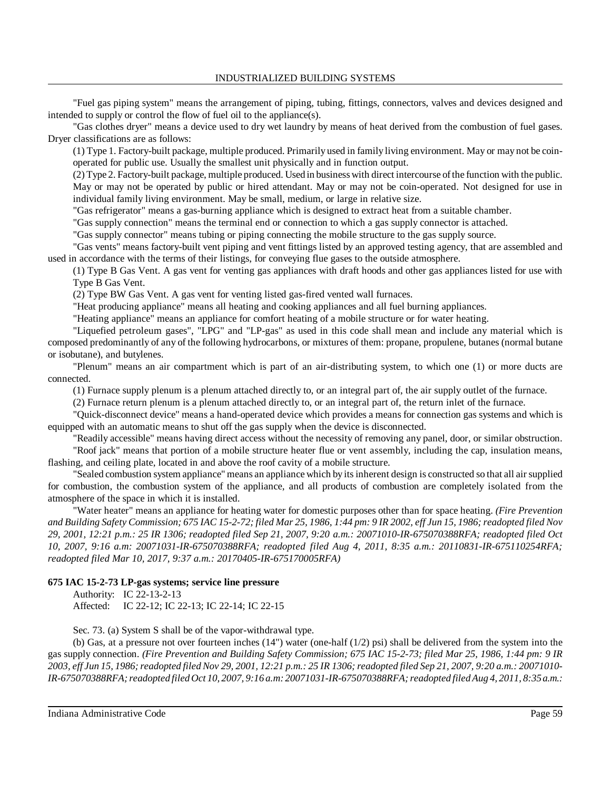"Fuel gas piping system" means the arrangement of piping, tubing, fittings, connectors, valves and devices designed and intended to supply or control the flow of fuel oil to the appliance(s).

"Gas clothes dryer" means a device used to dry wet laundry by means of heat derived from the combustion of fuel gases. Dryer classifications are as follows:

(1) Type 1. Factory-built package, multiple produced. Primarily used in family living environment. May or may not be coinoperated for public use. Usually the smallest unit physically and in function output.

(2) Type 2. Factory-built package, multiple produced. Used in business with direct intercourse ofthe function with the public. May or may not be operated by public or hired attendant. May or may not be coin-operated. Not designed for use in individual family living environment. May be small, medium, or large in relative size.

"Gas refrigerator" means a gas-burning appliance which is designed to extract heat from a suitable chamber.

"Gas supply connection" means the terminal end or connection to which a gas supply connector is attached.

"Gas supply connector" means tubing or piping connecting the mobile structure to the gas supply source.

"Gas vents" means factory-built vent piping and vent fittings listed by an approved testing agency, that are assembled and used in accordance with the terms of their listings, for conveying flue gases to the outside atmosphere.

(1) Type B Gas Vent. A gas vent for venting gas appliances with draft hoods and other gas appliances listed for use with Type B Gas Vent.

(2) Type BW Gas Vent. A gas vent for venting listed gas-fired vented wall furnaces.

"Heat producing appliance" means all heating and cooking appliances and all fuel burning appliances.

"Heating appliance" means an appliance for comfort heating of a mobile structure or for water heating.

"Liquefied petroleum gases", "LPG" and "LP-gas" as used in this code shall mean and include any material which is composed predominantly of any of the following hydrocarbons, or mixtures of them: propane, propulene, butanes (normal butane or isobutane), and butylenes.

"Plenum" means an air compartment which is part of an air-distributing system, to which one (1) or more ducts are connected.

(1) Furnace supply plenum is a plenum attached directly to, or an integral part of, the air supply outlet of the furnace.

(2) Furnace return plenum is a plenum attached directly to, or an integral part of, the return inlet of the furnace.

"Quick-disconnect device" means a hand-operated device which provides a means for connection gas systems and which is equipped with an automatic means to shut off the gas supply when the device is disconnected.

"Readily accessible" means having direct access without the necessity of removing any panel, door, or similar obstruction. "Roof jack" means that portion of a mobile structure heater flue or vent assembly, including the cap, insulation means,

flashing, and ceiling plate, located in and above the roof cavity of a mobile structure.

"Sealed combustion system appliance" means an appliance which by itsinherent design is constructed so that all airsupplied for combustion, the combustion system of the appliance, and all products of combustion are completely isolated from the atmosphere of the space in which it is installed.

"Water heater" means an appliance for heating water for domestic purposes other than for space heating. *(Fire Prevention* and Building Safety Commission; 675 IAC 15-2-72; filed Mar 25, 1986, 1:44 pm: 9 IR 2002, eff Jun 15, 1986; readopted filed Nov *29, 2001, 12:21 p.m.: 25 IR 1306; readopted filed Sep 21, 2007, 9:20 a.m.: 20071010-IR-675070388RFA; readopted filed Oct 10, 2007, 9:16 a.m: 20071031-IR-675070388RFA; readopted filed Aug 4, 2011, 8:35 a.m.: 20110831-IR-675110254RFA; readopted filed Mar 10, 2017, 9:37 a.m.: 20170405-IR-675170005RFA)*

### **675 IAC 15-2-73 LP-gas systems; service line pressure**

Authority: IC 22-13-2-13 Affected: IC 22-12; IC 22-13; IC 22-14; IC 22-15

Sec. 73. (a) System S shall be of the vapor-withdrawal type.

(b) Gas, at a pressure not over fourteen inches  $(14")$  water (one-half  $(1/2)$  psi) shall be delivered from the system into the gas supply connection. *(Fire Prevention and Building Safety Commission; 675 IAC 15-2-73; filed Mar 25, 1986, 1:44 pm: 9 IR* 2003, eff Jun 15, 1986; readopted filed Nov 29, 2001, 12:21 p.m.; 25 IR 1306; readopted filed Sep 21, 2007, 9:20 a.m.; 20071010-*IR-675070388RFA;readopted filed Oct 10, 2007, 9:16 a.m: 20071031-IR-675070388RFA;readopted filedAug 4, 2011, 8:35 a.m.:*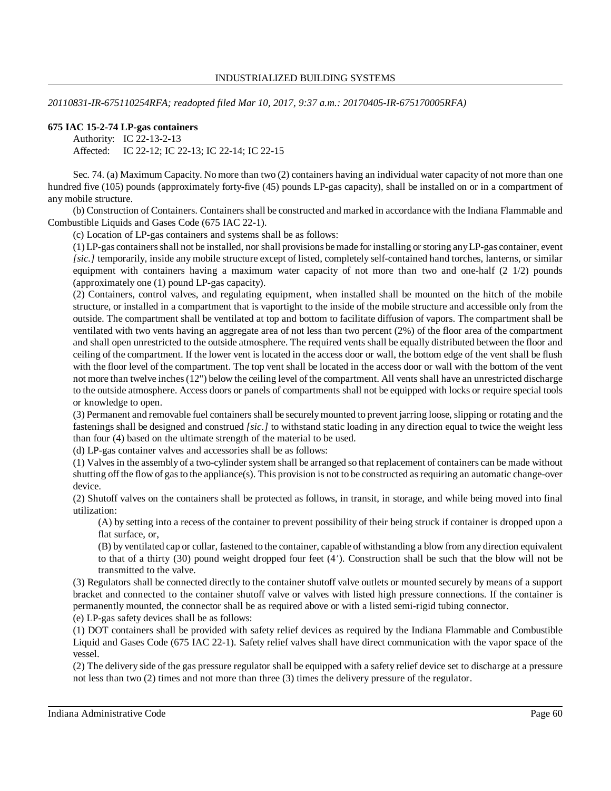*20110831-IR-675110254RFA; readopted filed Mar 10, 2017, 9:37 a.m.: 20170405-IR-675170005RFA)*

#### **675 IAC 15-2-74 LP-gas containers**

Authority: IC 22-13-2-13 Affected: IC 22-12; IC 22-13; IC 22-14; IC 22-15

Sec. 74. (a) Maximum Capacity. No more than two (2) containers having an individual water capacity of not more than one hundred five (105) pounds (approximately forty-five (45) pounds LP-gas capacity), shall be installed on or in a compartment of any mobile structure.

(b) Construction of Containers. Containers shall be constructed and marked in accordance with the Indiana Flammable and Combustible Liquids and Gases Code (675 IAC 22-1).

(c) Location of LP-gas containers and systems shall be as follows:

(1) LP-gas containersshall not be installed, nor shall provisions bemade for installing orstoring anyLP-gas container, event *[sic.]* temporarily, inside any mobile structure except of listed, completely self-contained hand torches, lanterns, or similar equipment with containers having a maximum water capacity of not more than two and one-half (2 1/2) pounds (approximately one (1) pound LP-gas capacity).

(2) Containers, control valves, and regulating equipment, when installed shall be mounted on the hitch of the mobile structure, or installed in a compartment that is vaportight to the inside of the mobile structure and accessible only from the outside. The compartment shall be ventilated at top and bottom to facilitate diffusion of vapors. The compartment shall be ventilated with two vents having an aggregate area of not less than two percent (2%) of the floor area of the compartment and shall open unrestricted to the outside atmosphere. The required vents shall be equally distributed between the floor and ceiling of the compartment. If the lower vent is located in the access door or wall, the bottom edge of the vent shall be flush with the floor level of the compartment. The top vent shall be located in the access door or wall with the bottom of the vent not more than twelve inches(12") below the ceiling level of the compartment. All vents shall have an unrestricted discharge to the outside atmosphere. Access doors or panels of compartments shall not be equipped with locks or require special tools or knowledge to open.

(3) Permanent and removable fuel containersshall be securelymounted to prevent jarring loose, slipping or rotating and the fastenings shall be designed and construed *[sic.]* to withstand static loading in any direction equal to twice the weight less than four (4) based on the ultimate strength of the material to be used.

(d) LP-gas container valves and accessories shall be as follows:

(1) Valves in the assembly of a two-cylinder system shall be arranged so that replacement of containers can be made without shutting off the flow of gas to the appliance(s). This provision is not to be constructed as requiring an automatic change-over device.

(2) Shutoff valves on the containers shall be protected as follows, in transit, in storage, and while being moved into final utilization:

(A) by setting into a recess of the container to prevent possibility of their being struck if container is dropped upon a flat surface, or,

(B) by ventilated cap or collar, fastened to the container, capable of withstanding a blow from any direction equivalent to that of a thirty (30) pound weight dropped four feet (4'). Construction shall be such that the blow will not be transmitted to the valve.

(3) Regulators shall be connected directly to the container shutoff valve outlets or mounted securely by means of a support bracket and connected to the container shutoff valve or valves with listed high pressure connections. If the container is permanently mounted, the connector shall be as required above or with a listed semi-rigid tubing connector. (e) LP-gas safety devices shall be as follows:

(1) DOT containers shall be provided with safety relief devices as required by the Indiana Flammable and Combustible Liquid and Gases Code (675 IAC 22-1). Safety relief valves shall have direct communication with the vapor space of the vessel.

(2) The delivery side of the gas pressure regulator shall be equipped with a safety relief device set to discharge at a pressure not less than two (2) times and not more than three (3) times the delivery pressure of the regulator.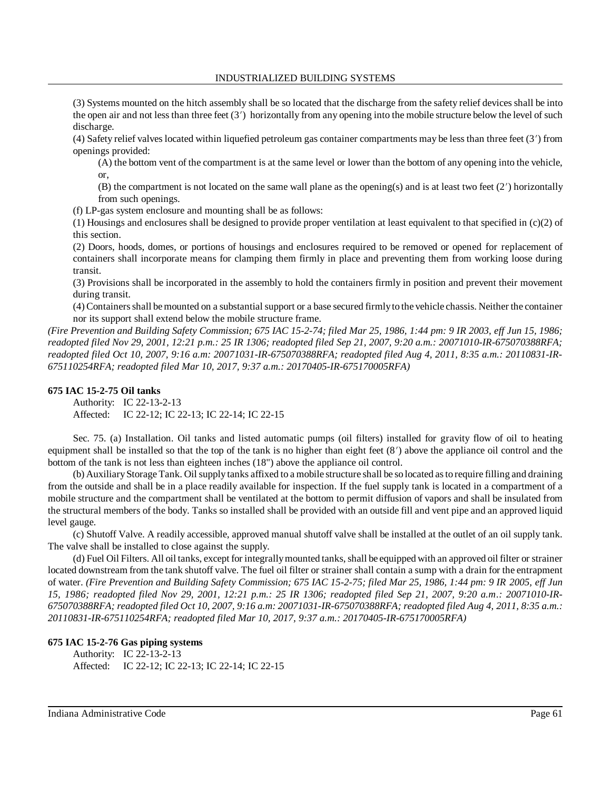(3) Systems mounted on the hitch assembly shall be so located that the discharge from the safety relief devices shall be into the open air and not less than three feet  $(3')$  horizontally from any opening into the mobile structure below the level of such discharge.

(4) Safety relief valves located within liquefied petroleum gas container compartments may be less than three feet (3) from openings provided:

(A) the bottom vent of the compartment is at the same level or lower than the bottom of any opening into the vehicle, or,

(B) the compartment is not located on the same wall plane as the opening(s) and is at least two feet  $(2')$  horizontally from such openings.

(f) LP-gas system enclosure and mounting shall be as follows:

(1) Housings and enclosures shall be designed to provide proper ventilation at least equivalent to that specified in  $(c)(2)$  of this section.

(2) Doors, hoods, domes, or portions of housings and enclosures required to be removed or opened for replacement of containers shall incorporate means for clamping them firmly in place and preventing them from working loose during transit.

(3) Provisions shall be incorporated in the assembly to hold the containers firmly in position and prevent their movement during transit.

(4) Containersshall bemounted on a substantial support or a base secured firmlyto the vehicle chassis. Neither the container nor its support shall extend below the mobile structure frame.

*(Fire Prevention and Building Safety Commission; 675 IAC 15-2-74; filed Mar 25, 1986, 1:44 pm: 9 IR 2003, eff Jun 15, 1986; readopted filed Nov 29, 2001, 12:21 p.m.: 25 IR 1306; readopted filed Sep 21, 2007, 9:20 a.m.: 20071010-IR-675070388RFA; readopted filed Oct 10, 2007, 9:16 a.m: 20071031-IR-675070388RFA; readopted filed Aug 4, 2011, 8:35 a.m.: 20110831-IR-675110254RFA; readopted filed Mar 10, 2017, 9:37 a.m.: 20170405-IR-675170005RFA)*

### **675 IAC 15-2-75 Oil tanks**

Authority: IC 22-13-2-13 Affected: IC 22-12; IC 22-13; IC 22-14; IC 22-15

Sec. 75. (a) Installation. Oil tanks and listed automatic pumps (oil filters) installed for gravity flow of oil to heating equipment shall be installed so that the top of the tank is no higher than eight feet (8') above the appliance oil control and the bottom of the tank is not less than eighteen inches (18") above the appliance oil control.

(b) AuxiliaryStorage Tank. Oil supply tanks affixed to a mobile structure shall be so located asto require filling and draining from the outside and shall be in a place readily available for inspection. If the fuel supply tank is located in a compartment of a mobile structure and the compartment shall be ventilated at the bottom to permit diffusion of vapors and shall be insulated from the structural members of the body. Tanks so installed shall be provided with an outside fill and vent pipe and an approved liquid level gauge.

(c) Shutoff Valve. A readily accessible, approved manual shutoff valve shall be installed at the outlet of an oil supply tank. The valve shall be installed to close against the supply.

(d) Fuel Oil Filters. All oil tanks, except for integrally mounted tanks, shall be equipped with an approved oil filter or strainer located downstream from the tank shutoff valve. The fuel oil filter or strainer shall contain a sump with a drain for the entrapment of water. *(Fire Prevention and Building Safety Commission; 675 IAC 15-2-75; filed Mar 25, 1986, 1:44 pm: 9 IR 2005, eff Jun 15, 1986; readopted filed Nov 29, 2001, 12:21 p.m.: 25 IR 1306; readopted filed Sep 21, 2007, 9:20 a.m.: 20071010-IR-*675070388RFA; readopted filed Oct 10, 2007, 9:16 a.m; 20071031-IR-675070388RFA; readopted filed Aug 4, 2011, 8:35 a.m.: *20110831-IR-675110254RFA; readopted filed Mar 10, 2017, 9:37 a.m.: 20170405-IR-675170005RFA)*

#### **675 IAC 15-2-76 Gas piping systems**

Authority: IC 22-13-2-13 Affected: IC 22-12; IC 22-13; IC 22-14; IC 22-15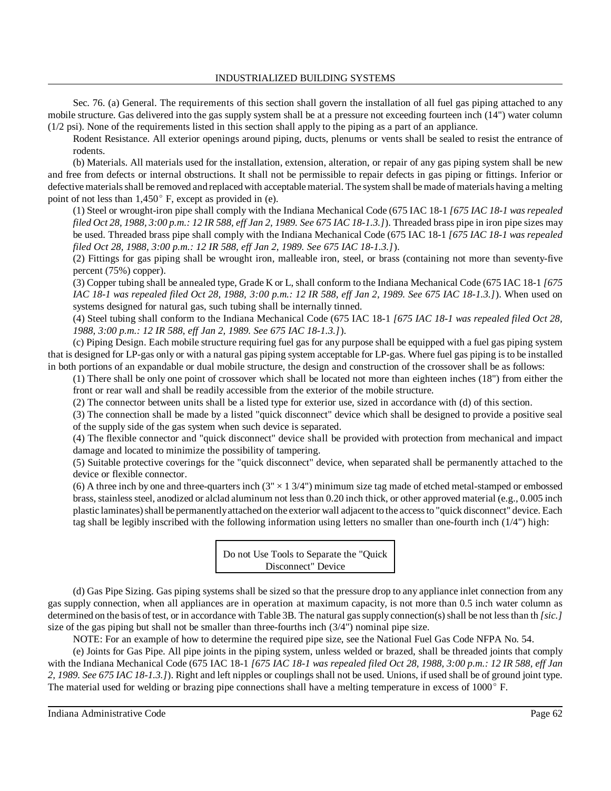Sec. 76. (a) General. The requirements of this section shall govern the installation of all fuel gas piping attached to any mobile structure. Gas delivered into the gas supply system shall be at a pressure not exceeding fourteen inch (14") water column (1/2 psi). None of the requirements listed in this section shall apply to the piping as a part of an appliance.

Rodent Resistance. All exterior openings around piping, ducts, plenums or vents shall be sealed to resist the entrance of rodents.

(b) Materials. All materials used for the installation, extension, alteration, or repair of any gas piping system shall be new and free from defects or internal obstructions. It shall not be permissible to repair defects in gas piping or fittings. Inferior or defective materials shall be removed and replaced with acceptable material. The system shall be made of materials having a melting point of not less than  $1,450^\circ$  F, except as provided in (e).

(1) Steel or wrought-iron pipe shall comply with the Indiana Mechanical Code (675 IAC 18-1 *[675 IAC 18-1 was repealed* filed Oct 28, 1988, 3:00 p.m.: 12 IR 588, eff Jan 2, 1989. See 675 IAC 18-1.3.]). Threaded brass pipe in iron pipe sizes may be used. Threaded brass pipe shall comply with the Indiana Mechanical Code (675 IAC 18-1 *[675 IAC 18-1 was repealed filed Oct 28, 1988, 3:00 p.m.: 12 IR 588, eff Jan 2, 1989. See 675 IAC 18-1.3.]*).

(2) Fittings for gas piping shall be wrought iron, malleable iron, steel, or brass (containing not more than seventy-five percent (75%) copper).

(3) Copper tubing shall be annealed type, Grade K or L, shall conform to the Indiana Mechanical Code (675 IAC 18-1 *[675 IAC 18-1 was repealed filed Oct 28, 1988, 3:00 p.m.: 12 IR 588, eff Jan 2, 1989. See 675 IAC 18-1.3.]*). When used on systems designed for natural gas, such tubing shall be internally tinned.

(4) Steel tubing shall conform to the Indiana Mechanical Code (675 IAC 18-1 *[675 IAC 18-1 was repealed filed Oct 28, 1988, 3:00 p.m.: 12 IR 588, eff Jan 2, 1989. See 675 IAC 18-1.3.]*).

(c) Piping Design. Each mobile structure requiring fuel gas for any purpose shall be equipped with a fuel gas piping system that is designed for LP-gas only or with a natural gas piping system acceptable for LP-gas. Where fuel gas piping is to be installed in both portions of an expandable or dual mobile structure, the design and construction of the crossover shall be as follows:

(1) There shall be only one point of crossover which shall be located not more than eighteen inches (18") from either the front or rear wall and shall be readily accessible from the exterior of the mobile structure.

(2) The connector between units shall be a listed type for exterior use, sized in accordance with (d) of this section.

(3) The connection shall be made by a listed "quick disconnect" device which shall be designed to provide a positive seal of the supply side of the gas system when such device is separated.

(4) The flexible connector and "quick disconnect" device shall be provided with protection from mechanical and impact damage and located to minimize the possibility of tampering.

(5) Suitable protective coverings for the "quick disconnect" device, when separated shall be permanently attached to the device or flexible connector.

(6) A three inch by one and three-quarters inch  $(3'' \times 13/4'')$  minimum size tag made of etched metal-stamped or embossed brass, stainless steel, anodized or alclad aluminum not less than 0.20 inch thick, or other approved material (e.g., 0.005 inch plastic laminates) shall be permanently attached on the exterior wall adjacent to the access to "quick disconnect" device. Each tag shall be legibly inscribed with the following information using letters no smaller than one-fourth inch (1/4") high:



(d) Gas Pipe Sizing. Gas piping systems shall be sized so that the pressure drop to any appliance inlet connection from any gas supply connection, when all appliances are in operation at maximum capacity, is not more than 0.5 inch water column as determined on the basis of test, or in accordance with Table 3B. The natural gas supply connection(s) shall be not less than th [sic.] size of the gas piping but shall not be smaller than three-fourths inch  $(3/4")$  nominal pipe size.

NOTE: For an example of how to determine the required pipe size, see the National Fuel Gas Code NFPA No. 54. (e) Joints for Gas Pipe. All pipe joints in the piping system, unless welded or brazed, shall be threaded joints that comply with the Indiana Mechanical Code (675 IAC 18-1 *[675 IAC 18-1 was repealed filed Oct 28, 1988, 3:00 p.m.: 12 IR 588, eff Jan 2, 1989. See 675 IAC 18-1.3.]*). Right and left nipples or couplings shall not be used. Unions, if used shall be of ground joint type. The material used for welding or brazing pipe connections shall have a melting temperature in excess of 1000°F.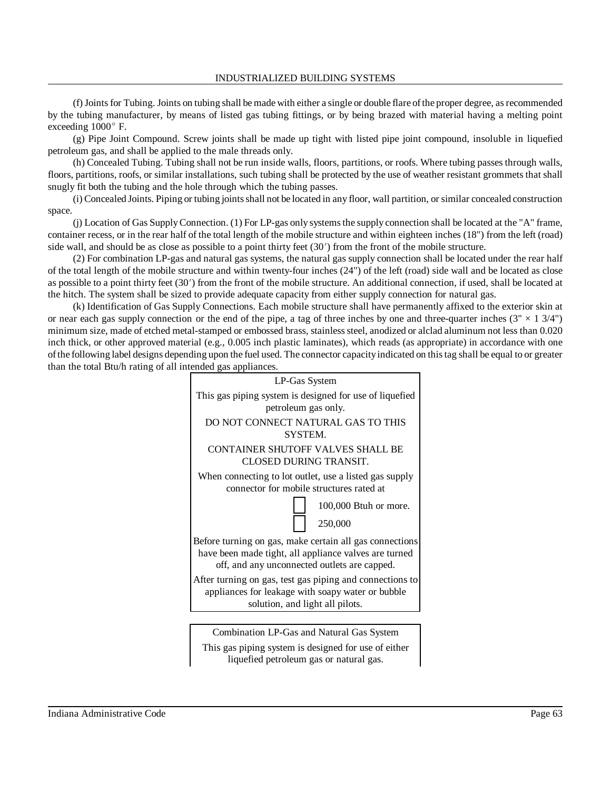#### INDUSTRIALIZED BUILDING SYSTEMS

(f)Jointsfor Tubing. Joints on tubing shall bemade with either a single or double flare ofthe proper degree, asrecommended by the tubing manufacturer, by means of listed gas tubing fittings, or by being brazed with material having a melting point exceeding 1000° F.

(g) Pipe Joint Compound. Screw joints shall be made up tight with listed pipe joint compound, insoluble in liquefied petroleum gas, and shall be applied to the male threads only.

(h) Concealed Tubing. Tubing shall not be run inside walls, floors, partitions, or roofs. Where tubing passes through walls, floors, partitions, roofs, or similar installations, such tubing shall be protected by the use of weather resistant grommets that shall snugly fit both the tubing and the hole through which the tubing passes.

(i) Concealed Joints. Piping or tubing jointsshall not be located in any floor, wall partition, or similar concealed construction space.

(j) Location of Gas SupplyConnection. (1) For LP-gas only systemsthe supply connection shall be located at the "A" frame, container recess, or in the rear half of the total length of the mobile structure and within eighteen inches (18") from the left (road) side wall, and should be as close as possible to a point thirty feet (30') from the front of the mobile structure.

(2) For combination LP-gas and natural gas systems, the natural gas supply connection shall be located under the rear half of the total length of the mobile structure and within twenty-four inches (24") of the left (road) side wall and be located as close as possible to a point thirty feet (30) from the front of the mobile structure. An additional connection, if used, shall be located at the hitch. The system shall be sized to provide adequate capacity from either supply connection for natural gas.

(k) Identification of Gas Supply Connections. Each mobile structure shall have permanently affixed to the exterior skin at or near each gas supply connection or the end of the pipe, a tag of three inches by one and three-quarter inches  $(3'' \times 13/4'')$ minimum size, made of etched metal-stamped or embossed brass, stainlesssteel, anodized or alclad aluminum not less than 0.020 inch thick, or other approved material (e.g., 0.005 inch plastic laminates), which reads (as appropriate) in accordance with one ofthe following label designs depending upon the fuel used. The connector capacityindicated on thistag shall be equal to or greater than the total Btu/h rating of all intended gas appliances.



Combination LP-Gas and Natural Gas System This gas piping system is designed for use of either liquefied petroleum gas or natural gas.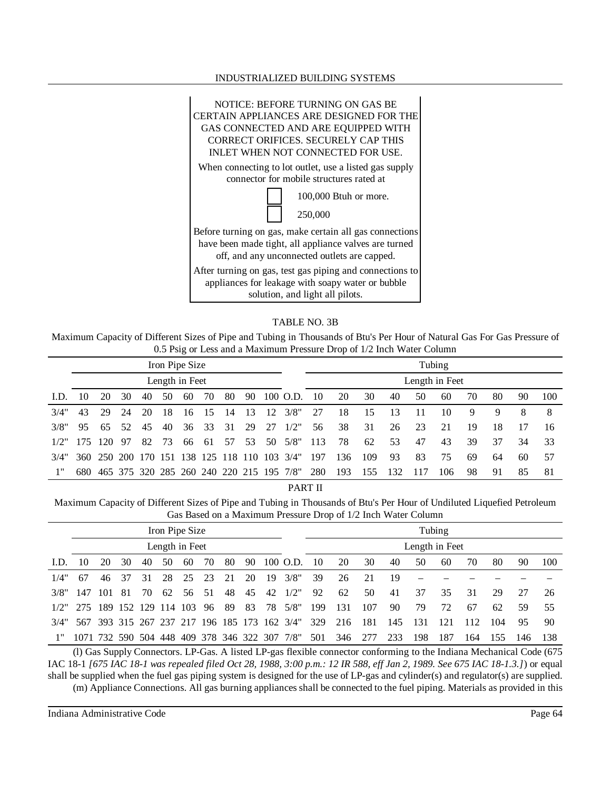#### INDUSTRIALIZED BUILDING SYSTEMS



### TABLE NO. 3B

Maximum Capacity of Different Sizes of Pipe and Tubing in Thousands of Btu's Per Hour of Natural Gas For Gas Pressure of 0.5 Psig or Less and a Maximum Pressure Drop of 1/2 Inch Water Column

|      | Iron Pipe Size |             |    |     |     |                                          |     |      |     |     |                     |     |     |     |                |     | Tubing |    |    |    |     |
|------|----------------|-------------|----|-----|-----|------------------------------------------|-----|------|-----|-----|---------------------|-----|-----|-----|----------------|-----|--------|----|----|----|-----|
|      | Length in Feet |             |    |     |     |                                          |     |      |     |     |                     |     |     |     | Length in Feet |     |        |    |    |    |     |
| LD.  | 10             | 20          | 30 | 40  | 50  | 60                                       | 70  | 80   | 90  |     | 100 O.D.            | 10  | 20  | 30  | 40             | 50  | 60     | 70 | 80 | 90 | 100 |
| 3/4" | 43             | 29          | 24 | 20  | 18  | 16                                       | 15  | 14   | 13  | 12  | 3/8"                | 27  | 18  | 15  | 13             | 11  | 10     | 9  | 9  | 8  | 8   |
| 3/8" | 95             | 65          | 52 | 45  | 40  | 36                                       | 33  | 31   | 29  | -27 | 1/2"                | 56  | 38  | 31  | 26             | 23  | 21     | 19 | 18 | 17 | 16  |
| 1/2" | 175            | 120         | 97 | 82  | 73  | 66                                       | -61 | 57   | 53  | 50  | 5/8"                | 113 | 78  | 62  | 53             | 47  | 43     | 39 | 37 | 34 | 33  |
| 3/4" |                | 360 250 200 |    | 170 | 151 | 138                                      | 125 | -118 | 110 |     | $103 \frac{3}{4}$ " | 197 | 136 | 109 | 93             | 83  | 75     | 69 | 64 | 60 | 57  |
| 1"   | 680            |             |    |     |     | 465 375 320 285 260 240 220 215 195 7/8" |     |      |     |     |                     | 280 | 193 | 155 | 132            | 117 | 106    | 98 | 91 | 85 | -81 |

PART II

Maximum Capacity of Different Sizes of Pipe and Tubing in Thousands of Btu's Per Hour of Undiluted Liquefied Petroleum Gas Based on a Maximum Pressure Drop of 1/2 Inch Water Column

|      | Iron Pipe Size |      |    |     |     |                     |    |     |    |     |                                              |     |     |      |                |     | Tubing |     |     |     |     |
|------|----------------|------|----|-----|-----|---------------------|----|-----|----|-----|----------------------------------------------|-----|-----|------|----------------|-----|--------|-----|-----|-----|-----|
|      | Length in Feet |      |    |     |     |                     |    |     |    |     |                                              |     |     |      | Length in Feet |     |        |     |     |     |     |
| LD.  | 10             | 20   | 30 | 40  | 50  | 60                  | 70 | 80  | 90 |     | 100 O.D.                                     | 10  | 20  | 30   | 40             | 50  | 60     | 70  | 80  | 90  | 100 |
| 1/4" | 67             | 46   | 37 | 31  | 28  | 25                  | 23 | 21  | 20 | -19 | 3/8"                                         | 39  | 26  | 21   | 19             |     |        |     |     |     |     |
| 3/8" | -147           | -101 | 81 | 70  | 62  | 56                  | 51 | 48  | 45 | 42  | 1/2"                                         | 92  | 62  | 50   | 41             | 37  | 35     | 31  | 29  | 27  | 26  |
|      | $1/2$ " 275    |      |    |     |     | 189 152 129 114 103 | 96 | -89 | 83 | 78  | 5/8"                                         | 199 | 131 | 107  | 90             | 79  | 72     | 67  | 62  | 59  | 55  |
| 3/4" |                |      |    |     |     |                     |    |     |    |     | 567 393 315 267 237 217 196 185 173 162 3/4" | 329 | 216 | -181 | 145            | 131 | 121    | 112 | 104 | 95  | 90  |
|      | 1071 732 590   |      |    | 504 | 448 |                     |    |     |    |     | 409 378 346 322 307 7/8"                     | 501 | 346 | 277  | 233            | 198 | 187    | 164 | 155 | 146 | 138 |

(l) Gas Supply Connectors. LP-Gas. A listed LP-gas flexible connector conforming to the Indiana Mechanical Code (675 IAC 18-1 [675 IAC 18-1 was repealed filed Oct 28, 1988, 3:00 p.m.: 12 IR 588, eff Jan 2, 1989. See 675 IAC 18-1.3.]) or equal shall be supplied when the fuel gas piping system is designed for the use of LP-gas and cylinder(s) and regulator(s) are supplied. (m) Appliance Connections. All gas burning appliances shall be connected to the fuel piping. Materials as provided in this

Indiana Administrative Code Page 64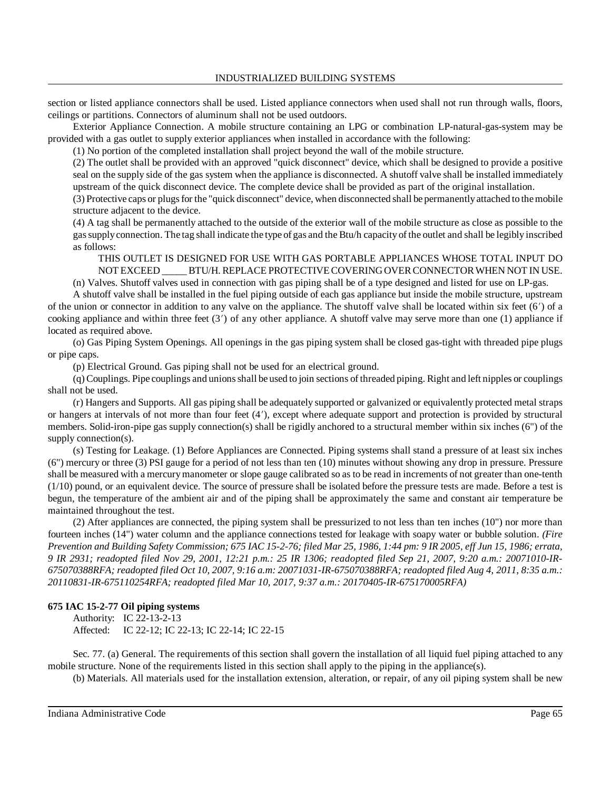section or listed appliance connectors shall be used. Listed appliance connectors when used shall not run through walls, floors, ceilings or partitions. Connectors of aluminum shall not be used outdoors.

Exterior Appliance Connection. A mobile structure containing an LPG or combination LP-natural-gas-system may be provided with a gas outlet to supply exterior appliances when installed in accordance with the following:

(1) No portion of the completed installation shall project beyond the wall of the mobile structure.

(2) The outlet shall be provided with an approved "quick disconnect" device, which shall be designed to provide a positive seal on the supply side of the gas system when the appliance is disconnected. A shutoff valve shall be installed immediately upstream of the quick disconnect device. The complete device shall be provided as part of the original installation.

(3) Protective caps or plugsfor the "quick disconnect" device, when disconnected shall be permanentlyattached to themobile structure adjacent to the device.

(4) A tag shall be permanently attached to the outside of the exterior wall of the mobile structure as close as possible to the gassupplyconnection. The tag shall indicate the type of gas and the Btu/h capacity of the outlet and shall be legibly inscribed as follows:

THIS OUTLET IS DESIGNED FOR USE WITH GAS PORTABLE APPLIANCES WHOSE TOTAL INPUT DO NOT EXCEED BTU/H. REPLACE PROTECTIVE COVERING OVER CONNECTOR WHEN NOT IN USE.

(n) Valves. Shutoff valves used in connection with gas piping shall be of a type designed and listed for use on LP-gas.

A shutoff valve shall be installed in the fuel piping outside of each gas appliance but inside the mobile structure, upstream of the union or connector in addition to any valve on the appliance. The shutoff valve shall be located within six feet (6) of a cooking appliance and within three feet  $(3')$  of any other appliance. A shutoff valve may serve more than one  $(1)$  appliance if located as required above.

(o) Gas Piping System Openings. All openings in the gas piping system shall be closed gas-tight with threaded pipe plugs or pipe caps.

(p) Electrical Ground. Gas piping shall not be used for an electrical ground.

(q) Couplings. Pipe couplings and unionsshall be used to join sections of threaded piping. Right and left nipples or couplings shall not be used.

(r) Hangers and Supports. All gas piping shall be adequately supported or galvanized or equivalently protected metal straps or hangers at intervals of not more than four feet (4), except where adequate support and protection is provided by structural members. Solid-iron-pipe gas supply connection(s) shall be rigidly anchored to a structural member within six inches (6") of the supply connection(s).

(s) Testing for Leakage. (1) Before Appliances are Connected. Piping systems shall stand a pressure of at least six inches (6") mercury or three (3) PSI gauge for a period of not less than ten (10) minutes without showing any drop in pressure. Pressure shall be measured with a mercurymanometer or slope gauge calibrated so as to be read in increments of not greater than one-tenth (1/10) pound, or an equivalent device. The source of pressure shall be isolated before the pressure tests are made. Before a test is begun, the temperature of the ambient air and of the piping shall be approximately the same and constant air temperature be maintained throughout the test.

(2) After appliances are connected, the piping system shall be pressurized to not less than ten inches (10") nor more than fourteen inches (14") water column and the appliance connections tested for leakage with soapy water or bubble solution. *(Fire* Prevention and Building Safety Commission; 675 IAC 15-2-76; filed Mar 25, 1986, 1:44 pm: 9 IR 2005, eff Jun 15, 1986; errata, *9 IR 2931; readopted filed Nov 29, 2001, 12:21 p.m.: 25 IR 1306; readopted filed Sep 21, 2007, 9:20 a.m.: 20071010-IR-*675070388RFA; readopted filed Oct 10, 2007, 9:16 a.m: 20071031-IR-675070388RFA; readopted filed Aug 4, 2011, 8:35 a.m.: *20110831-IR-675110254RFA; readopted filed Mar 10, 2017, 9:37 a.m.: 20170405-IR-675170005RFA)*

# **675 IAC 15-2-77 Oil piping systems**

Authority: IC 22-13-2-13 Affected: IC 22-12; IC 22-13; IC 22-14; IC 22-15

Sec. 77. (a) General. The requirements of this section shall govern the installation of all liquid fuel piping attached to any mobile structure. None of the requirements listed in this section shall apply to the piping in the appliance(s).

(b) Materials. All materials used for the installation extension, alteration, or repair, of any oil piping system shall be new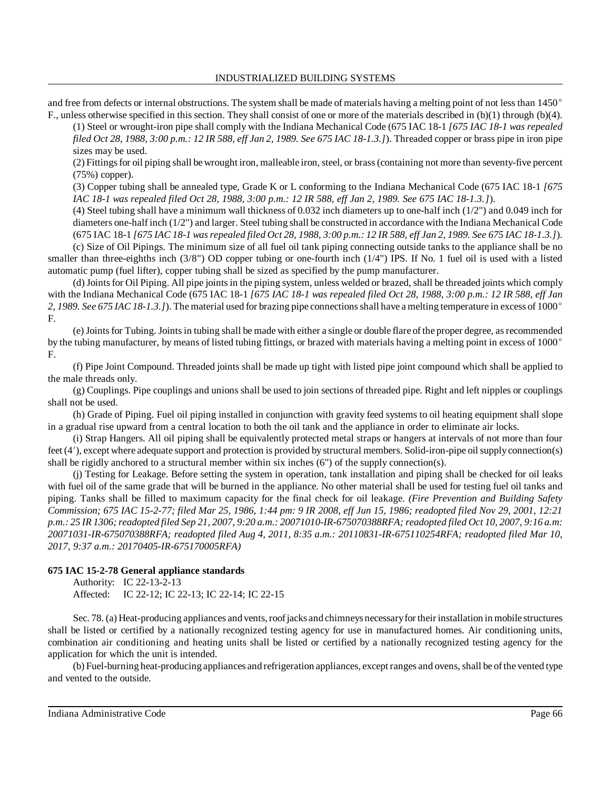and free from defects or internal obstructions. The system shall be made of materials having a melting point of not less than 1450° F., unless otherwise specified in this section. They shall consist of one or more of the materials described in (b)(1) through (b)(4).

(1) Steel or wrought-iron pipe shall comply with the Indiana Mechanical Code (675 IAC 18-1 *[675 IAC 18-1 was repealed* filed Oct 28, 1988, 3:00 p.m.: 12 IR 588, eff Jan 2, 1989. See 675 IAC 18-1.3.]). Threaded copper or brass pipe in iron pipe sizes may be used.

(2) Fittingsfor oil piping shall be wrought iron, malleable iron,steel, or brass(containing not more than seventy-five percent (75%) copper).

(3) Copper tubing shall be annealed type, Grade K or L conforming to the Indiana Mechanical Code (675 IAC 18-1 *[675 IAC 18-1 was repealed filed Oct 28, 1988, 3:00 p.m.: 12 IR 588, eff Jan 2, 1989. See 675 IAC 18-1.3.]*).

(4) Steel tubing shall have a minimum wall thickness of 0.032 inch diameters up to one-half inch  $(1/2)$ ") and 0.049 inch for diameters one-half inch (1/2") and larger. Steel tubing shall be constructed in accordance with the Indiana Mechanical Code (675 IAC 18-1 [675 IAC 18-1 was repealed filed Oct 28, 1988, 3:00 p.m.: 12 IR 588, eff Jan 2, 1989. See 675 IAC 18-1.3.]).

(c) Size of Oil Pipings. The minimum size of all fuel oil tank piping connecting outside tanks to the appliance shall be no smaller than three-eighths inch (3/8") OD copper tubing or one-fourth inch (1/4") IPS. If No. 1 fuel oil is used with a listed automatic pump (fuel lifter), copper tubing shall be sized as specified by the pump manufacturer.

(d) Joints for Oil Piping. All pipe joints in the piping system, unless welded or brazed, shall be threaded joints which comply with the Indiana Mechanical Code (675 IAC 18-1 *[675 IAC 18-1 was repealed filed Oct 28, 1988, 3:00 p.m.: 12 IR 588, eff Jan 2, 1989. See 675 IAC 18-1.3.]*). Thematerial used for brazing pipe connectionsshall have a melting temperature in excess of 1000 F.

(e)Jointsfor Tubing. Jointsin tubing shall be made with either a single or double flare ofthe proper degree, asrecommended by the tubing manufacturer, by means of listed tubing fittings, or brazed with materials having a melting point in excess of 1000 F.

(f) Pipe Joint Compound. Threaded joints shall be made up tight with listed pipe joint compound which shall be applied to the male threads only.

(g) Couplings. Pipe couplings and unions shall be used to join sections of threaded pipe. Right and left nipples or couplings shall not be used.

(h) Grade of Piping. Fuel oil piping installed in conjunction with gravity feed systems to oil heating equipment shall slope in a gradual rise upward from a central location to both the oil tank and the appliance in order to eliminate air locks.

(i) Strap Hangers. All oil piping shall be equivalently protected metal straps or hangers at intervals of not more than four feet (4'), except where adequate support and protection is provided by structural members. Solid-iron-pipe oil supply connection(s) shall be rigidly anchored to a structural member within six inches (6") of the supply connection(s).

(j) Testing for Leakage. Before setting the system in operation, tank installation and piping shall be checked for oil leaks with fuel oil of the same grade that will be burned in the appliance. No other material shall be used for testing fuel oil tanks and piping. Tanks shall be filled to maximum capacity for the final check for oil leakage. *(Fire Prevention and Building Safety Commission; 675 IAC 15-2-77; filed Mar 25, 1986, 1:44 pm: 9 IR 2008, eff Jun 15, 1986; readopted filed Nov 29, 2001, 12:21* p.m.: 25 IR 1306; readopted filed Sep 21, 2007, 9:20 a.m.: 20071010-IR-675070388RFA; readopted filed Oct 10, 2007, 9:16 a.m: *20071031-IR-675070388RFA; readopted filed Aug 4, 2011, 8:35 a.m.: 20110831-IR-675110254RFA; readopted filed Mar 10, 2017, 9:37 a.m.: 20170405-IR-675170005RFA)*

### **675 IAC 15-2-78 General appliance standards**

Authority: IC 22-13-2-13 Affected: IC 22-12; IC 22-13; IC 22-14; IC 22-15

Sec. 78. (a) Heat-producing appliances and vents, roof jacks and chimneys necessary for their installation in mobile structures shall be listed or certified by a nationally recognized testing agency for use in manufactured homes. Air conditioning units, combination air conditioning and heating units shall be listed or certified by a nationally recognized testing agency for the application for which the unit is intended.

(b) Fuel-burning heat-producing appliances and refrigeration appliances, except ranges and ovens, shall be of the vented type and vented to the outside.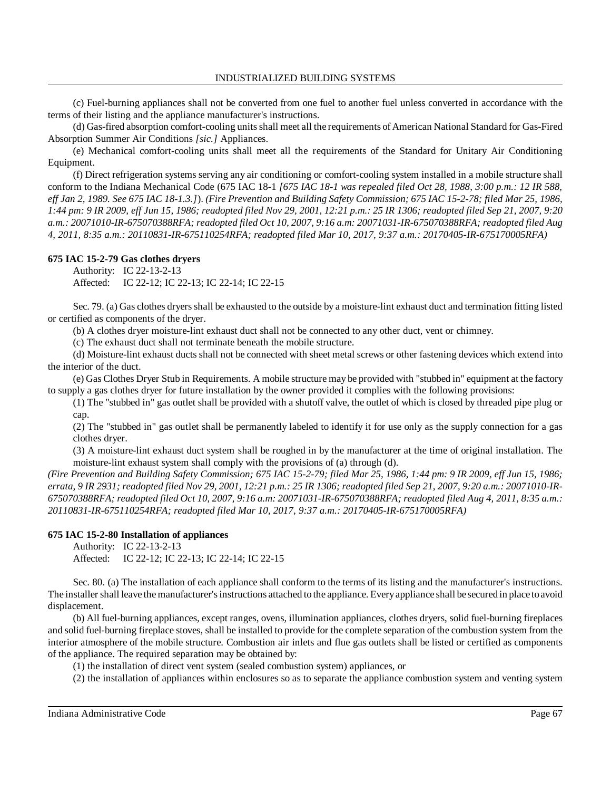(c) Fuel-burning appliances shall not be converted from one fuel to another fuel unless converted in accordance with the terms of their listing and the appliance manufacturer's instructions.

(d) Gas-fired absorption comfort-cooling unitsshall meet all the requirements ofAmerican National Standard for Gas-Fired Absorption Summer Air Conditions *[sic.]* Appliances.

(e) Mechanical comfort-cooling units shall meet all the requirements of the Standard for Unitary Air Conditioning Equipment.

(f) Direct refrigeration systems serving any air conditioning or comfort-cooling system installed in a mobile structure shall conform to the Indiana Mechanical Code (675 IAC 18-1 *[675 IAC 18-1 was repealed filed Oct 28, 1988, 3:00 p.m.: 12 IR 588,* eff Jan 2, 1989. See 675 IAC 18-1.3.1). (Fire Prevention and Building Safety Commission; 675 IAC 15-2-78; filed Mar 25, 1986, 1:44 pm: 9 IR 2009, eff Jun 15, 1986; readopted filed Nov 29, 2001, 12:21 p.m.: 25 IR 1306; readopted filed Sep 21, 2007, 9:20 *a.m.: 20071010-IR-675070388RFA; readopted filed Oct 10, 2007, 9:16 a.m: 20071031-IR-675070388RFA; readopted filed Aug 4, 2011, 8:35 a.m.: 20110831-IR-675110254RFA; readopted filed Mar 10, 2017, 9:37 a.m.: 20170405-IR-675170005RFA)*

### **675 IAC 15-2-79 Gas clothes dryers**

Authority: IC 22-13-2-13 Affected: IC 22-12; IC 22-13; IC 22-14; IC 22-15

Sec. 79. (a) Gas clothes dryersshall be exhausted to the outside by a moisture-lint exhaust duct and termination fitting listed or certified as components of the dryer.

(b) A clothes dryer moisture-lint exhaust duct shall not be connected to any other duct, vent or chimney.

(c) The exhaust duct shall not terminate beneath the mobile structure.

(d) Moisture-lint exhaust ducts shall not be connected with sheet metal screws or other fastening devices which extend into the interior of the duct.

(e) Gas Clothes Dryer Stub in Requirements. A mobile structure may be provided with "stubbed in" equipment at the factory to supply a gas clothes dryer for future installation by the owner provided it complies with the following provisions:

(1) The "stubbed in" gas outlet shall be provided with a shutoff valve, the outlet of which is closed by threaded pipe plug or cap.

(2) The "stubbed in" gas outlet shall be permanently labeled to identify it for use only as the supply connection for a gas clothes dryer.

(3) A moisture-lint exhaust duct system shall be roughed in by the manufacturer at the time of original installation. The moisture-lint exhaust system shall comply with the provisions of (a) through (d).

*(Fire Prevention and Building Safety Commission; 675 IAC 15-2-79; filed Mar 25, 1986, 1:44 pm: 9 IR 2009, eff Jun 15, 1986;* errata, 9 IR 2931; readopted filed Nov 29, 2001, 12:21 p.m.: 25 IR 1306; readopted filed Sep 21, 2007, 9:20 a.m.: 20071010-IR-675070388RFA; readopted filed Oct 10, 2007, 9:16 a.m: 20071031-IR-675070388RFA; readopted filed Aug 4, 2011, 8:35 a.m.: *20110831-IR-675110254RFA; readopted filed Mar 10, 2017, 9:37 a.m.: 20170405-IR-675170005RFA)*

#### **675 IAC 15-2-80 Installation of appliances**

Authority: IC 22-13-2-13 Affected: IC 22-12; IC 22-13; IC 22-14; IC 22-15

Sec. 80. (a) The installation of each appliance shall conform to the terms of its listing and the manufacturer's instructions. The installer shall leave the manufacturer's instructions attached to the appliance. Every appliance shall be secured in place to avoid displacement.

(b) All fuel-burning appliances, except ranges, ovens, illumination appliances, clothes dryers, solid fuel-burning fireplaces and solid fuel-burning fireplace stoves, shall be installed to provide for the complete separation of the combustion system from the interior atmosphere of the mobile structure. Combustion air inlets and flue gas outlets shall be listed or certified as components of the appliance. The required separation may be obtained by:

(1) the installation of direct vent system (sealed combustion system) appliances, or

(2) the installation of appliances within enclosures so as to separate the appliance combustion system and venting system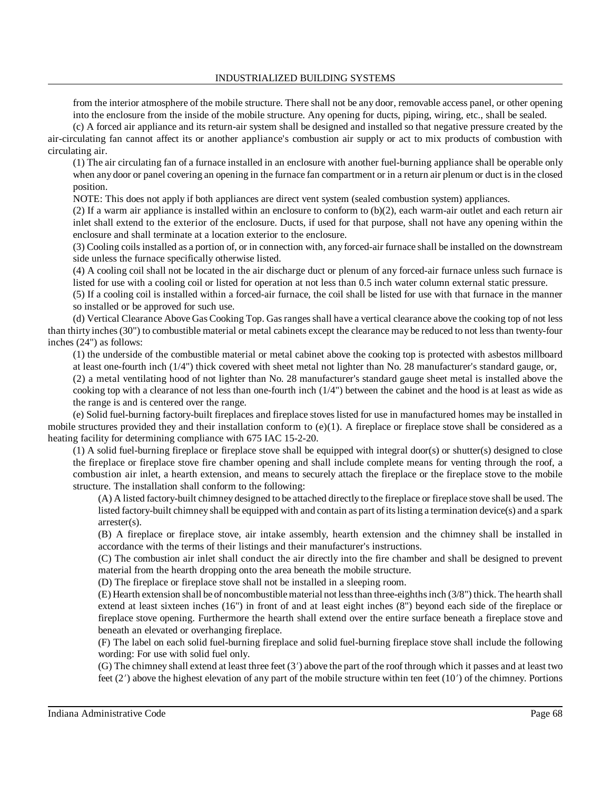from the interior atmosphere of the mobile structure. There shall not be any door, removable access panel, or other opening into the enclosure from the inside of the mobile structure. Any opening for ducts, piping, wiring, etc., shall be sealed.

(c) A forced air appliance and its return-air system shall be designed and installed so that negative pressure created by the air-circulating fan cannot affect its or another appliance's combustion air supply or act to mix products of combustion with circulating air.

(1) The air circulating fan of a furnace installed in an enclosure with another fuel-burning appliance shall be operable only when any door or panel covering an opening in the furnace fan compartment or in a return air plenum or duct is in the closed position.

NOTE: This does not apply if both appliances are direct vent system (sealed combustion system) appliances.

(2) If a warm air appliance is installed within an enclosure to conform to  $(b)(2)$ , each warm-air outlet and each return air inlet shall extend to the exterior of the enclosure. Ducts, if used for that purpose, shall not have any opening within the enclosure and shall terminate at a location exterior to the enclosure.

(3) Cooling coils installed as a portion of, or in connection with, any forced-air furnace shall be installed on the downstream side unless the furnace specifically otherwise listed.

(4) A cooling coil shall not be located in the air discharge duct or plenum of any forced-air furnace unless such furnace is listed for use with a cooling coil or listed for operation at not less than 0.5 inch water column external static pressure.

(5) If a cooling coil is installed within a forced-air furnace, the coil shall be listed for use with that furnace in the manner so installed or be approved for such use.

(d) Vertical Clearance Above Gas Cooking Top. Gasrangesshall have a vertical clearance above the cooking top of not less than thirty inches (30") to combustible material or metal cabinets except the clearance may be reduced to not less than twenty-four inches (24") as follows:

(1) the underside of the combustible material or metal cabinet above the cooking top is protected with asbestos millboard at least one-fourth inch (1/4") thick covered with sheet metal not lighter than No. 28 manufacturer's standard gauge, or,

(2) a metal ventilating hood of not lighter than No. 28 manufacturer's standard gauge sheet metal is installed above the cooking top with a clearance of not less than one-fourth inch (1/4") between the cabinet and the hood is at least as wide as the range is and is centered over the range.

(e) Solid fuel-burning factory-built fireplaces and fireplace stoves listed for use in manufactured homes may be installed in mobile structures provided they and their installation conform to  $(e)(1)$ . A fireplace or fireplace stove shall be considered as a heating facility for determining compliance with 675 IAC 15-2-20.

(1) A solid fuel-burning fireplace or fireplace stove shall be equipped with integral door(s) or shutter(s) designed to close the fireplace or fireplace stove fire chamber opening and shall include complete means for venting through the roof, a combustion air inlet, a hearth extension, and means to securely attach the fireplace or the fireplace stove to the mobile structure. The installation shall conform to the following:

(A) A listed factory-built chimney designed to be attached directly to the fireplace or fireplace stove shall be used. The listed factory-built chimney shall be equipped with and contain as part ofitslisting a termination device(s) and a spark arrester(s).

(B) A fireplace or fireplace stove, air intake assembly, hearth extension and the chimney shall be installed in accordance with the terms of their listings and their manufacturer's instructions.

(C) The combustion air inlet shall conduct the air directly into the fire chamber and shall be designed to prevent material from the hearth dropping onto the area beneath the mobile structure.

(D) The fireplace or fireplace stove shall not be installed in a sleeping room.

(E) Hearth extension shall be of noncombustiblematerial not lessthan three-eighthsinch (3/8") thick. The hearth shall extend at least sixteen inches (16") in front of and at least eight inches (8") beyond each side of the fireplace or fireplace stove opening. Furthermore the hearth shall extend over the entire surface beneath a fireplace stove and beneath an elevated or overhanging fireplace.

(F) The label on each solid fuel-burning fireplace and solid fuel-burning fireplace stove shall include the following wording: For use with solid fuel only.

(G) The chimney shall extend at least three feet  $(3')$  above the part of the roof through which it passes and at least two feet  $(2')$  above the highest elevation of any part of the mobile structure within ten feet  $(10')$  of the chimney. Portions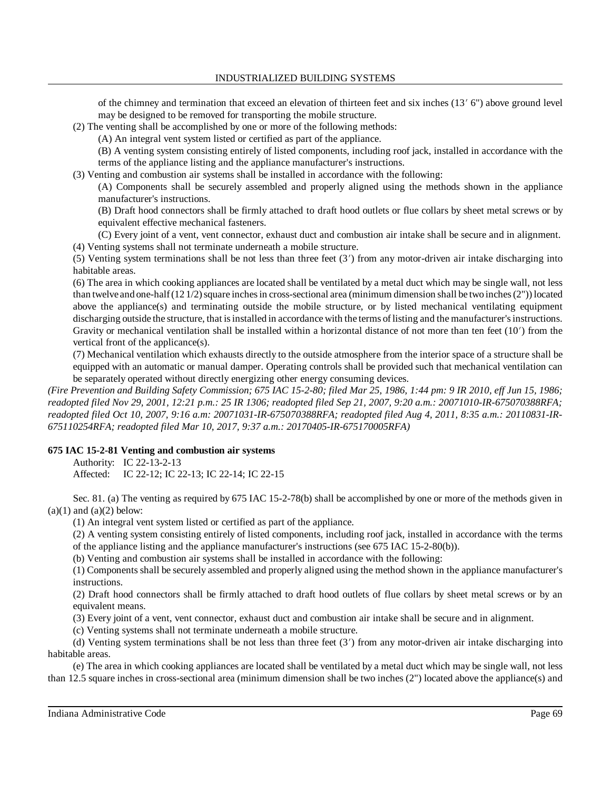of the chimney and termination that exceed an elevation of thirteen feet and six inches (13' 6") above ground level may be designed to be removed for transporting the mobile structure.

(2) The venting shall be accomplished by one or more of the following methods:

(A) An integral vent system listed or certified as part of the appliance.

(B) A venting system consisting entirely of listed components, including roof jack, installed in accordance with the terms of the appliance listing and the appliance manufacturer's instructions.

(3) Venting and combustion air systems shall be installed in accordance with the following:

(A) Components shall be securely assembled and properly aligned using the methods shown in the appliance manufacturer's instructions.

(B) Draft hood connectors shall be firmly attached to draft hood outlets or flue collars by sheet metal screws or by equivalent effective mechanical fasteners.

(C) Every joint of a vent, vent connector, exhaust duct and combustion air intake shall be secure and in alignment. (4) Venting systems shall not terminate underneath a mobile structure.

(5) Venting system terminations shall be not less than three feet  $(3')$  from any motor-driven air intake discharging into habitable areas.

(6) The area in which cooking appliances are located shall be ventilated by a metal duct which may be single wall, not less than twelve and one-half  $(121/2)$  square inches in cross-sectional area (minimum dimension shall be two inches (2")) located above the appliance(s) and terminating outside the mobile structure, or by listed mechanical ventilating equipment discharging outside the structure, that is installed in accordance with the terms of listing and the manufacturer's instructions. Gravity or mechanical ventilation shall be installed within a horizontal distance of not more than ten feet (10) from the vertical front of the applicance(s).

(7) Mechanical ventilation which exhausts directly to the outside atmosphere from the interior space of a structure shall be equipped with an automatic or manual damper. Operating controls shall be provided such that mechanical ventilation can be separately operated without directly energizing other energy consuming devices.

*(Fire Prevention and Building Safety Commission; 675 IAC 15-2-80; filed Mar 25, 1986, 1:44 pm: 9 IR 2010, eff Jun 15, 1986; readopted filed Nov 29, 2001, 12:21 p.m.: 25 IR 1306; readopted filed Sep 21, 2007, 9:20 a.m.: 20071010-IR-675070388RFA; readopted filed Oct 10, 2007, 9:16 a.m: 20071031-IR-675070388RFA; readopted filed Aug 4, 2011, 8:35 a.m.: 20110831-IR-675110254RFA; readopted filed Mar 10, 2017, 9:37 a.m.: 20170405-IR-675170005RFA)*

# **675 IAC 15-2-81 Venting and combustion air systems**

Authority: IC 22-13-2-13

Affected: IC 22-12; IC 22-13; IC 22-14; IC 22-15

Sec. 81. (a) The venting as required by 675 IAC 15-2-78(b) shall be accomplished by one or more of the methods given in  $(a)(1)$  and  $(a)(2)$  below:

(1) An integral vent system listed or certified as part of the appliance.

(2) A venting system consisting entirely of listed components, including roof jack, installed in accordance with the terms of the appliance listing and the appliance manufacturer's instructions (see 675 IAC 15-2-80(b)).

(b) Venting and combustion air systems shall be installed in accordance with the following:

(1) Components shall be securely assembled and properly aligned using the method shown in the appliance manufacturer's instructions.

(2) Draft hood connectors shall be firmly attached to draft hood outlets of flue collars by sheet metal screws or by an equivalent means.

(3) Every joint of a vent, vent connector, exhaust duct and combustion air intake shall be secure and in alignment.

(c) Venting systems shall not terminate underneath a mobile structure.

(d) Venting system terminations shall be not less than three feet  $(3')$  from any motor-driven air intake discharging into habitable areas.

(e) The area in which cooking appliances are located shall be ventilated by a metal duct which may be single wall, not less than 12.5 square inches in cross-sectional area (minimum dimension shall be two inches (2") located above the appliance(s) and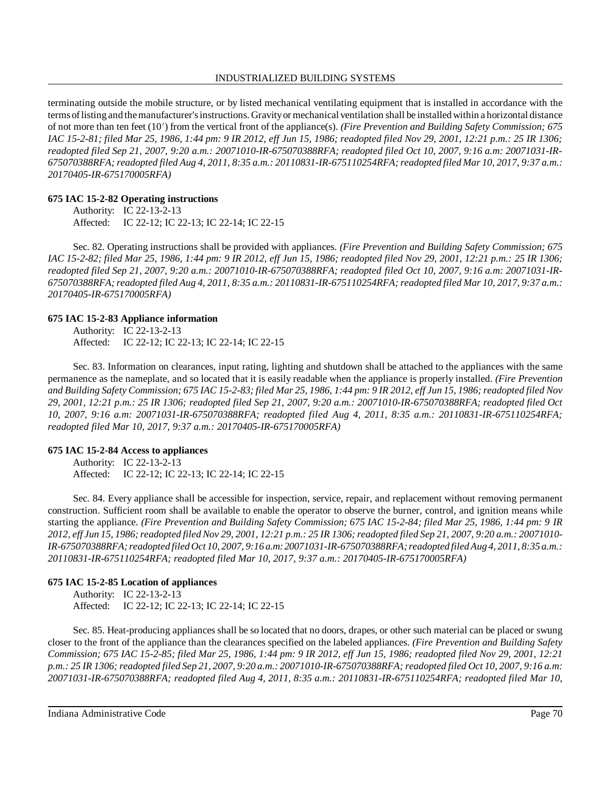#### INDUSTRIALIZED BUILDING SYSTEMS

terminating outside the mobile structure, or by listed mechanical ventilating equipment that is installed in accordance with the terms oflisting and themanufacturer'sinstructions. Gravityor mechanical ventilation shall be installed within a horizontal distance of not more than ten feet (10) from the vertical front of the appliance(s). *(Fire Prevention and Building Safety Commission; 675 IAC 15-2-81; filed Mar 25, 1986, 1:44 pm: 9 IR 2012, eff Jun 15, 1986; readopted filed Nov 29, 2001, 12:21 p.m.: 25 IR 1306; readopted filed Sep 21, 2007, 9:20 a.m.: 20071010-IR-675070388RFA; readopted filed Oct 10, 2007, 9:16 a.m: 20071031-IR-675070388RFA; readopted filed Aug 4, 2011, 8:35 a.m.: 20110831-IR-675110254RFA;readopted filed Mar 10, 2017, 9:37 a.m.: 20170405-IR-675170005RFA)*

### **675 IAC 15-2-82 Operating instructions**

Authority: IC 22-13-2-13 Affected: IC 22-12; IC 22-13; IC 22-14; IC 22-15

Sec. 82. Operating instructions shall be provided with appliances. *(Fire Prevention and Building Safety Commission; 675 IAC 15-2-82; filed Mar 25, 1986, 1:44 pm: 9 IR 2012, eff Jun 15, 1986; readopted filed Nov 29, 2001, 12:21 p.m.: 25 IR 1306; readopted filed Sep 21, 2007, 9:20 a.m.: 20071010-IR-675070388RFA; readopted filed Oct 10, 2007, 9:16 a.m: 20071031-IR-675070388RFA;readopted filed Aug 4, 2011, 8:35 a.m.: 20110831-IR-675110254RFA; readopted filed Mar 10, 2017, 9:37 a.m.: 20170405-IR-675170005RFA)*

### **675 IAC 15-2-83 Appliance information**

Authority: IC 22-13-2-13 Affected: IC 22-12; IC 22-13; IC 22-14; IC 22-15

Sec. 83. Information on clearances, input rating, lighting and shutdown shall be attached to the appliances with the same permanence as the nameplate, and so located that it is easily readable when the appliance is properly installed. *(Fire Prevention* and Building Safety Commission; 675 IAC 15-2-83; filed Mar 25, 1986, 1:44 pm: 9 IR 2012, eff Jun 15, 1986; readopted filed Nov *29, 2001, 12:21 p.m.: 25 IR 1306; readopted filed Sep 21, 2007, 9:20 a.m.: 20071010-IR-675070388RFA; readopted filed Oct 10, 2007, 9:16 a.m: 20071031-IR-675070388RFA; readopted filed Aug 4, 2011, 8:35 a.m.: 20110831-IR-675110254RFA; readopted filed Mar 10, 2017, 9:37 a.m.: 20170405-IR-675170005RFA)*

### **675 IAC 15-2-84 Access to appliances**

Authority: IC 22-13-2-13 Affected: IC 22-12; IC 22-13; IC 22-14; IC 22-15

Sec. 84. Every appliance shall be accessible for inspection, service, repair, and replacement without removing permanent construction. Sufficient room shall be available to enable the operator to observe the burner, control, and ignition means while starting the appliance. *(Fire Prevention and Building Safety Commission; 675 IAC 15-2-84; filed Mar 25, 1986, 1:44 pm: 9 IR* 2012, eff Jun 15, 1986; readopted filed Nov 29, 2001, 12:21 p.m.: 25 IR 1306; readopted filed Sep 21, 2007, 9:20 a.m.: 20071010-*IR-675070388RFA;readopted filed Oct 10, 2007, 9:16 a.m: 20071031-IR-675070388RFA; readopted filed Aug 4, 2011, 8:35 a.m.: 20110831-IR-675110254RFA; readopted filed Mar 10, 2017, 9:37 a.m.: 20170405-IR-675170005RFA)*

### **675 IAC 15-2-85 Location of appliances**

Authority: IC 22-13-2-13 Affected: IC 22-12; IC 22-13; IC 22-14; IC 22-15

Sec. 85. Heat-producing appliances shall be so located that no doors, drapes, or other such material can be placed or swung closer to the front of the appliance than the clearances specified on the labeled appliances. *(Fire Prevention and Building Safety Commission; 675 IAC 15-2-85; filed Mar 25, 1986, 1:44 pm: 9 IR 2012, eff Jun 15, 1986; readopted filed Nov 29, 2001, 12:21* p.m.: 25 IR 1306; readopted filed Sep 21, 2007, 9:20 a.m.: 20071010-IR-675070388RFA; readopted filed Oct 10, 2007, 9:16 a.m: *20071031-IR-675070388RFA; readopted filed Aug 4, 2011, 8:35 a.m.: 20110831-IR-675110254RFA; readopted filed Mar 10,*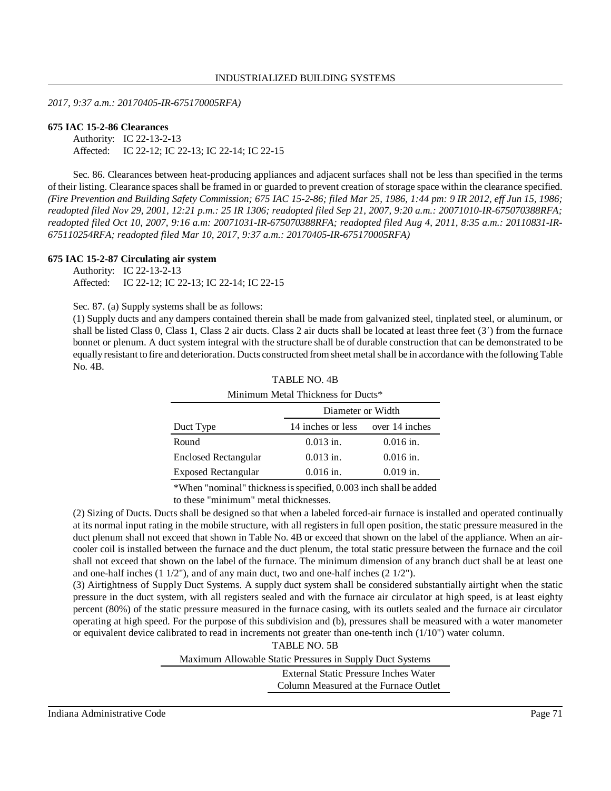*2017, 9:37 a.m.: 20170405-IR-675170005RFA)*

#### **675 IAC 15-2-86 Clearances**

Authority: IC 22-13-2-13 Affected: IC 22-12; IC 22-13; IC 22-14; IC 22-15

Sec. 86. Clearances between heat-producing appliances and adjacent surfaces shall not be less than specified in the terms of their listing. Clearance spaces shall be framed in or guarded to prevent creation ofstorage space within the clearance specified. *(Fire Prevention and Building Safety Commission; 675 IAC 15-2-86; filed Mar 25, 1986, 1:44 pm: 9 IR 2012, eff Jun 15, 1986; readopted filed Nov 29, 2001, 12:21 p.m.: 25 IR 1306; readopted filed Sep 21, 2007, 9:20 a.m.: 20071010-IR-675070388RFA; readopted filed Oct 10, 2007, 9:16 a.m: 20071031-IR-675070388RFA; readopted filed Aug 4, 2011, 8:35 a.m.: 20110831-IR-675110254RFA; readopted filed Mar 10, 2017, 9:37 a.m.: 20170405-IR-675170005RFA)*

#### **675 IAC 15-2-87 Circulating air system**

Authority: IC 22-13-2-13 Affected: IC 22-12; IC 22-13; IC 22-14; IC 22-15

Sec. 87. (a) Supply systems shall be as follows:

(1) Supply ducts and any dampers contained therein shall be made from galvanized steel, tinplated steel, or aluminum, or shall be listed Class 0, Class 1, Class 2 air ducts. Class 2 air ducts shall be located at least three feet  $(3')$  from the furnace bonnet or plenum. A duct system integral with the structure shall be of durable construction that can be demonstrated to be equallyresistant to fire and deterioration. Ducts constructed from sheet metalshall be in accordance with the following Table No. 4B.

| Minimum Metal Thickness for Ducts* |                   |                |  |  |  |  |  |  |
|------------------------------------|-------------------|----------------|--|--|--|--|--|--|
| Diameter or Width                  |                   |                |  |  |  |  |  |  |
| Duct Type                          | 14 inches or less | over 14 inches |  |  |  |  |  |  |
| Round                              | $0.013$ in.       | $0.016$ in.    |  |  |  |  |  |  |
| <b>Enclosed Rectangular</b>        | $0.013$ in.       | $0.016$ in.    |  |  |  |  |  |  |
| <b>Exposed Rectangular</b>         | $0.016$ in.       | $0.019$ in.    |  |  |  |  |  |  |

TABLE NO. 4B

\*When "nominal" thicknessisspecified, 0.003 inch shall be added

to these "minimum" metal thicknesses.

(2) Sizing of Ducts. Ducts shall be designed so that when a labeled forced-air furnace is installed and operated continually at its normal input rating in the mobile structure, with all registers in full open position, the static pressure measured in the duct plenum shall not exceed that shown in Table No. 4B or exceed that shown on the label of the appliance. When an aircooler coil is installed between the furnace and the duct plenum, the total static pressure between the furnace and the coil shall not exceed that shown on the label of the furnace. The minimum dimension of any branch duct shall be at least one and one-half inches  $(1\ 1/2)$ , and of any main duct, two and one-half inches  $(2\ 1/2)$ .

(3) Airtightness of Supply Duct Systems. A supply duct system shall be considered substantially airtight when the static pressure in the duct system, with all registers sealed and with the furnace air circulator at high speed, is at least eighty percent (80%) of the static pressure measured in the furnace casing, with its outlets sealed and the furnace air circulator operating at high speed. For the purpose of this subdivision and (b), pressures shall be measured with a water manometer or equivalent device calibrated to read in increments not greater than one-tenth inch (1/10") water column.

> TABLE NO. 5B Maximum Allowable Static Pressures in Supply Duct Systems External Static Pressure Inches Water Column Measured at the Furnace Outlet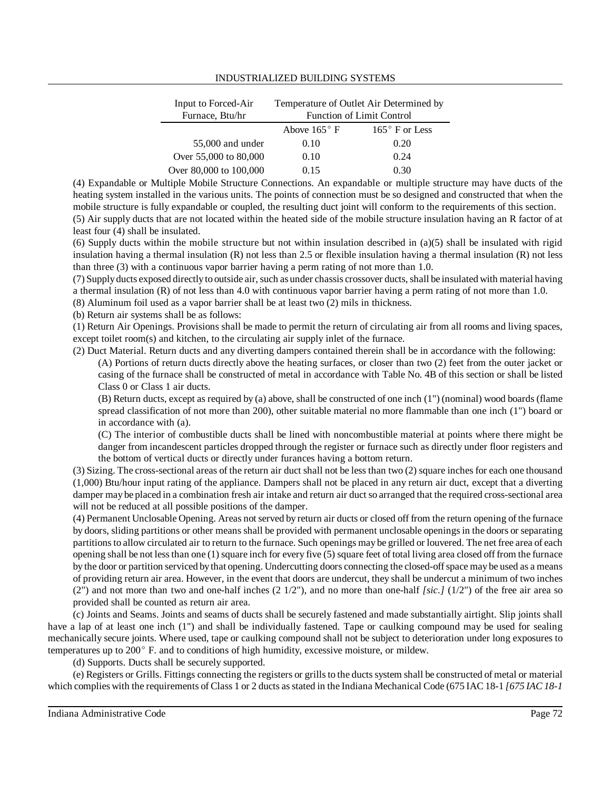#### INDUSTRIALIZED BUILDING SYSTEMS

| Temperature of Outlet Air Determined by<br><b>Function of Limit Control</b> |                       |  |  |  |
|-----------------------------------------------------------------------------|-----------------------|--|--|--|
| Above $165^{\circ}$ F                                                       | $165^\circ$ F or Less |  |  |  |
| 0.10                                                                        | 0.20                  |  |  |  |
| 0.10                                                                        | 0.24                  |  |  |  |
| 0.15                                                                        | 0.30                  |  |  |  |
|                                                                             |                       |  |  |  |

(4) Expandable or Multiple Mobile Structure Connections. An expandable or multiple structure may have ducts of the heating system installed in the various units. The points of connection must be so designed and constructed that when the mobile structure is fully expandable or coupled, the resulting duct joint will conform to the requirements of this section. (5) Air supply ducts that are not located within the heated side of the mobile structure insulation having an R factor of at

least four (4) shall be insulated.

(6) Supply ducts within the mobile structure but not within insulation described in (a)(5) shall be insulated with rigid insulation having a thermal insulation (R) not less than 2.5 or flexible insulation having a thermal insulation (R) not less than three (3) with a continuous vapor barrier having a perm rating of not more than 1.0.

(7) Supply ducts exposed directly to outside air, such as under chassis crossover ducts, shall be insulated with material having a thermal insulation (R) of not less than 4.0 with continuous vapor barrier having a perm rating of not more than 1.0.

(8) Aluminum foil used as a vapor barrier shall be at least two (2) mils in thickness.

(b) Return air systems shall be as follows:

(1) Return Air Openings. Provisions shall be made to permit the return of circulating air from all rooms and living spaces, except toilet room(s) and kitchen, to the circulating air supply inlet of the furnace.

(2) Duct Material. Return ducts and any diverting dampers contained therein shall be in accordance with the following:

(A) Portions of return ducts directly above the heating surfaces, or closer than two (2) feet from the outer jacket or casing of the furnace shall be constructed of metal in accordance with Table No. 4B of this section or shall be listed Class 0 or Class 1 air ducts.

(B) Return ducts, except as required by (a) above, shall be constructed of one inch (1") (nominal) wood boards (flame spread classification of not more than 200), other suitable material no more flammable than one inch (1") board or in accordance with (a).

(C) The interior of combustible ducts shall be lined with noncombustible material at points where there might be danger from incandescent particles dropped through the register or furnace such as directly under floor registers and the bottom of vertical ducts or directly under furances having a bottom return.

(3) Sizing. The cross-sectional areas of the return air duct shall not be less than two (2) square inches for each one thousand (1,000) Btu/hour input rating of the appliance. Dampers shall not be placed in any return air duct, except that a diverting damper may be placed in a combination fresh air intake and return air duct so arranged that the required cross-sectional area will not be reduced at all possible positions of the damper.

(4) Permanent Unclosable Opening. Areas not served by return air ducts or closed off from the return opening of the furnace by doors, sliding partitions or other means shall be provided with permanent unclosable openingsin the doors or separating partitions to allow circulated air to return to the furnace. Such openings may be grilled or louvered. The net free area of each opening shall be not less than one  $(1)$  square inch for every five  $(5)$  square feet of total living area closed off from the furnace by the door or partition serviced bythat opening. Undercutting doors connecting the closed-offspace may be used as a means of providing return air area. However, in the event that doors are undercut, they shall be undercut a minimum of two inches  $(2'')$  and not more than two and one-half inches  $(2 \frac{1}{2'})$ , and no more than one-half *[sic.]* ( $1/2''$ ) of the free air area so provided shall be counted as return air area.

(c) Joints and Seams. Joints and seams of ducts shall be securely fastened and made substantially airtight. Slip joints shall have a lap of at least one inch (1") and shall be individually fastened. Tape or caulking compound may be used for sealing mechanically secure joints. Where used, tape or caulking compound shall not be subject to deterioration under long exposures to temperatures up to  $200^\circ$  F. and to conditions of high humidity, excessive moisture, or mildew.

(d) Supports. Ducts shall be securely supported.

(e) Registers or Grills. Fittings connecting the registers or grillsto the ductssystem shall be constructed of metal or material which complies with the requirements of Class 1 or 2 ducts asstated in the Indiana Mechanical Code (675 IAC 18-1 *[675 IAC 18-1*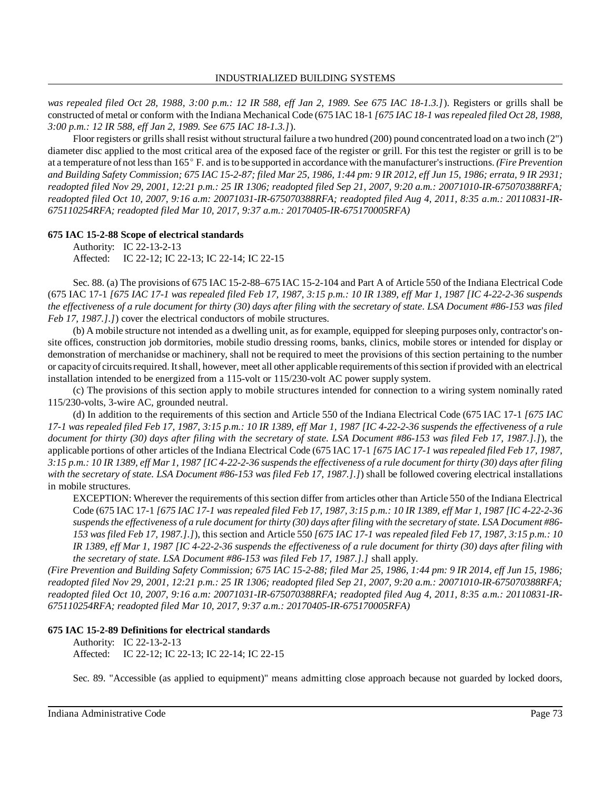*was repealed filed Oct 28, 1988, 3:00 p.m.: 12 IR 588, eff Jan 2, 1989. See 675 IAC 18-1.3.]*). Registers or grills shall be constructed of metal or conform with the Indiana Mechanical Code (675 IAC 18-1 *[675 IAC 18-1 wasrepealed filed Oct 28, 1988, 3:00 p.m.: 12 IR 588, eff Jan 2, 1989. See 675 IAC 18-1.3.]*).

Floor registers or grillsshall resist without structural failure a two hundred (200) pound concentrated load on a two inch (2") diameter disc applied to the most critical area of the exposed face of the register or grill. For this test the register or grill is to be at a temperature of not lessthan 165 F. and isto be supported in accordance with themanufacturer'sinstructions. *(Fire Prevention* and Building Safety Commission; 675 IAC 15-2-87; filed Mar 25, 1986, 1:44 pm: 9 IR 2012, eff Jun 15, 1986; errata, 9 IR 2931; *readopted filed Nov 29, 2001, 12:21 p.m.: 25 IR 1306; readopted filed Sep 21, 2007, 9:20 a.m.: 20071010-IR-675070388RFA; readopted filed Oct 10, 2007, 9:16 a.m: 20071031-IR-675070388RFA; readopted filed Aug 4, 2011, 8:35 a.m.: 20110831-IR-675110254RFA; readopted filed Mar 10, 2017, 9:37 a.m.: 20170405-IR-675170005RFA)*

## **675 IAC 15-2-88 Scope of electrical standards**

Authority: IC 22-13-2-13 Affected: IC 22-12; IC 22-13; IC 22-14; IC 22-15

Sec. 88. (a) The provisions of 675 IAC 15-2-88–675 IAC 15-2-104 and Part A of Article 550 of the Indiana Electrical Code (675 IAC 17-1 *[675 IAC 17-1 was repealed filed Feb 17, 1987, 3:15 p.m.: 10 IR 1389, eff Mar 1, 1987 [IC 4-22-2-36 suspends* the effectiveness of a rule document for thirty (30) days after filing with the secretary of state. LSA Document #86-153 was filed *Feb 17, 1987.].]*) cover the electrical conductors of mobile structures.

(b) A mobile structure not intended as a dwelling unit, as for example, equipped for sleeping purposes only, contractor's onsite offices, construction job dormitories, mobile studio dressing rooms, banks, clinics, mobile stores or intended for display or demonstration of merchanidse or machinery, shall not be required to meet the provisions of this section pertaining to the number or capacityof circuitsrequired.Itshall, however, meet all other applicable requirements ofthissection if provided with an electrical installation intended to be energized from a 115-volt or 115/230-volt AC power supply system.

(c) The provisions of this section apply to mobile structures intended for connection to a wiring system nominally rated 115/230-volts, 3-wire AC, grounded neutral.

(d) In addition to the requirements of this section and Article 550 of the Indiana Electrical Code (675 IAC 17-1 *[675 IAC* 17-1 was repealed filed Feb 17, 1987, 3:15 p.m.: 10 IR 1389, eff Mar 1, 1987 [IC 4-22-2-36 suspends the effectiveness of a rule *document for thirty (30) days after filing with the secretary of state. LSA Document #86-153 was filed Feb 17, 1987.].]*), the applicable portions of other articles of the Indiana Electrical Code (675 IAC 17-1 *[675 IAC 17-1 wasrepealed filed Feb 17, 1987,* 3:15 p.m.: 10 IR 1389, eff Mar 1, 1987 [IC 4-22-2-36 suspends the effectiveness of a rule document for thirty (30) days after filing *with the secretary of state. LSA Document #86-153 was filed Feb 17, 1987.].]*) shall be followed covering electrical installations in mobile structures.

EXCEPTION: Wherever the requirements of thissection differ from articles other than Article 550 of the Indiana Electrical Code (675 IAC 17-1 [675 IAC 17-1 was repealed filed Feb 17, 1987, 3:15 p.m.: 10 IR 1389, eff Mar 1, 1987 [IC 4-22-2-36 suspends the effectiveness of a rule document for thirty (30) days after filing with the secretary of state. LSA Document #86-153 was filed Feb 17, 1987.].]), this section and Article 550 [675 IAC 17-1 was repealed filed Feb 17, 1987, 3:15 p.m.: 10 *IR 1389, eff Mar 1, 1987 [IC 4-22-2-36 suspends the effectiveness of a rule document for thirty (30) days after filing with the secretary of state. LSA Document #86-153 was filed Feb 17, 1987.].]* shall apply.

*(Fire Prevention and Building Safety Commission; 675 IAC 15-2-88; filed Mar 25, 1986, 1:44 pm: 9 IR 2014, eff Jun 15, 1986; readopted filed Nov 29, 2001, 12:21 p.m.: 25 IR 1306; readopted filed Sep 21, 2007, 9:20 a.m.: 20071010-IR-675070388RFA; readopted filed Oct 10, 2007, 9:16 a.m: 20071031-IR-675070388RFA; readopted filed Aug 4, 2011, 8:35 a.m.: 20110831-IR-675110254RFA; readopted filed Mar 10, 2017, 9:37 a.m.: 20170405-IR-675170005RFA)*

## **675 IAC 15-2-89 Definitions for electrical standards**

Authority: IC 22-13-2-13 Affected: IC 22-12; IC 22-13; IC 22-14; IC 22-15

Sec. 89. "Accessible (as applied to equipment)" means admitting close approach because not guarded by locked doors,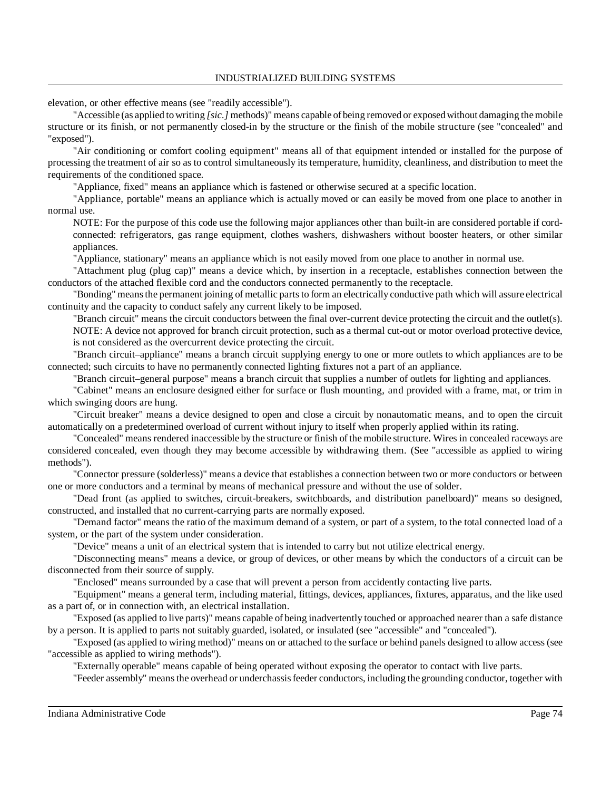elevation, or other effective means (see "readily accessible").

"Accessible (as applied to writing *[sic.]* methods)" means capable of being removed or exposed without damaging the mobile structure or its finish, or not permanently closed-in by the structure or the finish of the mobile structure (see "concealed" and "exposed").

"Air conditioning or comfort cooling equipment" means all of that equipment intended or installed for the purpose of processing the treatment of air so as to control simultaneously its temperature, humidity, cleanliness, and distribution to meet the requirements of the conditioned space.

"Appliance, fixed" means an appliance which is fastened or otherwise secured at a specific location.

"Appliance, portable" means an appliance which is actually moved or can easily be moved from one place to another in normal use.

NOTE: For the purpose of this code use the following major appliances other than built-in are considered portable if cordconnected: refrigerators, gas range equipment, clothes washers, dishwashers without booster heaters, or other similar appliances.

"Appliance, stationary" means an appliance which is not easily moved from one place to another in normal use.

"Attachment plug (plug cap)" means a device which, by insertion in a receptacle, establishes connection between the conductors of the attached flexible cord and the conductors connected permanently to the receptacle.

"Bonding" means the permanent joining of metallic parts to form an electrically conductive path which will assure electrical continuity and the capacity to conduct safely any current likely to be imposed.

"Branch circuit" means the circuit conductors between the final over-current device protecting the circuit and the outlet(s). NOTE: A device not approved for branch circuit protection, such as a thermal cut-out or motor overload protective device, is not considered as the overcurrent device protecting the circuit.

"Branch circuit–appliance" means a branch circuit supplying energy to one or more outlets to which appliances are to be connected; such circuits to have no permanently connected lighting fixtures not a part of an appliance.

"Branch circuit–general purpose" means a branch circuit that supplies a number of outlets for lighting and appliances.

"Cabinet" means an enclosure designed either for surface or flush mounting, and provided with a frame, mat, or trim in which swinging doors are hung.

"Circuit breaker" means a device designed to open and close a circuit by nonautomatic means, and to open the circuit automatically on a predetermined overload of current without injury to itself when properly applied within its rating.

"Concealed" means rendered inaccessible by the structure or finish of the mobile structure. Wires in concealed raceways are considered concealed, even though they may become accessible by withdrawing them. (See "accessible as applied to wiring methods").

"Connector pressure (solderless)" means a device that establishes a connection between two or more conductors or between one or more conductors and a terminal by means of mechanical pressure and without the use of solder.

"Dead front (as applied to switches, circuit-breakers, switchboards, and distribution panelboard)" means so designed, constructed, and installed that no current-carrying parts are normally exposed.

"Demand factor" means the ratio of the maximum demand of a system, or part of a system, to the total connected load of a system, or the part of the system under consideration.

"Device" means a unit of an electrical system that is intended to carry but not utilize electrical energy.

"Disconnecting means" means a device, or group of devices, or other means by which the conductors of a circuit can be disconnected from their source of supply.

"Enclosed" means surrounded by a case that will prevent a person from accidently contacting live parts.

"Equipment" means a general term, including material, fittings, devices, appliances, fixtures, apparatus, and the like used as a part of, or in connection with, an electrical installation.

"Exposed (as applied to live parts)" means capable of being inadvertently touched or approached nearer than a safe distance by a person. It is applied to parts not suitably guarded, isolated, or insulated (see "accessible" and "concealed").

"Exposed (as applied to wiring method)" means on or attached to the surface or behind panels designed to allow access (see "accessible as applied to wiring methods").

"Externally operable" means capable of being operated without exposing the operator to contact with live parts.

"Feeder assembly" meansthe overhead or underchassisfeeder conductors, including the grounding conductor, together with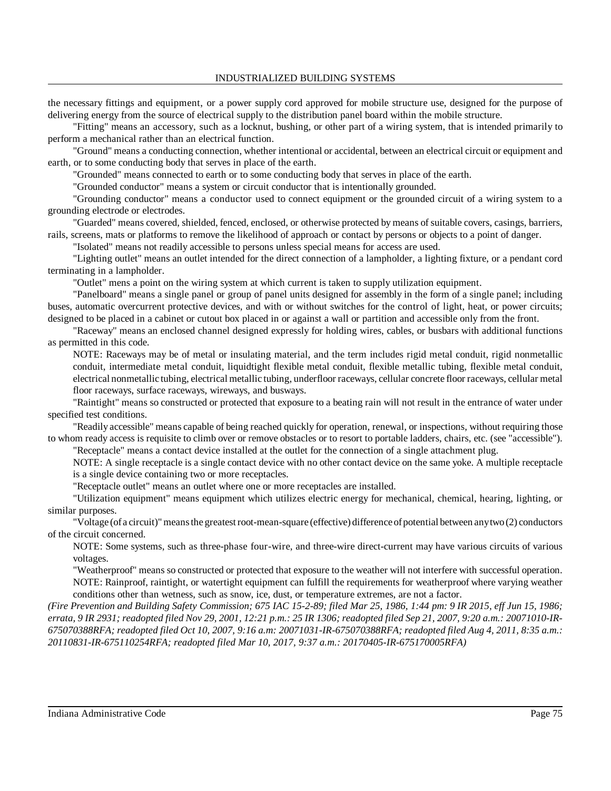the necessary fittings and equipment, or a power supply cord approved for mobile structure use, designed for the purpose of delivering energy from the source of electrical supply to the distribution panel board within the mobile structure.

"Fitting" means an accessory, such as a locknut, bushing, or other part of a wiring system, that is intended primarily to perform a mechanical rather than an electrical function.

"Ground" means a conducting connection, whether intentional or accidental, between an electrical circuit or equipment and earth, or to some conducting body that serves in place of the earth.

"Grounded" means connected to earth or to some conducting body that serves in place of the earth.

"Grounded conductor" means a system or circuit conductor that is intentionally grounded.

"Grounding conductor" means a conductor used to connect equipment or the grounded circuit of a wiring system to a grounding electrode or electrodes.

"Guarded" means covered, shielded, fenced, enclosed, or otherwise protected by means of suitable covers, casings, barriers, rails, screens, mats or platforms to remove the likelihood of approach or contact by persons or objects to a point of danger.

"Isolated" means not readily accessible to persons unless special means for access are used.

"Lighting outlet" means an outlet intended for the direct connection of a lampholder, a lighting fixture, or a pendant cord terminating in a lampholder.

"Outlet" mens a point on the wiring system at which current is taken to supply utilization equipment.

"Panelboard" means a single panel or group of panel units designed for assembly in the form of a single panel; including buses, automatic overcurrent protective devices, and with or without switches for the control of light, heat, or power circuits; designed to be placed in a cabinet or cutout box placed in or against a wall or partition and accessible only from the front.

"Raceway" means an enclosed channel designed expressly for holding wires, cables, or busbars with additional functions as permitted in this code.

NOTE: Raceways may be of metal or insulating material, and the term includes rigid metal conduit, rigid nonmetallic conduit, intermediate metal conduit, liquidtight flexible metal conduit, flexible metallic tubing, flexible metal conduit, electrical nonmetallic tubing, electrical metallic tubing, underfloor raceways, cellular concrete floor raceways, cellular metal floor raceways, surface raceways, wireways, and busways.

"Raintight" means so constructed or protected that exposure to a beating rain will not result in the entrance of water under specified test conditions.

"Readily accessible" means capable of being reached quickly for operation, renewal, or inspections, without requiring those to whom ready access is requisite to climb over or remove obstacles or to resort to portable ladders, chairs, etc. (see "accessible").

"Receptacle" means a contact device installed at the outlet for the connection of a single attachment plug.

NOTE: A single receptacle is a single contact device with no other contact device on the same yoke. A multiple receptacle is a single device containing two or more receptacles.

"Receptacle outlet" means an outlet where one or more receptacles are installed.

"Utilization equipment" means equipment which utilizes electric energy for mechanical, chemical, hearing, lighting, or similar purposes.

"Voltage (of a circuit)"meansthe greatestroot-mean-square (effective) difference ofpotential between any two (2) conductors of the circuit concerned.

NOTE: Some systems, such as three-phase four-wire, and three-wire direct-current may have various circuits of various voltages.

"Weatherproof" means so constructed or protected that exposure to the weather will not interfere with successful operation. NOTE: Rainproof, raintight, or watertight equipment can fulfill the requirements for weatherproof where varying weather conditions other than wetness, such as snow, ice, dust, or temperature extremes, are not a factor.

*(Fire Prevention and Building Safety Commission; 675 IAC 15-2-89; filed Mar 25, 1986, 1:44 pm: 9 IR 2015, eff Jun 15, 1986;* errata, 9 IR 2931; readopted filed Nov 29, 2001, 12:21 p.m.: 25 IR 1306; readopted filed Sep 21, 2007, 9:20 a.m.: 20071010-IR-675070388RFA; readopted filed Oct 10, 2007, 9:16 a.m: 20071031-IR-675070388RFA; readopted filed Aug 4, 2011, 8:35 a.m.: *20110831-IR-675110254RFA; readopted filed Mar 10, 2017, 9:37 a.m.: 20170405-IR-675170005RFA)*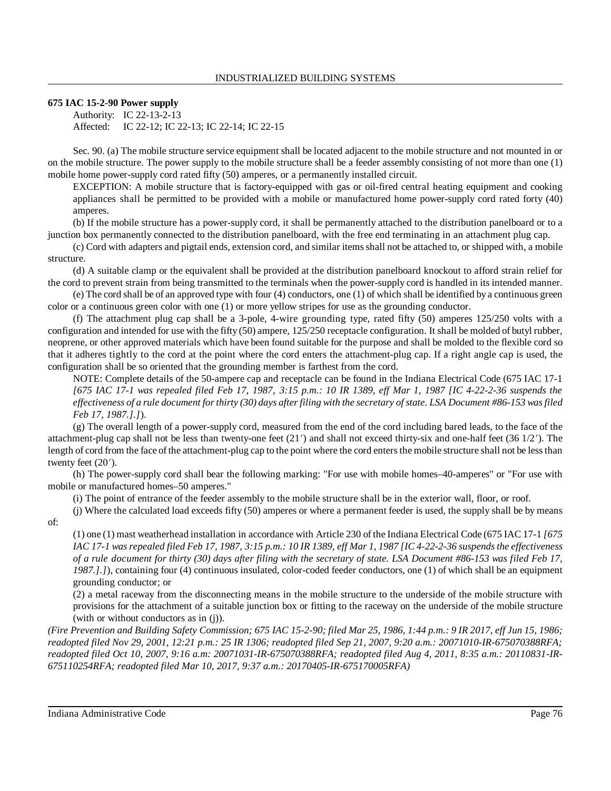# **675 IAC 15-2-90 Power supply**

Authority: IC 22-13-2-13 Affected: IC 22-12; IC 22-13; IC 22-14; IC 22-15

Sec. 90. (a) The mobile structure service equipment shall be located adjacent to the mobile structure and not mounted in or on the mobile structure. The power supply to the mobile structure shall be a feeder assembly consisting of not more than one (1) mobile home power-supply cord rated fifty (50) amperes, or a permanently installed circuit.

EXCEPTION: A mobile structure that is factory-equipped with gas or oil-fired central heating equipment and cooking appliances shall be permitted to be provided with a mobile or manufactured home power-supply cord rated forty (40) amperes.

(b) If the mobile structure has a power-supply cord, it shall be permanently attached to the distribution panelboard or to a junction box permanently connected to the distribution panelboard, with the free end terminating in an attachment plug cap.

(c) Cord with adapters and pigtail ends, extension cord, and similar itemsshall not be attached to, or shipped with, a mobile structure.

(d) A suitable clamp or the equivalent shall be provided at the distribution panelboard knockout to afford strain relief for the cord to prevent strain from being transmitted to the terminals when the power-supply cord is handled in its intended manner.

(e) The cord shall be of an approved type with four (4) conductors, one (1) of which shall be identified by a continuous green color or a continuous green color with one (1) or more yellow stripes for use as the grounding conductor.

(f) The attachment plug cap shall be a 3-pole, 4-wire grounding type, rated fifty (50) amperes 125/250 volts with a configuration and intended for use with the fifty (50) ampere, 125/250 receptacle configuration. It shall be molded of butyl rubber, neoprene, or other approved materials which have been found suitable for the purpose and shall be molded to the flexible cord so that it adheres tightly to the cord at the point where the cord enters the attachment-plug cap. If a right angle cap is used, the configuration shall be so oriented that the grounding member is farthest from the cord.

NOTE: Complete details of the 50-ampere cap and receptacle can be found in the Indiana Electrical Code (675 IAC 17-1 *[675 IAC 17-1 was repealed filed Feb 17, 1987, 3:15 p.m.: 10 IR 1389, eff Mar 1, 1987 [IC 4-22-2-36 suspends the* effectiveness of a rule document for thirty (30) days after filing with the secretary of state. LSA Document #86-153 was filed *Feb 17, 1987.].]*).

(g) The overall length of a power-supply cord, measured from the end of the cord including bared leads, to the face of the attachment-plug cap shall not be less than twenty-one feet (21) and shall not exceed thirty-six and one-half feet (36 1/2). The length of cord from the face of the attachment-plug cap to the point where the cord enters the mobile structure shall not be less than twenty feet  $(20')$ .

(h) The power-supply cord shall bear the following marking: "For use with mobile homes–40-amperes" or "For use with mobile or manufactured homes–50 amperes."

(i) The point of entrance of the feeder assembly to the mobile structure shall be in the exterior wall, floor, or roof.

(j) Where the calculated load exceeds fifty (50) amperes or where a permanent feeder is used, the supply shall be by means of:

(1) one (1) mast weatherhead installation in accordance with Article 230 of the Indiana Electrical Code (675 IAC 17-1 *[675* IAC 17-1 was repealed filed Feb 17, 1987, 3:15 p.m.: 10 IR 1389, eff Mar 1, 1987 [IC 4-22-2-36 suspends the effectiveness *of a rule document for thirty (30) days after filing with the secretary of state. LSA Document #86-153 was filed Feb 17,* 1987.].]), containing four (4) continuous insulated, color-coded feeder conductors, one (1) of which shall be an equipment grounding conductor; or

(2) a metal raceway from the disconnecting means in the mobile structure to the underside of the mobile structure with provisions for the attachment of a suitable junction box or fitting to the raceway on the underside of the mobile structure (with or without conductors as in (j)).

(Fire Prevention and Building Safety Commission; 675 IAC 15-2-90; filed Mar 25, 1986, 1:44 p.m.: 9 IR 2017, eff Jun 15, 1986; *readopted filed Nov 29, 2001, 12:21 p.m.: 25 IR 1306; readopted filed Sep 21, 2007, 9:20 a.m.: 20071010-IR-675070388RFA;* readopted filed Oct 10, 2007, 9:16 a.m: 20071031-IR-675070388RFA; readopted filed Aug 4, 2011, 8:35 a.m.: 20110831-IR-*675110254RFA; readopted filed Mar 10, 2017, 9:37 a.m.: 20170405-IR-675170005RFA)*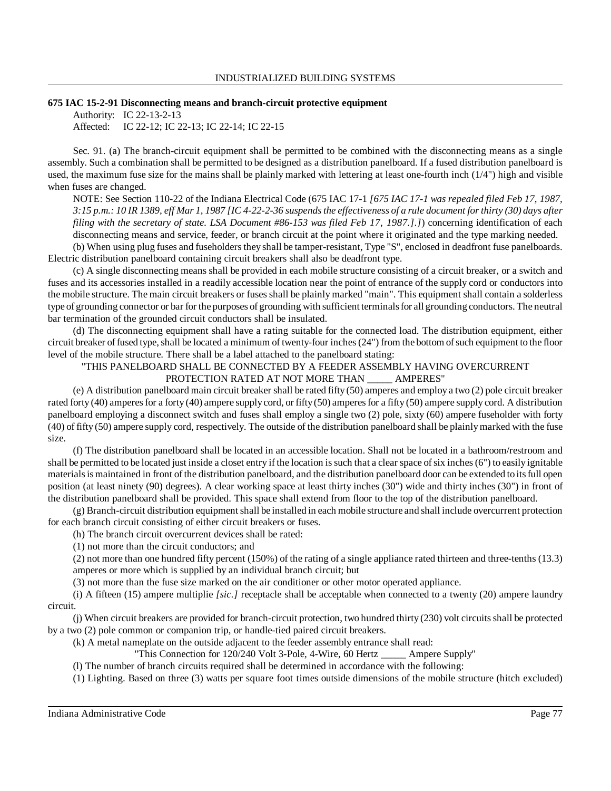#### INDUSTRIALIZED BUILDING SYSTEMS

#### **675 IAC 15-2-91 Disconnecting means and branch-circuit protective equipment**

Authority: IC 22-13-2-13 Affected: IC 22-12; IC 22-13; IC 22-14; IC 22-15

Sec. 91. (a) The branch-circuit equipment shall be permitted to be combined with the disconnecting means as a single assembly. Such a combination shall be permitted to be designed as a distribution panelboard. If a fused distribution panelboard is used, the maximum fuse size for the mains shall be plainly marked with lettering at least one-fourth inch (1/4") high and visible when fuses are changed.

NOTE: See Section 110-22 of the Indiana Electrical Code (675 IAC 17-1 *[675 IAC 17-1 was repealed filed Feb 17, 1987,* 3:15 p.m.: 10 IR 1389, eff Mar 1, 1987 [IC 4-22-2-36 suspends the effectiveness of a rule document for thirty (30) days after *filing with the secretary of state. LSA Document #86-153 was filed Feb 17, 1987.].]*) concerning identification of each disconnecting means and service, feeder, or branch circuit at the point where it originated and the type marking needed. (b) When using plug fuses and fuseholders they shall be tamper-resistant, Type "S", enclosed in deadfront fuse panelboards.

Electric distribution panelboard containing circuit breakers shall also be deadfront type.

(c) A single disconnecting means shall be provided in each mobile structure consisting of a circuit breaker, or a switch and fuses and its accessories installed in a readily accessible location near the point of entrance of the supply cord or conductors into the mobile structure. The main circuit breakers or fuses shall be plainly marked "main". This equipment shall contain a solderless type of grounding connector or bar for the purposes of grounding with sufficient terminalsfor all grounding conductors. The neutral bar termination of the grounded circuit conductors shall be insulated.

(d) The disconnecting equipment shall have a rating suitable for the connected load. The distribution equipment, either circuit breaker of fused type, shall be located a minimum of twenty-four inches (24") from the bottom of such equipment to the floor level of the mobile structure. There shall be a label attached to the panelboard stating:

### "THIS PANELBOARD SHALL BE CONNECTED BY A FEEDER ASSEMBLY HAVING OVERCURRENT PROTECTION RATED AT NOT MORE THAN \_\_\_\_\_ AMPERES"

(e) A distribution panelboard main circuit breaker shall be rated fifty (50) amperes and employ a two (2) pole circuit breaker rated forty (40) amperes for a forty (40) ampere supply cord, or fifty (50) amperes for a fifty (50) ampere supply cord. A distribution panelboard employing a disconnect switch and fuses shall employ a single two (2) pole, sixty (60) ampere fuseholder with forty (40) of fifty (50) ampere supply cord, respectively. The outside of the distribution panelboard shall be plainlymarked with the fuse size.

(f) The distribution panelboard shall be located in an accessible location. Shall not be located in a bathroom/restroom and shall be permitted to be located just inside a closet entry if the location is such that a clear space of six inches (6") to easily ignitable materialsis maintained in front of the distribution panelboard, and the distribution panelboard door can be extended to itsfull open position (at least ninety (90) degrees). A clear working space at least thirty inches (30") wide and thirty inches (30") in front of the distribution panelboard shall be provided. This space shall extend from floor to the top of the distribution panelboard.

(g) Branch-circuit distribution equipmentshall be installed in each mobile structure and shall include overcurrent protection for each branch circuit consisting of either circuit breakers or fuses.

(h) The branch circuit overcurrent devices shall be rated:

(1) not more than the circuit conductors; and

(2) not more than one hundred fifty percent (150%) of the rating of a single appliance rated thirteen and three-tenths (13.3) amperes or more which is supplied by an individual branch circuit; but

(3) not more than the fuse size marked on the air conditioner or other motor operated appliance.

(i) A fifteen (15) ampere multiplie *[sic.]* receptacle shall be acceptable when connected to a twenty (20) ampere laundry circuit.

(j) When circuit breakers are provided for branch-circuit protection, two hundred thirty (230) volt circuitsshall be protected by a two (2) pole common or companion trip, or handle-tied paired circuit breakers.

(k) A metal nameplate on the outside adjacent to the feeder assembly entrance shall read:

"This Connection for 120/240 Volt 3-Pole, 4-Wire, 60 Hertz \_\_\_\_\_ Ampere Supply"

(l) The number of branch circuits required shall be determined in accordance with the following:

(1) Lighting. Based on three (3) watts per square foot times outside dimensions of the mobile structure (hitch excluded)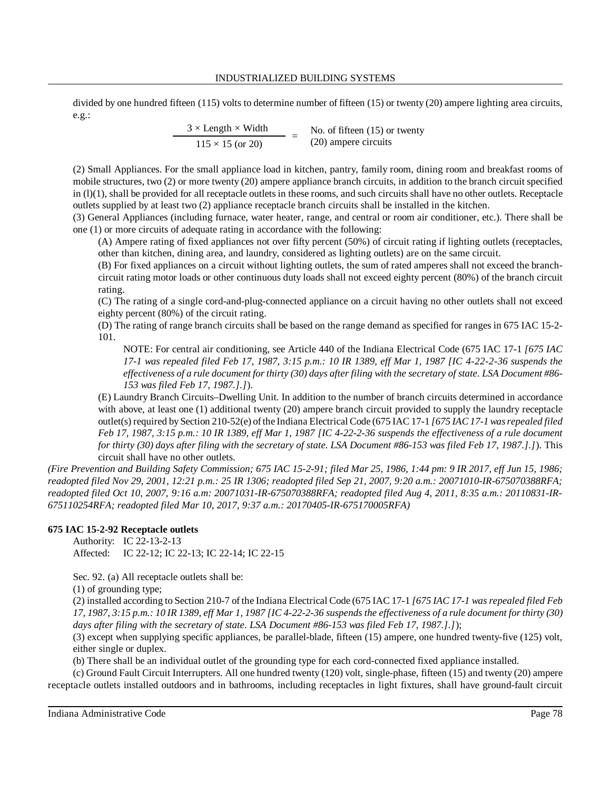### INDUSTRIALIZED BUILDING SYSTEMS

divided by one hundred fifteen (115) volts to determine number of fifteen (15) or twenty (20) ampere lighting area circuits, e.g.:

> $\frac{3 \times \text{Length} \times \text{Width}}{115 \times 15 \text{ (or } 20)}$  = No. of fifteen (15) or No. of fifteen (15) or twenty

(2) Small Appliances. For the small appliance load in kitchen, pantry, family room, dining room and breakfast rooms of mobile structures, two (2) or more twenty (20) ampere appliance branch circuits, in addition to the branch circuit specified in  $(l)(1)$ , shall be provided for all receptacle outlets in these rooms, and such circuits shall have no other outlets. Receptacle outlets supplied by at least two (2) appliance receptacle branch circuits shall be installed in the kitchen.

(3) General Appliances (including furnace, water heater, range, and central or room air conditioner, etc.). There shall be one (1) or more circuits of adequate rating in accordance with the following:

(A) Ampere rating of fixed appliances not over fifty percent (50%) of circuit rating if lighting outlets (receptacles, other than kitchen, dining area, and laundry, considered as lighting outlets) are on the same circuit.

(B) For fixed appliances on a circuit without lighting outlets, the sum of rated amperes shall not exceed the branchcircuit rating motor loads or other continuous duty loads shall not exceed eighty percent (80%) of the branch circuit rating.

(C) The rating of a single cord-and-plug-connected appliance on a circuit having no other outlets shall not exceed eighty percent (80%) of the circuit rating.

(D) The rating of range branch circuits shall be based on the range demand as specified for ranges in 675 IAC 15-2- 101.

NOTE: For central air conditioning, see Article 440 of the Indiana Electrical Code (675 IAC 17-1 *[675 IAC 17-1 was repealed filed Feb 17, 1987, 3:15 p.m.: 10 IR 1389, eff Mar 1, 1987 [IC 4-22-2-36 suspends the* effectiveness of a rule document for thirty (30) days after filing with the secretary of state. LSA Document #86-*153 was filed Feb 17, 1987.].]*).

(E) Laundry Branch Circuits–Dwelling Unit. In addition to the number of branch circuits determined in accordance with above, at least one (1) additional twenty (20) ampere branch circuit provided to supply the laundry receptacle outlet(s) required by Section 210-52(e) ofthe Indiana Electrical Code (675 IAC 17-1 *[675 IAC 17-1 wasrepealed filed Feb 17, 1987, 3:15 p.m.: 10 IR 1389, eff Mar 1, 1987 [IC 4-22-2-36 suspends the effectiveness of a rule document for thirty (30) days after filing with the secretary of state. LSA Document #86-153 was filed Feb 17, 1987.].]*). This circuit shall have no other outlets.

*(Fire Prevention and Building Safety Commission; 675 IAC 15-2-91; filed Mar 25, 1986, 1:44 pm: 9 IR 2017, eff Jun 15, 1986; readopted filed Nov 29, 2001, 12:21 p.m.: 25 IR 1306; readopted filed Sep 21, 2007, 9:20 a.m.: 20071010-IR-675070388RFA; readopted filed Oct 10, 2007, 9:16 a.m: 20071031-IR-675070388RFA; readopted filed Aug 4, 2011, 8:35 a.m.: 20110831-IR-675110254RFA; readopted filed Mar 10, 2017, 9:37 a.m.: 20170405-IR-675170005RFA)*

## **675 IAC 15-2-92 Receptacle outlets**

Authority: IC 22-13-2-13 Affected: IC 22-12; IC 22-13; IC 22-14; IC 22-15

Sec. 92. (a) All receptacle outlets shall be:

(1) of grounding type;

(2) installed according to Section 210-7 of the Indiana Electrical Code (675 IAC 17-1 *[675 IAC 17-1 was repealed filed Feb* 17, 1987, 3:15 p.m.: 10 IR 1389, eff Mar 1, 1987 [IC 4-22-2-36 suspends the effectiveness of a rule document for thirty (30) *days after filing with the secretary of state. LSA Document #86-153 was filed Feb 17, 1987.].]*);

(3) except when supplying specific appliances, be parallel-blade, fifteen (15) ampere, one hundred twenty-five (125) volt, either single or duplex.

(b) There shall be an individual outlet of the grounding type for each cord-connected fixed appliance installed.

(c) Ground Fault Circuit Interrupters. All one hundred twenty (120) volt, single-phase, fifteen (15) and twenty (20) ampere receptacle outlets installed outdoors and in bathrooms, including receptacles in light fixtures, shall have ground-fault circuit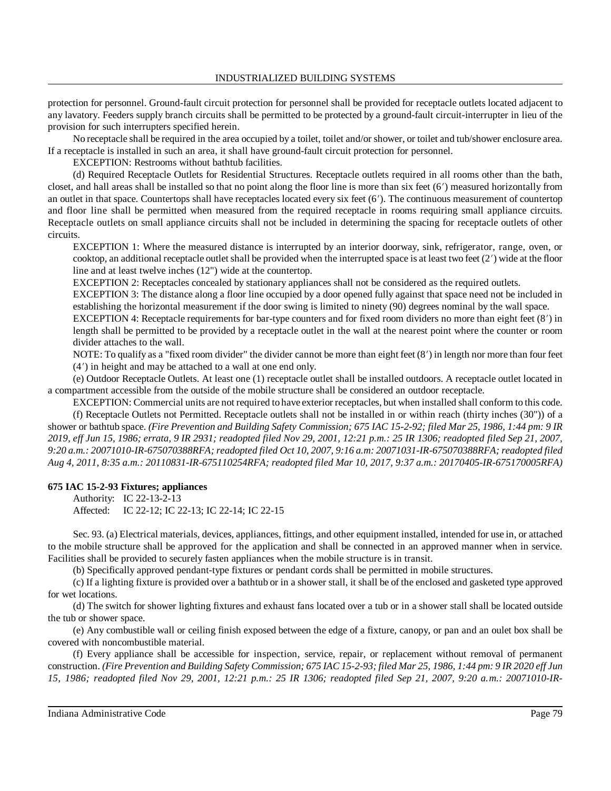protection for personnel. Ground-fault circuit protection for personnel shall be provided for receptacle outlets located adjacent to any lavatory. Feeders supply branch circuits shall be permitted to be protected by a ground-fault circuit-interrupter in lieu of the provision for such interrupters specified herein.

No receptacle shall be required in the area occupied by a toilet, toilet and/or shower, or toilet and tub/shower enclosure area. If a receptacle is installed in such an area, it shall have ground-fault circuit protection for personnel.

EXCEPTION: Restrooms without bathtub facilities.

(d) Required Receptacle Outlets for Residential Structures. Receptacle outlets required in all rooms other than the bath, closet, and hall areas shall be installed so that no point along the floor line is more than six feet (6) measured horizontally from an outlet in that space. Countertops shall have receptacles located every six feet  $(6')$ . The continuous measurement of countertop and floor line shall be permitted when measured from the required receptacle in rooms requiring small appliance circuits. Receptacle outlets on small appliance circuits shall not be included in determining the spacing for receptacle outlets of other circuits.

EXCEPTION 1: Where the measured distance is interrupted by an interior doorway, sink, refrigerator, range, oven, or cooktop, an additional receptacle outlet shall be provided when the interrupted space is at least two feet  $(2')$  wide at the floor line and at least twelve inches (12") wide at the countertop.

EXCEPTION 2: Receptacles concealed by stationary appliances shall not be considered as the required outlets.

EXCEPTION 3: The distance along a floor line occupied by a door opened fully against that space need not be included in establishing the horizontal measurement if the door swing is limited to ninety (90) degrees nominal by the wall space.

EXCEPTION 4: Receptacle requirements for bar-type counters and for fixed room dividers no more than eight feet (8') in length shall be permitted to be provided by a receptacle outlet in the wall at the nearest point where the counter or room divider attaches to the wall.

NOTE: To qualify as a "fixed room divider" the divider cannot be more than eight feet  $(8')$  in length nor more than four feet (4) in height and may be attached to a wall at one end only.

(e) Outdoor Receptacle Outlets. At least one (1) receptacle outlet shall be installed outdoors. A receptacle outlet located in a compartment accessible from the outside of the mobile structure shall be considered an outdoor receptacle.

EXCEPTION: Commercial units are not required to have exterior receptacles, but when installed shall conform to this code. (f) Receptacle Outlets not Permitted. Receptacle outlets shall not be installed in or within reach (thirty inches (30")) of a shower or bathtub space. (Fire Prevention and Building Safety Commission; 675 IAC 15-2-92; filed Mar 25, 1986, 1:44 pm: 9 IR *2019, eff Jun 15, 1986; errata, 9 IR 2931; readopted filed Nov 29, 2001, 12:21 p.m.: 25 IR 1306; readopted filed Sep 21, 2007, 9:20 a.m.: 20071010-IR-675070388RFA; readopted filed Oct 10, 2007, 9:16 a.m: 20071031-IR-675070388RFA; readopted filed Aug 4, 2011, 8:35 a.m.: 20110831-IR-675110254RFA; readopted filed Mar 10, 2017, 9:37 a.m.: 20170405-IR-675170005RFA)*

## **675 IAC 15-2-93 Fixtures; appliances**

Authority: IC 22-13-2-13 Affected: IC 22-12; IC 22-13; IC 22-14; IC 22-15

Sec. 93. (a) Electrical materials, devices, appliances, fittings, and other equipment installed, intended for use in, or attached to the mobile structure shall be approved for the application and shall be connected in an approved manner when in service. Facilities shall be provided to securely fasten appliances when the mobile structure is in transit.

(b) Specifically approved pendant-type fixtures or pendant cords shall be permitted in mobile structures.

(c) If a lighting fixture is provided over a bathtub or in a shower stall, it shall be of the enclosed and gasketed type approved for wet locations.

(d) The switch for shower lighting fixtures and exhaust fans located over a tub or in a shower stall shall be located outside the tub or shower space.

(e) Any combustible wall or ceiling finish exposed between the edge of a fixture, canopy, or pan and an oulet box shall be covered with noncombustible material.

(f) Every appliance shall be accessible for inspection, service, repair, or replacement without removal of permanent construction. (Fire Prevention and Building Safety Commission; 675 IAC 15-2-93; filed Mar 25, 1986, 1:44 pm: 9 IR 2020 eff Jun *15, 1986; readopted filed Nov 29, 2001, 12:21 p.m.: 25 IR 1306; readopted filed Sep 21, 2007, 9:20 a.m.: 20071010-IR-*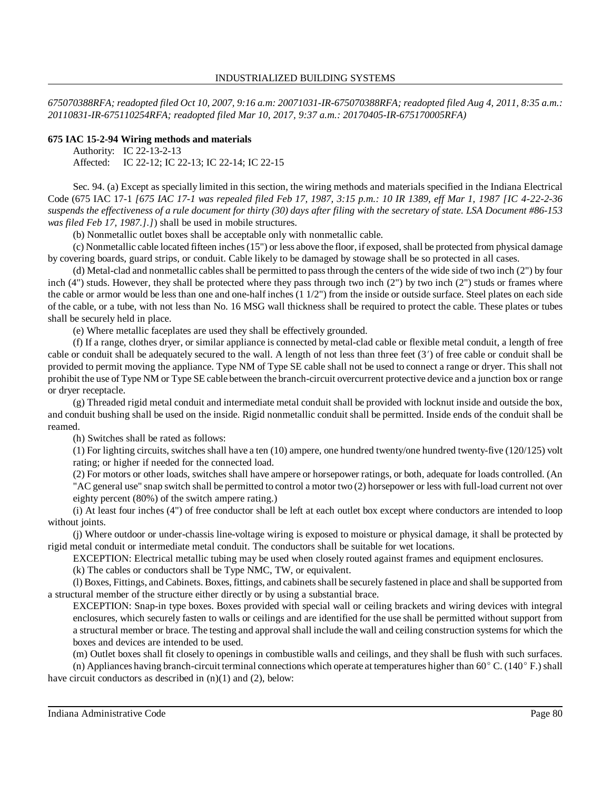675070388RFA; readopted filed Oct 10, 2007, 9:16 a.m: 20071031-IR-675070388RFA; readopted filed Aug 4, 2011, 8:35 a.m.: *20110831-IR-675110254RFA; readopted filed Mar 10, 2017, 9:37 a.m.: 20170405-IR-675170005RFA)*

### **675 IAC 15-2-94 Wiring methods and materials**

Authority: IC 22-13-2-13

Affected: IC 22-12; IC 22-13; IC 22-14; IC 22-15

Sec. 94. (a) Except as specially limited in this section, the wiring methods and materials specified in the Indiana Electrical Code (675 IAC 17-1 [675 IAC 17-1 was repealed filed Feb 17, 1987, 3:15 p.m.: 10 IR 1389, eff Mar 1, 1987 [IC 4-22-2-36] suspends the effectiveness of a rule document for thirty (30) days after filing with the secretary of state. LSA Document  $#86-153$ *was filed Feb 17, 1987.].]*) shall be used in mobile structures.

(b) Nonmetallic outlet boxes shall be acceptable only with nonmetallic cable.

(c) Nonmetallic cable located fifteen inches(15") or less above the floor, if exposed, shall be protected from physical damage by covering boards, guard strips, or conduit. Cable likely to be damaged by stowage shall be so protected in all cases.

(d) Metal-clad and nonmetallic cablesshall be permitted to passthrough the centers of the wide side of two inch (2") by four inch (4") studs. However, they shall be protected where they pass through two inch (2") by two inch (2") studs or frames where the cable or armor would be less than one and one-half inches (1 1/2") from the inside or outside surface. Steel plates on each side of the cable, or a tube, with not less than No. 16 MSG wall thickness shall be required to protect the cable. These plates or tubes shall be securely held in place.

(e) Where metallic faceplates are used they shall be effectively grounded.

(f) If a range, clothes dryer, or similar appliance is connected by metal-clad cable or flexible metal conduit, a length of free cable or conduit shall be adequately secured to the wall. A length of not less than three feet  $(3')$  of free cable or conduit shall be provided to permit moving the appliance. Type NM of Type SE cable shall not be used to connect a range or dryer. This shall not prohibit the use of Type NM or Type SE cable between the branch-circuit overcurrent protective device and a junction box or range or dryer receptacle.

(g) Threaded rigid metal conduit and intermediate metal conduit shall be provided with locknut inside and outside the box, and conduit bushing shall be used on the inside. Rigid nonmetallic conduit shall be permitted. Inside ends of the conduit shall be reamed.

(h) Switches shall be rated as follows:

(1) For lighting circuits, switchesshall have a ten (10) ampere, one hundred twenty/one hundred twenty-five (120/125) volt rating; or higher if needed for the connected load.

(2) For motors or other loads, switches shall have ampere or horsepower ratings, or both, adequate for loads controlled. (An "AC general use" snap switch shall be permitted to control a motor two (2) horsepower or less with full-load current not over eighty percent (80%) of the switch ampere rating.)

(i) At least four inches (4") of free conductor shall be left at each outlet box except where conductors are intended to loop without joints.

(j) Where outdoor or under-chassis line-voltage wiring is exposed to moisture or physical damage, it shall be protected by rigid metal conduit or intermediate metal conduit. The conductors shall be suitable for wet locations.

EXCEPTION: Electrical metallic tubing may be used when closely routed against frames and equipment enclosures.

(k) The cables or conductors shall be Type NMC, TW, or equivalent.

(l) Boxes, Fittings, and Cabinets. Boxes, fittings, and cabinetsshall be securely fastened in place and shall be supported from a structural member of the structure either directly or by using a substantial brace.

EXCEPTION: Snap-in type boxes. Boxes provided with special wall or ceiling brackets and wiring devices with integral enclosures, which securely fasten to walls or ceilings and are identified for the use shall be permitted without support from a structural member or brace. The testing and approval shall include the wall and ceiling construction systemsfor which the boxes and devices are intended to be used.

(m) Outlet boxes shall fit closely to openings in combustible walls and ceilings, and they shall be flush with such surfaces.

(n) Appliances having branch-circuit terminal connections which operate at temperatures higher than  $60^{\circ}$  C. (140 $^{\circ}$  F.) shall have circuit conductors as described in  $(n)(1)$  and  $(2)$ , below: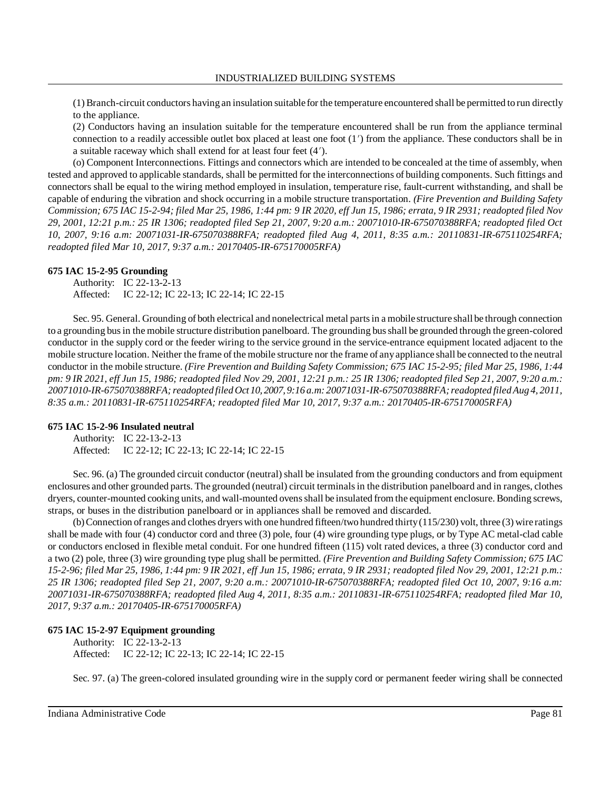(1) Branch-circuit conductors having an insulation suitable for the temperature encountered shall be permitted to run directly to the appliance.

(2) Conductors having an insulation suitable for the temperature encountered shall be run from the appliance terminal connection to a readily accessible outlet box placed at least one foot (1) from the appliance. These conductors shall be in a suitable raceway which shall extend for at least four feet (4).

(o) Component Interconnections. Fittings and connectors which are intended to be concealed at the time of assembly, when tested and approved to applicable standards, shall be permitted for the interconnections of building components. Such fittings and connectors shall be equal to the wiring method employed in insulation, temperature rise, fault-current withstanding, and shall be capable of enduring the vibration and shock occurring in a mobile structure transportation. *(Fire Prevention and Building Safety* Commission; 675 IAC 15-2-94; filed Mar 25, 1986, 1:44 pm: 9 IR 2020, eff Jun 15, 1986; errata, 9 IR 2931; readopted filed Nov *29, 2001, 12:21 p.m.: 25 IR 1306; readopted filed Sep 21, 2007, 9:20 a.m.: 20071010-IR-675070388RFA; readopted filed Oct 10, 2007, 9:16 a.m: 20071031-IR-675070388RFA; readopted filed Aug 4, 2011, 8:35 a.m.: 20110831-IR-675110254RFA; readopted filed Mar 10, 2017, 9:37 a.m.: 20170405-IR-675170005RFA)*

### **675 IAC 15-2-95 Grounding**

Authority: IC 22-13-2-13 Affected: IC 22-12; IC 22-13; IC 22-14; IC 22-15

Sec. 95. General. Grounding of both electrical and nonelectrical metal partsin a mobile structure shall be through connection to a grounding busin the mobile structure distribution panelboard. The grounding busshall be grounded through the green-colored conductor in the supply cord or the feeder wiring to the service ground in the service-entrance equipment located adjacent to the mobile structure location. Neither the frame of the mobile structure nor the frame of anyappliance shall be connected to the neutral conductor in the mobile structure. *(Fire Prevention and Building Safety Commission; 675 IAC 15-2-95; filed Mar 25, 1986, 1:44* pm: 9 IR 2021, eff Jun 15, 1986; readopted filed Nov 29, 2001, 12:21 p.m.: 25 IR 1306; readopted filed Sep 21, 2007, 9:20 a.m.: *20071010-IR-675070388RFA;readopted filed Oct 10, 2007, 9:16 a.m: 20071031-IR-675070388RFA; readopted filed Aug 4, 2011, 8:35 a.m.: 20110831-IR-675110254RFA; readopted filed Mar 10, 2017, 9:37 a.m.: 20170405-IR-675170005RFA)*

### **675 IAC 15-2-96 Insulated neutral**

Authority: IC 22-13-2-13 Affected: IC 22-12; IC 22-13; IC 22-14; IC 22-15

Sec. 96. (a) The grounded circuit conductor (neutral) shall be insulated from the grounding conductors and from equipment enclosures and other grounded parts. The grounded (neutral) circuit terminalsin the distribution panelboard and in ranges, clothes dryers, counter-mounted cooking units, and wall-mounted ovensshall be insulated from the equipment enclosure. Bonding screws, straps, or buses in the distribution panelboard or in appliances shall be removed and discarded.

(b)Connection ofranges and clothes dryers with one hundred fifteen/two hundred thirty(115/230) volt, three (3) wire ratings shall be made with four (4) conductor cord and three (3) pole, four (4) wire grounding type plugs, or by Type AC metal-clad cable or conductors enclosed in flexible metal conduit. For one hundred fifteen (115) volt rated devices, a three (3) conductor cord and a two (2) pole, three (3) wire grounding type plug shall be permitted. *(Fire Prevention and Building Safety Commission; 675 IAC* 15-2-96; filed Mar 25, 1986, 1:44 pm: 9 IR 2021, eff Jun 15, 1986; errata, 9 IR 2931; readopted filed Nov 29, 2001, 12:21 p.m.: *25 IR 1306; readopted filed Sep 21, 2007, 9:20 a.m.: 20071010-IR-675070388RFA; readopted filed Oct 10, 2007, 9:16 a.m: 20071031-IR-675070388RFA; readopted filed Aug 4, 2011, 8:35 a.m.: 20110831-IR-675110254RFA; readopted filed Mar 10, 2017, 9:37 a.m.: 20170405-IR-675170005RFA)*

# **675 IAC 15-2-97 Equipment grounding**

Authority: IC 22-13-2-13 Affected: IC 22-12; IC 22-13; IC 22-14; IC 22-15

Sec. 97. (a) The green-colored insulated grounding wire in the supply cord or permanent feeder wiring shall be connected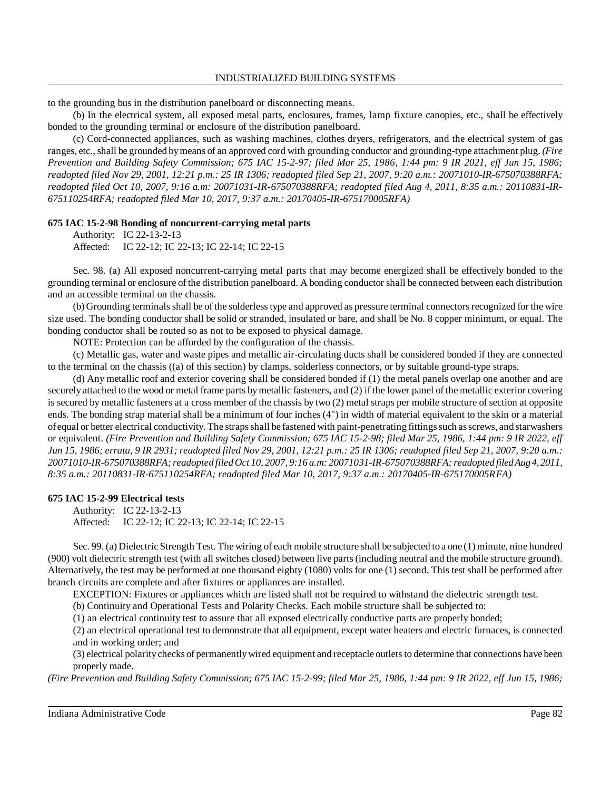to the grounding bus in the distribution panelboard or disconnecting means.

(b) In the electrical system, all exposed metal parts, enclosures, frames, lamp fixture canopies, etc., shall be effectively bonded to the grounding terminal or enclosure of the distribution panelboard.

(c) Cord-connected appliances, such as washing machines, clothes dryers, refrigerators, and the electrical system of gas ranges, etc.,shall be grounded bymeans of an approved cord with grounding conductor and grounding-type attachment plug. *(Fire Prevention and Building Safety Commission; 675 IAC 15-2-97; filed Mar 25, 1986, 1:44 pm: 9 IR 2021, eff Jun 15, 1986; readopted filed Nov 29, 2001, 12:21 p.m.: 25 IR 1306; readopted filed Sep 21, 2007, 9:20 a.m.: 20071010-IR-675070388RFA; readopted filed Oct 10, 2007, 9:16 a.m: 20071031-IR-675070388RFA; readopted filed Aug 4, 2011, 8:35 a.m.: 20110831-IR-675110254RFA; readopted filed Mar 10, 2017, 9:37 a.m.: 20170405-IR-675170005RFA)*

### **675 IAC 15-2-98 Bonding of noncurrent-carrying metal parts**

Authority: IC 22-13-2-13 Affected: IC 22-12; IC 22-13; IC 22-14; IC 22-15

Sec. 98. (a) All exposed noncurrent-carrying metal parts that may become energized shall be effectively bonded to the grounding terminal or enclosure of the distribution panelboard. A bonding conductor shall be connected between each distribution and an accessible terminal on the chassis.

(b) Grounding terminals shall be of the solderless type and approved as pressure terminal connectors recognized for the wire size used. The bonding conductor shall be solid or stranded, insulated or bare, and shall be No. 8 copper minimum, or equal. The bonding conductor shall be routed so as not to be exposed to physical damage.

NOTE: Protection can be afforded by the configuration of the chassis.

(c) Metallic gas, water and waste pipes and metallic air-circulating ducts shall be considered bonded if they are connected to the terminal on the chassis ((a) of this section) by clamps, solderless connectors, or by suitable ground-type straps.

(d) Any metallic roof and exterior covering shall be considered bonded if (1) the metal panels overlap one another and are securely attached to the wood or metal frame parts bymetallic fasteners, and (2) if the lower panel of the metallic exterior covering is secured by metallic fasteners at a cross member of the chassis by two (2) metal straps per mobile structure ofsection at opposite ends. The bonding strap material shall be a minimum of four inches (4") in width of material equivalent to the skin or a material of equal or better electrical conductivity. The strapsshall be fastened with paint-penetrating fittingssuch asscrews, and starwashers or equivalent. *(Fire Prevention and Building Safety Commission; 675 IAC 15-2-98; filed Mar 25, 1986, 1:44 pm: 9 IR 2022, eff* Jun 15, 1986; errata, 9 IR 2931; readopted filed Nov 29, 2001, 12:21 p.m.: 25 IR 1306; readopted filed Sep 21, 2007, 9:20 a.m.: *20071010-IR-675070388RFA;readopted filed Oct 10, 2007, 9:16 a.m: 20071031-IR-675070388RFA;readopted filed Aug 4, 2011, 8:35 a.m.: 20110831-IR-675110254RFA; readopted filed Mar 10, 2017, 9:37 a.m.: 20170405-IR-675170005RFA)*

### **675 IAC 15-2-99 Electrical tests**

Authority: IC 22-13-2-13 Affected: IC 22-12; IC 22-13; IC 22-14; IC 22-15

Sec. 99. (a) Dielectric Strength Test. The wiring of each mobile structure shall be subjected to a one (1) minute, nine hundred (900) volt dielectric strength test (with all switches closed) between live parts(including neutral and the mobile structure ground). Alternatively, the test may be performed at one thousand eighty (1080) volts for one (1) second. This test shall be performed after branch circuits are complete and after fixtures or appliances are installed.

EXCEPTION: Fixtures or appliances which are listed shall not be required to withstand the dielectric strength test.

(b) Continuity and Operational Tests and Polarity Checks. Each mobile structure shall be subjected to:

(1) an electrical continuity test to assure that all exposed electrically conductive parts are properly bonded;

(2) an electrical operational test to demonstrate that all equipment, except water heaters and electric furnaces, is connected and in working order; and

(3) electrical polaritychecks of permanentlywired equipment and receptacle outletsto determine that connections have been properly made.

*(Fire Prevention and Building Safety Commission; 675 IAC 15-2-99; filed Mar 25, 1986, 1:44 pm: 9 IR 2022, eff Jun 15, 1986;*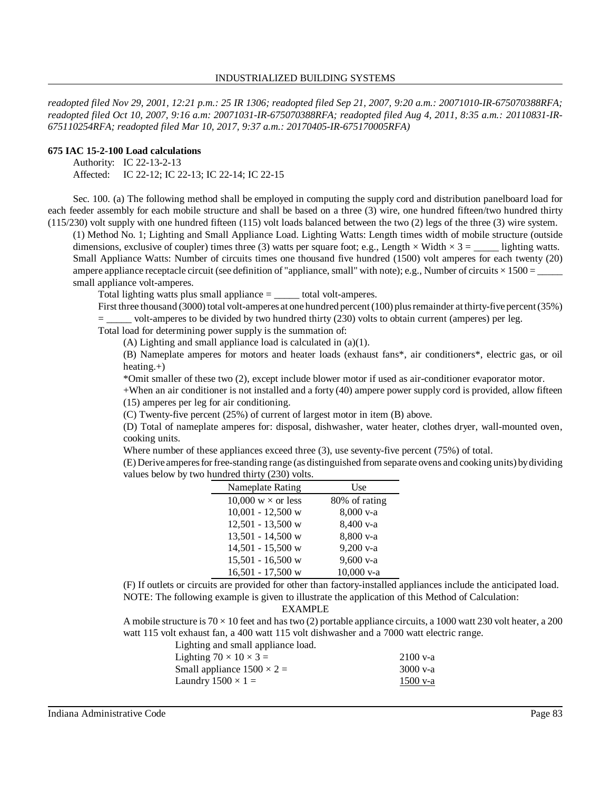*readopted filed Nov 29, 2001, 12:21 p.m.: 25 IR 1306; readopted filed Sep 21, 2007, 9:20 a.m.: 20071010-IR-675070388RFA; readopted filed Oct 10, 2007, 9:16 a.m: 20071031-IR-675070388RFA; readopted filed Aug 4, 2011, 8:35 a.m.: 20110831-IR-675110254RFA; readopted filed Mar 10, 2017, 9:37 a.m.: 20170405-IR-675170005RFA)*

### **675 IAC 15-2-100 Load calculations**

Authority: IC 22-13-2-13

Affected: IC 22-12; IC 22-13; IC 22-14; IC 22-15

Sec. 100. (a) The following method shall be employed in computing the supply cord and distribution panelboard load for each feeder assembly for each mobile structure and shall be based on a three (3) wire, one hundred fifteen/two hundred thirty (115/230) volt supply with one hundred fifteen (115) volt loads balanced between the two (2) legs of the three (3) wire system.

(1) Method No. 1; Lighting and Small Appliance Load. Lighting Watts: Length times width of mobile structure (outside dimensions, exclusive of coupler) times three (3) watts per square foot; e.g., Length  $\times$  Width  $\times$  3 = \_\_\_\_\_\_ lighting watts. Small Appliance Watts: Number of circuits times one thousand five hundred (1500) volt amperes for each twenty (20) ampere appliance receptacle circuit (see definition of "appliance, small" with note); e.g., Number of circuits  $\times$  1500 = small appliance volt-amperes.

Total lighting watts plus small appliance = \_\_\_\_\_ total volt-amperes.

First three thousand (3000) total volt-amperes at one hundred percent (100) plus remainder at thirty-five percent (35%) = \_\_\_\_\_ volt-amperes to be divided by two hundred thirty (230) volts to obtain current (amperes) per leg.

Total load for determining power supply is the summation of:

(A) Lighting and small appliance load is calculated in (a)(1).

(B) Nameplate amperes for motors and heater loads (exhaust fans\*, air conditioners\*, electric gas, or oil heating.+)

\*Omit smaller of these two (2), except include blower motor if used as air-conditioner evaporator motor.

+When an air conditioner is not installed and a forty (40) ampere power supply cord is provided, allow fifteen (15) amperes per leg for air conditioning.

(C) Twenty-five percent (25%) of current of largest motor in item (B) above.

(D) Total of nameplate amperes for: disposal, dishwasher, water heater, clothes dryer, wall-mounted oven, cooking units.

Where number of these appliances exceed three (3), use seventy-five percent (75%) of total.

(E) Derive amperesforfree-standing range (as distinguished from separate ovens and cooking units) bydividing values below by two hundred thirty (230) volts.

| Nameplate Rating          | Use           |
|---------------------------|---------------|
| 10,000 $w \times$ or less | 80% of rating |
| $10,001 - 12,500$ w       | 8,000 v-a     |
| 12,501 - 13,500 w         | 8,400 v-a     |
| $13,501 - 14,500$ w       | 8,800 v-a     |
| $14,501 - 15,500$ w       | $9,200$ v-a   |
| $15,501 - 16,500$ w       | $9,600$ v-a   |
| $16,501 - 17,500$ w       | 10,000 v-a    |

(F) If outlets or circuits are provided for other than factory-installed appliances include the anticipated load. NOTE: The following example is given to illustrate the application of this Method of Calculation:

EXAMPLE

A mobile structure is  $70 \times 10$  feet and has two (2) portable appliance circuits, a 1000 watt 230 volt heater, a 200 watt 115 volt exhaust fan, a 400 watt 115 volt dishwasher and a 7000 watt electric range.

| $2100$ v-a |
|------------|
| $3000$ v-a |
| $1500$ v-a |
|            |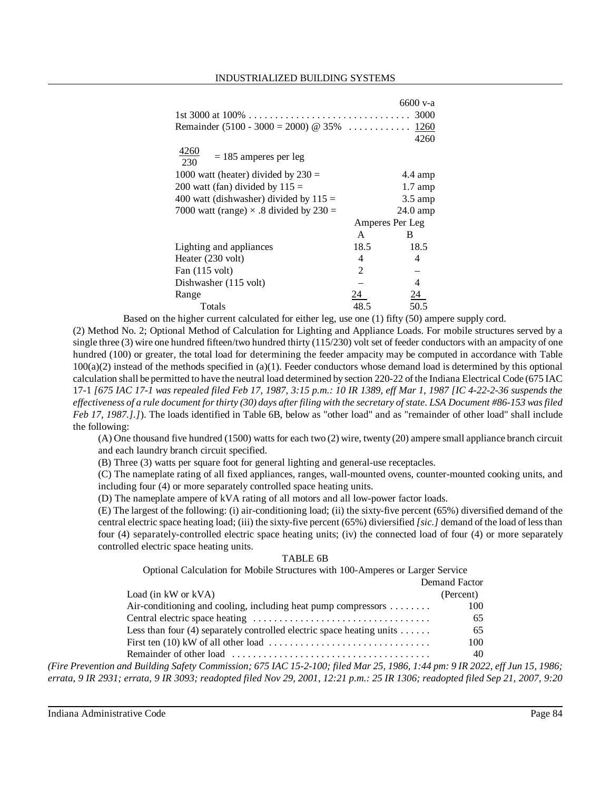|                                                |                 | 6600 v-a           |
|------------------------------------------------|-----------------|--------------------|
|                                                |                 | 3000               |
| Remainder (5100 - 3000 = 2000) @ 35%           |                 | 1260               |
|                                                |                 | 4260               |
| 4260<br>$= 185$ amperes per leg<br>230         |                 |                    |
| 1000 watt (heater) divided by $230 =$          |                 | $4.4 \text{ amp}$  |
| 200 watt (fan) divided by $115 =$              |                 | $1.7 \text{ amp}$  |
| 400 watt (dishwasher) divided by $115 =$       |                 | $3.5 \text{ amp}$  |
| 7000 watt (range) $\times$ .8 divided by 230 = |                 | $24.0 \text{ amp}$ |
|                                                | Amperes Per Leg |                    |
|                                                | A               | B                  |
| Lighting and appliances                        | 18.5            | 18.5               |
| Heater (230 volt)                              | 4               | 4                  |
| Fan $(115 \text{ volt})$                       | $\mathfrak{D}$  |                    |
| Dishwasher (115 volt)                          |                 | 4                  |
| Range                                          | 24              | 24.                |
| Totals                                         | 48.5            | 50.5               |

Based on the higher current calculated for either leg, use one (1) fifty (50) ampere supply cord.

(2) Method No. 2; Optional Method of Calculation for Lighting and Appliance Loads. For mobile structures served by a single three (3) wire one hundred fifteen/two hundred thirty (115/230) volt set of feeder conductors with an ampacity of one hundred (100) or greater, the total load for determining the feeder ampacity may be computed in accordance with Table  $100(a)(2)$  instead of the methods specified in (a)(1). Feeder conductors whose demand load is determined by this optional calculation shall be permitted to have the neutral load determined by section 220-22 of the Indiana Electrical Code (675 IAC 17-1 *[675 IAC 17-1 was repealed filed Feb 17, 1987, 3:15 p.m.: 10 IR 1389, eff Mar 1, 1987 [IC 4-22-2-36 suspends the* effectiveness of a rule document for thirty (30) days after filing with the secretary of state. LSA Document #86-153 was filed *Feb 17, 1987.].]*). The loads identified in Table 6B, below as "other load" and as "remainder of other load" shall include the following:

(A) One thousand five hundred (1500) watts for each two (2) wire, twenty (20) ampere small appliance branch circuit and each laundry branch circuit specified.

(B) Three (3) watts per square foot for general lighting and general-use receptacles.

(C) The nameplate rating of all fixed appliances, ranges, wall-mounted ovens, counter-mounted cooking units, and including four (4) or more separately controlled space heating units.

(D) The nameplate ampere of kVA rating of all motors and all low-power factor loads.

(E) The largest of the following: (i) air-conditioning load; (ii) the sixty-five percent (65%) diversified demand of the central electric space heating load; (iii) the sixty-five percent (65%) diviersified *[sic.]* demand of the load of lessthan four (4) separately-controlled electric space heating units; (iv) the connected load of four (4) or more separately controlled electric space heating units.

### TABLE 6B

Optional Calculation for Mobile Structures with 100-Amperes or Larger Service

|                                                                             | Demand Factor |
|-----------------------------------------------------------------------------|---------------|
| Load (in $kW$ or $kVA$ )                                                    | (Percent)     |
| Air-conditioning and cooling, including heat pump compressors $\dots \dots$ | 100           |
|                                                                             | 65            |
| Less than four (4) separately controlled electric space heating units       | 65            |
|                                                                             | 100           |
|                                                                             |               |

(Fire Prevention and Building Safety Commission; 675 IAC 15-2-100; filed Mar 25, 1986, 1:44 pm: 9 IR 2022, eff Jun 15, 1986; errata, 9 IR 2931; errata, 9 IR 3093; readopted filed Nov 29, 2001, 12:21 p.m.: 25 IR 1306; readopted filed Sep 21, 2007, 9:20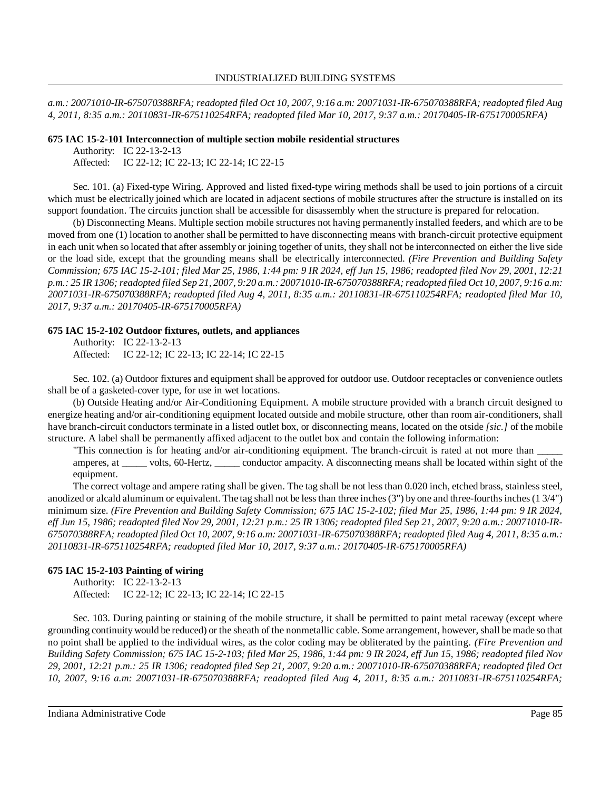*a.m.: 20071010-IR-675070388RFA; readopted filed Oct 10, 2007, 9:16 a.m: 20071031-IR-675070388RFA; readopted filed Aug 4, 2011, 8:35 a.m.: 20110831-IR-675110254RFA; readopted filed Mar 10, 2017, 9:37 a.m.: 20170405-IR-675170005RFA)*

### **675 IAC 15-2-101 Interconnection of multiple section mobile residential structures**

Authority: IC 22-13-2-13 Affected: IC 22-12; IC 22-13; IC 22-14; IC 22-15

Sec. 101. (a) Fixed-type Wiring. Approved and listed fixed-type wiring methods shall be used to join portions of a circuit which must be electrically joined which are located in adjacent sections of mobile structures after the structure is installed on its support foundation. The circuits junction shall be accessible for disassembly when the structure is prepared for relocation.

(b) Disconnecting Means. Multiple section mobile structures not having permanently installed feeders, and which are to be moved from one (1) location to another shall be permitted to have disconnecting means with branch-circuit protective equipment in each unit when so located that after assembly or joining together of units, they shall not be interconnected on either the live side or the load side, except that the grounding means shall be electrically interconnected. *(Fire Prevention and Building Safety* Commission; 675 IAC 15-2-101; filed Mar 25, 1986, 1:44 pm: 9 IR 2024, eff Jun 15, 1986; readopted filed Nov 29, 2001, 12:21 p.m.: 25 IR 1306; readopted filed Sep 21, 2007, 9:20 a.m.: 20071010-IR-675070388RFA; readopted filed Oct 10, 2007, 9:16 a.m: *20071031-IR-675070388RFA; readopted filed Aug 4, 2011, 8:35 a.m.: 20110831-IR-675110254RFA; readopted filed Mar 10, 2017, 9:37 a.m.: 20170405-IR-675170005RFA)*

## **675 IAC 15-2-102 Outdoor fixtures, outlets, and appliances**

Authority: IC 22-13-2-13 Affected: IC 22-12; IC 22-13; IC 22-14; IC 22-15

Sec. 102. (a) Outdoor fixtures and equipment shall be approved for outdoor use. Outdoor receptacles or convenience outlets shall be of a gasketed-cover type, for use in wet locations.

(b) Outside Heating and/or Air-Conditioning Equipment. A mobile structure provided with a branch circuit designed to energize heating and/or air-conditioning equipment located outside and mobile structure, other than room air-conditioners, shall have branch-circuit conductors terminate in a listed outlet box, or disconnecting means, located on the otside *[sic.]* of the mobile structure. A label shall be permanently affixed adjacent to the outlet box and contain the following information:

"This connection is for heating and/or air-conditioning equipment. The branch-circuit is rated at not more than amperes, at \_\_\_\_\_ volts, 60-Hertz, \_\_\_\_\_ conductor ampacity. A disconnecting means shall be located within sight of the equipment.

The correct voltage and ampere rating shall be given. The tag shall be not less than 0.020 inch, etched brass, stainless steel, anodized or alcald aluminum or equivalent. The tag shall not be less than three inches  $(3")$  by one and three-fourths inches  $(1\frac{3}{4})$ minimum size. *(Fire Prevention and Building Safety Commission; 675 IAC 15-2-102; filed Mar 25, 1986, 1:44 pm: 9 IR 2024,* eff Jun 15, 1986; readopted filed Nov 29, 2001, 12:21 p.m.: 25 IR 1306; readopted filed Sep 21, 2007, 9:20 a.m.: 20071010-IR-675070388RFA; readopted filed Oct 10, 2007, 9:16 a.m; 20071031-IR-675070388RFA; readopted filed Aug 4, 2011, 8:35 a.m.: *20110831-IR-675110254RFA; readopted filed Mar 10, 2017, 9:37 a.m.: 20170405-IR-675170005RFA)*

## **675 IAC 15-2-103 Painting of wiring**

Authority: IC 22-13-2-13 Affected: IC 22-12; IC 22-13; IC 22-14; IC 22-15

Sec. 103. During painting or staining of the mobile structure, it shall be permitted to paint metal raceway (except where grounding continuity would be reduced) or the sheath of the nonmetallic cable. Some arrangement, however, shall be made so that no point shall be applied to the individual wires, as the color coding may be obliterated by the painting. *(Fire Prevention and* Building Safety Commission; 675 IAC 15-2-103; filed Mar 25, 1986, 1:44 pm: 9 IR 2024, eff Jun 15, 1986; readopted filed Nov *29, 2001, 12:21 p.m.: 25 IR 1306; readopted filed Sep 21, 2007, 9:20 a.m.: 20071010-IR-675070388RFA; readopted filed Oct 10, 2007, 9:16 a.m: 20071031-IR-675070388RFA; readopted filed Aug 4, 2011, 8:35 a.m.: 20110831-IR-675110254RFA;*